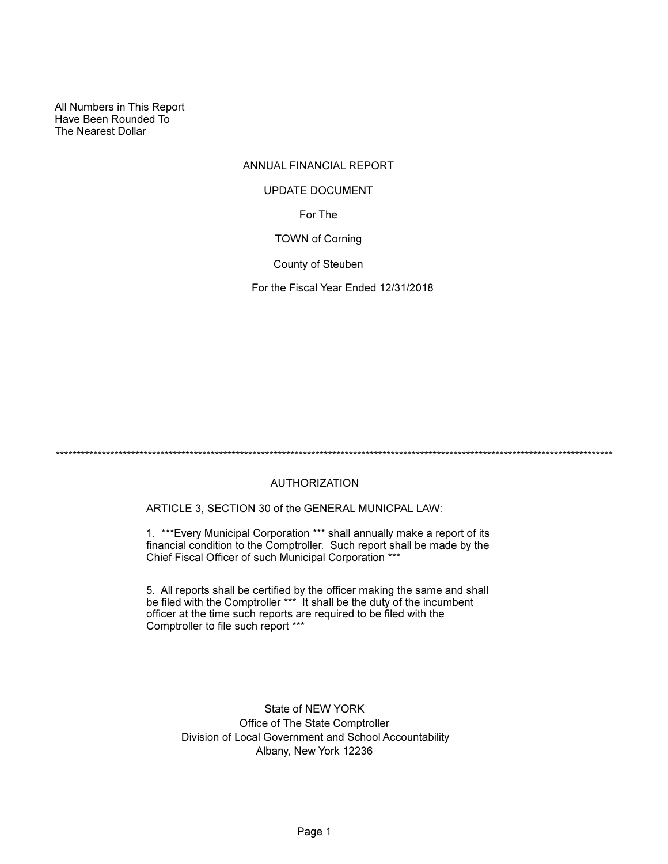All Numbers in This Report Have Been Rounded To The Nearest Dollar

## ANNUAL FINANCIAL REPORT

#### UPDATE DOCUMENT

For The

TOWN of Corning

County of Steuben

For the Fiscal Year Ended 12/31/2018

\*\*\*\*\*\*\*\*\*\*\*\*\*\*\*\*\*\*\*\*\*\*\*\*\*\*\*\*\*\*\*\*\*\*\*\*\*\*\*\*\*\*\*\*\*\*\*\*\*\*\*\*\*\*\*\*\*\*\*\*\*\*\*\*\*\*\*\*\*\*\*\*\*\*\*\*\*\*\*\*\*\*\*\*\*\*\*\*\*\*\*\*\*\*\*\*\*\*\*\*\*\*\*\*\*\*\*\*\*\*\*\*\*\*\*\*\*\*\*\*\*\*\*\*\*\*\*\*\*\*\*\*\*

## AUTHORIZATION

ARTICLE 3, SECTION 30 of the GENERAL MUNICPAL LAW:

1. \*\*\*Every Municipal Corporation \*\*\* shall annually make a report of its financial condition to the Comptroller. Such report shall be made by the Chief Fiscal Officer of such Municipal Corporation \*\*\*

5. All reports shall be certified by the officer making the same and shall be filed with the Comptroller \*\*\* It shall be the duty of the incumbent officer at the time such reports are required to be filed with the Comptroller to file such report \*\*\*

> State of NEW YORK Office of The State Comptroller Division of Local Government and School Accountability Albany, New York 12236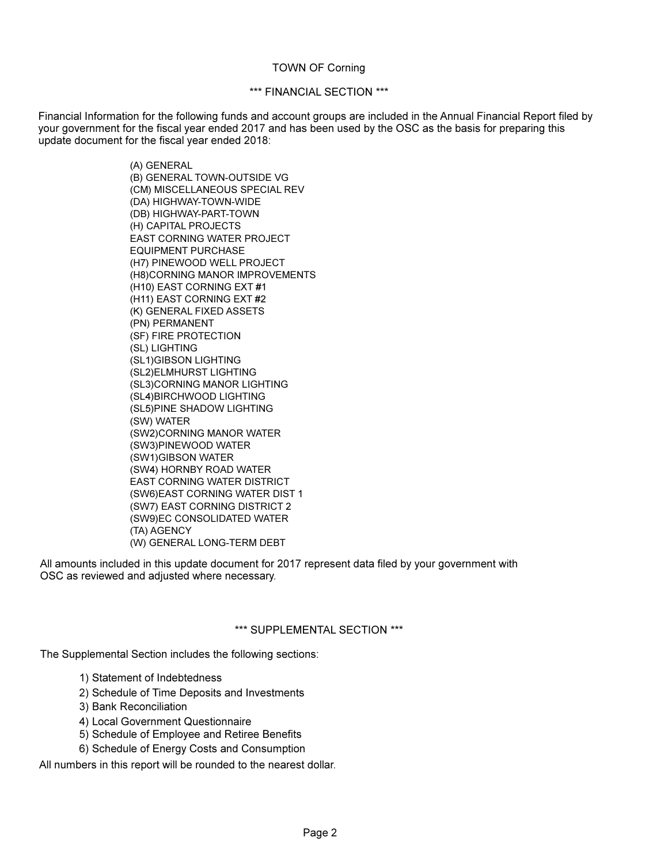#### TOWN OF Corning

#### \*\*\* FINANCIAL SECTION \*\*\*

Financial Information for the following funds and account groups are included in the Annual Financial Report filed by your government for the fiscal year ended 2017 and has been used by the OSC as the basis for preparing this update document for the fiscal year ended 2018:

> (A) GENERAL (B) GENERAL TOWN-OUTSIDE VG (CM) MISCELLANEOUS SPECIAL REV (DA) HIGHWAY-TOWN-WIDE (DB) HIGHWAY-PART-TOWN (H) CAPITAL PROJECTS EAST CORNING WATER PROJECT EQUIPMENT PURCHASE (H7) PINEWOOD WELL PROJECT (H8)CORNING MANOR IMPROVEMENTS (H10) EAST CORNING EXT #1 (H11) EAST CORNING EXT #2 (K) GENERAL FIXED ASSETS (PN) PERMANENT (SF) FIRE PROTECTION (SL) LIGHTING (SL1)GIBSON LIGHTING (SL2)ELMHURST LIGHTING (SL3)CORNING MANOR LIGHTING (SL4)BIRCHWOOD LIGHTING (SL5)PINE SHADOW LIGHTING (SW) WATER (SW2)CORNING MANOR WATER (SW3)PINEWOOD WATER (SW1)GIBSON WATER (SW4) HORNBY ROAD WATER EAST CORNING WATER DISTRICT (SW6)EAST CORNING WATER DIST 1 (SW7) EAST CORNING DISTRICT 2 (SW9)EC CONSOLIDATED WATER (TA) AGENCY (W) GENERAL LONG-TERM DEBT

All amounts included in this update document for 2017 represent data filed by your government with OSC as reviewed and adjusted where necessary.

#### \*\*\* SUPPLEMENTAL SECTION \*\*\*

The Supplemental Section includes the following sections:

- 1) Statement of Indebtedness
- 2) Schedule of Time Deposits and Investments
- 3) Bank Reconciliation
- 4) Local Government Questionnaire
- 5) Schedule of Employee and Retiree Benefits
- 6) Schedule of Energy Costs and Consumption

All numbers in this report will be rounded to the nearest dollar.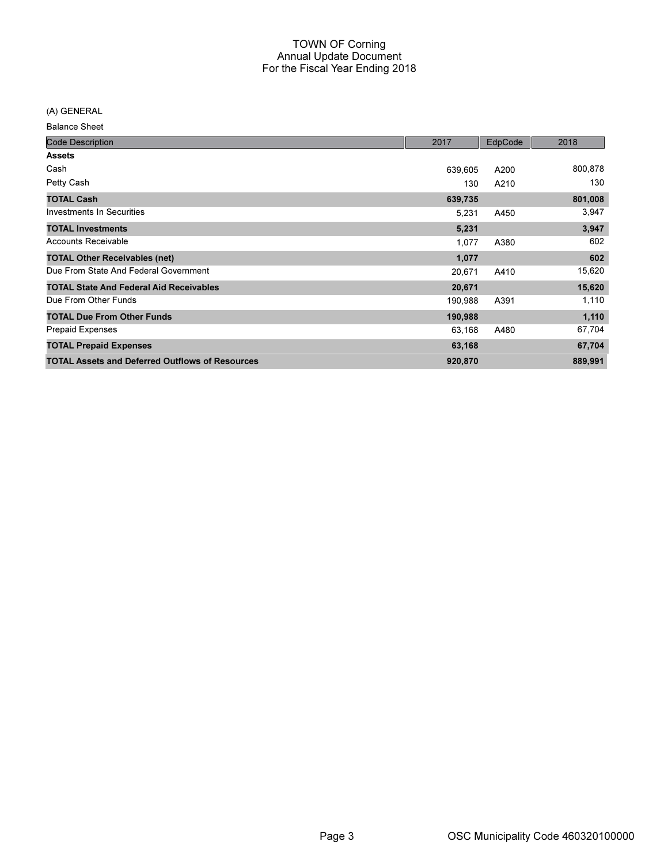(A) GENERAL

| <b>Balance Sheet</b> |  |
|----------------------|--|
|----------------------|--|

| <b>Code Description</b>                                | 2017    | EdpCode | 2018    |
|--------------------------------------------------------|---------|---------|---------|
| <b>Assets</b>                                          |         |         |         |
| Cash                                                   | 639,605 | A200    | 800,878 |
| Petty Cash                                             | 130     | A210    | 130     |
| <b>TOTAL Cash</b>                                      | 639,735 |         | 801,008 |
| <b>Investments In Securities</b>                       | 5,231   | A450    | 3,947   |
| <b>TOTAL Investments</b>                               | 5,231   |         | 3,947   |
| <b>Accounts Receivable</b>                             | 1,077   | A380    | 602     |
| <b>TOTAL Other Receivables (net)</b>                   | 1,077   |         | 602     |
| Due From State And Federal Government                  | 20,671  | A410    | 15,620  |
| <b>TOTAL State And Federal Aid Receivables</b>         | 20,671  |         | 15,620  |
| Due From Other Funds                                   | 190,988 | A391    | 1,110   |
| <b>TOTAL Due From Other Funds</b>                      | 190,988 |         | 1,110   |
| <b>Prepaid Expenses</b>                                | 63,168  | A480    | 67,704  |
| <b>TOTAL Prepaid Expenses</b>                          | 63,168  |         | 67,704  |
| <b>TOTAL Assets and Deferred Outflows of Resources</b> | 920,870 |         | 889,991 |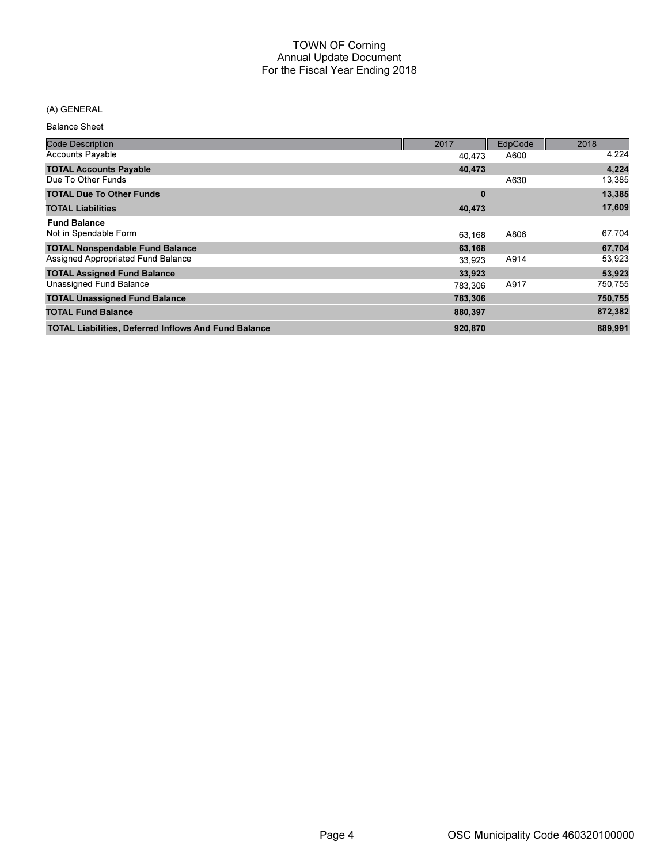## (A) GENERAL

Balance Sheet

| <b>Code Description</b>                                     | 2017     | EdpCode | 2018    |
|-------------------------------------------------------------|----------|---------|---------|
| <b>Accounts Payable</b>                                     | 40.473   | A600    | 4,224   |
| <b>TOTAL Accounts Payable</b>                               | 40,473   |         | 4,224   |
| Due To Other Funds                                          |          | A630    | 13,385  |
| <b>TOTAL Due To Other Funds</b>                             | $\bf{0}$ |         | 13,385  |
| <b>TOTAL Liabilities</b>                                    | 40,473   |         | 17,609  |
| <b>Fund Balance</b><br>Not in Spendable Form                | 63.168   | A806    | 67,704  |
| <b>TOTAL Nonspendable Fund Balance</b>                      | 63,168   |         | 67,704  |
| Assigned Appropriated Fund Balance                          | 33.923   | A914    | 53,923  |
| <b>TOTAL Assigned Fund Balance</b>                          | 33,923   |         | 53,923  |
| Unassigned Fund Balance                                     | 783.306  | A917    | 750,755 |
| <b>TOTAL Unassigned Fund Balance</b>                        | 783,306  |         | 750,755 |
| <b>TOTAL Fund Balance</b>                                   | 880,397  |         | 872,382 |
| <b>TOTAL Liabilities, Deferred Inflows And Fund Balance</b> | 920,870  |         | 889,991 |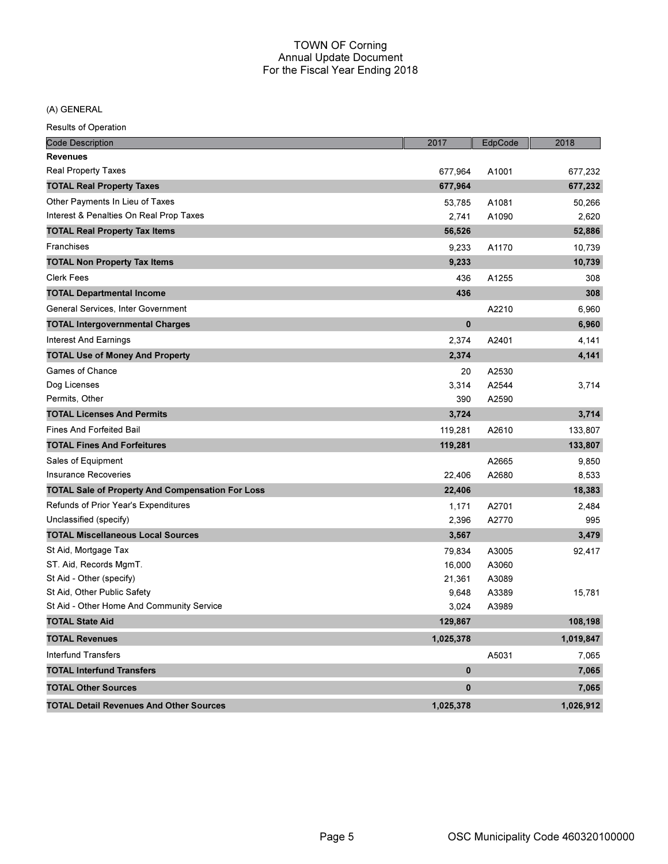(A) GENERAL

| <b>Code Description</b>                                 | 2017         | EdpCode | 2018      |
|---------------------------------------------------------|--------------|---------|-----------|
| <b>Revenues</b>                                         |              |         |           |
| <b>Real Property Taxes</b>                              | 677,964      | A1001   | 677,232   |
| <b>TOTAL Real Property Taxes</b>                        | 677,964      |         | 677,232   |
| Other Payments In Lieu of Taxes                         | 53,785       | A1081   | 50,266    |
| Interest & Penalties On Real Prop Taxes                 | 2,741        | A1090   | 2,620     |
| <b>TOTAL Real Property Tax Items</b>                    | 56,526       |         | 52,886    |
| Franchises                                              | 9,233        | A1170   | 10,739    |
| <b>TOTAL Non Property Tax Items</b>                     | 9,233        |         | 10,739    |
| <b>Clerk Fees</b>                                       | 436          | A1255   | 308       |
| <b>TOTAL Departmental Income</b>                        | 436          |         | 308       |
| General Services, Inter Government                      |              | A2210   | 6,960     |
| <b>TOTAL Intergovernmental Charges</b>                  | $\mathbf{0}$ |         | 6,960     |
| <b>Interest And Earnings</b>                            | 2,374        | A2401   | 4,141     |
| <b>TOTAL Use of Money And Property</b>                  | 2,374        |         | 4,141     |
| Games of Chance                                         | 20           | A2530   |           |
| Dog Licenses                                            | 3,314        | A2544   | 3,714     |
| Permits, Other                                          | 390          | A2590   |           |
| <b>TOTAL Licenses And Permits</b>                       | 3,724        |         | 3,714     |
| <b>Fines And Forfeited Bail</b>                         | 119,281      | A2610   | 133,807   |
| <b>TOTAL Fines And Forfeitures</b>                      | 119,281      |         | 133,807   |
| Sales of Equipment                                      |              | A2665   | 9,850     |
| <b>Insurance Recoveries</b>                             | 22,406       | A2680   | 8,533     |
| <b>TOTAL Sale of Property And Compensation For Loss</b> | 22,406       |         | 18,383    |
| Refunds of Prior Year's Expenditures                    | 1,171        | A2701   | 2,484     |
| Unclassified (specify)                                  | 2,396        | A2770   | 995       |
| <b>TOTAL Miscellaneous Local Sources</b>                | 3,567        |         | 3,479     |
| St Aid, Mortgage Tax                                    | 79,834       | A3005   | 92,417    |
| ST. Aid, Records MgmT.                                  | 16,000       | A3060   |           |
| St Aid - Other (specify)                                | 21,361       | A3089   |           |
| St Aid, Other Public Safety                             | 9,648        | A3389   | 15,781    |
| St Aid - Other Home And Community Service               | 3,024        | A3989   |           |
| <b>TOTAL State Aid</b>                                  | 129,867      |         | 108,198   |
| <b>TOTAL Revenues</b>                                   | 1,025,378    |         | 1,019,847 |
| <b>Interfund Transfers</b>                              |              | A5031   | 7,065     |
| <b>TOTAL Interfund Transfers</b>                        | $\bf{0}$     |         | 7,065     |
| <b>TOTAL Other Sources</b>                              | $\mathbf{0}$ |         | 7,065     |
| <b>TOTAL Detail Revenues And Other Sources</b>          | 1,025,378    |         | 1,026,912 |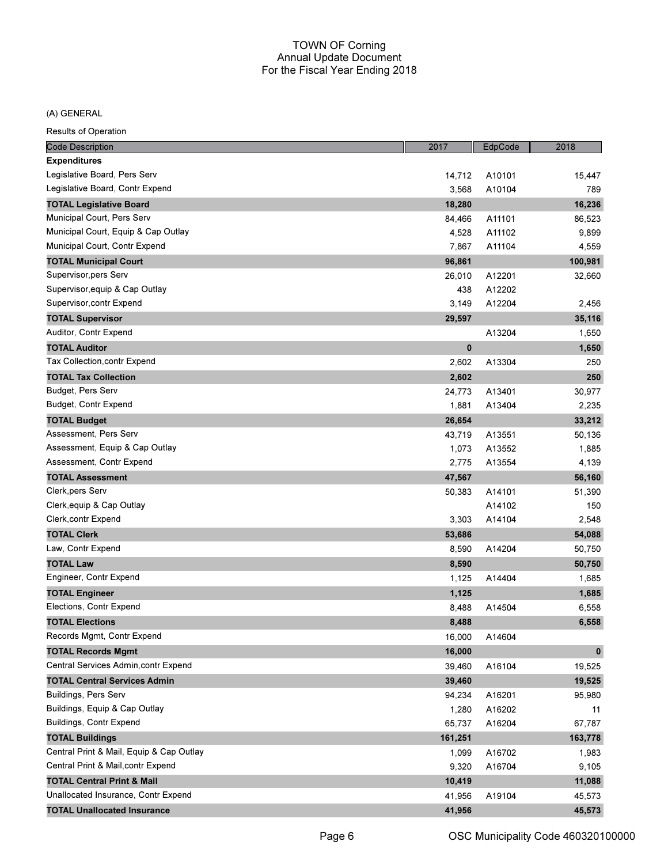#### (A) GENERAL

| <b>Code Description</b>                  | 2017     | EdpCode | 2018         |
|------------------------------------------|----------|---------|--------------|
| <b>Expenditures</b>                      |          |         |              |
| Legislative Board, Pers Serv             | 14,712   | A10101  | 15,447       |
| Legislative Board, Contr Expend          | 3,568    | A10104  | 789          |
| <b>TOTAL Legislative Board</b>           | 18,280   |         | 16,236       |
| Municipal Court, Pers Serv               | 84,466   | A11101  | 86,523       |
| Municipal Court, Equip & Cap Outlay      | 4,528    | A11102  | 9,899        |
| Municipal Court, Contr Expend            | 7,867    | A11104  | 4,559        |
| <b>TOTAL Municipal Court</b>             | 96,861   |         | 100,981      |
| Supervisor, pers Serv                    | 26,010   | A12201  | 32,660       |
| Supervisor, equip & Cap Outlay           | 438      | A12202  |              |
| Supervisor, contr Expend                 | 3,149    | A12204  | 2,456        |
| <b>TOTAL Supervisor</b>                  | 29,597   |         | 35,116       |
| Auditor, Contr Expend                    |          | A13204  | 1,650        |
| <b>TOTAL Auditor</b>                     | $\bf{0}$ |         | 1,650        |
| Tax Collection, contr Expend             | 2,602    | A13304  | 250          |
| <b>TOTAL Tax Collection</b>              | 2,602    |         | 250          |
| Budget, Pers Serv                        | 24,773   | A13401  | 30,977       |
| Budget, Contr Expend                     | 1,881    | A13404  | 2,235        |
| <b>TOTAL Budget</b>                      | 26,654   |         | 33,212       |
| Assessment, Pers Serv                    | 43,719   | A13551  | 50,136       |
| Assessment, Equip & Cap Outlay           | 1,073    | A13552  | 1,885        |
| Assessment, Contr Expend                 | 2,775    | A13554  | 4,139        |
| <b>TOTAL Assessment</b>                  | 47,567   |         | 56,160       |
| Clerk, pers Serv                         | 50,383   | A14101  | 51,390       |
| Clerk, equip & Cap Outlay                |          | A14102  | 150          |
| Clerk, contr Expend                      | 3,303    | A14104  | 2,548        |
| <b>TOTAL Clerk</b>                       | 53,686   |         | 54,088       |
| Law, Contr Expend                        | 8,590    | A14204  | 50,750       |
| <b>TOTAL Law</b>                         | 8,590    |         | 50,750       |
| Engineer, Contr Expend                   | 1,125    | A14404  | 1,685        |
| <b>TOTAL Engineer</b>                    | 1,125    |         | 1,685        |
| Elections, Contr Expend                  | 8,488    | A14504  | 6,558        |
| <b>TOTAL Elections</b>                   | 8,488    |         | 6,558        |
| Records Mgmt, Contr Expend               | 16,000   | A14604  |              |
| <b>TOTAL Records Mgmt</b>                | 16,000   |         | $\mathbf{0}$ |
| Central Services Admin, contr Expend     | 39,460   | A16104  | 19,525       |
| <b>TOTAL Central Services Admin</b>      | 39,460   |         | 19,525       |
| Buildings, Pers Serv                     | 94,234   | A16201  | 95,980       |
| Buildings, Equip & Cap Outlay            | 1,280    | A16202  | 11           |
| Buildings, Contr Expend                  | 65,737   | A16204  | 67,787       |
| <b>TOTAL Buildings</b>                   | 161,251  |         | 163,778      |
| Central Print & Mail, Equip & Cap Outlay | 1,099    | A16702  | 1,983        |
| Central Print & Mail, contr Expend       | 9,320    | A16704  | 9,105        |
| <b>TOTAL Central Print &amp; Mail</b>    | 10,419   |         | 11,088       |
| Unallocated Insurance, Contr Expend      | 41,956   | A19104  | 45,573       |
| <b>TOTAL Unallocated Insurance</b>       | 41,956   |         | 45,573       |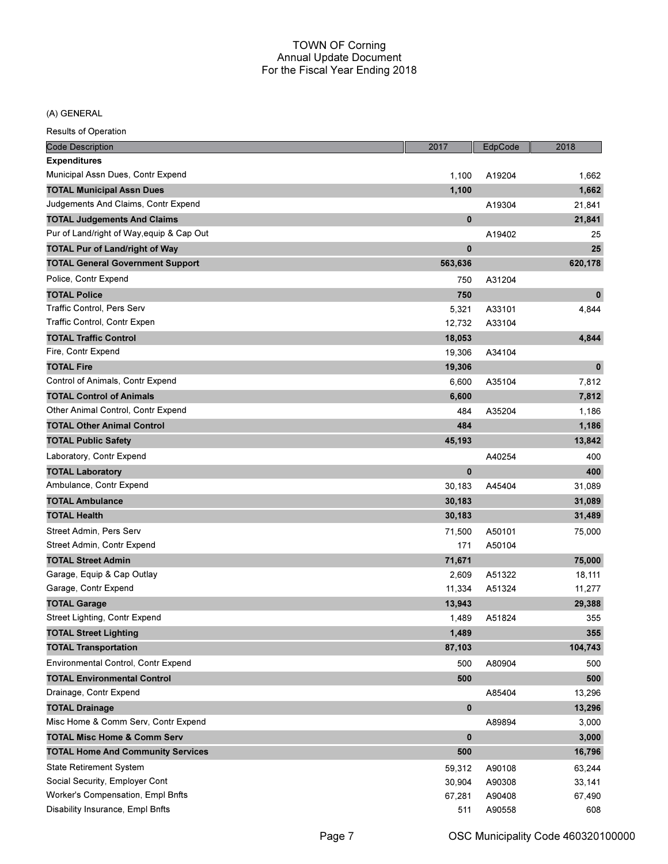(A) GENERAL

| <b>Code Description</b>                   | 2017         | EdpCode | 2018     |
|-------------------------------------------|--------------|---------|----------|
| <b>Expenditures</b>                       |              |         |          |
| Municipal Assn Dues, Contr Expend         | 1,100        | A19204  | 1,662    |
| TOTAL Municipal Assn Dues                 | 1,100        |         | 1,662    |
| Judgements And Claims, Contr Expend       |              | A19304  | 21,841   |
| <b>TOTAL Judgements And Claims</b>        | $\mathbf{0}$ |         | 21,841   |
| Pur of Land/right of Way, equip & Cap Out |              | A19402  | 25       |
| <b>TOTAL Pur of Land/right of Way</b>     | $\bf{0}$     |         | 25       |
| <b>TOTAL General Government Support</b>   | 563,636      |         | 620,178  |
| Police, Contr Expend                      | 750          | A31204  |          |
| <b>TOTAL Police</b>                       | 750          |         | $\bf{0}$ |
| Traffic Control, Pers Serv                | 5,321        | A33101  | 4,844    |
| Traffic Control, Contr Expen              | 12,732       | A33104  |          |
| <b>TOTAL Traffic Control</b>              | 18,053       |         | 4,844    |
| Fire, Contr Expend                        | 19,306       | A34104  |          |
| <b>TOTAL Fire</b>                         | 19,306       |         | $\bf{0}$ |
| Control of Animals, Contr Expend          | 6,600        | A35104  | 7,812    |
| <b>TOTAL Control of Animals</b>           | 6,600        |         | 7,812    |
| Other Animal Control, Contr Expend        | 484          | A35204  | 1,186    |
| <b>TOTAL Other Animal Control</b>         | 484          |         | 1,186    |
| <b>TOTAL Public Safety</b>                | 45,193       |         | 13,842   |
| Laboratory, Contr Expend                  |              | A40254  | 400      |
| <b>TOTAL Laboratory</b>                   | $\mathbf{0}$ |         | 400      |
| Ambulance, Contr Expend                   | 30,183       | A45404  | 31,089   |
| <b>TOTAL Ambulance</b>                    | 30,183       |         | 31,089   |
| TOTAL Health                              | 30,183       |         | 31,489   |
| Street Admin, Pers Serv                   | 71,500       | A50101  | 75,000   |
| Street Admin, Contr Expend                | 171          | A50104  |          |
| <b>TOTAL Street Admin</b>                 | 71,671       |         | 75,000   |
| Garage, Equip & Cap Outlay                | 2,609        | A51322  | 18,111   |
| Garage, Contr Expend                      | 11,334       | A51324  | 11,277   |
| <b>TOTAL Garage</b>                       | 13,943       |         | 29,388   |
| Street Lighting, Contr Expend             | 1,489        | A51824  | 355      |
| <b>TOTAL Street Lighting</b>              | 1,489        |         | 355      |
| <b>TOTAL Transportation</b>               | 87,103       |         | 104,743  |
| Environmental Control, Contr Expend       | 500          | A80904  | 500      |
| <b>TOTAL Environmental Control</b>        | 500          |         | 500      |
| Drainage, Contr Expend                    |              | A85404  | 13,296   |
| <b>TOTAL Drainage</b>                     | 0            |         | 13,296   |
| Misc Home & Comm Serv, Contr Expend       |              | A89894  | 3,000    |
| <b>TOTAL Misc Home &amp; Comm Serv</b>    | 0            |         | 3,000    |
| <b>TOTAL Home And Community Services</b>  | 500          |         | 16,796   |
| <b>State Retirement System</b>            | 59,312       | A90108  | 63,244   |
| Social Security, Employer Cont            | 30,904       | A90308  | 33,141   |
| Worker's Compensation, Empl Bnfts         | 67,281       | A90408  | 67,490   |
| Disability Insurance, Empl Bnfts          | 511          | A90558  | 608      |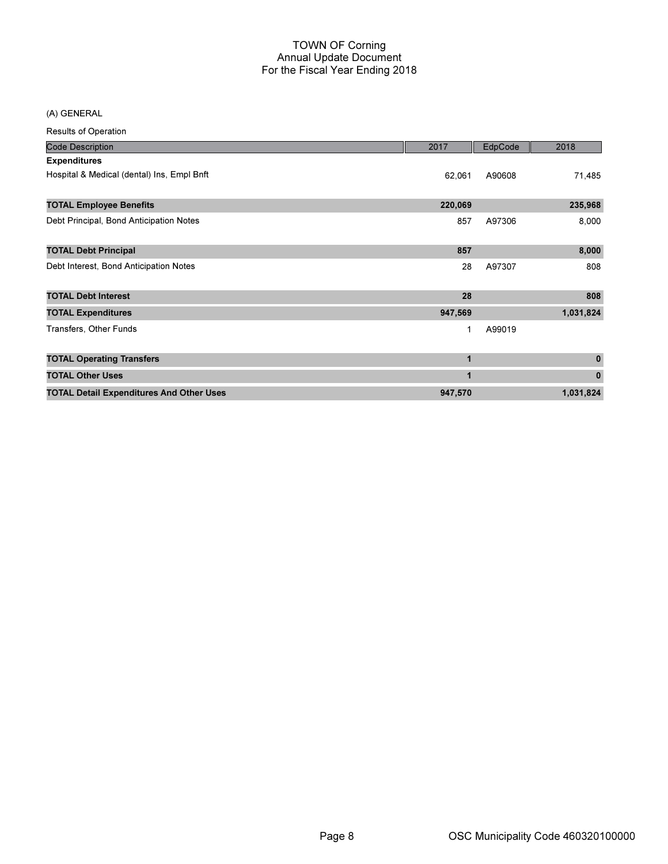(A) GENERAL

| <b>Code Description</b>                         | 2017    | EdpCode | 2018      |
|-------------------------------------------------|---------|---------|-----------|
| <b>Expenditures</b>                             |         |         |           |
| Hospital & Medical (dental) Ins, Empl Bnft      | 62,061  | A90608  | 71,485    |
| <b>TOTAL Employee Benefits</b>                  | 220,069 |         | 235,968   |
| Debt Principal, Bond Anticipation Notes         | 857     | A97306  | 8,000     |
| <b>TOTAL Debt Principal</b>                     | 857     |         | 8,000     |
| Debt Interest, Bond Anticipation Notes          | 28      | A97307  | 808       |
| <b>TOTAL Debt Interest</b>                      | 28      |         | 808       |
| <b>TOTAL Expenditures</b>                       | 947,569 |         | 1,031,824 |
| Transfers, Other Funds                          | 1       | A99019  |           |
| <b>TOTAL Operating Transfers</b>                | 1       |         | $\bf{0}$  |
| <b>TOTAL Other Uses</b>                         | 1       |         | $\pmb{0}$ |
| <b>TOTAL Detail Expenditures And Other Uses</b> | 947,570 |         | 1,031,824 |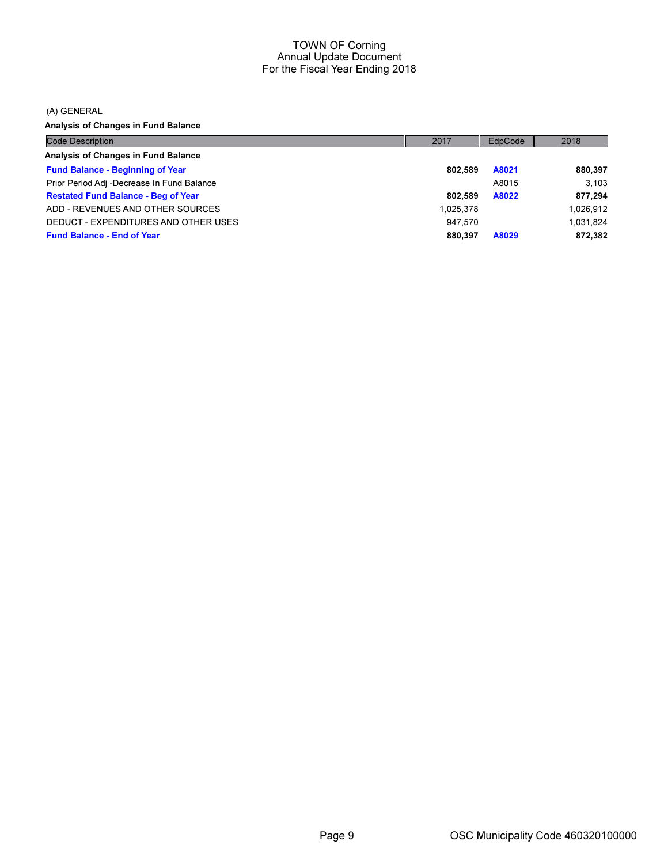(A) GENERAL

Analysis of Changes in Fund Balance

| <b>Code Description</b>                    | 2017      | EdpCode | 2018      |
|--------------------------------------------|-----------|---------|-----------|
| Analysis of Changes in Fund Balance        |           |         |           |
| <b>Fund Balance - Beginning of Year</b>    | 802.589   | A8021   | 880,397   |
| Prior Period Adj -Decrease In Fund Balance |           | A8015   | 3.103     |
| <b>Restated Fund Balance - Beg of Year</b> | 802.589   | A8022   | 877,294   |
| ADD - REVENUES AND OTHER SOURCES           | 1.025.378 |         | 1,026,912 |
| DEDUCT - EXPENDITURES AND OTHER USES       | 947.570   |         | 1,031,824 |
| <b>Fund Balance - End of Year</b>          | 880.397   | A8029   | 872,382   |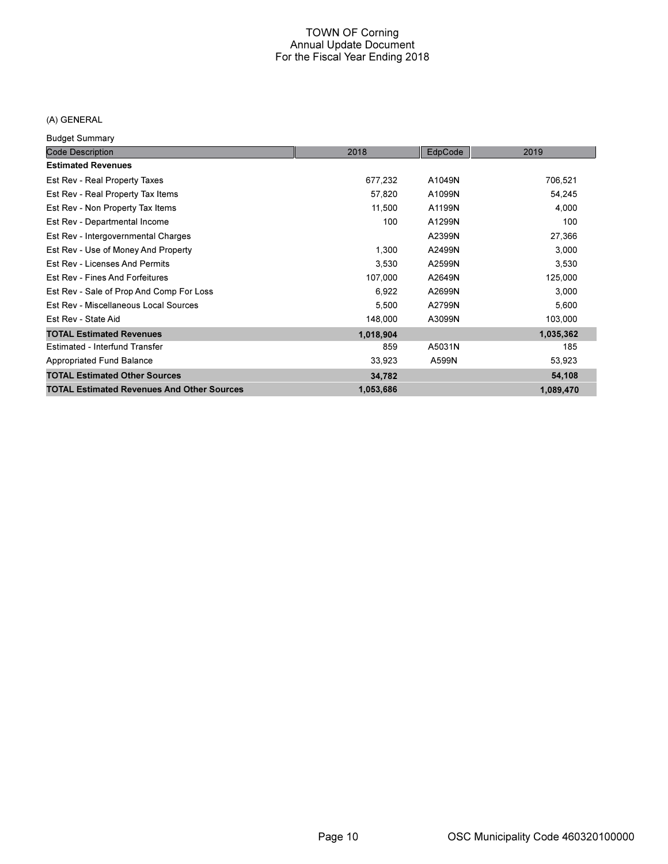### (A) GENERAL

Budget Summary

| <b>Code Description</b>                           | 2018      | EdpCode | 2019      |
|---------------------------------------------------|-----------|---------|-----------|
| <b>Estimated Revenues</b>                         |           |         |           |
| Est Rev - Real Property Taxes                     | 677,232   | A1049N  | 706,521   |
| Est Rev - Real Property Tax Items                 | 57,820    | A1099N  | 54,245    |
| Est Rev - Non Property Tax Items                  | 11,500    | A1199N  | 4,000     |
| Est Rev - Departmental Income                     | 100       | A1299N  | 100       |
| Est Rev - Intergovernmental Charges               |           | A2399N  | 27,366    |
| Est Rev - Use of Money And Property               | 1,300     | A2499N  | 3,000     |
| Est Rev - Licenses And Permits                    | 3,530     | A2599N  | 3,530     |
| <b>Est Rev - Fines And Forfeitures</b>            | 107,000   | A2649N  | 125,000   |
| Est Rev - Sale of Prop And Comp For Loss          | 6,922     | A2699N  | 3,000     |
| Est Rev - Miscellaneous Local Sources             | 5,500     | A2799N  | 5,600     |
| Est Rev - State Aid                               | 148,000   | A3099N  | 103,000   |
| <b>TOTAL Estimated Revenues</b>                   | 1,018,904 |         | 1,035,362 |
| Estimated - Interfund Transfer                    | 859       | A5031N  | 185       |
| Appropriated Fund Balance                         | 33,923    | A599N   | 53,923    |
| <b>TOTAL Estimated Other Sources</b>              | 34,782    |         | 54,108    |
| <b>TOTAL Estimated Revenues And Other Sources</b> | 1,053,686 |         | 1,089,470 |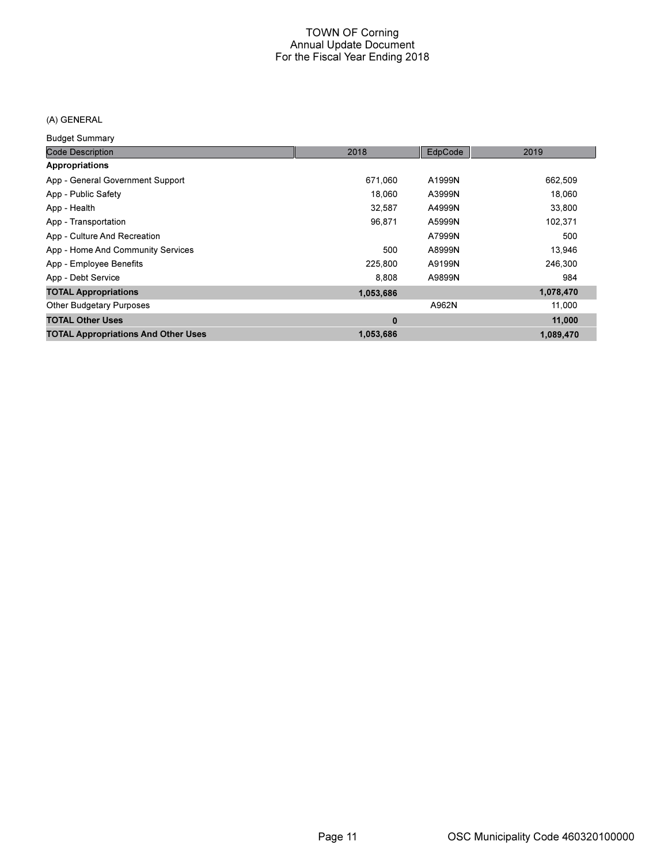## (A) GENERAL

Budget Summary

| <b>Code Description</b>                    | 2018      | EdpCode | 2019      |
|--------------------------------------------|-----------|---------|-----------|
| Appropriations                             |           |         |           |
| App - General Government Support           | 671,060   | A1999N  | 662,509   |
| App - Public Safety                        | 18,060    | A3999N  | 18,060    |
| App - Health                               | 32.587    | A4999N  | 33,800    |
| App - Transportation                       | 96.871    | A5999N  | 102,371   |
| App - Culture And Recreation               |           | A7999N  | 500       |
| App - Home And Community Services          | 500       | A8999N  | 13,946    |
| App - Employee Benefits                    | 225,800   | A9199N  | 246,300   |
| App - Debt Service                         | 8.808     | A9899N  | 984       |
| <b>TOTAL Appropriations</b>                | 1,053,686 |         | 1,078,470 |
| <b>Other Budgetary Purposes</b>            |           | A962N   | 11,000    |
| <b>TOTAL Other Uses</b>                    | 0         |         | 11,000    |
| <b>TOTAL Appropriations And Other Uses</b> | 1,053,686 |         | 1,089,470 |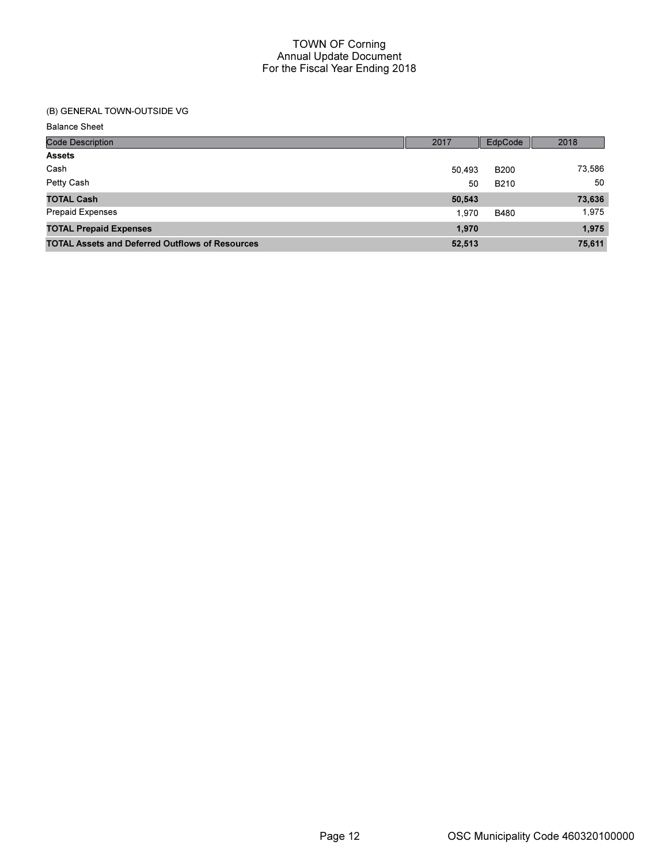## (B) GENERAL TOWN-OUTSIDE VG

Balance Sheet

| <b>Code Description</b>                                | 2017   | EdpCode     | 2018   |
|--------------------------------------------------------|--------|-------------|--------|
| <b>Assets</b>                                          |        |             |        |
| Cash                                                   | 50.493 | <b>B200</b> | 73,586 |
| Petty Cash                                             | 50     | <b>B210</b> | 50     |
| <b>TOTAL Cash</b>                                      | 50,543 |             | 73,636 |
| <b>Prepaid Expenses</b>                                | 1.970  | <b>B480</b> | 1,975  |
| <b>TOTAL Prepaid Expenses</b>                          | 1,970  |             | 1,975  |
| <b>TOTAL Assets and Deferred Outflows of Resources</b> | 52,513 |             | 75,611 |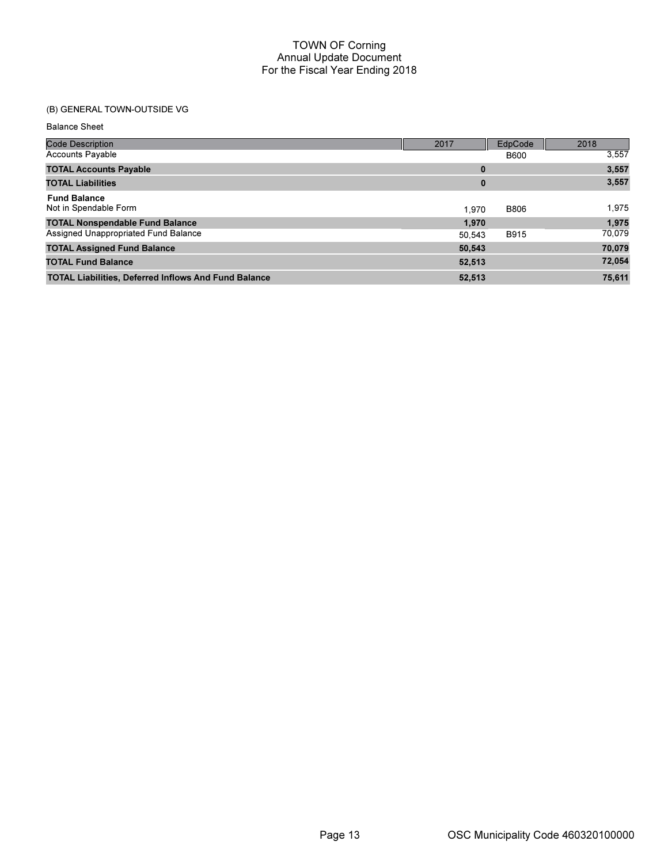## (B) GENERAL TOWN-OUTSIDE VG

Balance Sheet

| <b>Code Description</b>                                     | 2017   | EdpCode     | 2018   |
|-------------------------------------------------------------|--------|-------------|--------|
| <b>Accounts Payable</b>                                     |        | <b>B600</b> | 3,557  |
| <b>TOTAL Accounts Payable</b>                               | 0      |             | 3,557  |
| <b>TOTAL Liabilities</b>                                    | 0      |             | 3,557  |
| <b>Fund Balance</b><br>Not in Spendable Form                | 1.970  | <b>B806</b> | 1,975  |
| <b>TOTAL Nonspendable Fund Balance</b>                      | 1.970  |             | 1,975  |
| Assigned Unappropriated Fund Balance                        | 50.543 | <b>B915</b> | 70,079 |
| <b>TOTAL Assigned Fund Balance</b>                          | 50,543 |             | 70,079 |
| <b>TOTAL Fund Balance</b>                                   | 52,513 |             | 72,054 |
| <b>TOTAL Liabilities, Deferred Inflows And Fund Balance</b> | 52,513 |             | 75,611 |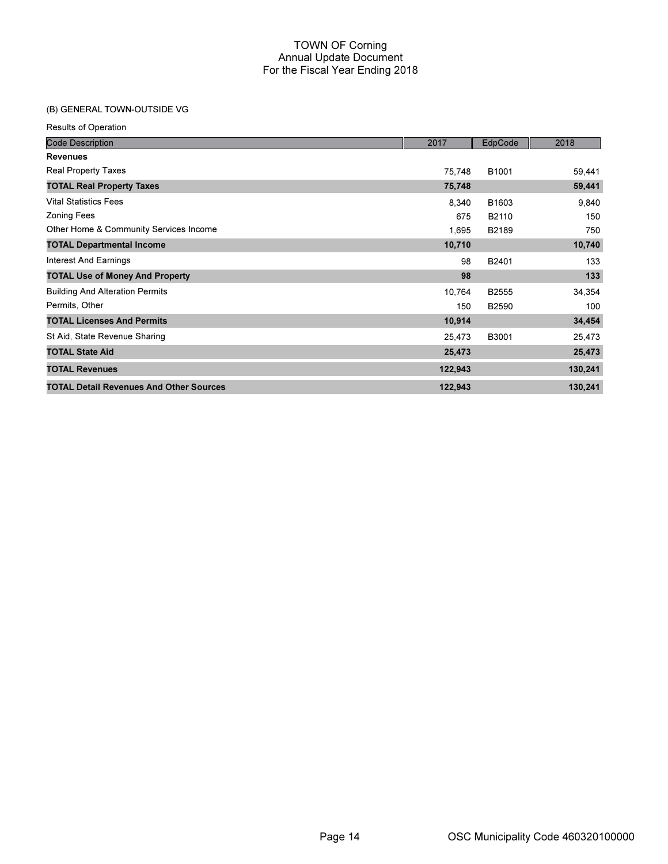## (B) GENERAL TOWN-OUTSIDE VG

| <b>Code Description</b>                        | 2017    | EdpCode | 2018    |
|------------------------------------------------|---------|---------|---------|
| <b>Revenues</b>                                |         |         |         |
| Real Property Taxes                            | 75,748  | B1001   | 59,441  |
| <b>TOTAL Real Property Taxes</b>               | 75,748  |         | 59,441  |
| <b>Vital Statistics Fees</b>                   | 8,340   | B1603   | 9,840   |
| <b>Zoning Fees</b>                             | 675     | B2110   | 150     |
| Other Home & Community Services Income         | 1,695   | B2189   | 750     |
| <b>TOTAL Departmental Income</b>               | 10,710  |         | 10,740  |
| Interest And Earnings                          | 98      | B2401   | 133     |
| <b>TOTAL Use of Money And Property</b>         | 98      |         | 133     |
| <b>Building And Alteration Permits</b>         | 10,764  | B2555   | 34,354  |
| Permits, Other                                 | 150     | B2590   | 100     |
| <b>TOTAL Licenses And Permits</b>              | 10,914  |         | 34,454  |
| St Aid, State Revenue Sharing                  | 25,473  | B3001   | 25,473  |
| <b>TOTAL State Aid</b>                         | 25,473  |         | 25,473  |
| <b>TOTAL Revenues</b>                          | 122,943 |         | 130,241 |
| <b>TOTAL Detail Revenues And Other Sources</b> | 122,943 |         | 130,241 |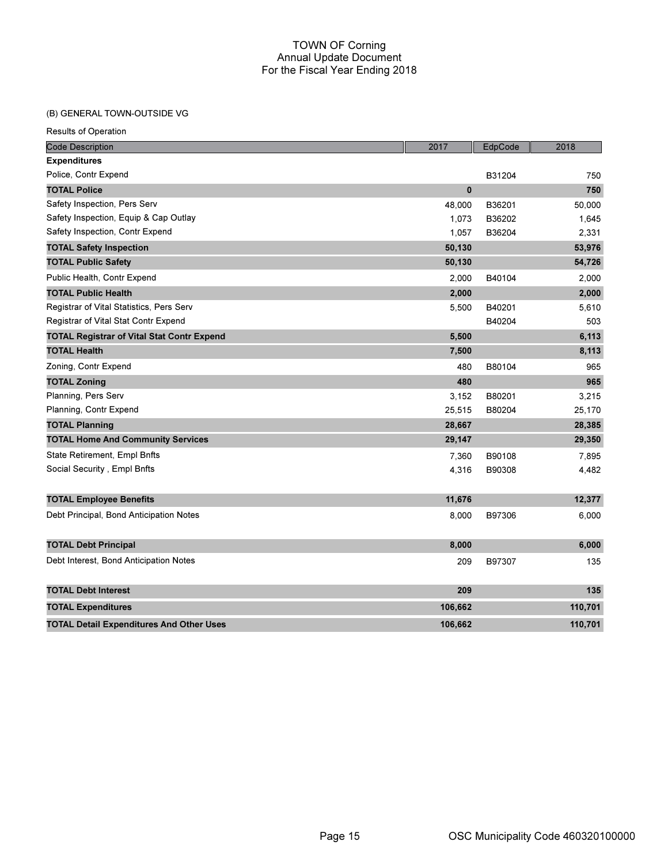## (B) GENERAL TOWN-OUTSIDE VG

| <b>Code Description</b>                           | 2017         | EdpCode | 2018    |
|---------------------------------------------------|--------------|---------|---------|
| <b>Expenditures</b>                               |              |         |         |
| Police, Contr Expend                              |              | B31204  | 750     |
| <b>TOTAL Police</b>                               | $\mathbf{0}$ |         | 750     |
| Safety Inspection, Pers Serv                      | 48,000       | B36201  | 50,000  |
| Safety Inspection, Equip & Cap Outlay             | 1,073        | B36202  | 1,645   |
| Safety Inspection, Contr Expend                   | 1,057        | B36204  | 2,331   |
| <b>TOTAL Safety Inspection</b>                    | 50,130       |         | 53,976  |
| <b>TOTAL Public Safety</b>                        | 50,130       |         | 54,726  |
| Public Health, Contr Expend                       | 2,000        | B40104  | 2,000   |
| <b>TOTAL Public Health</b>                        | 2,000        |         | 2,000   |
| Registrar of Vital Statistics, Pers Serv          | 5,500        | B40201  | 5,610   |
| Registrar of Vital Stat Contr Expend              |              | B40204  | 503     |
| <b>TOTAL Registrar of Vital Stat Contr Expend</b> | 5,500        |         | 6,113   |
| <b>TOTAL Health</b>                               | 7,500        |         | 8,113   |
| Zoning, Contr Expend                              | 480          | B80104  | 965     |
| <b>TOTAL Zoning</b>                               | 480          |         | 965     |
| Planning, Pers Serv                               | 3,152        | B80201  | 3,215   |
| Planning, Contr Expend                            | 25,515       | B80204  | 25,170  |
| <b>TOTAL Planning</b>                             | 28,667       |         | 28,385  |
| <b>TOTAL Home And Community Services</b>          | 29,147       |         | 29,350  |
| State Retirement, Empl Bnfts                      | 7,360        | B90108  | 7,895   |
| Social Security, Empl Bnfts                       | 4,316        | B90308  | 4,482   |
|                                                   |              |         |         |
| <b>TOTAL Employee Benefits</b>                    | 11,676       |         | 12,377  |
| Debt Principal, Bond Anticipation Notes           | 8,000        | B97306  | 6,000   |
| <b>TOTAL Debt Principal</b>                       | 8,000        |         | 6,000   |
| Debt Interest, Bond Anticipation Notes            | 209          | B97307  | 135     |
| <b>TOTAL Debt Interest</b>                        | 209          |         | 135     |
| <b>TOTAL Expenditures</b>                         | 106,662      |         | 110,701 |
| <b>TOTAL Detail Expenditures And Other Uses</b>   | 106,662      |         | 110,701 |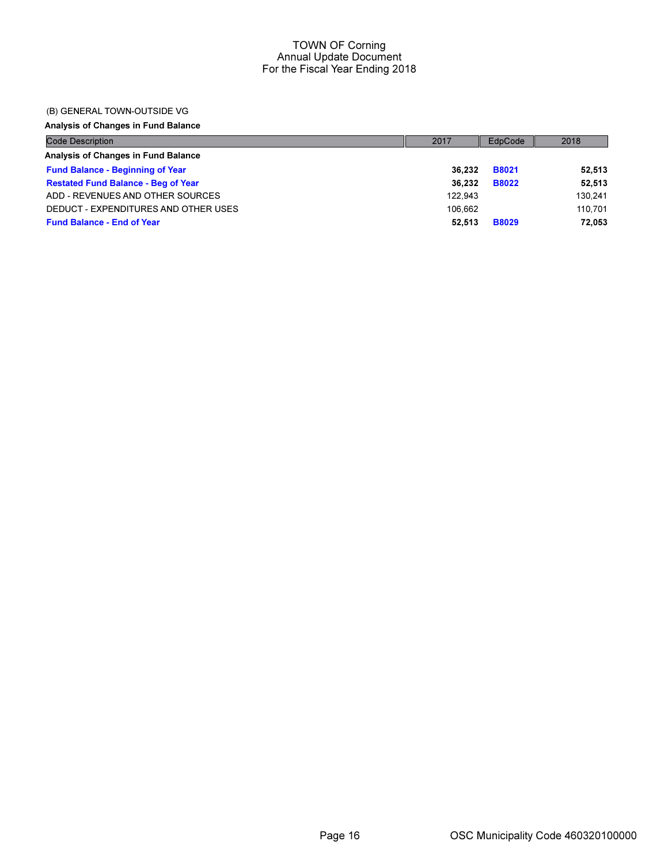### (B) GENERAL TOWN-OUTSIDE VG

### Analysis of Changes in Fund Balance

| Code Description                           | 2017    | EdpCode      | 2018    |
|--------------------------------------------|---------|--------------|---------|
| Analysis of Changes in Fund Balance        |         |              |         |
| <b>Fund Balance - Beginning of Year</b>    | 36.232  | <b>B8021</b> | 52,513  |
| <b>Restated Fund Balance - Beg of Year</b> | 36.232  | <b>B8022</b> | 52,513  |
| ADD - REVENUES AND OTHER SOURCES           | 122.943 |              | 130.241 |
| DEDUCT - EXPENDITURES AND OTHER USES       | 106.662 |              | 110.701 |
| <b>Fund Balance - End of Year</b>          | 52.513  | <b>B8029</b> | 72.053  |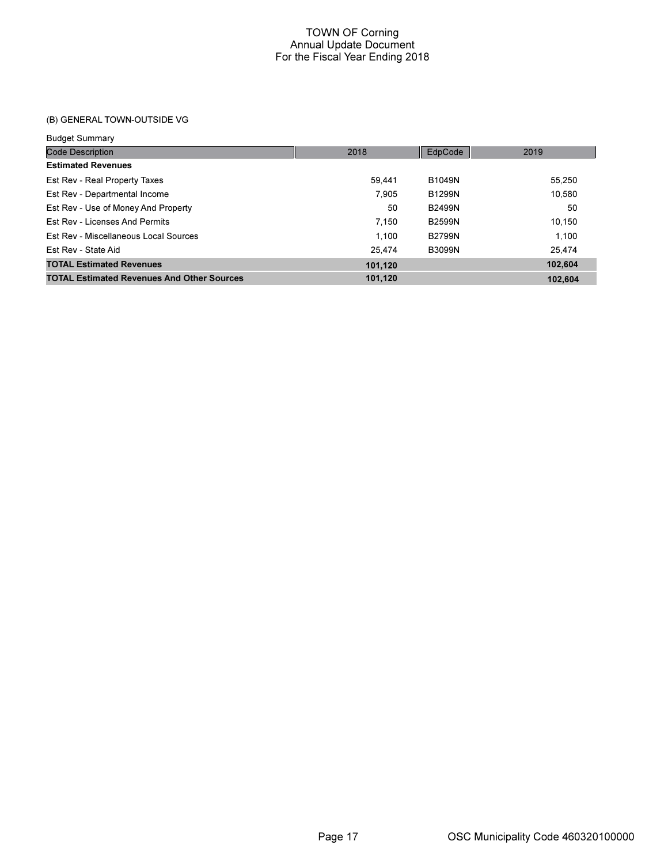## (B) GENERAL TOWN-OUTSIDE VG

#### Budget Summary

| <b>Code Description</b>                           | 2018    | EdpCode       | 2019    |
|---------------------------------------------------|---------|---------------|---------|
| <b>Estimated Revenues</b>                         |         |               |         |
| Est Rev - Real Property Taxes                     | 59.441  | <b>B1049N</b> | 55,250  |
| Est Rev - Departmental Income                     | 7.905   | <b>B1299N</b> | 10,580  |
| Est Rev - Use of Money And Property               | 50      | <b>B2499N</b> | 50      |
| Est Rev - Licenses And Permits                    | 7.150   | <b>B2599N</b> | 10.150  |
| Est Rev - Miscellaneous Local Sources             | 1.100   | <b>B2799N</b> | 1.100   |
| Est Rev - State Aid                               | 25.474  | <b>B3099N</b> | 25.474  |
| <b>TOTAL Estimated Revenues</b>                   | 101,120 |               | 102,604 |
| <b>TOTAL Estimated Revenues And Other Sources</b> | 101,120 |               | 102.604 |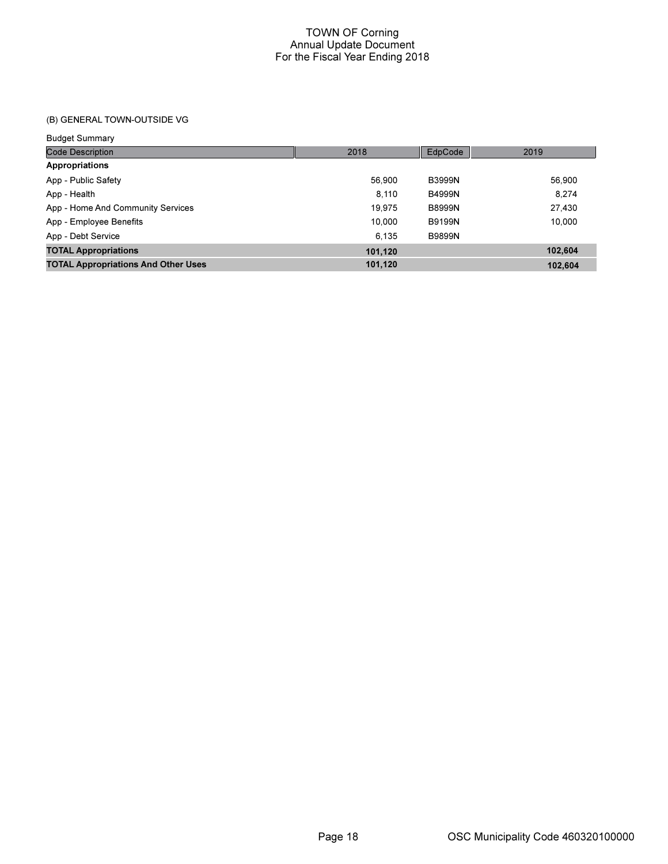## (B) GENERAL TOWN-OUTSIDE VG

Budget Summary

| 2018    | EdpCode       | 2019    |
|---------|---------------|---------|
|         |               |         |
| 56.900  | <b>B3999N</b> | 56,900  |
| 8.110   | <b>B4999N</b> | 8.274   |
| 19.975  | <b>B8999N</b> | 27,430  |
| 10.000  | <b>B9199N</b> | 10.000  |
| 6.135   | <b>B9899N</b> |         |
| 101,120 |               | 102.604 |
| 101,120 |               | 102.604 |
|         |               |         |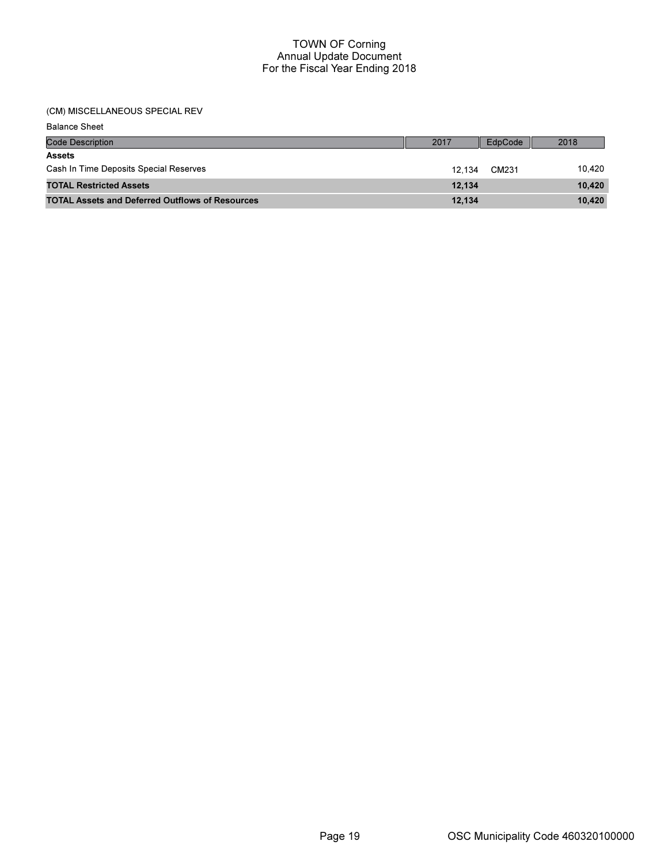#### (CM) MISCELLANEOUS SPECIAL REV

Balance Sheet

| <b>Code Description</b>                                | 2017   | EdpCode | 2018   |
|--------------------------------------------------------|--------|---------|--------|
| <b>Assets</b>                                          |        |         |        |
| Cash In Time Deposits Special Reserves                 | 12.134 | CM231   | 10.420 |
| <b>TOTAL Restricted Assets</b>                         | 12.134 |         | 10.420 |
| <b>TOTAL Assets and Deferred Outflows of Resources</b> | 12.134 |         | 10.420 |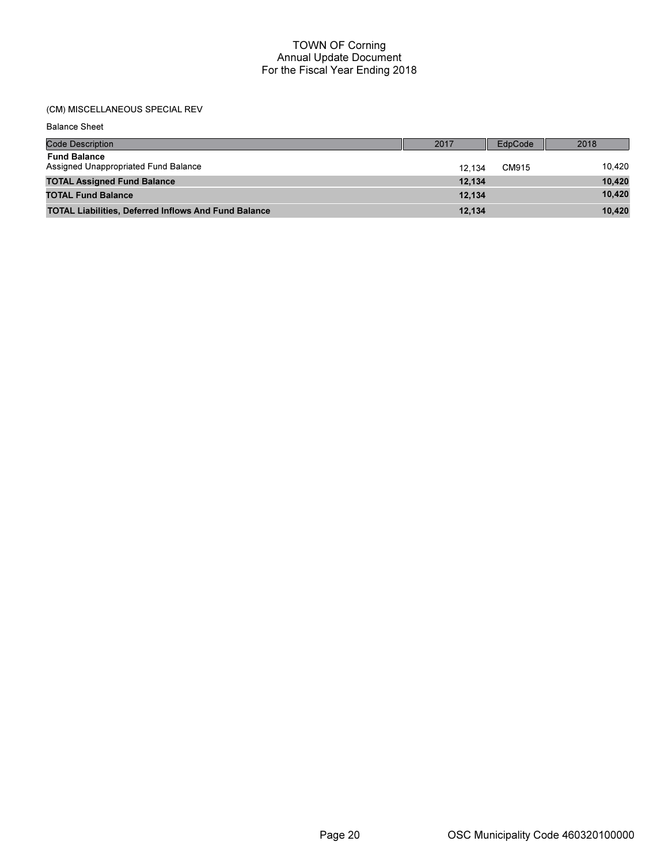## (CM) MISCELLANEOUS SPECIAL REV

Balance Sheet

| <b>Code Description</b>                                     | 2017   | EdpCode | 2018   |
|-------------------------------------------------------------|--------|---------|--------|
| <b>Fund Balance</b><br>Assigned Unappropriated Fund Balance | 12.134 | CM915   | 10.420 |
| <b>TOTAL Assigned Fund Balance</b>                          | 12.134 |         | 10,420 |
| <b>TOTAL Fund Balance</b>                                   | 12.134 |         | 10,420 |
| <b>TOTAL Liabilities, Deferred Inflows And Fund Balance</b> | 12.134 |         | 10,420 |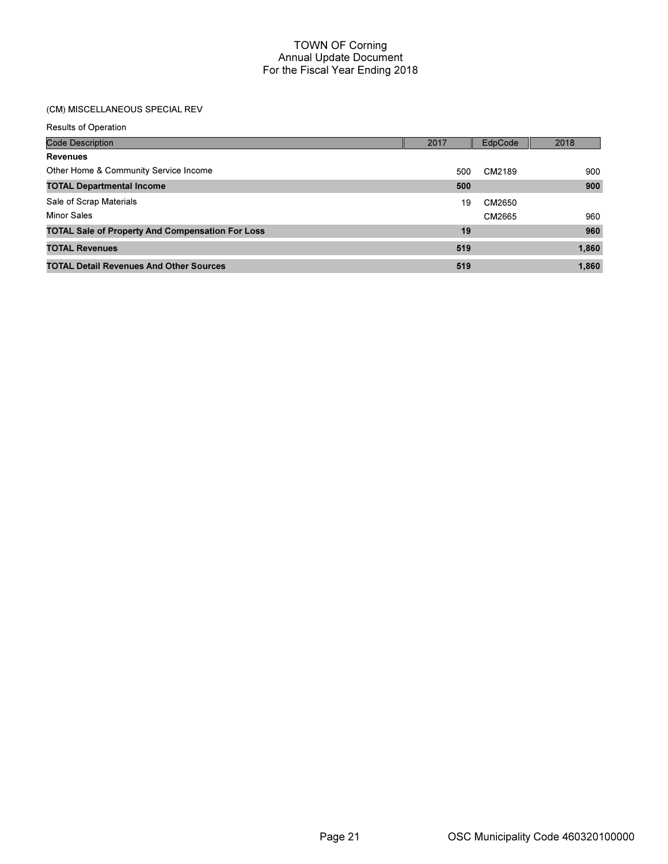## (CM) MISCELLANEOUS SPECIAL REV

| <b>Code Description</b>                                 | 2017 | EdpCode | 2018  |
|---------------------------------------------------------|------|---------|-------|
| <b>Revenues</b>                                         |      |         |       |
| Other Home & Community Service Income                   | 500  | CM2189  | 900   |
| <b>TOTAL Departmental Income</b>                        | 500  |         | 900   |
| Sale of Scrap Materials                                 | 19   | CM2650  |       |
| <b>Minor Sales</b>                                      |      | CM2665  | 960   |
| <b>TOTAL Sale of Property And Compensation For Loss</b> | 19   |         | 960   |
| <b>TOTAL Revenues</b>                                   | 519  |         | 1,860 |
| <b>TOTAL Detail Revenues And Other Sources</b>          | 519  |         | 1,860 |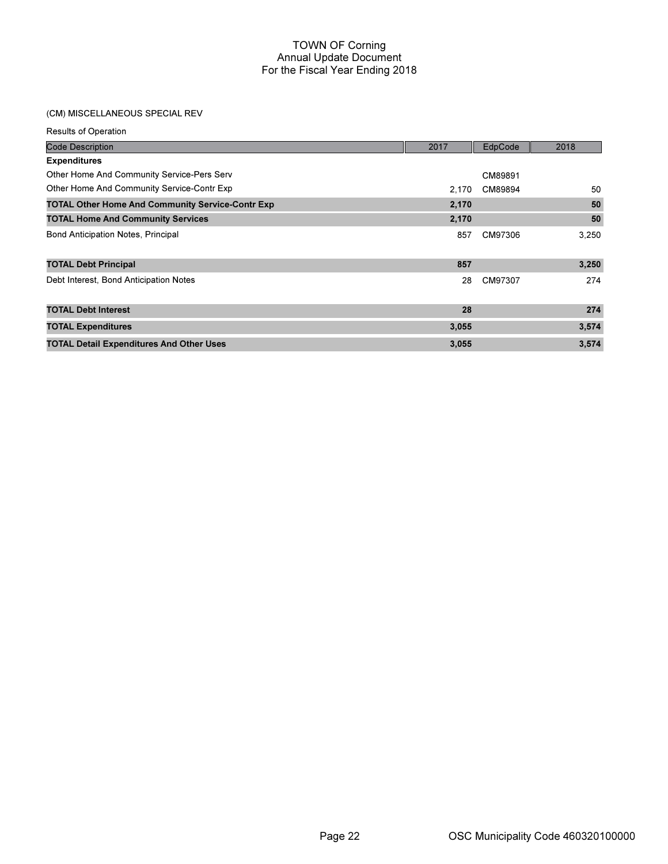## (CM) MISCELLANEOUS SPECIAL REV

| <b>Results of Operation</b>                             |       |         |       |
|---------------------------------------------------------|-------|---------|-------|
| <b>Code Description</b>                                 | 2017  | EdpCode | 2018  |
| <b>Expenditures</b>                                     |       |         |       |
| Other Home And Community Service-Pers Serv              |       | CM89891 |       |
| Other Home And Community Service-Contr Exp              | 2.170 | CM89894 | 50    |
| <b>TOTAL Other Home And Community Service-Contr Exp</b> | 2,170 |         | 50    |
| <b>TOTAL Home And Community Services</b>                | 2,170 |         | 50    |
| Bond Anticipation Notes, Principal                      | 857   | CM97306 | 3,250 |
| <b>TOTAL Debt Principal</b>                             | 857   |         | 3,250 |
| Debt Interest, Bond Anticipation Notes                  | 28    | CM97307 | 274   |
| <b>TOTAL Debt Interest</b>                              | 28    |         | 274   |
| <b>TOTAL Expenditures</b>                               | 3,055 |         | 3,574 |
| <b>TOTAL Detail Expenditures And Other Uses</b>         | 3,055 |         | 3,574 |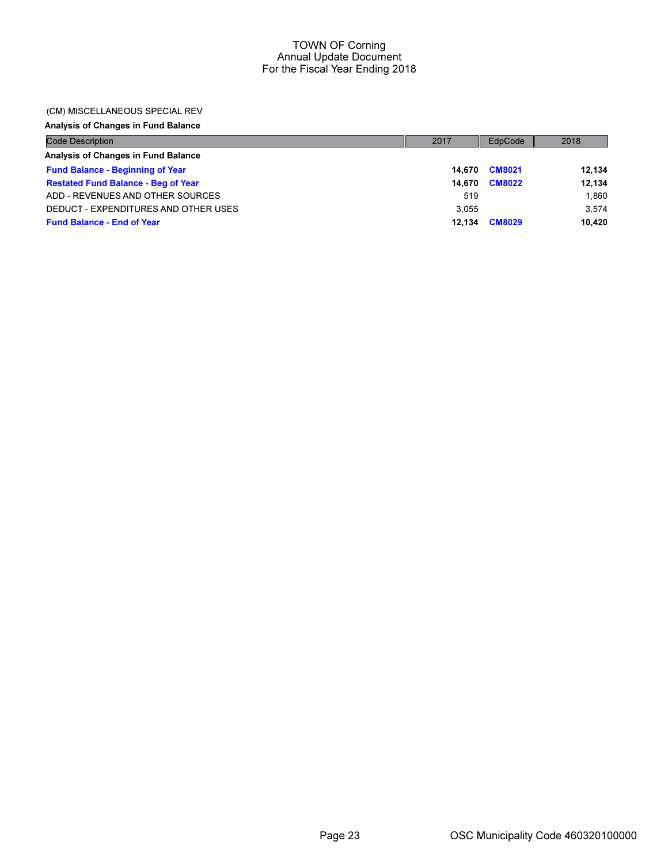#### (CM) MISCELLANEOUS SPECIAL REV

# Analysis of Changes in Fund Balance

| <b>Code Description</b>                    | 2017   | EdpCode       | 2018   |
|--------------------------------------------|--------|---------------|--------|
| Analysis of Changes in Fund Balance        |        |               |        |
| <b>Fund Balance - Beginning of Year</b>    | 14.670 | <b>CM8021</b> | 12,134 |
| <b>Restated Fund Balance - Beg of Year</b> | 14.670 | <b>CM8022</b> | 12,134 |
| ADD - REVENUES AND OTHER SOURCES           | 519    |               | 1.860  |
| DEDUCT - EXPENDITURES AND OTHER USES       | 3.055  |               | 3.574  |
| <b>Fund Balance - End of Year</b>          | 12.134 | <b>CM8029</b> | 10.420 |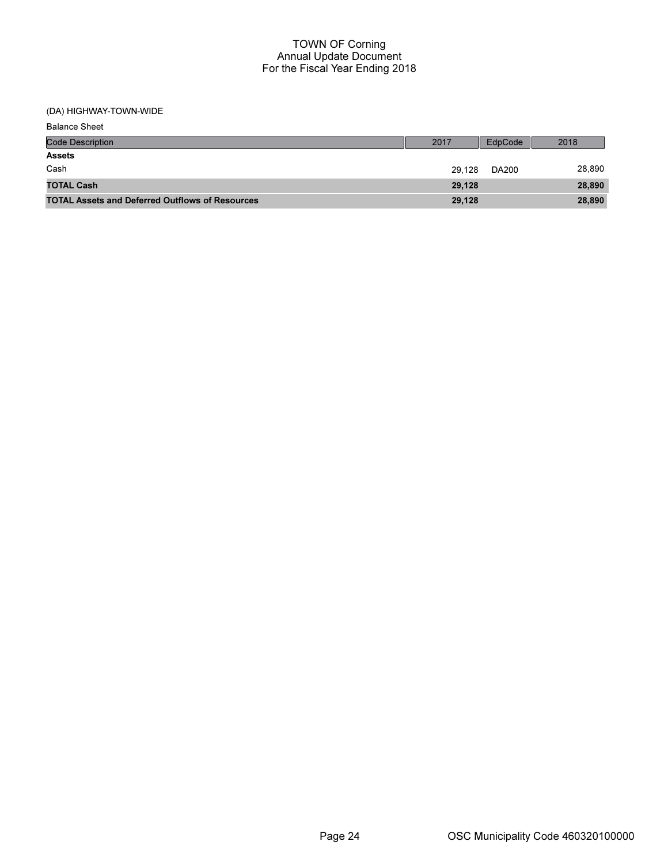| <b>Balance Sheet</b>                                   |        |         |        |
|--------------------------------------------------------|--------|---------|--------|
| <b>Code Description</b>                                | 2017   | EdpCode | 2018   |
| <b>Assets</b>                                          |        |         |        |
| Cash                                                   | 29.128 | DA200   | 28,890 |
| <b>TOTAL Cash</b>                                      | 29.128 |         | 28,890 |
| <b>TOTAL Assets and Deferred Outflows of Resources</b> | 29,128 |         | 28,890 |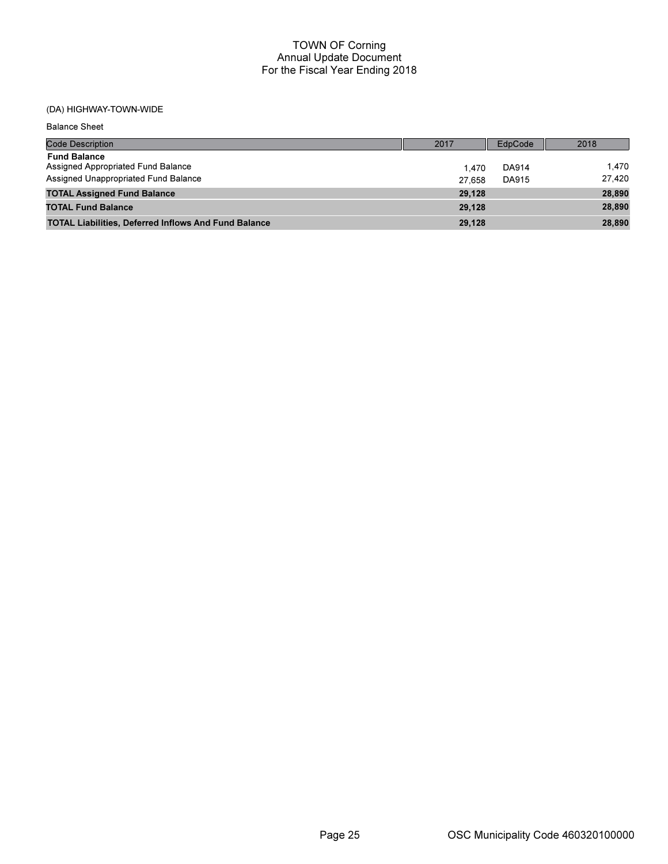| <b>Balance Sheet</b>                                                                              |                  |                |                  |
|---------------------------------------------------------------------------------------------------|------------------|----------------|------------------|
| <b>Code Description</b>                                                                           | 2017             | EdpCode        | 2018             |
| <b>Fund Balance</b><br>Assigned Appropriated Fund Balance<br>Assigned Unappropriated Fund Balance | 1.470            | DA914<br>DA915 | 1.470<br>27.420  |
| <b>TOTAL Assigned Fund Balance</b>                                                                | 27.658<br>29.128 |                | 28,890           |
| <b>TOTAL Fund Balance</b><br><b>TOTAL Liabilities, Deferred Inflows And Fund Balance</b>          | 29.128<br>29,128 |                | 28,890<br>28,890 |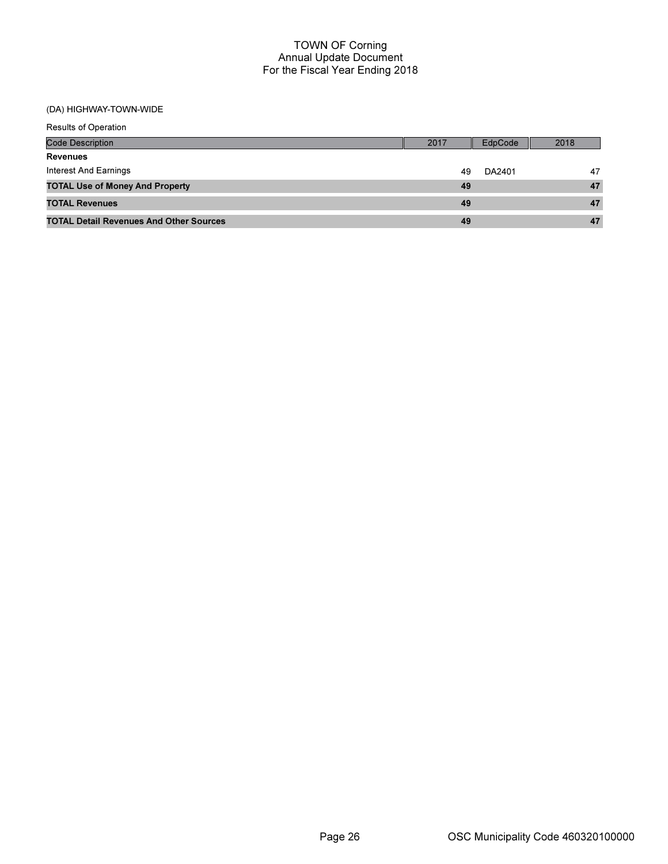| <b>Results of Operation</b>                    |      |         |      |
|------------------------------------------------|------|---------|------|
| <b>Code Description</b>                        | 2017 | EdpCode | 2018 |
| <b>Revenues</b>                                |      |         |      |
| Interest And Earnings                          | 49   | DA2401  | 47   |
| <b>TOTAL Use of Money And Property</b>         | 49   |         | 47   |
| <b>TOTAL Revenues</b>                          | 49   |         | 47   |
| <b>TOTAL Detail Revenues And Other Sources</b> | 49   |         | 47   |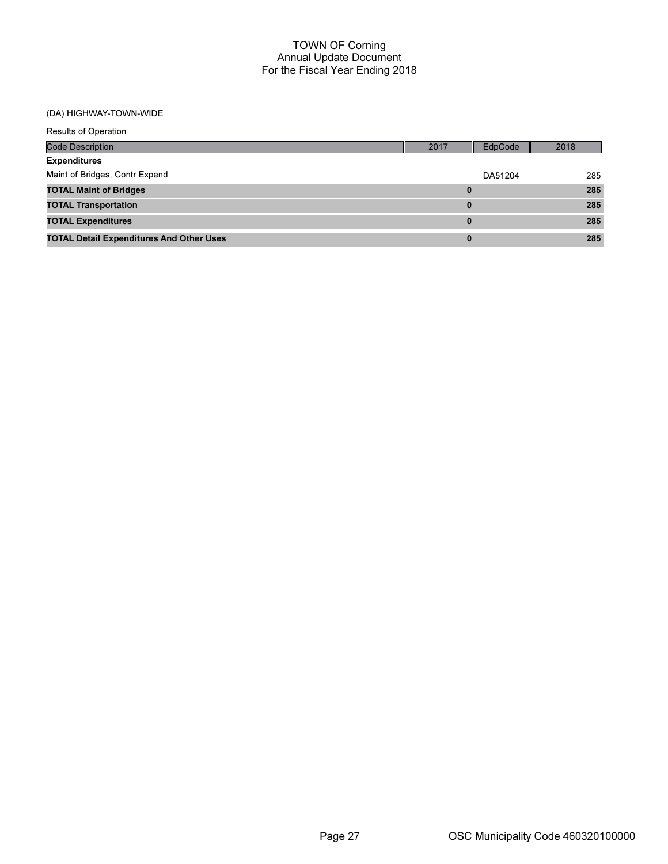| <b>Results of Operation</b>                     |          |         |      |
|-------------------------------------------------|----------|---------|------|
| <b>Code Description</b>                         | 2017     | EdpCode | 2018 |
| <b>Expenditures</b>                             |          |         |      |
| Maint of Bridges, Contr Expend                  |          | DA51204 | 285  |
| <b>TOTAL Maint of Bridges</b>                   | $\bf{0}$ |         | 285  |
| <b>TOTAL Transportation</b>                     | $\bf{0}$ |         | 285  |
| <b>TOTAL Expenditures</b>                       | $\bf{0}$ |         | 285  |
| <b>TOTAL Detail Expenditures And Other Uses</b> | $\bf{0}$ |         | 285  |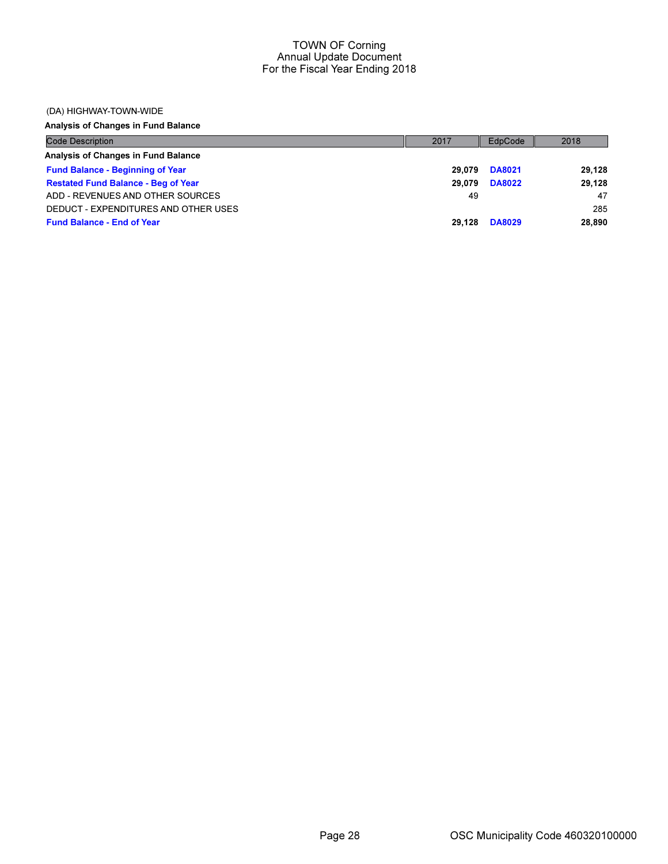#### (DA) HIGHWAY-TOWN-WIDE

Analysis of Changes in Fund Balance

| <b>Code Description</b>                    | 2017   | EdpCode       | 2018   |
|--------------------------------------------|--------|---------------|--------|
| Analysis of Changes in Fund Balance        |        |               |        |
| <b>Fund Balance - Beginning of Year</b>    | 29.079 | <b>DA8021</b> | 29,128 |
| <b>Restated Fund Balance - Beg of Year</b> | 29.079 | <b>DA8022</b> | 29,128 |
| ADD - REVENUES AND OTHER SOURCES           | 49     |               | 47     |
| DEDUCT - EXPENDITURES AND OTHER USES       |        |               | 285    |
| <b>Fund Balance - End of Year</b>          | 29.128 | <b>DA8029</b> | 28,890 |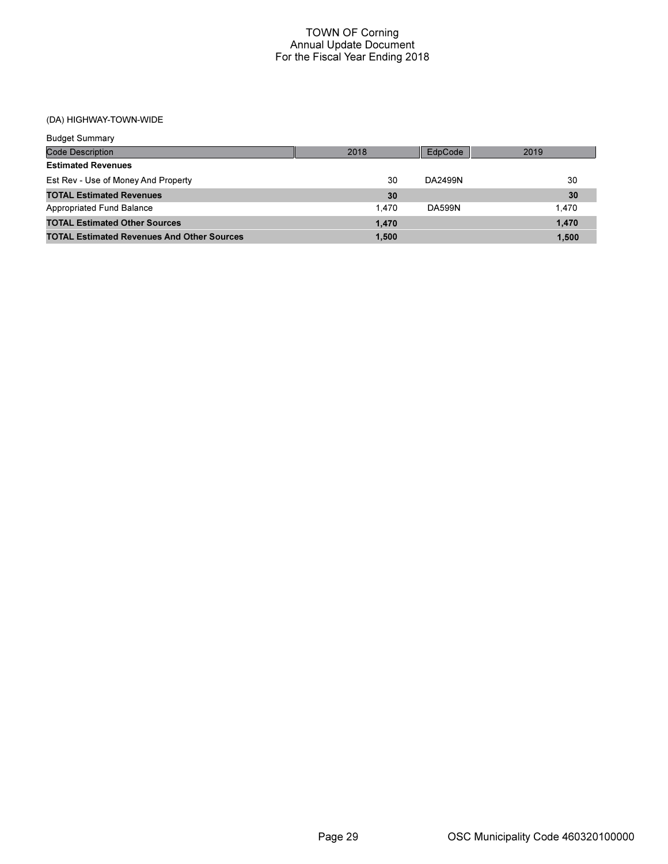| <b>Budget Summary</b>                             |       |               |       |
|---------------------------------------------------|-------|---------------|-------|
| Code Description                                  | 2018  | EdpCode       | 2019  |
| <b>Estimated Revenues</b>                         |       |               |       |
| Est Rev - Use of Money And Property               | 30    | DA2499N       | 30    |
| <b>TOTAL Estimated Revenues</b>                   | 30    |               | 30    |
| Appropriated Fund Balance                         | 1.470 | <b>DA599N</b> | 1.470 |
| <b>TOTAL Estimated Other Sources</b>              | 1.470 |               | 1,470 |
| <b>TOTAL Estimated Revenues And Other Sources</b> | 1.500 |               | 1.500 |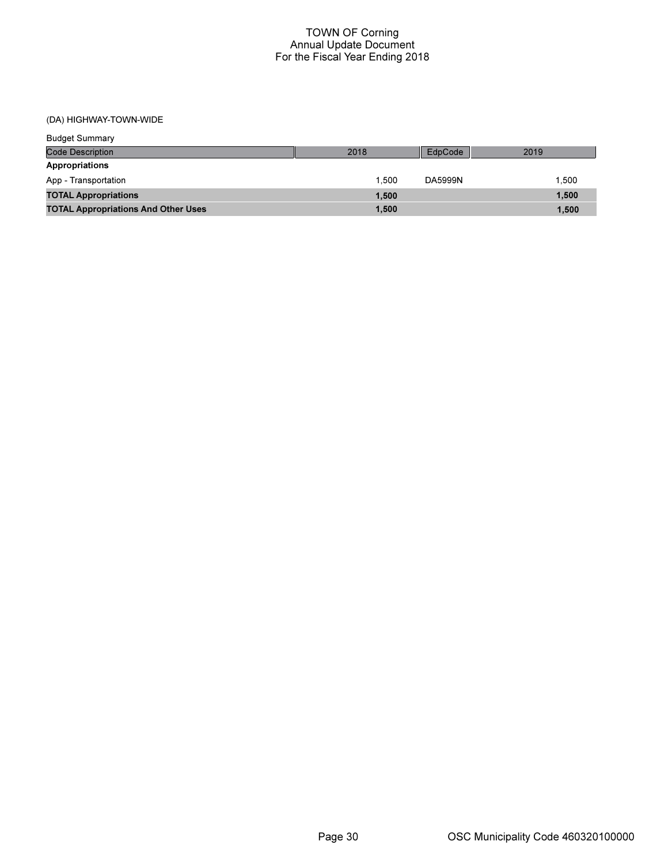| <b>Budget Summary</b>                      |       |         |       |
|--------------------------------------------|-------|---------|-------|
| <b>Code Description</b>                    | 2018  | EdpCode | 2019  |
| Appropriations                             |       |         |       |
| App - Transportation                       | 1.500 | DA5999N | 1.500 |
| <b>TOTAL Appropriations</b>                | 1,500 |         | 1,500 |
| <b>TOTAL Appropriations And Other Uses</b> | 1,500 |         | 1,500 |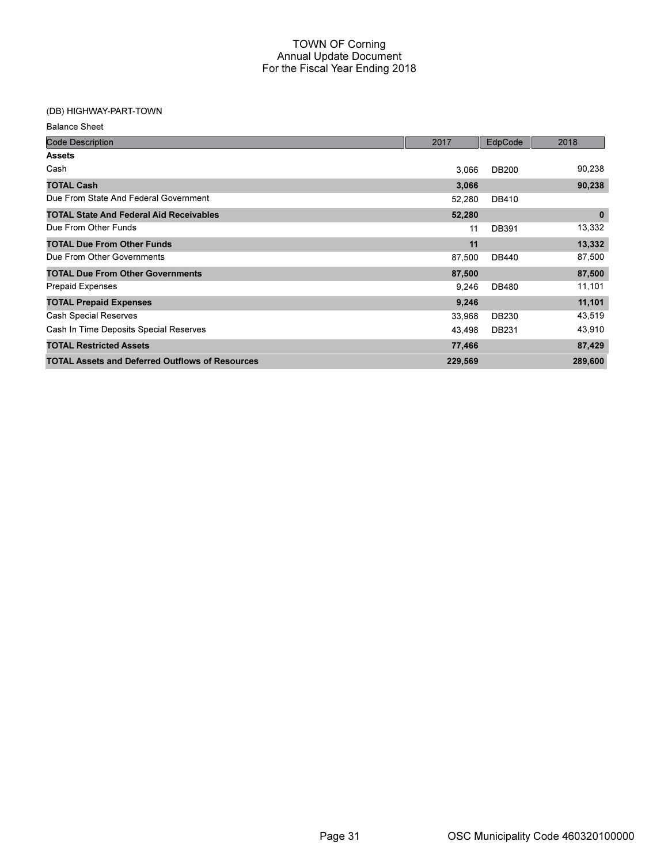### (DB) HIGHWAY-PART-TOWN

| <b>Balance Sheet</b> |  |
|----------------------|--|
|----------------------|--|

| <b>Code Description</b>                                | 2017    | EdpCode      | 2018        |
|--------------------------------------------------------|---------|--------------|-------------|
| <b>Assets</b>                                          |         |              |             |
| Cash                                                   | 3,066   | <b>DB200</b> | 90,238      |
| <b>TOTAL Cash</b>                                      | 3,066   |              | 90,238      |
| Due From State And Federal Government                  | 52,280  | <b>DB410</b> |             |
| <b>TOTAL State And Federal Aid Receivables</b>         | 52,280  |              | $\mathbf 0$ |
| Due From Other Funds                                   | 11      | <b>DB391</b> | 13,332      |
| <b>TOTAL Due From Other Funds</b>                      | 11      |              | 13,332      |
| Due From Other Governments                             | 87,500  | <b>DB440</b> | 87,500      |
| <b>TOTAL Due From Other Governments</b>                | 87,500  |              | 87,500      |
| <b>Prepaid Expenses</b>                                | 9,246   | DB480        | 11,101      |
| <b>TOTAL Prepaid Expenses</b>                          | 9,246   |              | 11,101      |
| <b>Cash Special Reserves</b>                           | 33,968  | <b>DB230</b> | 43,519      |
| Cash In Time Deposits Special Reserves                 | 43,498  | DB231        | 43,910      |
| <b>TOTAL Restricted Assets</b>                         | 77,466  |              | 87,429      |
| <b>TOTAL Assets and Deferred Outflows of Resources</b> | 229,569 |              | 289,600     |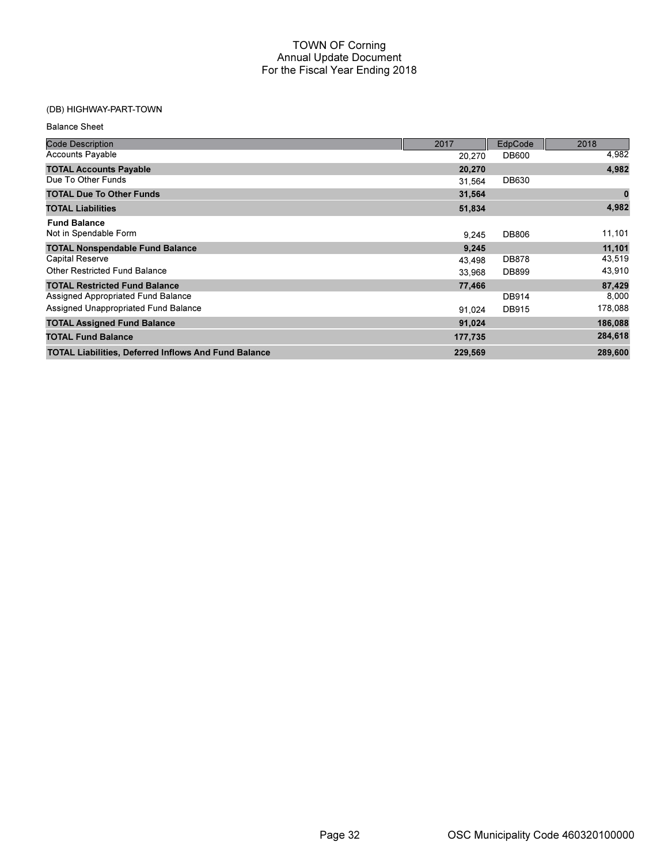### (DB) HIGHWAY-PART-TOWN

Balance Sheet

| <b>Code Description</b>                                     | 2017    | EdpCode      | 2018     |
|-------------------------------------------------------------|---------|--------------|----------|
| <b>Accounts Payable</b>                                     | 20,270  | <b>DB600</b> | 4,982    |
| <b>TOTAL Accounts Payable</b>                               | 20,270  |              | 4,982    |
| Due To Other Funds                                          | 31,564  | DB630        |          |
| <b>TOTAL Due To Other Funds</b>                             | 31,564  |              | $\bf{0}$ |
| <b>TOTAL Liabilities</b>                                    | 51,834  |              | 4,982    |
| <b>Fund Balance</b>                                         |         |              |          |
| Not in Spendable Form                                       | 9.245   | <b>DB806</b> | 11,101   |
| <b>TOTAL Nonspendable Fund Balance</b>                      | 9,245   |              | 11,101   |
| Capital Reserve                                             | 43,498  | <b>DB878</b> | 43,519   |
| <b>Other Restricted Fund Balance</b>                        | 33,968  | DB899        | 43,910   |
| <b>TOTAL Restricted Fund Balance</b>                        | 77,466  |              | 87,429   |
| Assigned Appropriated Fund Balance                          |         | <b>DB914</b> | 8,000    |
| Assigned Unappropriated Fund Balance                        | 91.024  | <b>DB915</b> | 178,088  |
| <b>TOTAL Assigned Fund Balance</b>                          | 91,024  |              | 186,088  |
| <b>TOTAL Fund Balance</b>                                   | 177,735 |              | 284,618  |
| <b>TOTAL Liabilities, Deferred Inflows And Fund Balance</b> | 229,569 |              | 289,600  |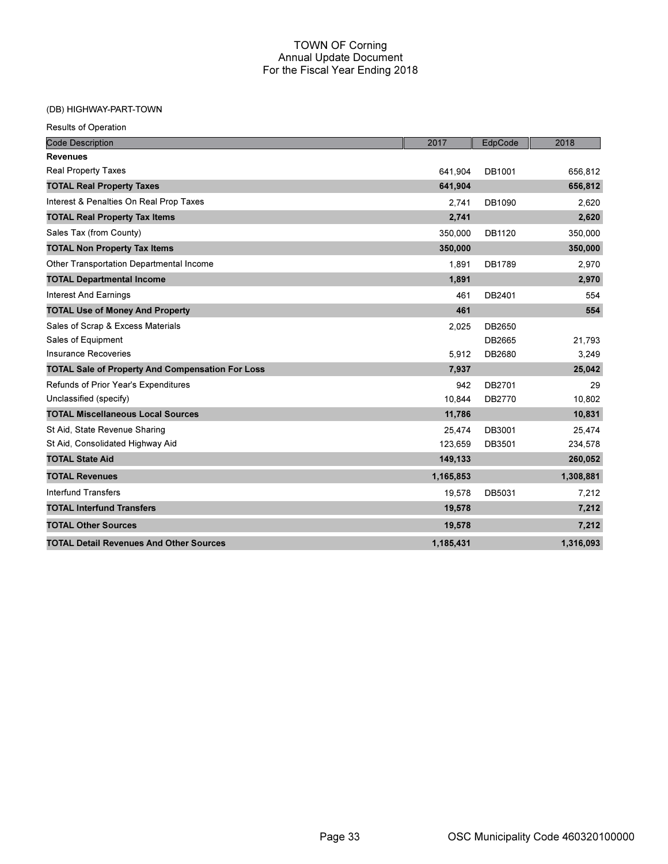### (DB) HIGHWAY-PART-TOWN

| <b>Results of Operation</b>                             |           |         |           |
|---------------------------------------------------------|-----------|---------|-----------|
| <b>Code Description</b>                                 | 2017      | EdpCode | 2018      |
| <b>Revenues</b>                                         |           |         |           |
| <b>Real Property Taxes</b>                              | 641,904   | DB1001  | 656,812   |
| <b>TOTAL Real Property Taxes</b>                        | 641,904   |         | 656,812   |
| Interest & Penalties On Real Prop Taxes                 | 2,741     | DB1090  | 2,620     |
| <b>TOTAL Real Property Tax Items</b>                    | 2,741     |         | 2,620     |
| Sales Tax (from County)                                 | 350,000   | DB1120  | 350,000   |
| <b>TOTAL Non Property Tax Items</b>                     | 350,000   |         | 350,000   |
| Other Transportation Departmental Income                | 1,891     | DB1789  | 2,970     |
| <b>TOTAL Departmental Income</b>                        | 1,891     |         | 2,970     |
| <b>Interest And Earnings</b>                            | 461       | DB2401  | 554       |
| <b>TOTAL Use of Money And Property</b>                  | 461       |         | 554       |
| Sales of Scrap & Excess Materials                       | 2,025     | DB2650  |           |
| Sales of Equipment                                      |           | DB2665  | 21,793    |
| Insurance Recoveries                                    | 5,912     | DB2680  | 3,249     |
| <b>TOTAL Sale of Property And Compensation For Loss</b> | 7,937     |         | 25,042    |
| Refunds of Prior Year's Expenditures                    | 942       | DB2701  | 29        |
| Unclassified (specify)                                  | 10.844    | DB2770  | 10,802    |
| <b>TOTAL Miscellaneous Local Sources</b>                | 11,786    |         | 10,831    |
| St Aid, State Revenue Sharing                           | 25,474    | DB3001  | 25,474    |
| St Aid, Consolidated Highway Aid                        | 123,659   | DB3501  | 234,578   |
| <b>TOTAL State Aid</b>                                  | 149,133   |         | 260,052   |
| <b>TOTAL Revenues</b>                                   | 1,165,853 |         | 1,308,881 |
| <b>Interfund Transfers</b>                              | 19,578    | DB5031  | 7,212     |
| <b>TOTAL Interfund Transfers</b>                        | 19,578    |         | 7,212     |
| <b>TOTAL Other Sources</b>                              | 19,578    |         | 7,212     |
| <b>TOTAL Detail Revenues And Other Sources</b>          | 1.185.431 |         | 1,316,093 |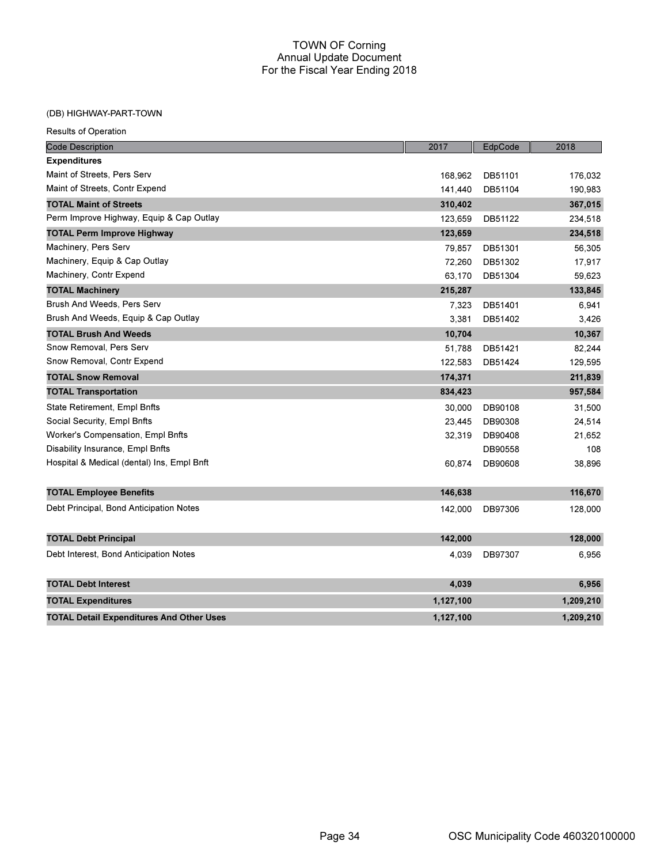#### (DB) HIGHWAY-PART-TOWN

| <b>Code Description</b>                         | 2017      | EdpCode | 2018      |
|-------------------------------------------------|-----------|---------|-----------|
| <b>Expenditures</b>                             |           |         |           |
| Maint of Streets, Pers Serv                     | 168,962   | DB51101 | 176,032   |
| Maint of Streets, Contr Expend                  | 141,440   | DB51104 | 190,983   |
| <b>TOTAL Maint of Streets</b>                   | 310,402   |         | 367,015   |
| Perm Improve Highway, Equip & Cap Outlay        | 123,659   | DB51122 | 234,518   |
| <b>TOTAL Perm Improve Highway</b>               | 123,659   |         | 234,518   |
| Machinery, Pers Serv                            | 79,857    | DB51301 | 56,305    |
| Machinery, Equip & Cap Outlay                   | 72,260    | DB51302 | 17,917    |
| Machinery, Contr Expend                         | 63,170    | DB51304 | 59,623    |
| <b>TOTAL Machinery</b>                          | 215,287   |         | 133,845   |
| Brush And Weeds, Pers Serv                      | 7,323     | DB51401 | 6,941     |
| Brush And Weeds, Equip & Cap Outlay             | 3,381     | DB51402 | 3,426     |
| <b>TOTAL Brush And Weeds</b>                    | 10,704    |         | 10,367    |
| Snow Removal, Pers Serv                         | 51,788    | DB51421 | 82,244    |
| Snow Removal, Contr Expend                      | 122.583   | DB51424 | 129,595   |
| <b>TOTAL Snow Removal</b>                       | 174,371   |         | 211,839   |
| <b>TOTAL Transportation</b>                     | 834,423   |         | 957,584   |
| State Retirement, Empl Bnfts                    | 30,000    | DB90108 | 31,500    |
| Social Security, Empl Bnfts                     | 23,445    | DB90308 | 24,514    |
| Worker's Compensation, Empl Bnfts               | 32,319    | DB90408 | 21,652    |
| Disability Insurance, Empl Bnfts                |           | DB90558 | 108       |
| Hospital & Medical (dental) Ins, Empl Bnft      | 60,874    | DB90608 | 38,896    |
| <b>TOTAL Employee Benefits</b>                  | 146,638   |         | 116,670   |
| Debt Principal, Bond Anticipation Notes         | 142,000   | DB97306 | 128,000   |
| <b>TOTAL Debt Principal</b>                     | 142,000   |         | 128,000   |
| Debt Interest, Bond Anticipation Notes          | 4,039     | DB97307 | 6,956     |
| <b>TOTAL Debt Interest</b>                      | 4,039     |         | 6,956     |
| <b>TOTAL Expenditures</b>                       | 1,127,100 |         | 1,209,210 |
| <b>TOTAL Detail Expenditures And Other Uses</b> | 1,127,100 |         | 1,209,210 |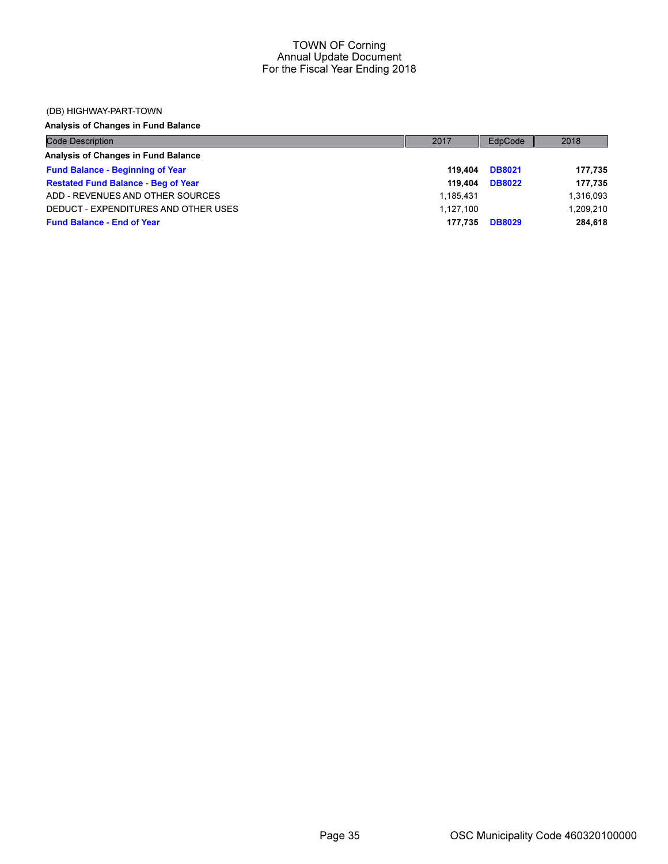#### (DB) HIGHWAY-PART-TOWN

Analysis of Changes in Fund Balance

| <b>Code Description</b>                    | 2017      | EdpCode       | 2018      |
|--------------------------------------------|-----------|---------------|-----------|
| Analysis of Changes in Fund Balance        |           |               |           |
| <b>Fund Balance - Beginning of Year</b>    | 119.404   | <b>DB8021</b> | 177,735   |
| <b>Restated Fund Balance - Beg of Year</b> | 119.404   | <b>DB8022</b> | 177,735   |
| ADD - REVENUES AND OTHER SOURCES           | 1.185.431 |               | 1,316,093 |
| DEDUCT - EXPENDITURES AND OTHER USES       | 1.127.100 |               | 1.209.210 |
| <b>Fund Balance - End of Year</b>          | 177.735   | <b>DB8029</b> | 284.618   |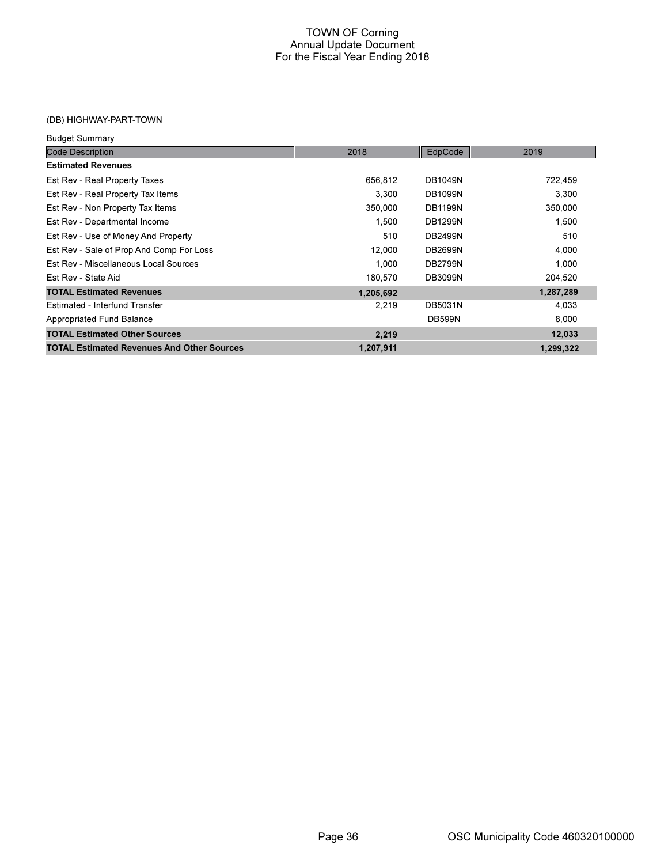## (DB) HIGHWAY-PART-TOWN

| <b>Budget Summary</b>                             |           |                |           |
|---------------------------------------------------|-----------|----------------|-----------|
| <b>Code Description</b>                           | 2018      | EdpCode        | 2019      |
| <b>Estimated Revenues</b>                         |           |                |           |
| Est Rev - Real Property Taxes                     | 656,812   | <b>DB1049N</b> | 722,459   |
| Est Rev - Real Property Tax Items                 | 3,300     | <b>DB1099N</b> | 3,300     |
| Est Rev - Non Property Tax Items                  | 350,000   | <b>DB1199N</b> | 350,000   |
| Est Rev - Departmental Income                     | 1,500     | <b>DB1299N</b> | 1,500     |
| Est Rev - Use of Money And Property               | 510       | <b>DB2499N</b> | 510       |
| Est Rev - Sale of Prop And Comp For Loss          | 12,000    | <b>DB2699N</b> | 4,000     |
| Est Rev - Miscellaneous Local Sources             | 1.000     | <b>DB2799N</b> | 1,000     |
| Est Rev - State Aid                               | 180,570   | <b>DB3099N</b> | 204,520   |
| <b>TOTAL Estimated Revenues</b>                   | 1,205,692 |                | 1,287,289 |
| Estimated - Interfund Transfer                    | 2,219     | <b>DB5031N</b> | 4,033     |
| Appropriated Fund Balance                         |           | <b>DB599N</b>  | 8,000     |
| <b>TOTAL Estimated Other Sources</b>              | 2,219     |                | 12,033    |
| <b>TOTAL Estimated Revenues And Other Sources</b> | 1,207,911 |                | 1,299,322 |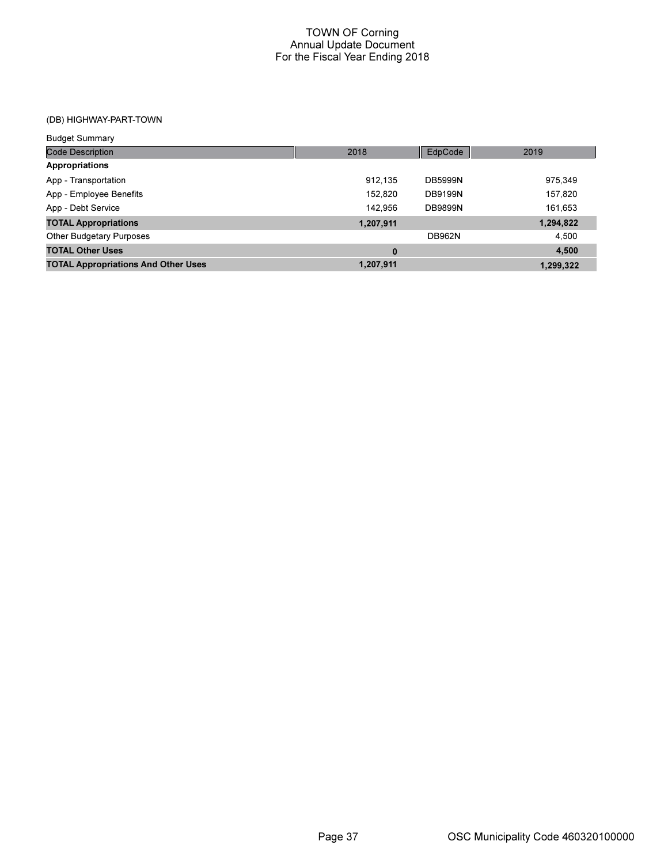## (DB) HIGHWAY-PART-TOWN

| <b>Budget Summary</b>                      |           |                |           |
|--------------------------------------------|-----------|----------------|-----------|
| <b>Code Description</b>                    | 2018      | EdpCode        | 2019      |
| Appropriations                             |           |                |           |
| App - Transportation                       | 912.135   | <b>DB5999N</b> | 975,349   |
| App - Employee Benefits                    | 152.820   | <b>DB9199N</b> | 157,820   |
| App - Debt Service                         | 142.956   | <b>DB9899N</b> | 161,653   |
| <b>TOTAL Appropriations</b>                | 1,207,911 |                | 1,294,822 |
| <b>Other Budgetary Purposes</b>            |           | <b>DB962N</b>  | 4,500     |
| <b>TOTAL Other Uses</b>                    | $\bf{0}$  |                | 4,500     |
| <b>TOTAL Appropriations And Other Uses</b> | 1,207,911 |                | 1.299.322 |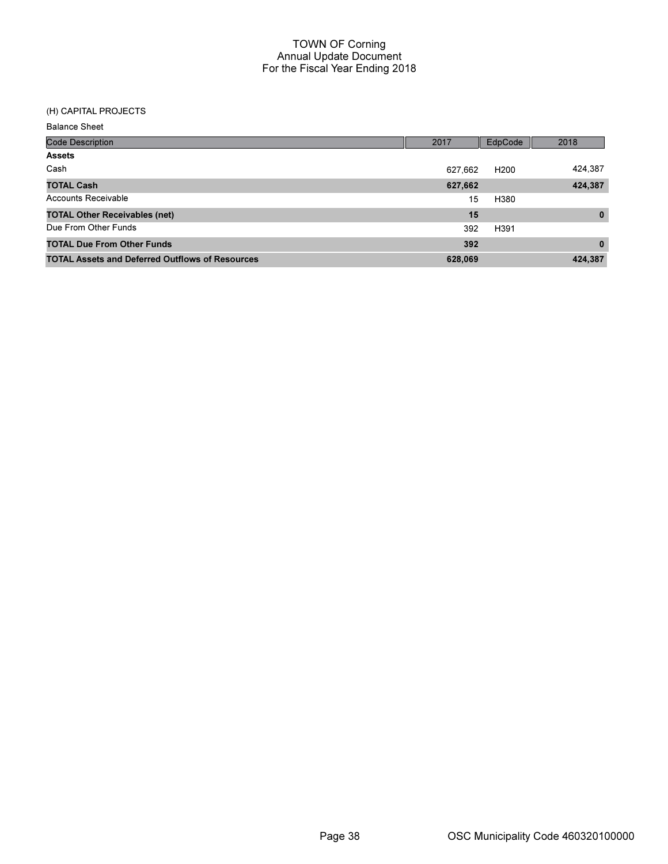# (H) CAPITAL PROJECTS

Balance Sheet

| <b>Code Description</b>                                | 2017    | EdpCode          | 2018     |
|--------------------------------------------------------|---------|------------------|----------|
| <b>Assets</b>                                          |         |                  |          |
| Cash                                                   | 627,662 | H <sub>200</sub> | 424,387  |
| <b>TOTAL Cash</b>                                      | 627,662 |                  | 424,387  |
| <b>Accounts Receivable</b>                             | 15      | H380             |          |
| <b>TOTAL Other Receivables (net)</b>                   | 15      |                  | $\bf{0}$ |
| Due From Other Funds                                   | 392     | H391             |          |
| <b>TOTAL Due From Other Funds</b>                      | 392     |                  | $\bf{0}$ |
| <b>TOTAL Assets and Deferred Outflows of Resources</b> | 628,069 |                  | 424,387  |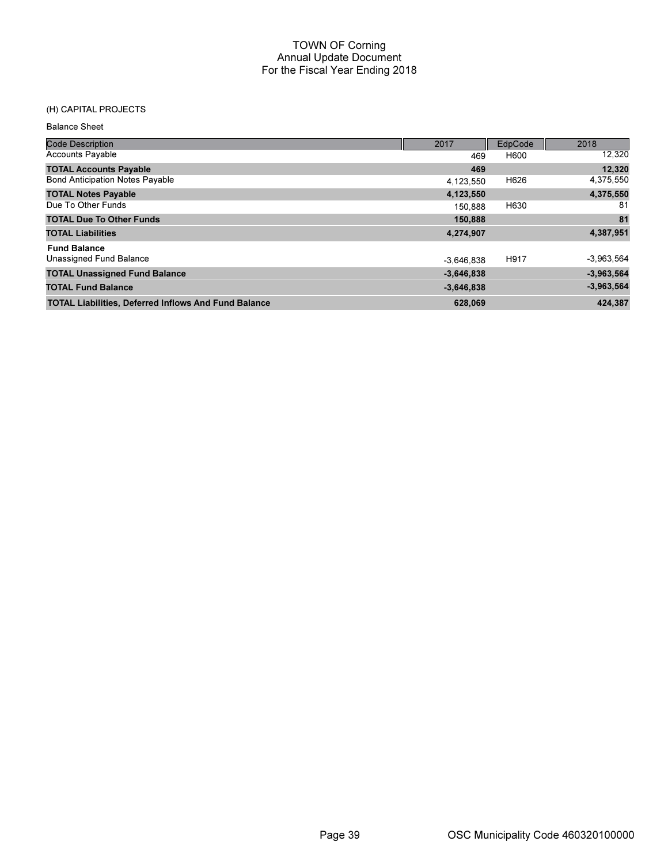## (H) CAPITAL PROJECTS

Balance Sheet

| <b>Code Description</b>                                     | 2017         | EdpCode | 2018         |
|-------------------------------------------------------------|--------------|---------|--------------|
| <b>Accounts Payable</b>                                     | 469          | H600    | 12,320       |
| <b>TOTAL Accounts Payable</b>                               | 469          |         | 12,320       |
| <b>Bond Anticipation Notes Payable</b>                      | 4,123,550    | H626    | 4,375,550    |
| <b>TOTAL Notes Payable</b>                                  | 4,123,550    |         | 4,375,550    |
| Due To Other Funds                                          | 150.888      | H630    | -81          |
| <b>TOTAL Due To Other Funds</b>                             | 150,888      |         | 81           |
| <b>TOTAL Liabilities</b>                                    | 4,274,907    |         | 4,387,951    |
| <b>Fund Balance</b>                                         |              |         |              |
| Unassigned Fund Balance                                     | $-3.646.838$ | H917    | $-3,963,564$ |
| <b>TOTAL Unassigned Fund Balance</b>                        | $-3,646,838$ |         | $-3,963,564$ |
| <b>TOTAL Fund Balance</b>                                   | $-3,646,838$ |         | $-3,963,564$ |
| <b>TOTAL Liabilities, Deferred Inflows And Fund Balance</b> | 628,069      |         | 424.387      |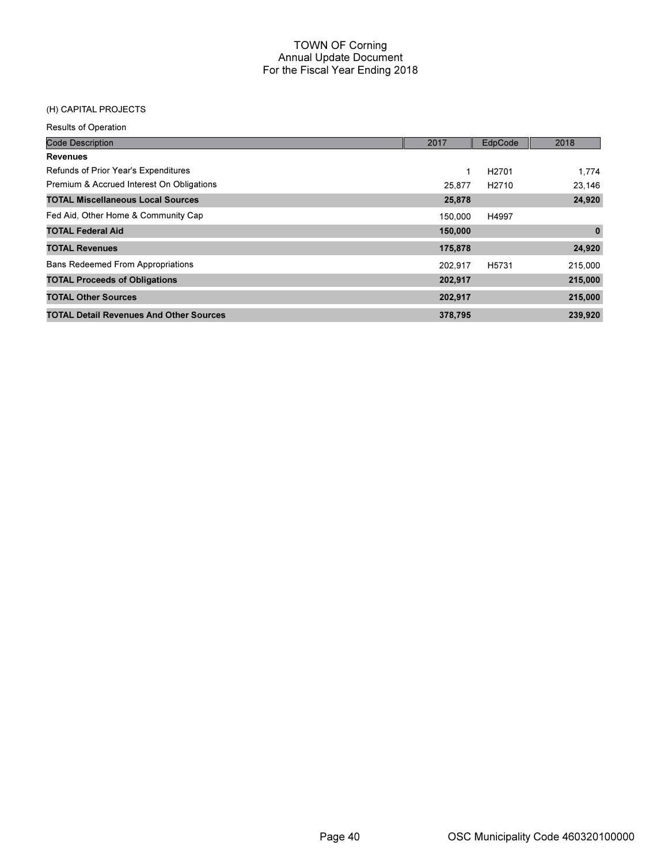## (H) CAPITAL PROJECTS

Results of Operation

| <b>Code Description</b>                        | 2017    | EdpCode           | 2018     |
|------------------------------------------------|---------|-------------------|----------|
| <b>Revenues</b>                                |         |                   |          |
| Refunds of Prior Year's Expenditures           | 1       | H <sub>2701</sub> | 1.774    |
| Premium & Accrued Interest On Obligations      | 25,877  | H <sub>2710</sub> | 23,146   |
| <b>TOTAL Miscellaneous Local Sources</b>       | 25,878  |                   | 24,920   |
| Fed Aid, Other Home & Community Cap            | 150.000 | H4997             |          |
| <b>TOTAL Federal Aid</b>                       | 150,000 |                   | $\bf{0}$ |
| <b>TOTAL Revenues</b>                          | 175,878 |                   | 24,920   |
| <b>Bans Redeemed From Appropriations</b>       | 202.917 | H5731             | 215,000  |
| <b>TOTAL Proceeds of Obligations</b>           | 202,917 |                   | 215,000  |
| <b>TOTAL Other Sources</b>                     | 202,917 |                   | 215,000  |
| <b>TOTAL Detail Revenues And Other Sources</b> | 378,795 |                   | 239,920  |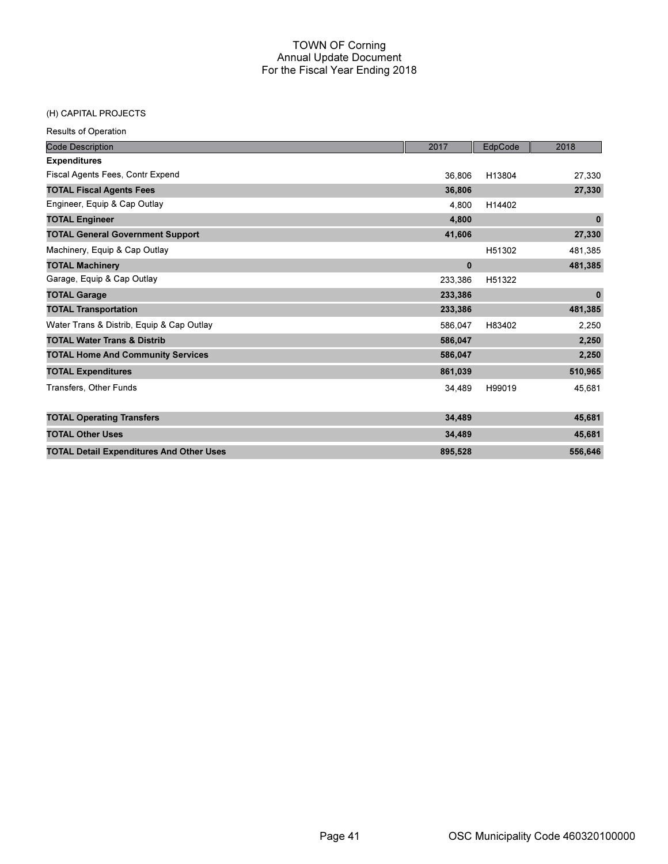#### (H) CAPITAL PROJECTS

Results of Operation

| <b>Code Description</b>                         | 2017     | EdpCode | 2018         |
|-------------------------------------------------|----------|---------|--------------|
| <b>Expenditures</b>                             |          |         |              |
| Fiscal Agents Fees, Contr Expend                | 36,806   | H13804  | 27,330       |
| <b>TOTAL Fiscal Agents Fees</b>                 | 36,806   |         | 27,330       |
| Engineer, Equip & Cap Outlay                    | 4,800    | H14402  |              |
| <b>TOTAL Engineer</b>                           | 4,800    |         | $\bf{0}$     |
| <b>TOTAL General Government Support</b>         | 41,606   |         | 27,330       |
| Machinery, Equip & Cap Outlay                   |          | H51302  | 481,385      |
| <b>TOTAL Machinery</b>                          | $\bf{0}$ |         | 481,385      |
| Garage, Equip & Cap Outlay                      | 233,386  | H51322  |              |
| <b>TOTAL Garage</b>                             | 233,386  |         | $\mathbf{0}$ |
| <b>TOTAL Transportation</b>                     | 233,386  |         | 481,385      |
| Water Trans & Distrib, Equip & Cap Outlay       | 586.047  | H83402  | 2,250        |
| <b>TOTAL Water Trans &amp; Distrib</b>          | 586,047  |         | 2,250        |
| <b>TOTAL Home And Community Services</b>        | 586,047  |         | 2,250        |
| <b>TOTAL Expenditures</b>                       | 861,039  |         | 510,965      |
| Transfers, Other Funds                          | 34,489   | H99019  | 45,681       |
| <b>TOTAL Operating Transfers</b>                | 34,489   |         | 45,681       |
| <b>TOTAL Other Uses</b>                         | 34,489   |         | 45,681       |
| <b>TOTAL Detail Expenditures And Other Uses</b> | 895,528  |         | 556,646      |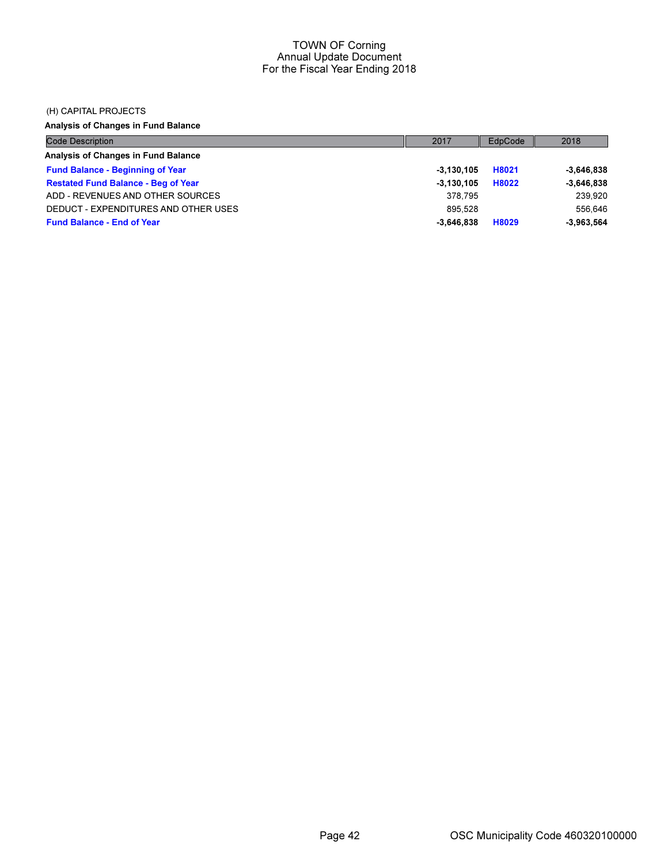#### (H) CAPITAL PROJECTS

Analysis of Changes in Fund Balance

| Code Description                           | 2017         | EdpCode | 2018         |
|--------------------------------------------|--------------|---------|--------------|
| Analysis of Changes in Fund Balance        |              |         |              |
| <b>Fund Balance - Beginning of Year</b>    | $-3.130.105$ | H8021   | $-3.646.838$ |
| <b>Restated Fund Balance - Beg of Year</b> | $-3.130.105$ | H8022   | $-3,646,838$ |
| ADD - REVENUES AND OTHER SOURCES           | 378.795      |         | 239.920      |
| DEDUCT - EXPENDITURES AND OTHER USES       | 895.528      |         | 556.646      |
| <b>Fund Balance - End of Year</b>          | $-3.646.838$ | H8029   | $-3.963.564$ |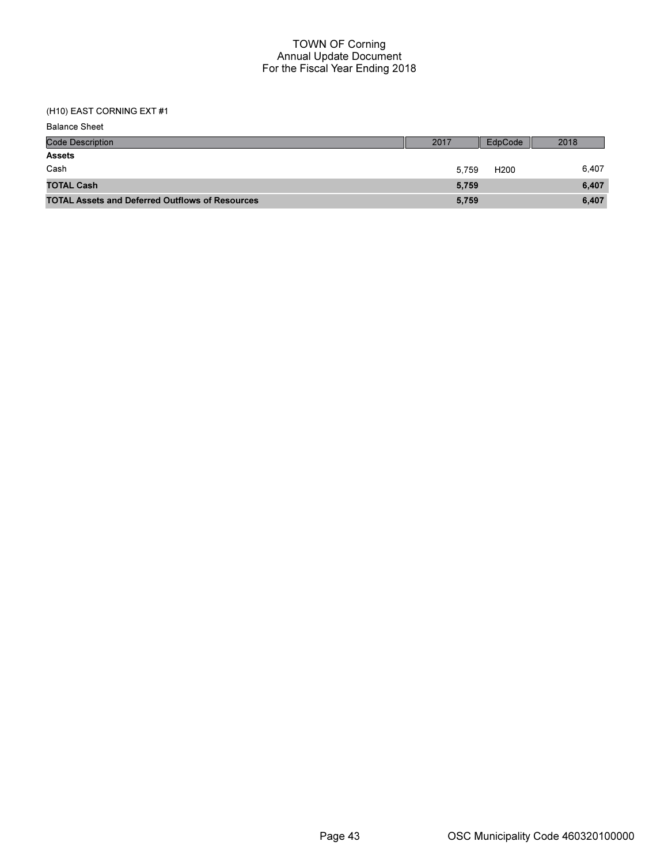| <b>Balance Sheet</b>                                   |       |                  |       |
|--------------------------------------------------------|-------|------------------|-------|
| <b>Code Description</b>                                | 2017  | EdpCode          | 2018  |
| <b>Assets</b>                                          |       |                  |       |
| Cash                                                   | 5.759 | H <sub>200</sub> | 6.407 |
| <b>TOTAL Cash</b>                                      | 5,759 |                  | 6.407 |
| <b>TOTAL Assets and Deferred Outflows of Resources</b> | 5,759 |                  | 6,407 |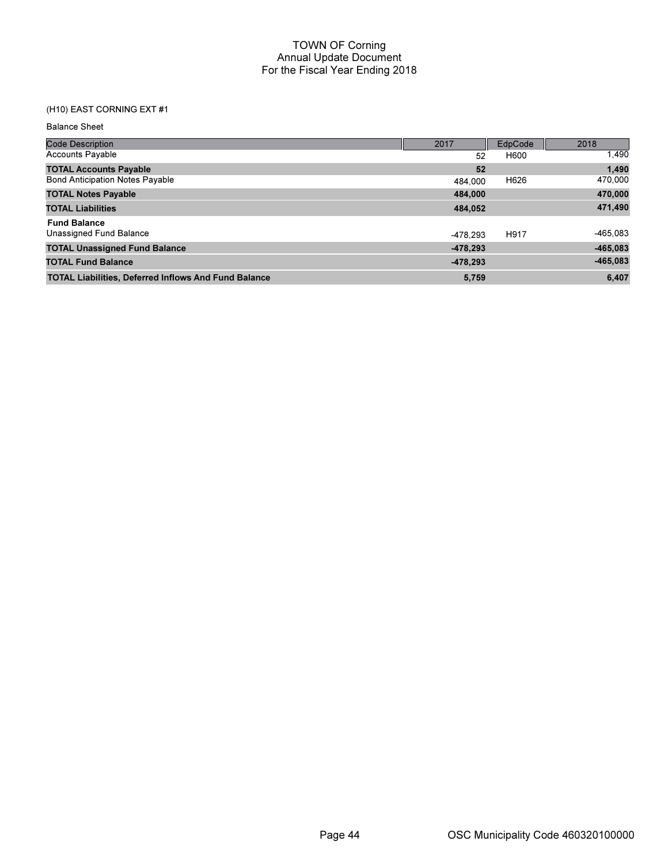## (H10) EAST CORNING EXT #1

Balance Sheet

| <b>Code Description</b>                                     | 2017       | EdpCode | 2018       |
|-------------------------------------------------------------|------------|---------|------------|
| <b>Accounts Payable</b>                                     | 52         | H600    | 1,490      |
| <b>TOTAL Accounts Payable</b>                               | 52         |         | 1,490      |
| <b>Bond Anticipation Notes Payable</b>                      | 484.000    | H626    | 470,000    |
| <b>TOTAL Notes Payable</b>                                  | 484,000    |         | 470,000    |
| <b>TOTAL Liabilities</b>                                    | 484,052    |         | 471,490    |
| <b>Fund Balance</b>                                         |            |         |            |
| Unassigned Fund Balance                                     | -478.293   | H917    | -465,083   |
| <b>TOTAL Unassigned Fund Balance</b>                        | $-478,293$ |         | $-465,083$ |
| <b>TOTAL Fund Balance</b>                                   | $-478,293$ |         | $-465,083$ |
| <b>TOTAL Liabilities, Deferred Inflows And Fund Balance</b> | 5,759      |         | 6,407      |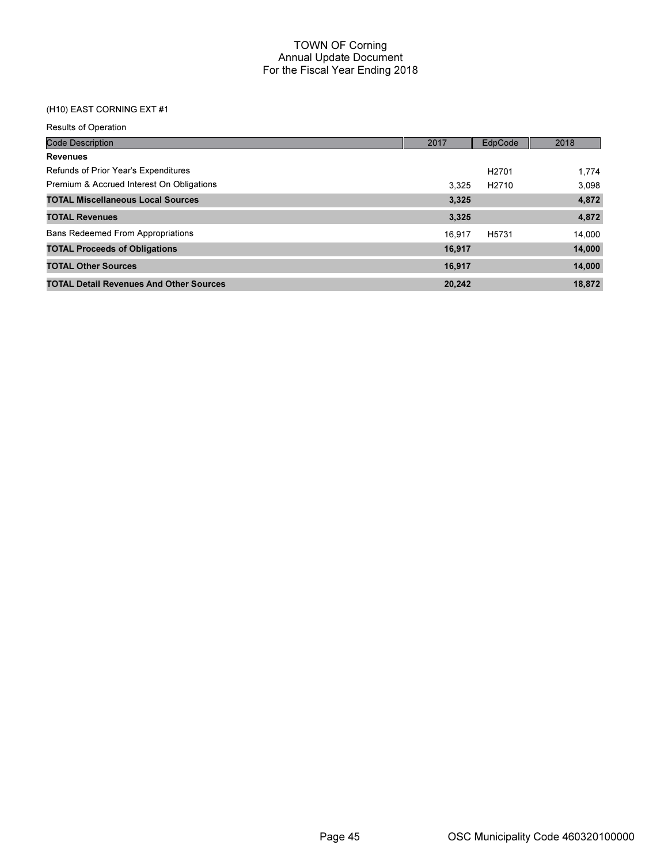| <b>Results of Operation</b>                    |        |                   |        |
|------------------------------------------------|--------|-------------------|--------|
| <b>Code Description</b>                        | 2017   | EdpCode           | 2018   |
| <b>Revenues</b>                                |        |                   |        |
| Refunds of Prior Year's Expenditures           |        | H <sub>2701</sub> | 1.774  |
| Premium & Accrued Interest On Obligations      | 3.325  | H <sub>2710</sub> | 3,098  |
| <b>TOTAL Miscellaneous Local Sources</b>       | 3,325  |                   | 4,872  |
| <b>TOTAL Revenues</b>                          | 3,325  |                   | 4,872  |
| <b>Bans Redeemed From Appropriations</b>       | 16.917 | H <sub>5731</sub> | 14,000 |
| <b>TOTAL Proceeds of Obligations</b>           | 16,917 |                   | 14,000 |
| <b>TOTAL Other Sources</b>                     | 16,917 |                   | 14,000 |
| <b>TOTAL Detail Revenues And Other Sources</b> | 20,242 |                   | 18,872 |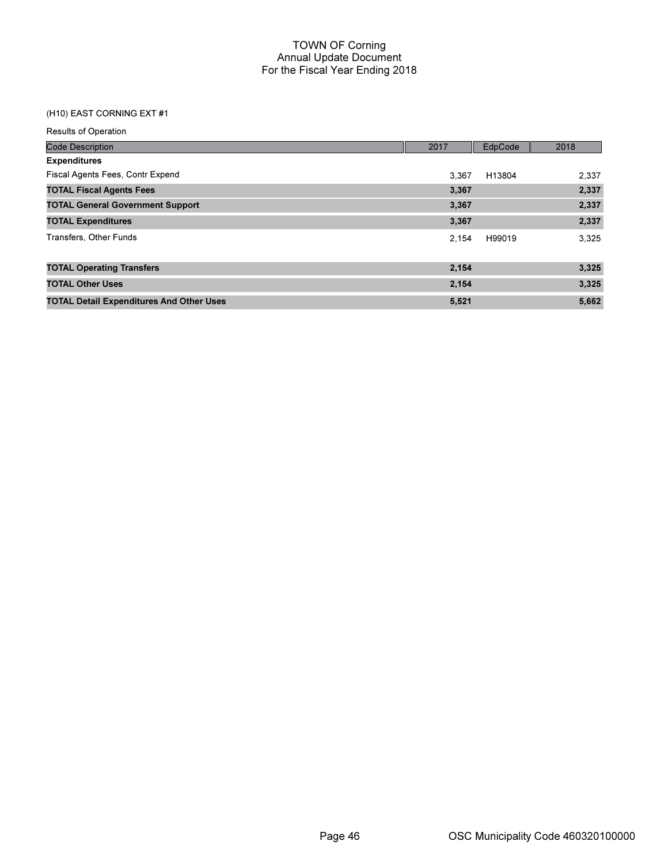| <b>Results of Operation</b>                     |       |         |       |
|-------------------------------------------------|-------|---------|-------|
| <b>Code Description</b>                         | 2017  | EdpCode | 2018  |
| <b>Expenditures</b>                             |       |         |       |
| Fiscal Agents Fees, Contr Expend                | 3,367 | H13804  | 2,337 |
| <b>TOTAL Fiscal Agents Fees</b>                 | 3,367 |         | 2,337 |
| <b>TOTAL General Government Support</b>         | 3,367 |         | 2,337 |
| <b>TOTAL Expenditures</b>                       | 3,367 |         | 2,337 |
| Transfers, Other Funds                          | 2.154 | H99019  | 3,325 |
| <b>TOTAL Operating Transfers</b>                | 2,154 |         | 3,325 |
| <b>TOTAL Other Uses</b>                         | 2,154 |         | 3,325 |
| <b>TOTAL Detail Expenditures And Other Uses</b> | 5,521 |         | 5,662 |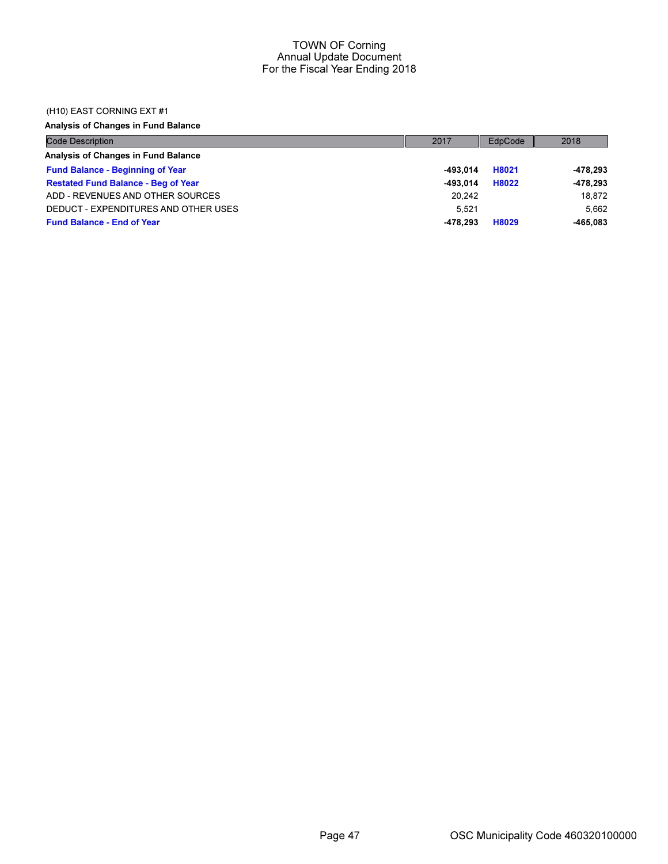### (H10) EAST CORNING EXT #1

Analysis of Changes in Fund Balance

| Code Description                           | 2017     | EdpCode | 2018     |
|--------------------------------------------|----------|---------|----------|
| Analysis of Changes in Fund Balance        |          |         |          |
| <b>Fund Balance - Beginning of Year</b>    | -493.014 | H8021   | -478,293 |
| <b>Restated Fund Balance - Beg of Year</b> | -493.014 | H8022   | -478,293 |
| ADD - REVENUES AND OTHER SOURCES           | 20.242   |         | 18.872   |
| DEDUCT - EXPENDITURES AND OTHER USES       | 5.521    |         | 5.662    |
| <b>Fund Balance - End of Year</b>          | -478.293 | H8029   | -465.083 |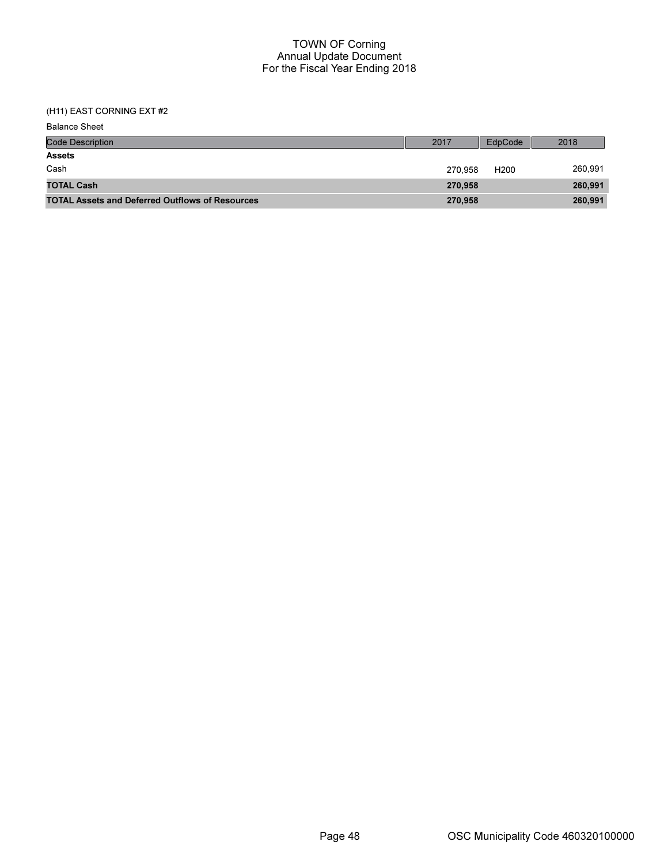| <b>Balance Sheet</b>                                   |         |                  |         |
|--------------------------------------------------------|---------|------------------|---------|
| <b>Code Description</b>                                | 2017    | EdpCode          | 2018    |
| <b>Assets</b>                                          |         |                  |         |
| Cash                                                   | 270.958 | H <sub>200</sub> | 260,991 |
| <b>TOTAL Cash</b>                                      | 270.958 |                  | 260,991 |
| <b>TOTAL Assets and Deferred Outflows of Resources</b> | 270,958 |                  | 260,991 |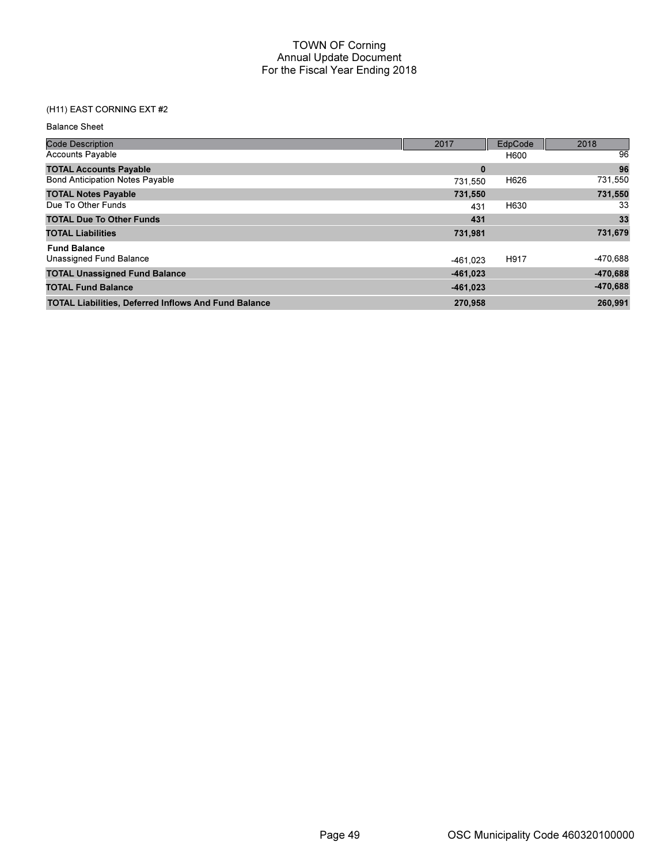| <b>Balance Sheet</b> |  |
|----------------------|--|
|----------------------|--|

| <b>Code Description</b>                                     | 2017       | EdpCode | 2018       |
|-------------------------------------------------------------|------------|---------|------------|
| <b>Accounts Payable</b>                                     |            | H600    | 96         |
| <b>TOTAL Accounts Payable</b>                               | $\bf{0}$   |         | 96         |
| <b>Bond Anticipation Notes Payable</b>                      | 731.550    | H626    | 731,550    |
| <b>TOTAL Notes Payable</b>                                  | 731,550    |         | 731,550    |
| Due To Other Funds                                          | 431        | H630    | 33         |
| <b>TOTAL Due To Other Funds</b>                             | 431        |         | 33         |
| <b>TOTAL Liabilities</b>                                    | 731,981    |         | 731,679    |
| <b>Fund Balance</b>                                         |            |         |            |
| Unassigned Fund Balance                                     | $-461.023$ | H917    | -470,688   |
| <b>TOTAL Unassigned Fund Balance</b>                        | $-461,023$ |         | $-470,688$ |
| <b>TOTAL Fund Balance</b>                                   | $-461,023$ |         | $-470,688$ |
| <b>TOTAL Liabilities, Deferred Inflows And Fund Balance</b> | 270,958    |         | 260,991    |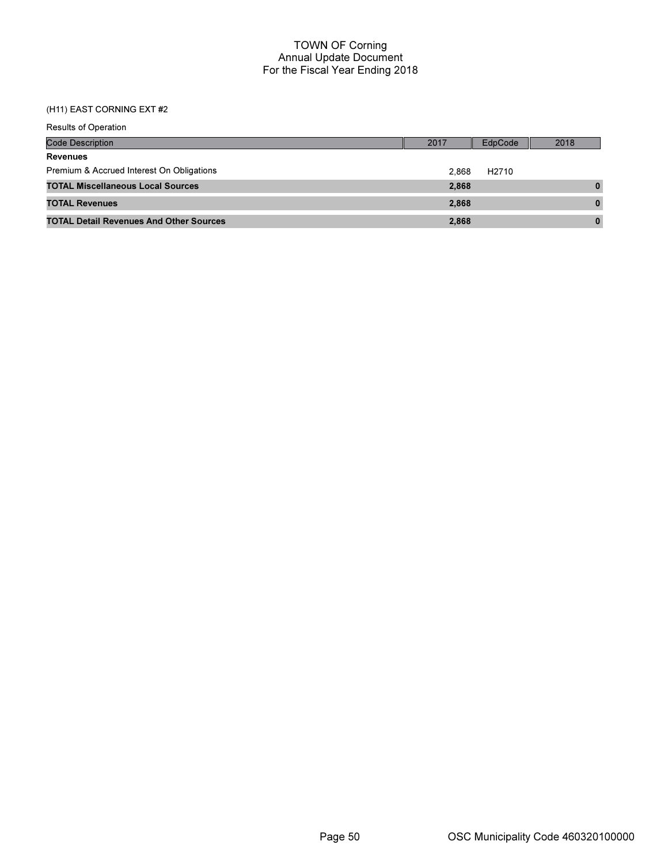| <b>Results of Operation</b>                    |       |                   |          |
|------------------------------------------------|-------|-------------------|----------|
| <b>Code Description</b>                        | 2017  | EdpCode           | 2018     |
| <b>Revenues</b>                                |       |                   |          |
| Premium & Accrued Interest On Obligations      | 2.868 | H <sub>2710</sub> |          |
| <b>TOTAL Miscellaneous Local Sources</b>       | 2,868 |                   | $\bf{0}$ |
| <b>TOTAL Revenues</b>                          | 2.868 |                   | $\bf{0}$ |
| <b>TOTAL Detail Revenues And Other Sources</b> | 2,868 |                   | $\bf{0}$ |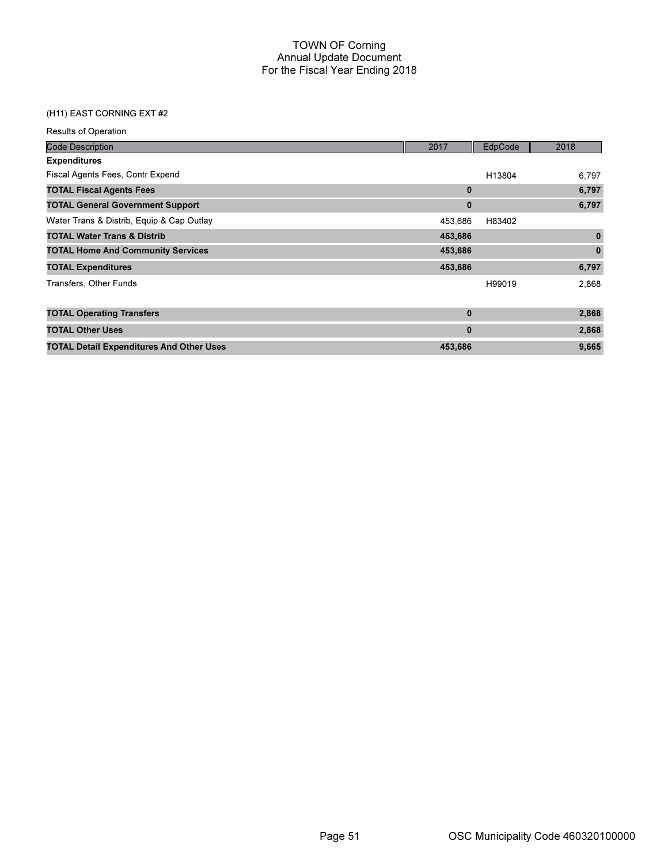| <b>Results of Operation</b>                     |          |         |              |
|-------------------------------------------------|----------|---------|--------------|
| <b>Code Description</b>                         | 2017     | EdpCode | 2018         |
| <b>Expenditures</b>                             |          |         |              |
| Fiscal Agents Fees, Contr Expend                |          | H13804  | 6,797        |
| <b>TOTAL Fiscal Agents Fees</b>                 | $\bf{0}$ |         | 6,797        |
| <b>TOTAL General Government Support</b>         | $\bf{0}$ |         | 6,797        |
| Water Trans & Distrib, Equip & Cap Outlay       | 453,686  | H83402  |              |
| <b>TOTAL Water Trans &amp; Distrib</b>          | 453,686  |         | $\bf{0}$     |
| <b>TOTAL Home And Community Services</b>        | 453,686  |         | $\mathbf{0}$ |
| <b>TOTAL Expenditures</b>                       | 453,686  |         | 6,797        |
| Transfers, Other Funds                          |          | H99019  | 2,868        |
| <b>TOTAL Operating Transfers</b>                | $\bf{0}$ |         | 2,868        |
| <b>TOTAL Other Uses</b>                         | $\bf{0}$ |         | 2,868        |
| <b>TOTAL Detail Expenditures And Other Uses</b> | 453,686  |         | 9,665        |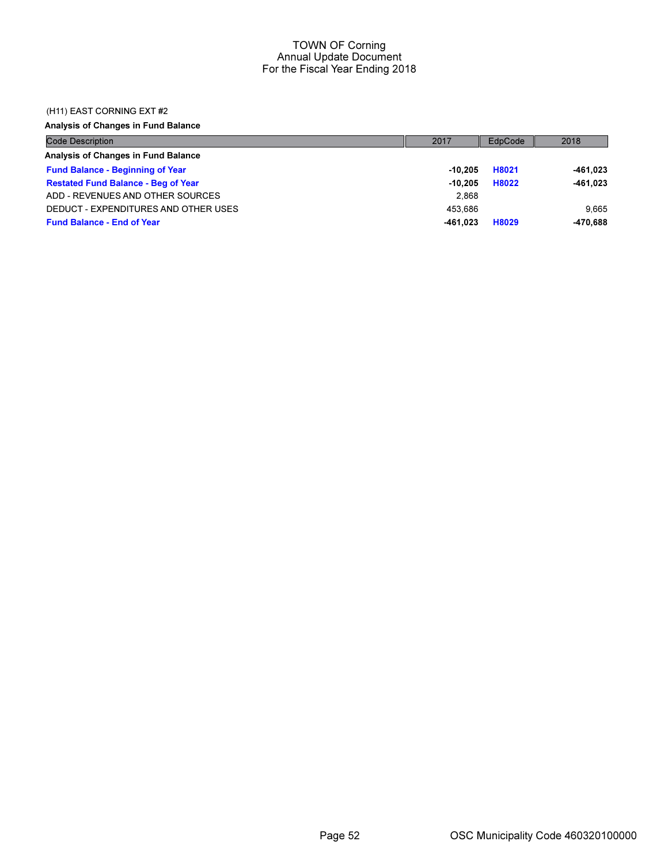### (H11) EAST CORNING EXT #2

Analysis of Changes in Fund Balance

| <b>Code Description</b>                    | 2017      | EdpCode | 2018     |
|--------------------------------------------|-----------|---------|----------|
| Analysis of Changes in Fund Balance        |           |         |          |
| <b>Fund Balance - Beginning of Year</b>    | -10.205   | H8021   | -461,023 |
| <b>Restated Fund Balance - Beg of Year</b> | $-10.205$ | H8022   | -461,023 |
| ADD - REVENUES AND OTHER SOURCES           | 2.868     |         |          |
| DEDUCT - EXPENDITURES AND OTHER USES       | 453.686   |         | 9.665    |
| <b>Fund Balance - End of Year</b>          | -461.023  | H8029   | -470.688 |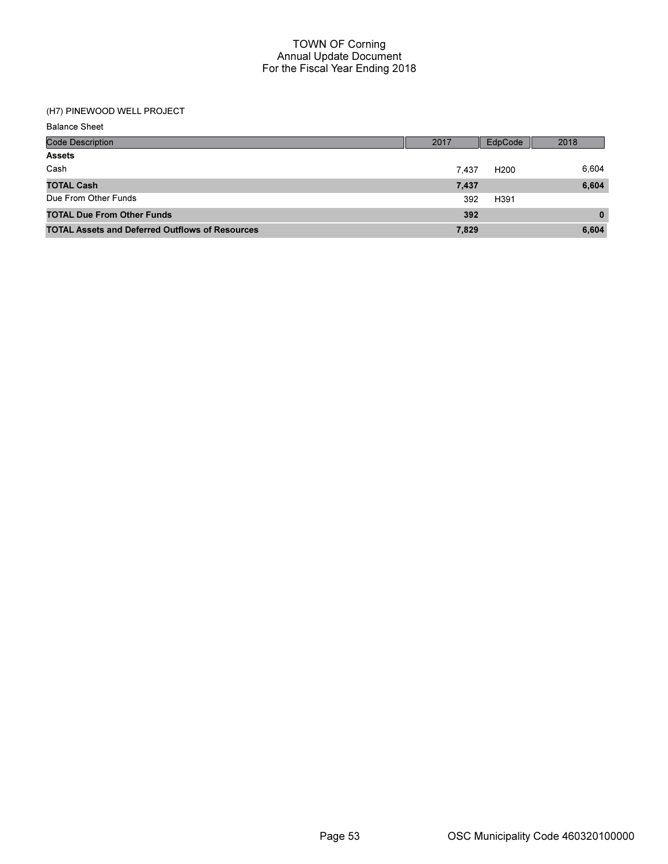# (H7) PINEWOOD WELL PROJECT

Balance Sheet

| <b>Code Description</b>                                | 2017  | EdpCode          | 2018         |
|--------------------------------------------------------|-------|------------------|--------------|
| <b>Assets</b>                                          |       |                  |              |
| Cash                                                   | 7.437 | H <sub>200</sub> | 6,604        |
| <b>TOTAL Cash</b>                                      | 7,437 |                  | 6,604        |
| Due From Other Funds                                   | 392   | H391             |              |
| <b>TOTAL Due From Other Funds</b>                      | 392   |                  | $\mathbf{0}$ |
| <b>TOTAL Assets and Deferred Outflows of Resources</b> | 7,829 |                  | 6,604        |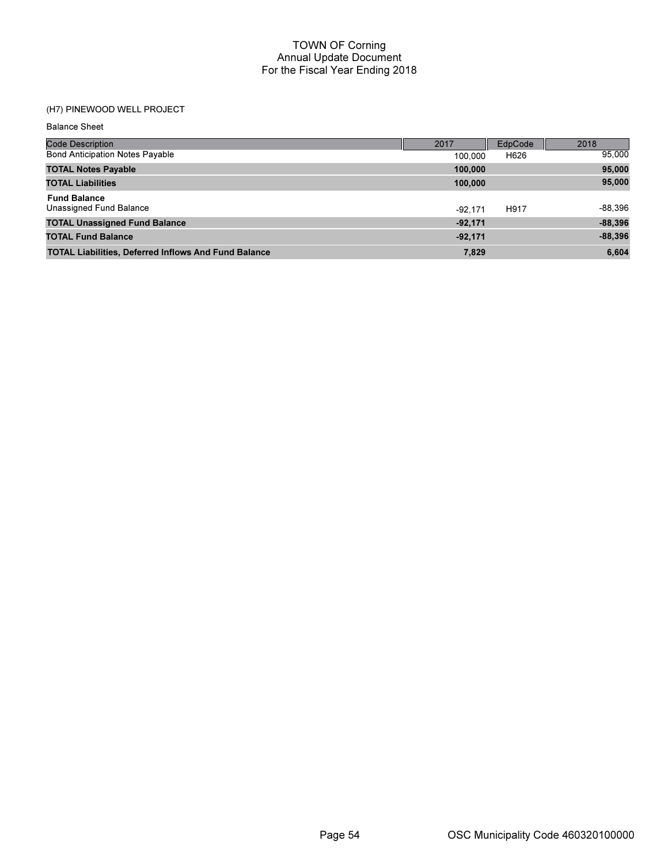## (H7) PINEWOOD WELL PROJECT

| <b>Balance Sheet</b>                                        |           |         |           |
|-------------------------------------------------------------|-----------|---------|-----------|
| Code Description                                            | 2017      | EdpCode | 2018      |
| <b>Bond Anticipation Notes Payable</b>                      | 100,000   | H626    | 95,000    |
| <b>TOTAL Notes Payable</b>                                  | 100,000   |         | 95,000    |
| <b>TOTAL Liabilities</b>                                    | 100,000   |         | 95,000    |
| <b>Fund Balance</b><br>Unassigned Fund Balance              | $-92.171$ | H917    | -88,396   |
| <b>TOTAL Unassigned Fund Balance</b>                        | $-92,171$ |         | $-88,396$ |
| <b>TOTAL Fund Balance</b>                                   | $-92,171$ |         | $-88,396$ |
| <b>TOTAL Liabilities, Deferred Inflows And Fund Balance</b> | 7,829     |         | 6,604     |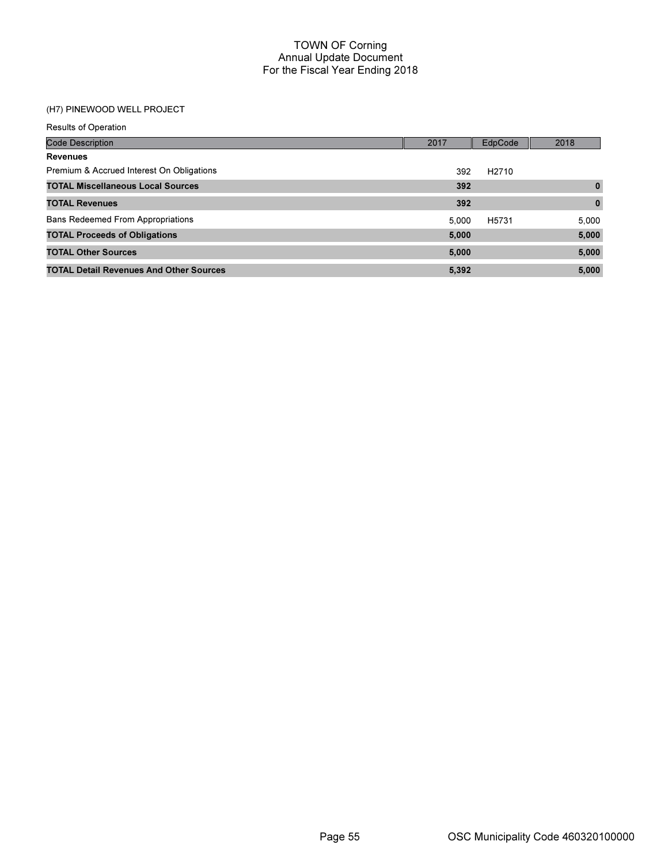## (H7) PINEWOOD WELL PROJECT

| <b>Results of Operation</b>                    |       |                   |              |
|------------------------------------------------|-------|-------------------|--------------|
| <b>Code Description</b>                        | 2017  | EdpCode           | 2018         |
| <b>Revenues</b>                                |       |                   |              |
| Premium & Accrued Interest On Obligations      | 392   | H <sub>2710</sub> |              |
| <b>TOTAL Miscellaneous Local Sources</b>       | 392   |                   | $\mathbf{0}$ |
| <b>TOTAL Revenues</b>                          | 392   |                   | $\mathbf{0}$ |
| <b>Bans Redeemed From Appropriations</b>       | 5.000 | H5731             | 5,000        |
| <b>TOTAL Proceeds of Obligations</b>           | 5,000 |                   | 5,000        |
| <b>TOTAL Other Sources</b>                     | 5,000 |                   | 5,000        |
| <b>TOTAL Detail Revenues And Other Sources</b> | 5,392 |                   | 5,000        |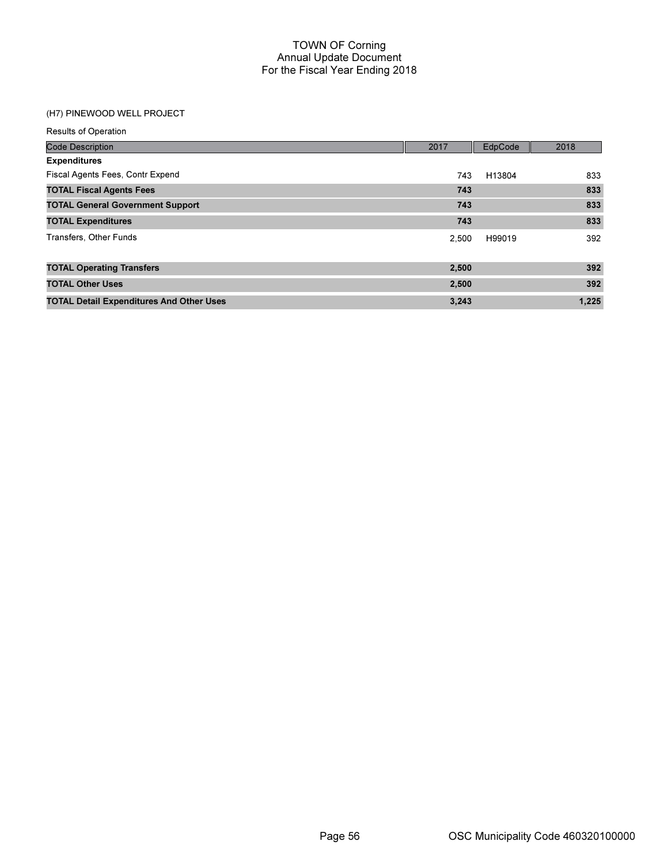# (H7) PINEWOOD WELL PROJECT

| <b>Results of Operation</b>                     |       |         |       |
|-------------------------------------------------|-------|---------|-------|
| <b>Code Description</b>                         | 2017  | EdpCode | 2018  |
| <b>Expenditures</b>                             |       |         |       |
| Fiscal Agents Fees, Contr Expend                | 743   | H13804  | 833   |
| <b>TOTAL Fiscal Agents Fees</b>                 | 743   |         | 833   |
| <b>TOTAL General Government Support</b>         | 743   |         | 833   |
| <b>TOTAL Expenditures</b>                       | 743   |         | 833   |
| Transfers, Other Funds                          | 2.500 | H99019  | 392   |
| <b>TOTAL Operating Transfers</b>                | 2,500 |         | 392   |
| <b>TOTAL Other Uses</b>                         | 2,500 |         | 392   |
| <b>TOTAL Detail Expenditures And Other Uses</b> | 3,243 |         | 1,225 |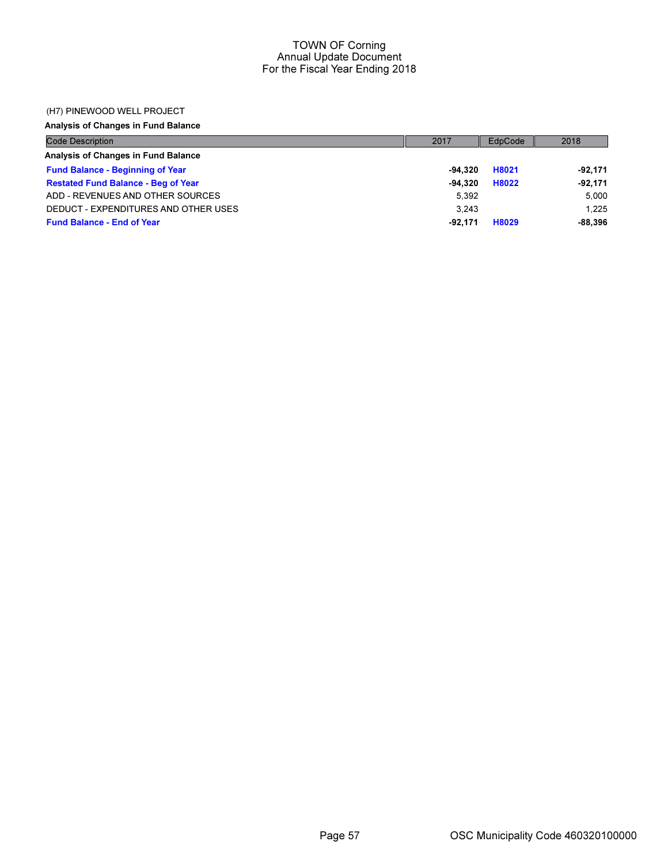### (H7) PINEWOOD WELL PROJECT

Analysis of Changes in Fund Balance

| <b>Code Description</b>                    | 2017      | EdpCode | 2018      |
|--------------------------------------------|-----------|---------|-----------|
| Analysis of Changes in Fund Balance        |           |         |           |
| <b>Fund Balance - Beginning of Year</b>    | -94.320   | H8021   | -92,171   |
| <b>Restated Fund Balance - Beg of Year</b> | $-94.320$ | H8022   | -92.171   |
| ADD - REVENUES AND OTHER SOURCES           | 5.392     |         | 5.000     |
| DEDUCT - EXPENDITURES AND OTHER USES       | 3.243     |         | 1.225     |
| <b>Fund Balance - End of Year</b>          | -92.171   | H8029   | $-88.396$ |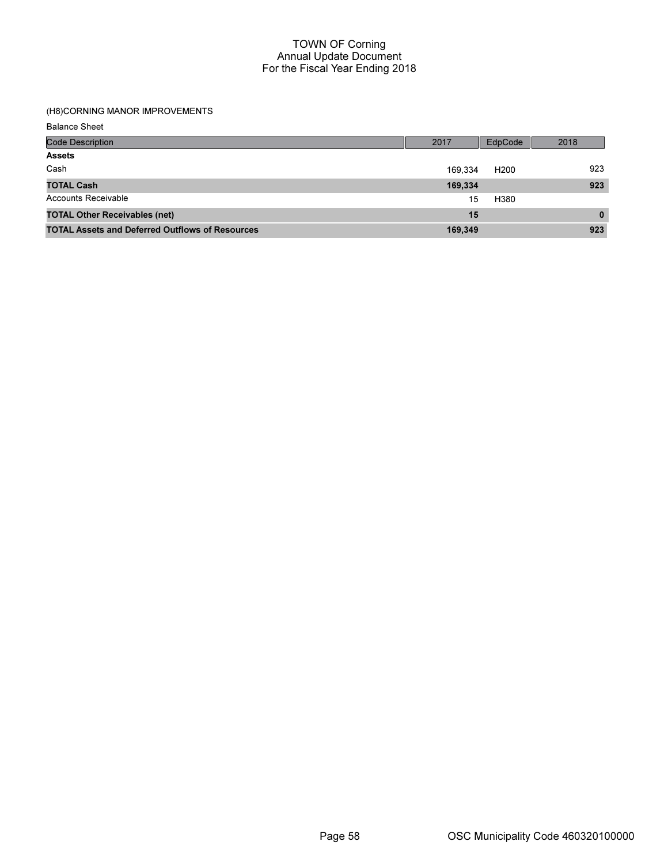### (H8)CORNING MANOR IMPROVEMENTS

| <b>Balance Sheet</b>                                   |         |                  |          |
|--------------------------------------------------------|---------|------------------|----------|
| <b>Code Description</b>                                | 2017    | <b>EdpCode</b>   | 2018     |
| <b>Assets</b>                                          |         |                  |          |
| Cash                                                   | 169,334 | H <sub>200</sub> | 923      |
| <b>TOTAL Cash</b>                                      | 169,334 |                  | 923      |
| Accounts Receivable                                    | 15      | H380             |          |
| <b>TOTAL Other Receivables (net)</b>                   | 15      |                  | $\bf{0}$ |
| <b>TOTAL Assets and Deferred Outflows of Resources</b> | 169,349 |                  | 923      |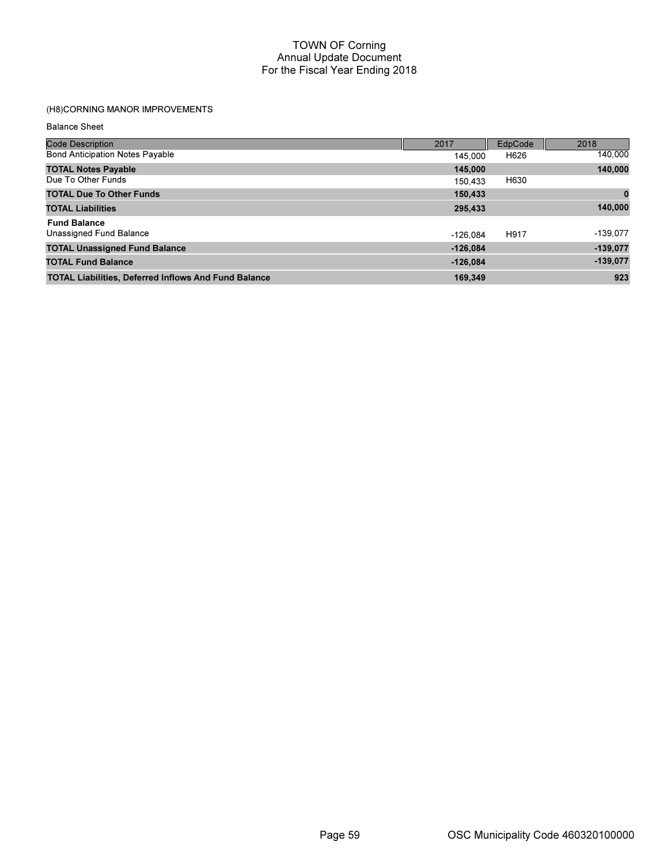# (H8)CORNING MANOR IMPROVEMENTS

| <b>Balance Sheet</b> |  |
|----------------------|--|
|----------------------|--|

| <b>Code Description</b>                                     | 2017       | EdpCode | 2018        |
|-------------------------------------------------------------|------------|---------|-------------|
| <b>Bond Anticipation Notes Payable</b>                      | 145.000    | H626    | 140,000     |
| <b>TOTAL Notes Payable</b>                                  | 145,000    |         | 140,000     |
| Due To Other Funds                                          | 150.433    | H630    |             |
| <b>TOTAL Due To Other Funds</b>                             | 150,433    |         | $\mathbf 0$ |
| <b>TOTAL Liabilities</b>                                    | 295,433    |         | 140,000     |
| <b>Fund Balance</b>                                         |            |         |             |
| Unassigned Fund Balance                                     | $-126.084$ | H917    | $-139.077$  |
| <b>TOTAL Unassigned Fund Balance</b>                        | $-126.084$ |         | $-139,077$  |
| <b>TOTAL Fund Balance</b>                                   | $-126.084$ |         | $-139,077$  |
| <b>TOTAL Liabilities, Deferred Inflows And Fund Balance</b> | 169.349    |         | 923         |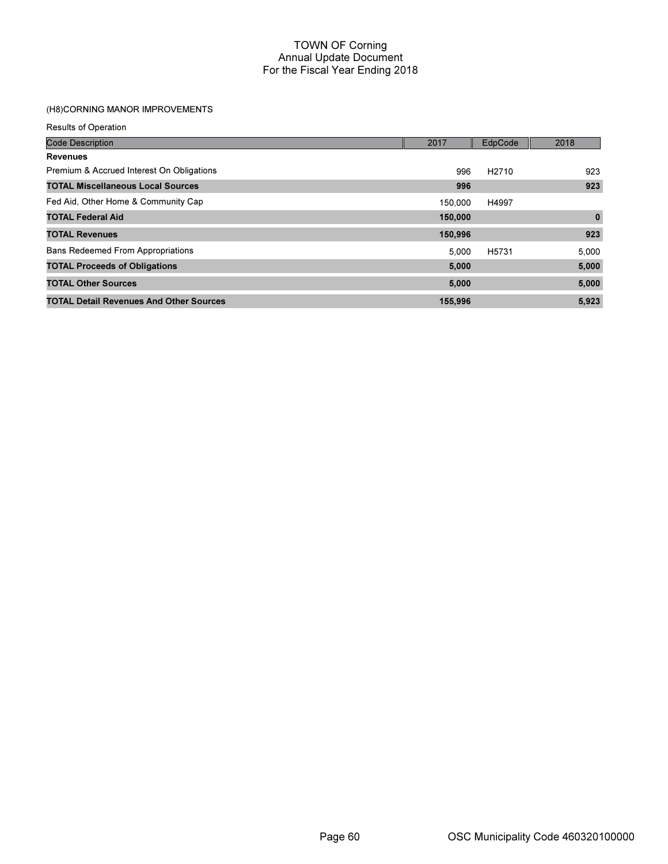# (H8)CORNING MANOR IMPROVEMENTS

Results of Operation

| <b>Code Description</b>                        | 2017    | EdpCode           | 2018         |
|------------------------------------------------|---------|-------------------|--------------|
| <b>Revenues</b>                                |         |                   |              |
| Premium & Accrued Interest On Obligations      | 996     | H <sub>2710</sub> | 923          |
| <b>TOTAL Miscellaneous Local Sources</b>       | 996     |                   | 923          |
| Fed Aid, Other Home & Community Cap            | 150,000 | H4997             |              |
| <b>TOTAL Federal Aid</b>                       | 150,000 |                   | $\mathbf{0}$ |
| <b>TOTAL Revenues</b>                          | 150,996 |                   | 923          |
| <b>Bans Redeemed From Appropriations</b>       | 5.000   | H5731             | 5,000        |
| <b>TOTAL Proceeds of Obligations</b>           | 5,000   |                   | 5,000        |
| <b>TOTAL Other Sources</b>                     | 5,000   |                   | 5,000        |
| <b>TOTAL Detail Revenues And Other Sources</b> | 155,996 |                   | 5,923        |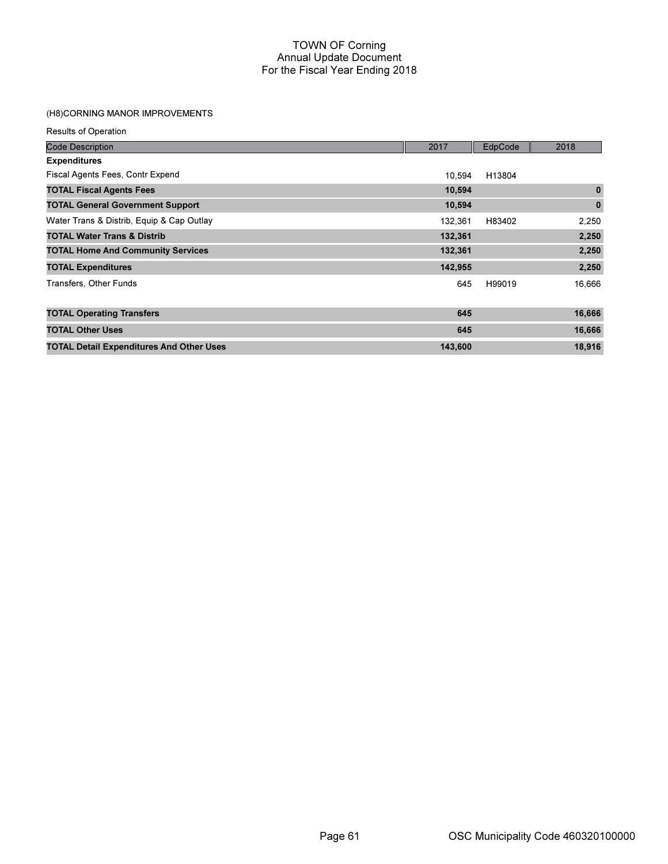## (H8)CORNING MANOR IMPROVEMENTS

| <b>Results of Operation</b>                     |         |         |              |
|-------------------------------------------------|---------|---------|--------------|
| <b>Code Description</b>                         | 2017    | EdpCode | 2018         |
| <b>Expenditures</b>                             |         |         |              |
| Fiscal Agents Fees, Contr Expend                | 10.594  | H13804  |              |
| <b>TOTAL Fiscal Agents Fees</b>                 | 10,594  |         | $\mathbf{0}$ |
| <b>TOTAL General Government Support</b>         | 10,594  |         | $\bf{0}$     |
| Water Trans & Distrib, Equip & Cap Outlay       | 132,361 | H83402  | 2,250        |
| <b>TOTAL Water Trans &amp; Distrib</b>          | 132,361 |         | 2,250        |
| <b>TOTAL Home And Community Services</b>        | 132,361 |         | 2,250        |
| <b>TOTAL Expenditures</b>                       | 142,955 |         | 2,250        |
| Transfers, Other Funds                          | 645     | H99019  | 16,666       |
| <b>TOTAL Operating Transfers</b>                | 645     |         | 16,666       |
| <b>TOTAL Other Uses</b>                         | 645     |         | 16,666       |
| <b>TOTAL Detail Expenditures And Other Uses</b> | 143,600 |         | 18,916       |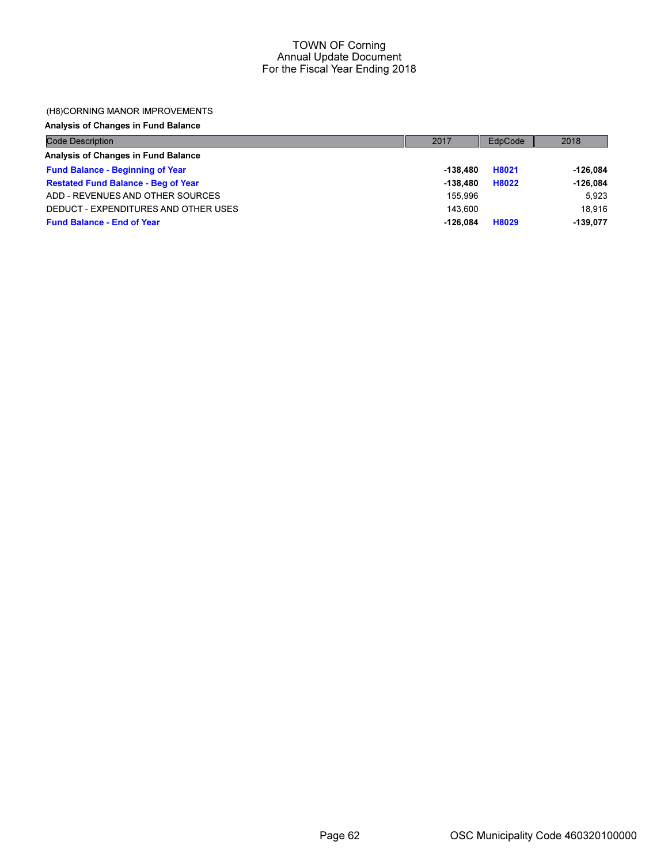### (H8)CORNING MANOR IMPROVEMENTS

Analysis of Changes in Fund Balance

| Code Description                           | 2017       | EdpCode | 2018       |
|--------------------------------------------|------------|---------|------------|
| Analysis of Changes in Fund Balance        |            |         |            |
| <b>Fund Balance - Beginning of Year</b>    | -138.480   | H8021   | -126.084   |
| <b>Restated Fund Balance - Beg of Year</b> | $-138.480$ | H8022   | $-126,084$ |
| ADD - REVENUES AND OTHER SOURCES           | 155.996    |         | 5.923      |
| DEDUCT - EXPENDITURES AND OTHER USES       | 143.600    |         | 18.916     |
| <b>Fund Balance - End of Year</b>          | $-126.084$ | H8029   | $-139.077$ |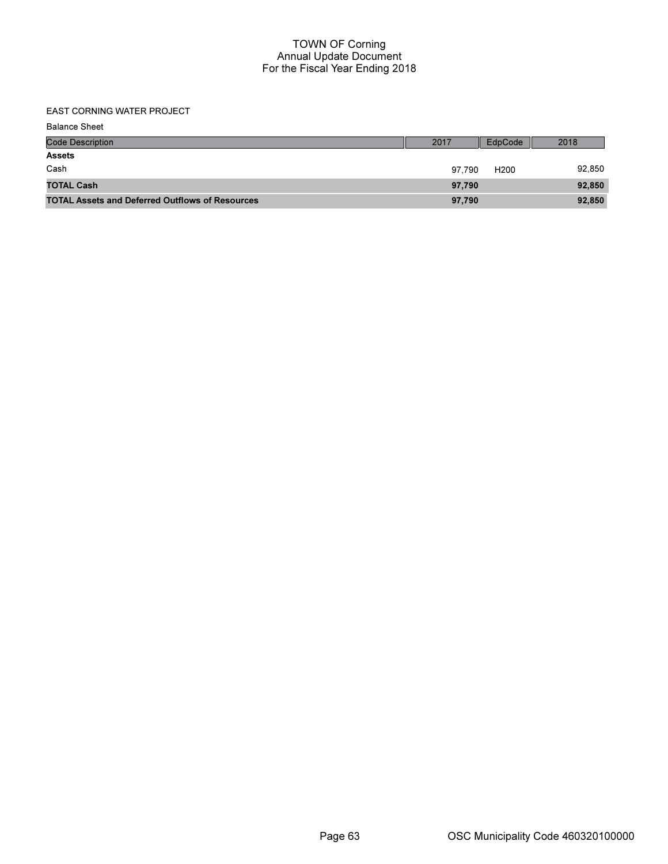EAST CORNING WATER PROJECT

| <b>Balance Sheet</b>                                   |        |                  |        |
|--------------------------------------------------------|--------|------------------|--------|
| <b>Code Description</b>                                | 2017   | EdpCode          | 2018   |
| <b>Assets</b>                                          |        |                  |        |
| Cash                                                   | 97.790 | H <sub>200</sub> | 92,850 |
| <b>TOTAL Cash</b>                                      | 97,790 |                  | 92,850 |
| <b>TOTAL Assets and Deferred Outflows of Resources</b> | 97,790 |                  | 92,850 |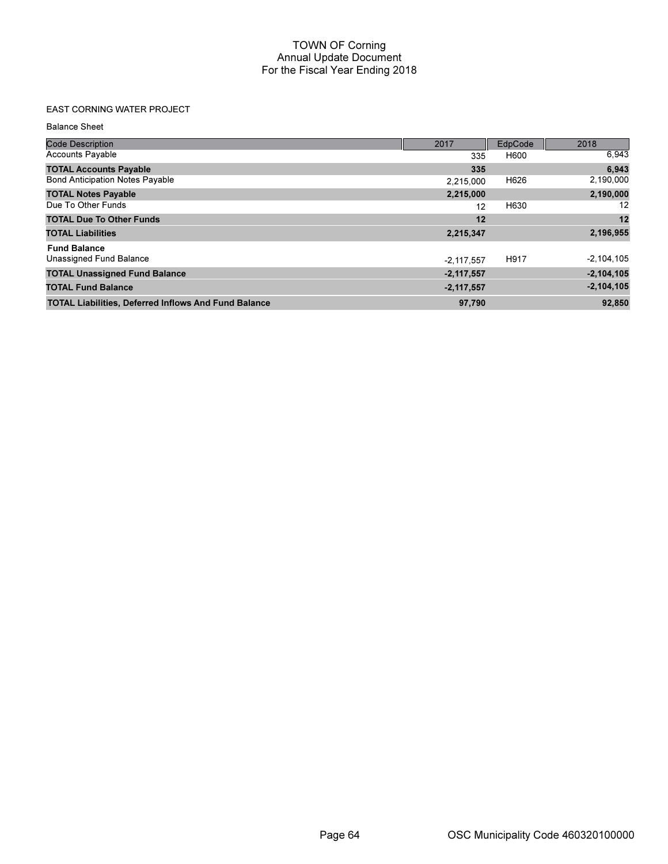## EAST CORNING WATER PROJECT

Balance Sheet

| <b>Code Description</b>                                     | 2017         | EdpCode | 2018           |
|-------------------------------------------------------------|--------------|---------|----------------|
| <b>Accounts Payable</b>                                     | 335          | H600    | 6,943          |
| <b>TOTAL Accounts Payable</b>                               | 335          |         | 6,943          |
| <b>Bond Anticipation Notes Payable</b>                      | 2.215.000    | H626    | 2,190,000      |
| <b>TOTAL Notes Payable</b>                                  | 2,215,000    |         | 2,190,000      |
| Due To Other Funds                                          | 12           | H630    | 12             |
| <b>TOTAL Due To Other Funds</b>                             | 12           |         | 12             |
| <b>TOTAL Liabilities</b>                                    | 2,215,347    |         | 2,196,955      |
| <b>Fund Balance</b>                                         |              |         |                |
| Unassigned Fund Balance                                     | $-2.117.557$ | H917    | $-2,104,105$   |
| <b>TOTAL Unassigned Fund Balance</b>                        | $-2,117,557$ |         | $-2,104,105$   |
| <b>TOTAL Fund Balance</b>                                   | $-2,117,557$ |         | $-2, 104, 105$ |
| <b>TOTAL Liabilities, Deferred Inflows And Fund Balance</b> | 97,790       |         | 92,850         |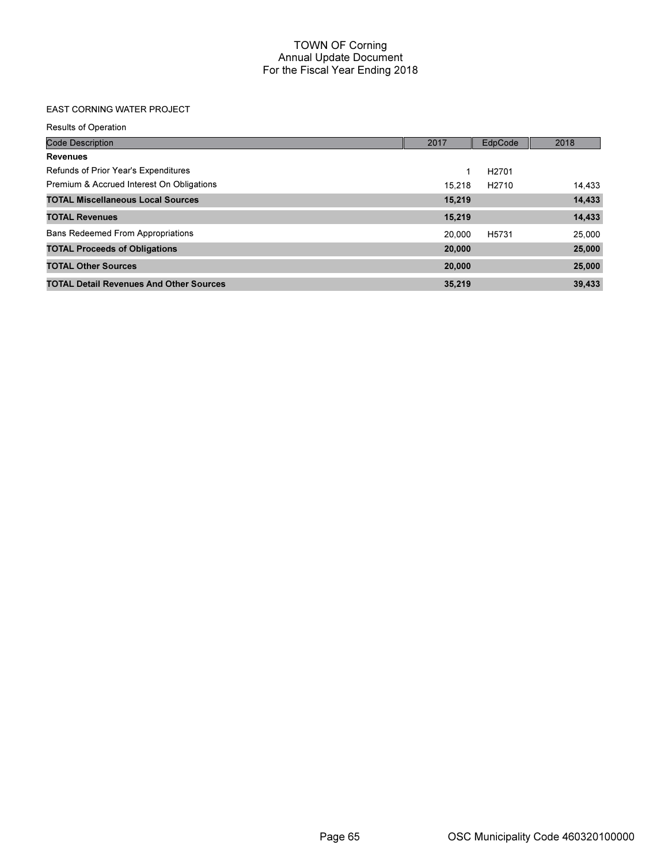# EAST CORNING WATER PROJECT

| <b>Results of Operation</b>                    |        |                   |        |
|------------------------------------------------|--------|-------------------|--------|
| <b>Code Description</b>                        | 2017   | EdpCode           | 2018   |
| <b>Revenues</b>                                |        |                   |        |
| Refunds of Prior Year's Expenditures           | 1      | H <sub>2701</sub> |        |
| Premium & Accrued Interest On Obligations      | 15.218 | H <sub>2710</sub> | 14,433 |
| <b>TOTAL Miscellaneous Local Sources</b>       | 15,219 |                   | 14,433 |
| <b>TOTAL Revenues</b>                          | 15,219 |                   | 14,433 |
| <b>Bans Redeemed From Appropriations</b>       | 20,000 | H5731             | 25,000 |
| <b>TOTAL Proceeds of Obligations</b>           | 20,000 |                   | 25,000 |
| <b>TOTAL Other Sources</b>                     | 20,000 |                   | 25,000 |
| <b>TOTAL Detail Revenues And Other Sources</b> | 35,219 |                   | 39,433 |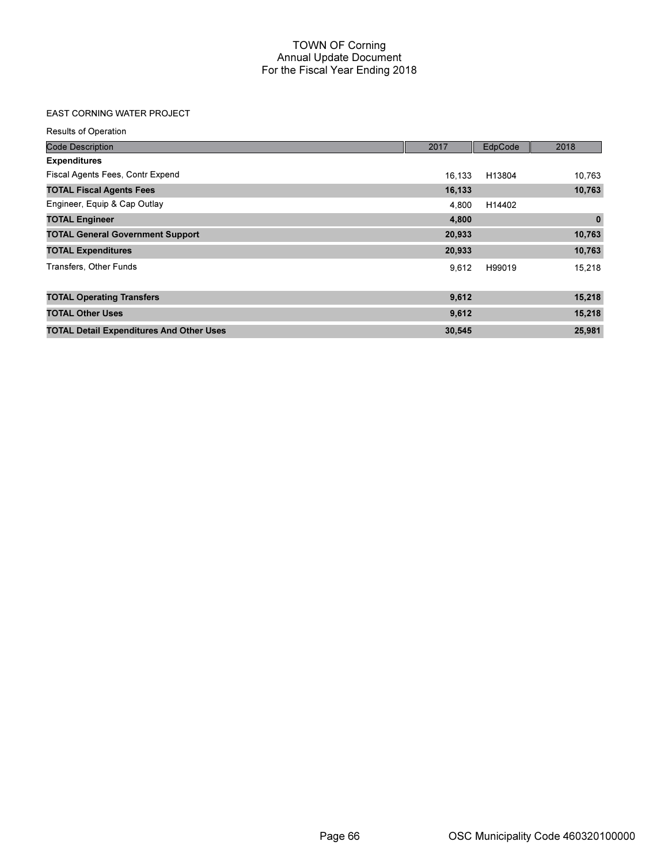## EAST CORNING WATER PROJECT

| <b>Results of Operation</b>                     |        |         |             |
|-------------------------------------------------|--------|---------|-------------|
| <b>Code Description</b>                         | 2017   | EdpCode | 2018        |
| <b>Expenditures</b>                             |        |         |             |
| Fiscal Agents Fees, Contr Expend                | 16,133 | H13804  | 10,763      |
| <b>TOTAL Fiscal Agents Fees</b>                 | 16,133 |         | 10,763      |
| Engineer, Equip & Cap Outlay                    | 4,800  | H14402  |             |
| <b>TOTAL Engineer</b>                           | 4,800  |         | $\mathbf 0$ |
| <b>TOTAL General Government Support</b>         | 20,933 |         | 10,763      |
| <b>TOTAL Expenditures</b>                       | 20,933 |         | 10,763      |
| Transfers, Other Funds                          | 9,612  | H99019  | 15,218      |
| <b>TOTAL Operating Transfers</b>                | 9,612  |         | 15,218      |
| <b>TOTAL Other Uses</b>                         | 9,612  |         | 15,218      |
| <b>TOTAL Detail Expenditures And Other Uses</b> | 30,545 |         | 25,981      |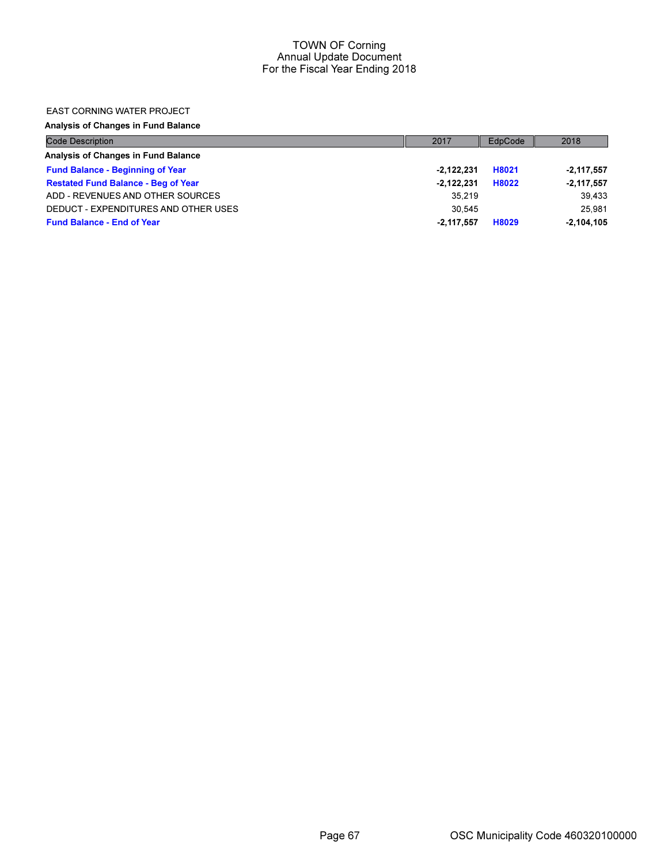### EAST CORNING WATER PROJECT

Analysis of Changes in Fund Balance

| <b>Code Description</b>                    | 2017         | EdpCode | 2018         |
|--------------------------------------------|--------------|---------|--------------|
| Analysis of Changes in Fund Balance        |              |         |              |
| <b>Fund Balance - Beginning of Year</b>    | $-2.122.231$ | H8021   | $-2,117,557$ |
| <b>Restated Fund Balance - Beg of Year</b> | $-2.122.231$ | H8022   | $-2,117,557$ |
| ADD - REVENUES AND OTHER SOURCES           | 35.219       |         | 39,433       |
| DEDUCT - EXPENDITURES AND OTHER USES       | 30.545       |         | 25.981       |
| <b>Fund Balance - End of Year</b>          | $-2.117.557$ | H8029   | $-2.104.105$ |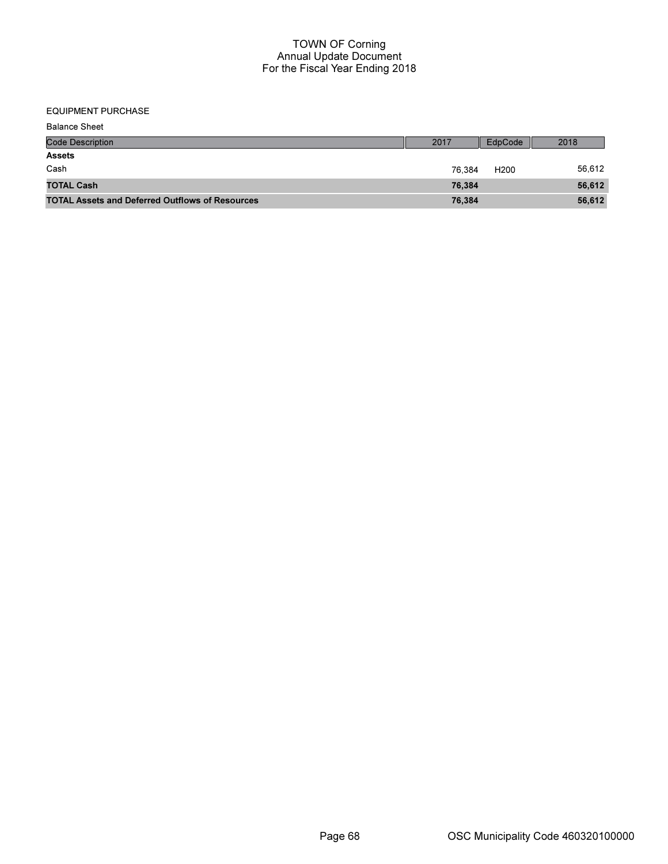### EQUIPMENT PURCHASE

| <b>Balance Sheet</b>                                   |        |                  |        |
|--------------------------------------------------------|--------|------------------|--------|
| <b>Code Description</b>                                | 2017   | EdpCode          | 2018   |
| <b>Assets</b>                                          |        |                  |        |
| Cash                                                   | 76.384 | H <sub>200</sub> | 56,612 |
| <b>TOTAL Cash</b>                                      | 76,384 |                  | 56,612 |
| <b>TOTAL Assets and Deferred Outflows of Resources</b> | 76,384 |                  | 56,612 |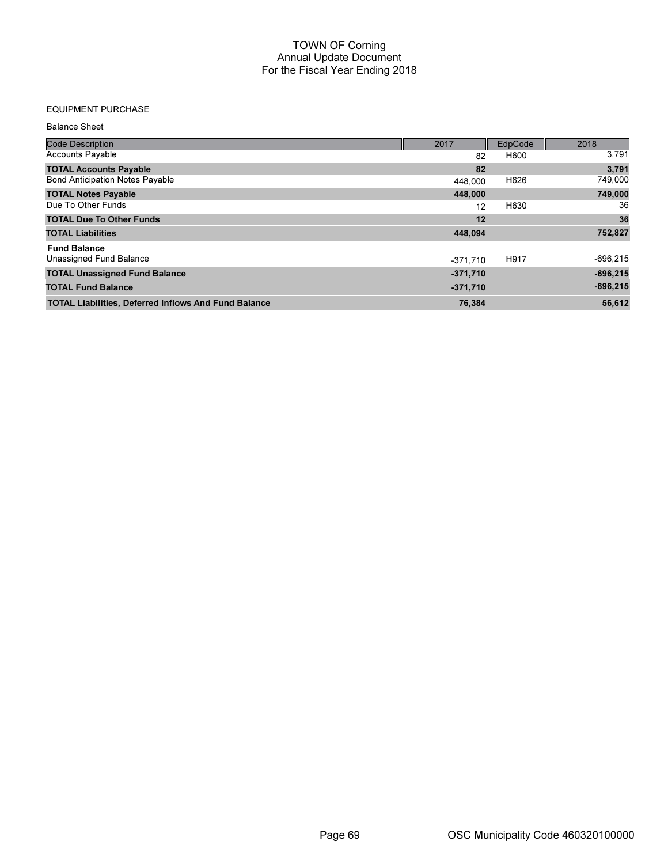## EQUIPMENT PURCHASE

Balance Sheet

| <b>Code Description</b>                                     | 2017       | EdpCode | 2018       |
|-------------------------------------------------------------|------------|---------|------------|
| <b>Accounts Payable</b>                                     | 82         | H600    | 3,791      |
| <b>TOTAL Accounts Payable</b>                               | 82         |         | 3,791      |
| <b>Bond Anticipation Notes Payable</b>                      | 448,000    | H626    | 749,000    |
| <b>TOTAL Notes Payable</b>                                  | 448,000    |         | 749,000    |
| Due To Other Funds                                          | 12         | H630    | 36         |
| <b>TOTAL Due To Other Funds</b>                             | 12         |         | 36         |
| <b>TOTAL Liabilities</b>                                    | 448,094    |         | 752,827    |
| <b>Fund Balance</b>                                         |            |         |            |
| Unassigned Fund Balance                                     | $-371.710$ | H917    | $-696,215$ |
| <b>TOTAL Unassigned Fund Balance</b>                        | $-371,710$ |         | $-696,215$ |
| <b>TOTAL Fund Balance</b>                                   | $-371,710$ |         | $-696,215$ |
| <b>TOTAL Liabilities, Deferred Inflows And Fund Balance</b> | 76,384     |         | 56.612     |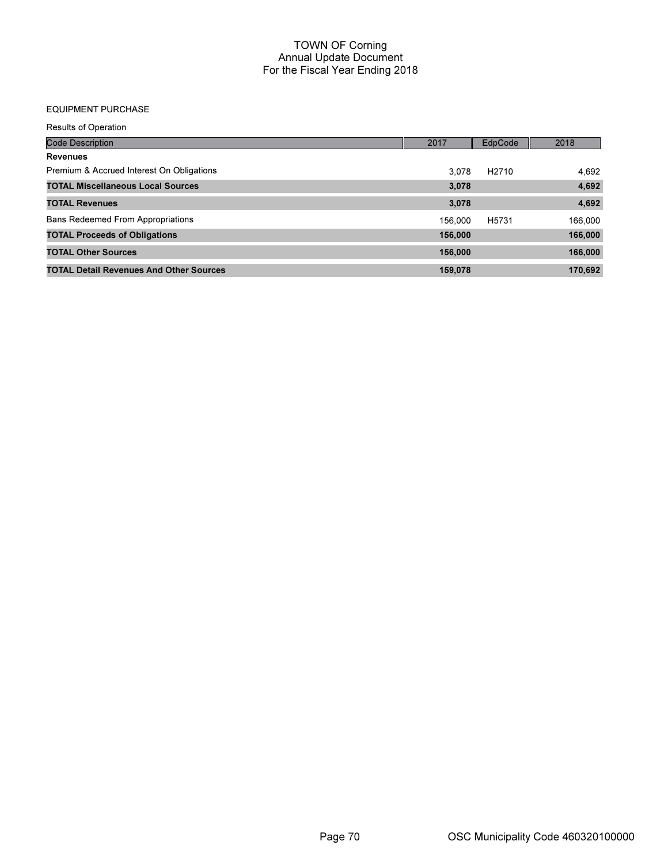## EQUIPMENT PURCHASE

Results of Operation

| <b>Code Description</b>                        | 2017    | EdpCode           | 2018    |
|------------------------------------------------|---------|-------------------|---------|
| <b>Revenues</b>                                |         |                   |         |
| Premium & Accrued Interest On Obligations      | 3.078   | H <sub>2710</sub> | 4,692   |
| <b>TOTAL Miscellaneous Local Sources</b>       | 3,078   |                   | 4,692   |
| <b>TOTAL Revenues</b>                          | 3,078   |                   | 4,692   |
| <b>Bans Redeemed From Appropriations</b>       | 156,000 | H <sub>5731</sub> | 166,000 |
| <b>TOTAL Proceeds of Obligations</b>           | 156,000 |                   | 166,000 |
| <b>TOTAL Other Sources</b>                     | 156,000 |                   | 166,000 |
| <b>TOTAL Detail Revenues And Other Sources</b> | 159,078 |                   | 170,692 |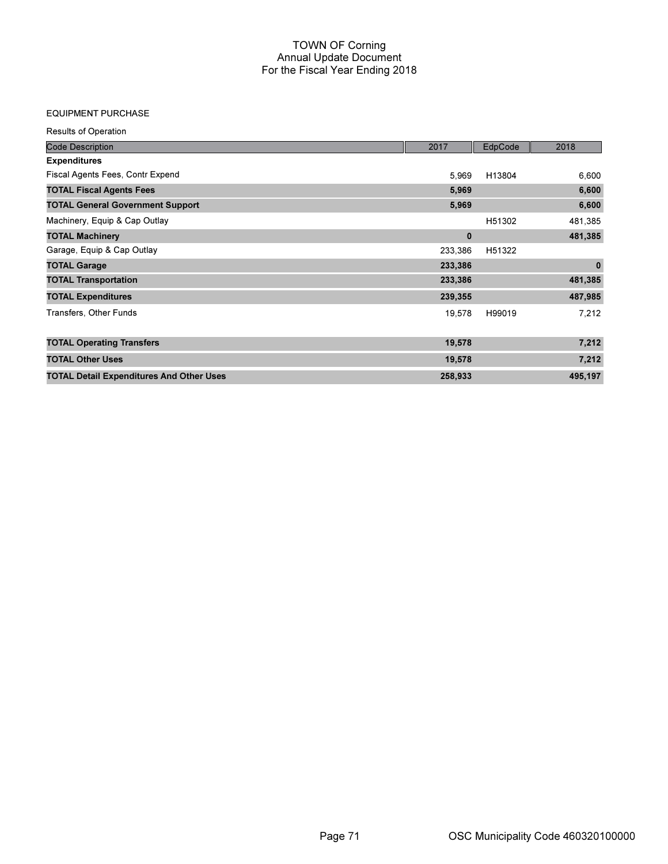#### EQUIPMENT PURCHASE

| <b>Results of Operation</b>                     |          |         |             |
|-------------------------------------------------|----------|---------|-------------|
| <b>Code Description</b>                         | 2017     | EdpCode | 2018        |
| <b>Expenditures</b>                             |          |         |             |
| Fiscal Agents Fees, Contr Expend                | 5,969    | H13804  | 6,600       |
| <b>TOTAL Fiscal Agents Fees</b>                 | 5,969    |         | 6,600       |
| <b>TOTAL General Government Support</b>         | 5,969    |         | 6,600       |
| Machinery, Equip & Cap Outlay                   |          | H51302  | 481,385     |
| <b>TOTAL Machinery</b>                          | $\bf{0}$ |         | 481,385     |
| Garage, Equip & Cap Outlay                      | 233,386  | H51322  |             |
| <b>TOTAL Garage</b>                             | 233,386  |         | $\mathbf 0$ |
| <b>TOTAL Transportation</b>                     | 233,386  |         | 481,385     |
| <b>TOTAL Expenditures</b>                       | 239,355  |         | 487,985     |
| Transfers, Other Funds                          | 19,578   | H99019  | 7,212       |
| <b>TOTAL Operating Transfers</b>                | 19,578   |         | 7,212       |
| <b>TOTAL Other Uses</b>                         | 19,578   |         | 7,212       |
| <b>TOTAL Detail Expenditures And Other Uses</b> | 258,933  |         | 495,197     |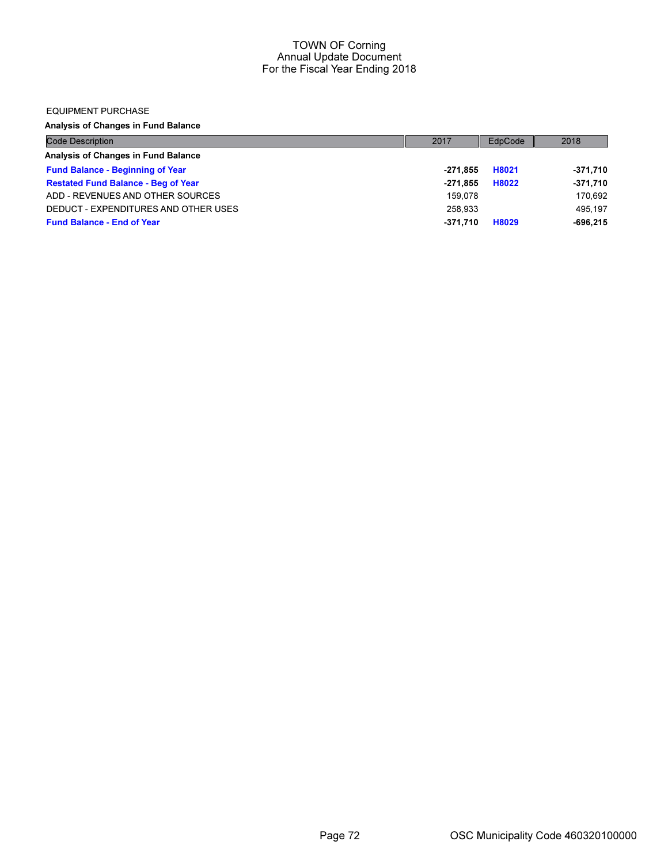#### EQUIPMENT PURCHASE

Analysis of Changes in Fund Balance

| <b>Code Description</b>                    | 2017       | EdpCode | 2018       |
|--------------------------------------------|------------|---------|------------|
| Analysis of Changes in Fund Balance        |            |         |            |
| <b>Fund Balance - Beginning of Year</b>    | -271.855   | H8021   | -371,710   |
| <b>Restated Fund Balance - Beg of Year</b> | $-271.855$ | H8022   | $-371,710$ |
| ADD - REVENUES AND OTHER SOURCES           | 159.078    |         | 170.692    |
| DEDUCT - EXPENDITURES AND OTHER USES       | 258.933    |         | 495.197    |
| <b>Fund Balance - End of Year</b>          | -371.710   | H8029   | $-696.215$ |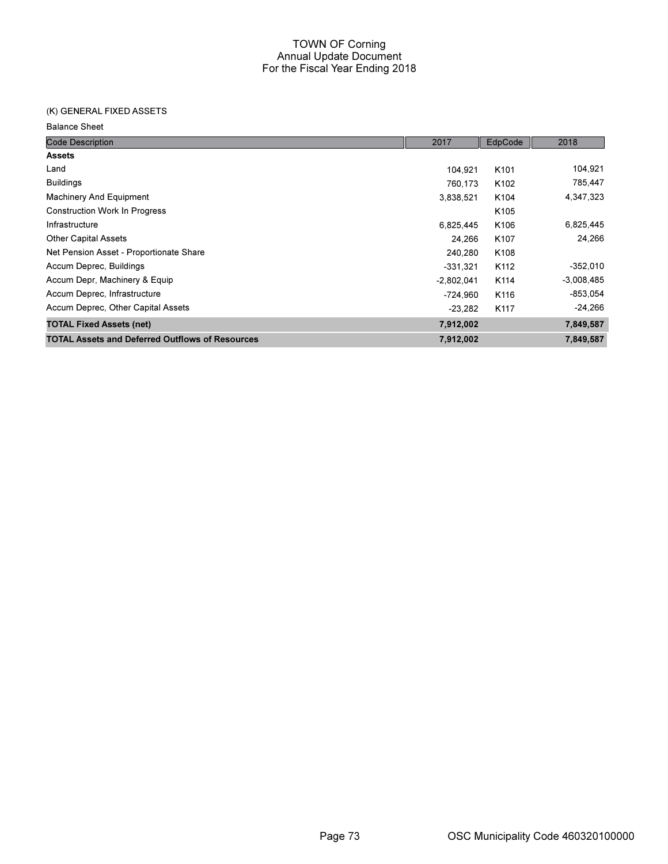# (K) GENERAL FIXED ASSETS

Balance Sheet

| <b>Code Description</b>                                | 2017         | EdpCode          | 2018         |
|--------------------------------------------------------|--------------|------------------|--------------|
| <b>Assets</b>                                          |              |                  |              |
| Land                                                   | 104.921      | K <sub>101</sub> | 104,921      |
| <b>Buildings</b>                                       | 760,173      | K <sub>102</sub> | 785,447      |
| <b>Machinery And Equipment</b>                         | 3,838,521    | K104             | 4,347,323    |
| <b>Construction Work In Progress</b>                   |              | K105             |              |
| Infrastructure                                         | 6,825,445    | K106             | 6,825,445    |
| <b>Other Capital Assets</b>                            | 24,266       | K <sub>107</sub> | 24,266       |
| Net Pension Asset - Proportionate Share                | 240,280      | K108             |              |
| Accum Deprec, Buildings                                | $-331.321$   | K <sub>112</sub> | $-352,010$   |
| Accum Depr, Machinery & Equip                          | $-2,802,041$ | K <sub>114</sub> | $-3,008,485$ |
| Accum Deprec, Infrastructure                           | $-724,960$   | K116             | $-853.054$   |
| Accum Deprec, Other Capital Assets                     | $-23.282$    | K <sub>117</sub> | $-24,266$    |
| <b>TOTAL Fixed Assets (net)</b>                        | 7,912,002    |                  | 7,849,587    |
| <b>TOTAL Assets and Deferred Outflows of Resources</b> | 7,912,002    |                  | 7,849,587    |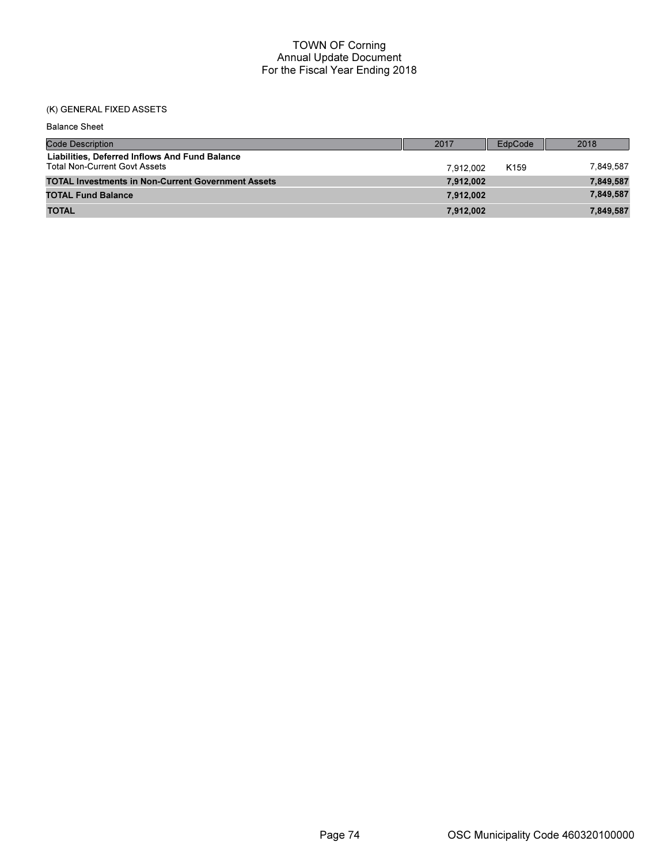# (K) GENERAL FIXED ASSETS

| <b>Balance Sheet</b>                                                                   |           |                  |           |
|----------------------------------------------------------------------------------------|-----------|------------------|-----------|
| <b>Code Description</b>                                                                | 2017      | EdpCode          | 2018      |
| Liabilities, Deferred Inflows And Fund Balance<br><b>Total Non-Current Govt Assets</b> | 7.912.002 | K <sub>159</sub> | 7.849.587 |
| <b>TOTAL Investments in Non-Current Government Assets</b>                              | 7,912,002 |                  | 7,849,587 |
| <b>TOTAL Fund Balance</b>                                                              | 7,912,002 |                  | 7,849,587 |
| <b>TOTAL</b>                                                                           | 7,912,002 |                  | 7,849,587 |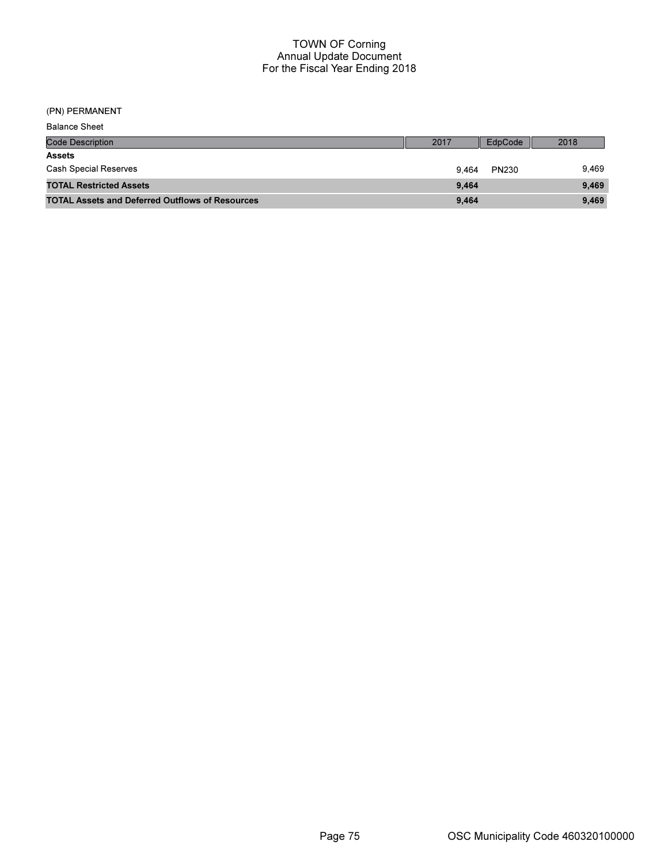(PN) PERMANENT

| <b>Balance Sheet</b>                                   |       |              |       |
|--------------------------------------------------------|-------|--------------|-------|
| <b>Code Description</b>                                | 2017  | EdpCode      | 2018  |
| <b>Assets</b>                                          |       |              |       |
| <b>Cash Special Reserves</b>                           | 9.464 | <b>PN230</b> | 9,469 |
| <b>TOTAL Restricted Assets</b>                         | 9.464 |              | 9,469 |
| <b>TOTAL Assets and Deferred Outflows of Resources</b> | 9,464 |              | 9,469 |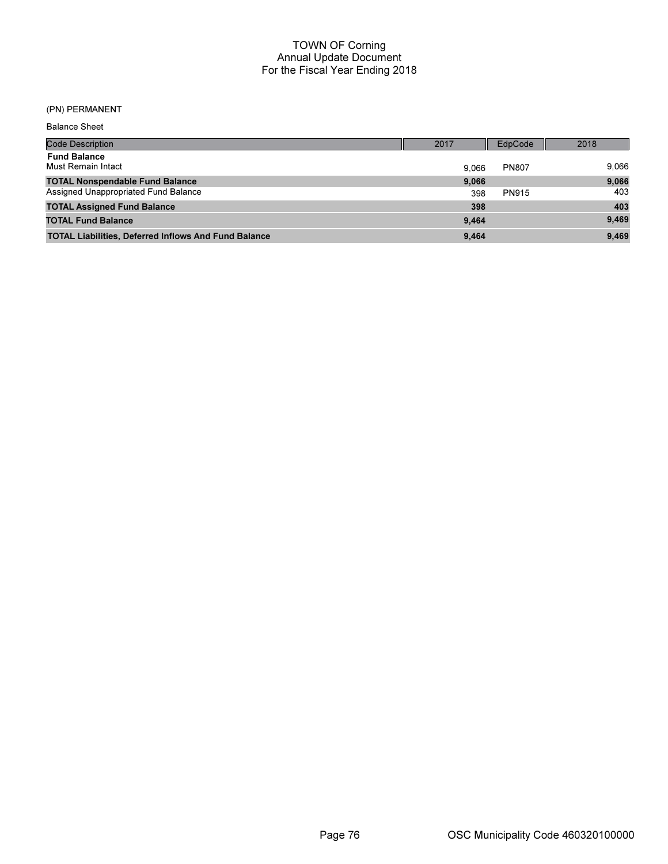### (PN) PERMANENT

| <b>Balance Sheet</b>                                        |       |              |       |
|-------------------------------------------------------------|-------|--------------|-------|
| Code Description                                            | 2017  | EdpCode      | 2018  |
| <b>Fund Balance</b><br>Must Remain Intact                   | 9.066 | <b>PN807</b> | 9,066 |
| <b>TOTAL Nonspendable Fund Balance</b>                      | 9.066 |              | 9,066 |
| Assigned Unappropriated Fund Balance                        | 398   | <b>PN915</b> | 403   |
| <b>TOTAL Assigned Fund Balance</b>                          | 398   |              | 403   |
| <b>TOTAL Fund Balance</b>                                   | 9.464 |              | 9,469 |
| <b>TOTAL Liabilities, Deferred Inflows And Fund Balance</b> | 9.464 |              | 9,469 |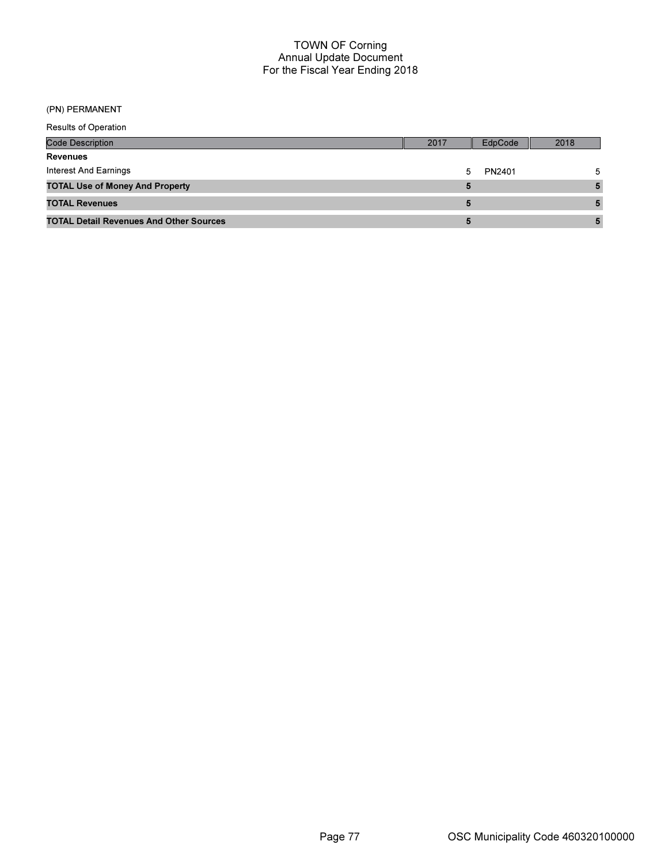# (PN) PERMANENT

| <b>Results of Operation</b>                    |      |         |      |
|------------------------------------------------|------|---------|------|
| Code Description                               | 2017 | EdpCode | 2018 |
| <b>Revenues</b>                                |      |         |      |
| <b>Interest And Earnings</b>                   | 5    | PN2401  | 5    |
| <b>TOTAL Use of Money And Property</b>         | 5    |         |      |
| <b>TOTAL Revenues</b>                          | 5    |         |      |
| <b>TOTAL Detail Revenues And Other Sources</b> | 5    |         |      |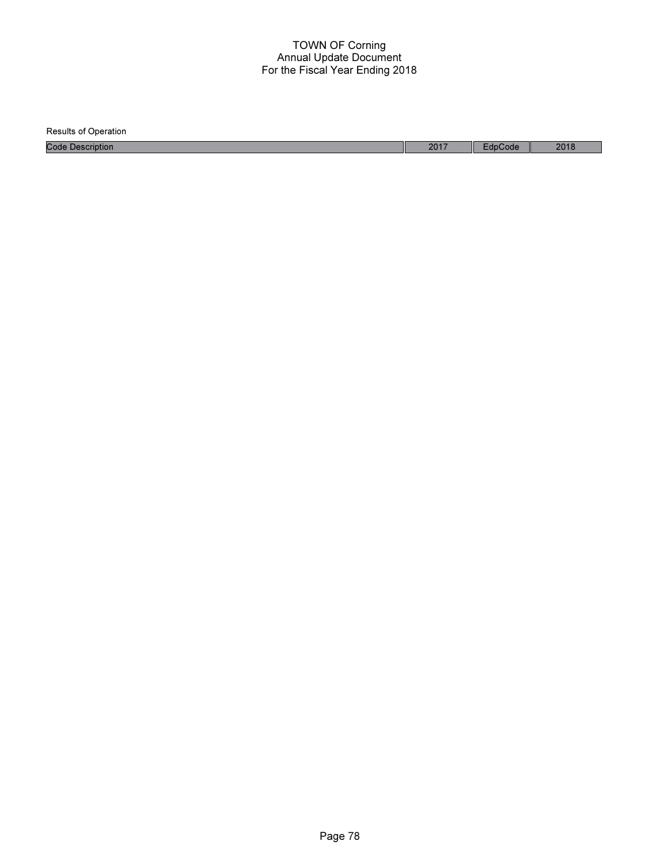| <b>Results of Operation</b> |      |         |      |
|-----------------------------|------|---------|------|
| <b>Code Description</b>     | 2017 | EdpCode | 2018 |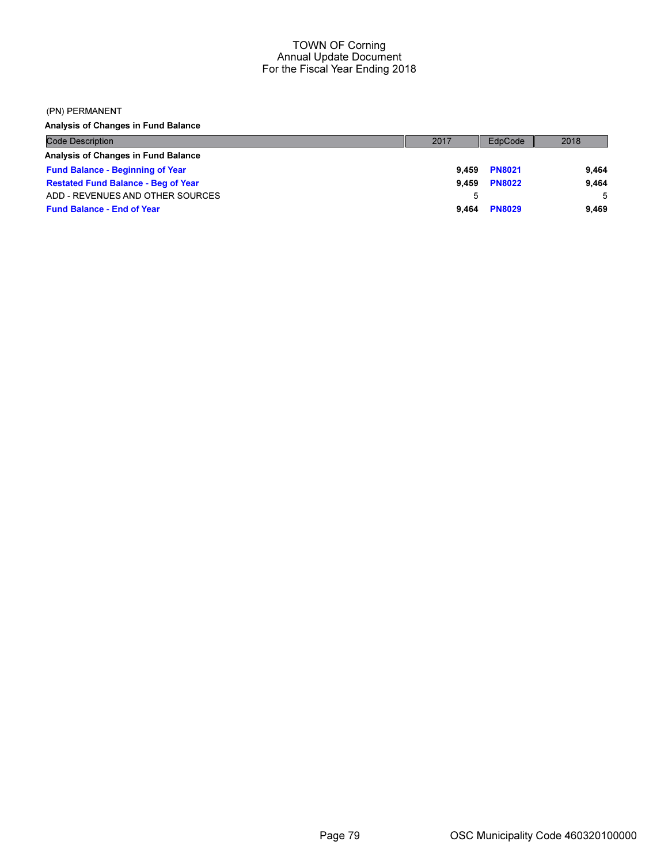#### (PN) PERMANENT

Analysis of Changes in Fund Balance

| <b>Code Description</b>                    | 2017  | EdpCode       | 2018  |
|--------------------------------------------|-------|---------------|-------|
| Analysis of Changes in Fund Balance        |       |               |       |
| <b>Fund Balance - Beginning of Year</b>    | 9.459 | <b>PN8021</b> | 9.464 |
| <b>Restated Fund Balance - Beg of Year</b> | 9.459 | <b>PN8022</b> | 9.464 |
| ADD - REVENUES AND OTHER SOURCES           |       |               | -5    |
| <b>Fund Balance - End of Year</b>          | 9.464 | <b>PN8029</b> | 9.469 |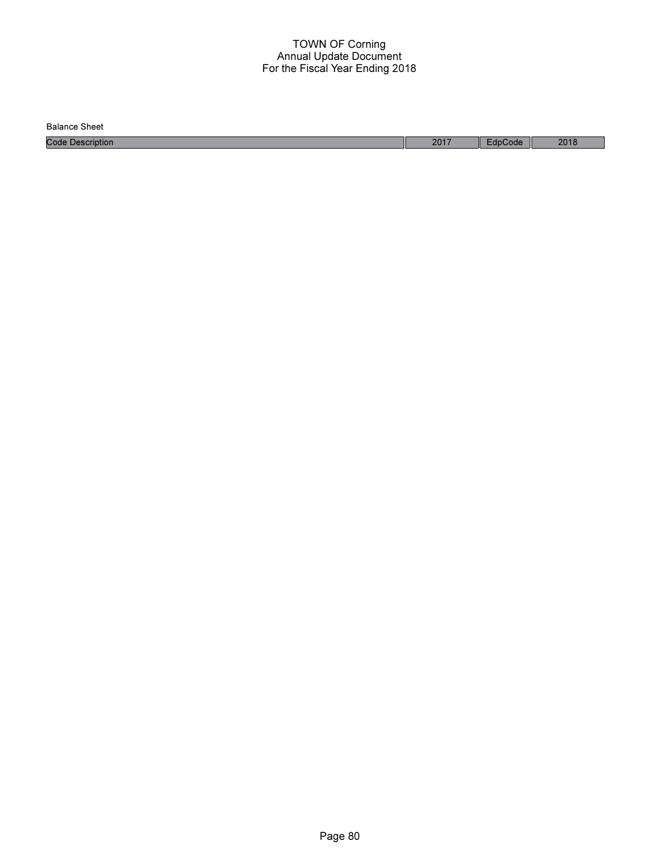Balance Sheet

Code Description 2017 EdpCode 2018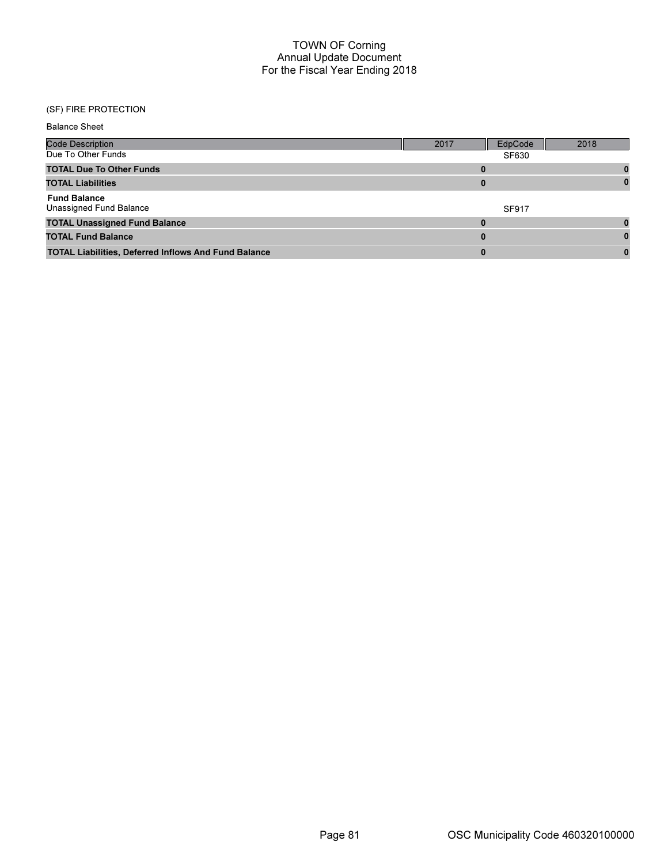# (SF) FIRE PROTECTION

| <b>Balance Sheet</b>                                        |              |              |      |
|-------------------------------------------------------------|--------------|--------------|------|
| <b>Code Description</b>                                     | 2017         | EdpCode      | 2018 |
| Due To Other Funds                                          |              | <b>SF630</b> |      |
| <b>TOTAL Due To Other Funds</b>                             | 0            |              |      |
| <b>TOTAL Liabilities</b>                                    | 0            |              | 0    |
| <b>Fund Balance</b><br>Unassigned Fund Balance              |              | <b>SF917</b> |      |
| <b>TOTAL Unassigned Fund Balance</b>                        | $\mathbf{0}$ |              | n    |
| <b>TOTAL Fund Balance</b>                                   | $\bf{0}$     |              |      |
| <b>TOTAL Liabilities, Deferred Inflows And Fund Balance</b> | $\bf{0}$     |              | 0    |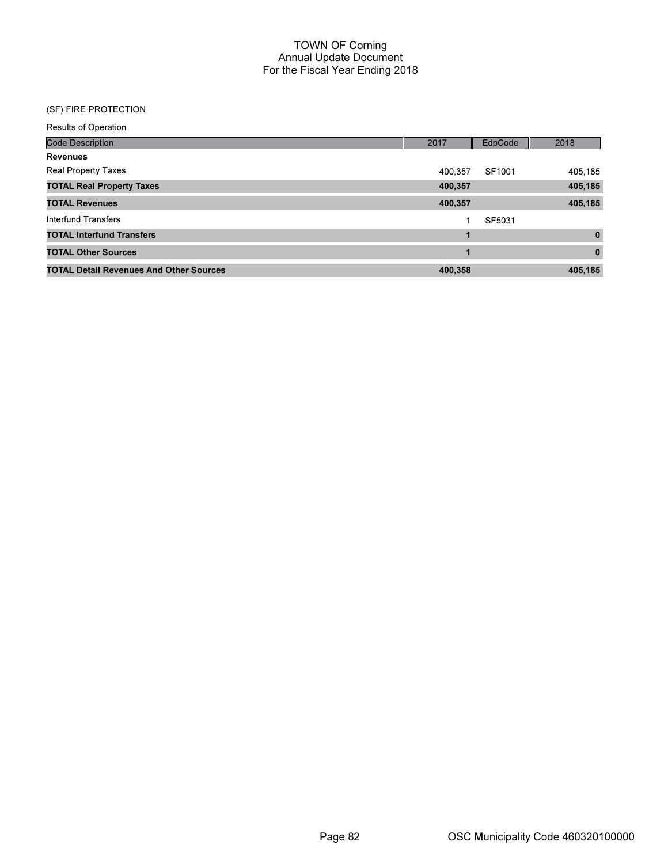# (SF) FIRE PROTECTION

| <b>Results of Operation</b>                    |         |         |             |
|------------------------------------------------|---------|---------|-------------|
| <b>Code Description</b>                        | 2017    | EdpCode | 2018        |
| <b>Revenues</b>                                |         |         |             |
| <b>Real Property Taxes</b>                     | 400.357 | SF1001  | 405,185     |
| <b>TOTAL Real Property Taxes</b>               | 400,357 |         | 405,185     |
| <b>TOTAL Revenues</b>                          | 400,357 |         | 405,185     |
| Interfund Transfers                            |         | SF5031  |             |
| <b>TOTAL Interfund Transfers</b>               |         |         | $\mathbf 0$ |
| <b>TOTAL Other Sources</b>                     | 1       |         | $\bf{0}$    |
| <b>TOTAL Detail Revenues And Other Sources</b> | 400.358 |         | 405,185     |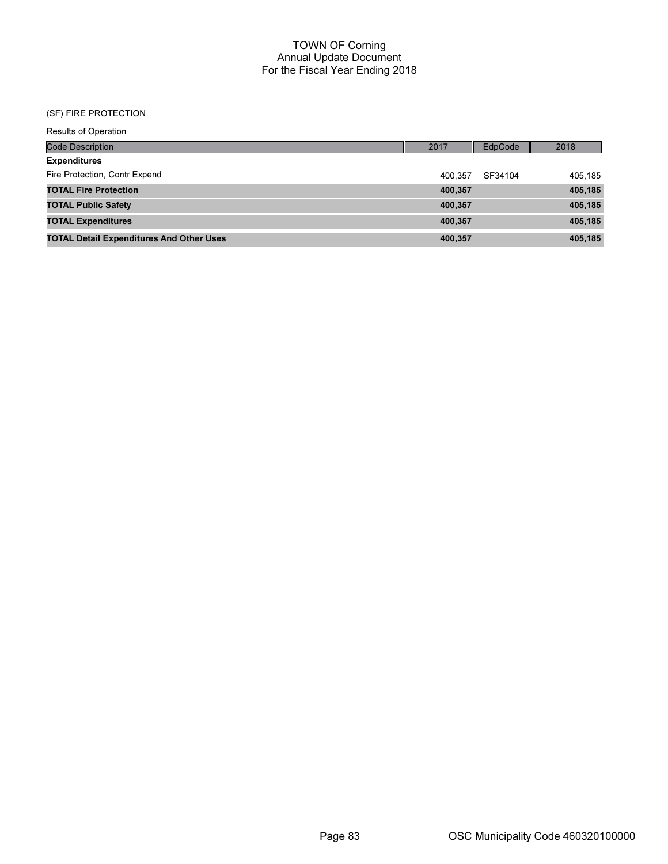#### (SF) FIRE PROTECTION

| <b>Results of Operation</b>                     |         |                |         |
|-------------------------------------------------|---------|----------------|---------|
| <b>Code Description</b>                         | 2017    | <b>EdpCode</b> | 2018    |
| <b>Expenditures</b>                             |         |                |         |
| Fire Protection, Contr Expend                   | 400.357 | SF34104        | 405.185 |
| <b>TOTAL Fire Protection</b>                    | 400,357 |                | 405,185 |
| <b>TOTAL Public Safety</b>                      | 400,357 |                | 405,185 |
| <b>TOTAL Expenditures</b>                       | 400,357 |                | 405,185 |
| <b>TOTAL Detail Expenditures And Other Uses</b> | 400,357 |                | 405,185 |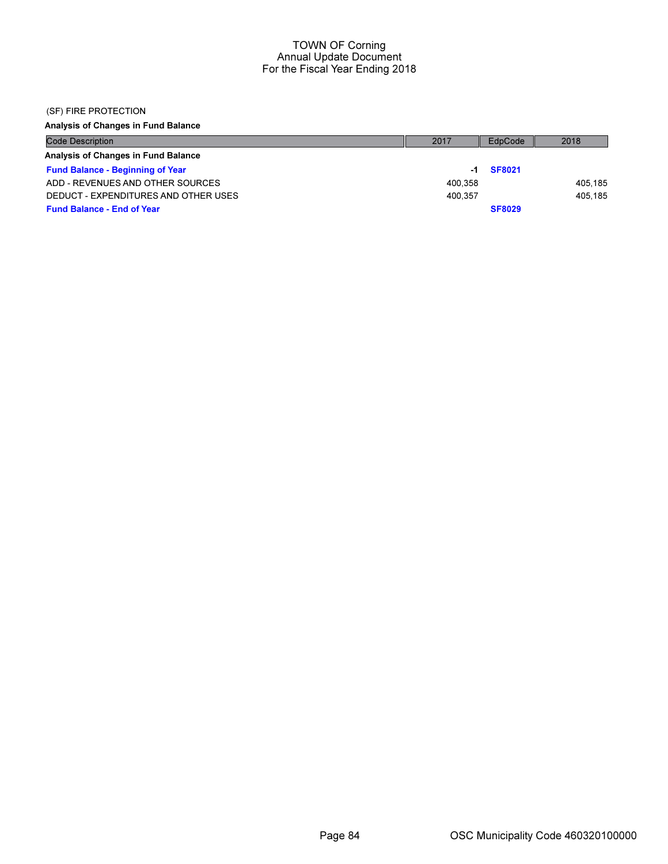### (SF) FIRE PROTECTION

Analysis of Changes in Fund Balance

| <b>Code Description</b>                 | 2017    | EdpCode       | 2018    |
|-----------------------------------------|---------|---------------|---------|
| Analysis of Changes in Fund Balance     |         |               |         |
| <b>Fund Balance - Beginning of Year</b> | -1      | <b>SF8021</b> |         |
| ADD - REVENUES AND OTHER SOURCES        | 400.358 |               | 405.185 |
| DEDUCT - EXPENDITURES AND OTHER USES    | 400.357 |               | 405.185 |
| <b>Fund Balance - End of Year</b>       |         | <b>SF8029</b> |         |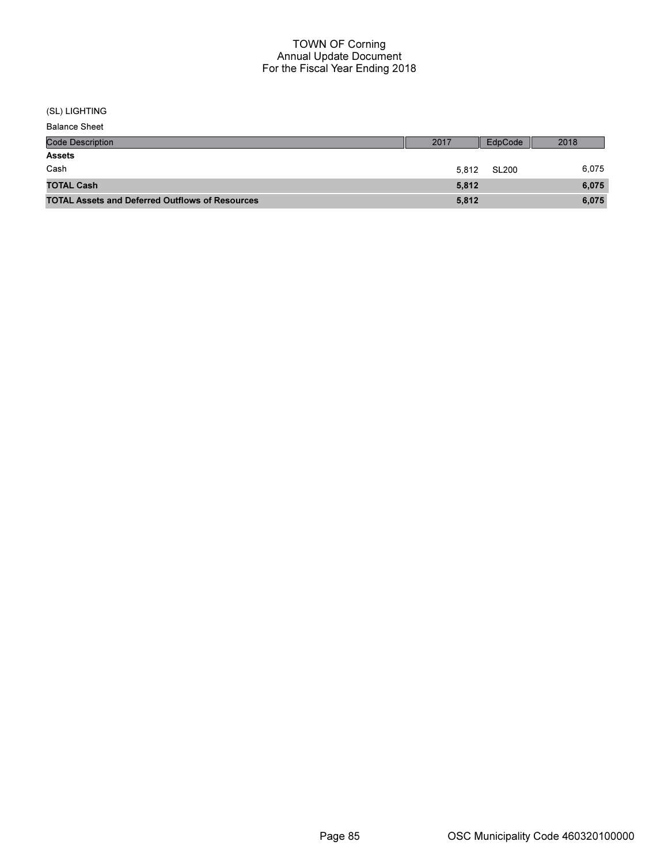### (SL) LIGHTING

Balance Sheet

| <b>Code Description</b>                                | 2017  | EdpCode      | 2018  |
|--------------------------------------------------------|-------|--------------|-------|
| <b>Assets</b>                                          |       |              |       |
| Cash                                                   | 5.812 | <b>SL200</b> | 6,075 |
| <b>TOTAL Cash</b>                                      | 5.812 |              | 6,075 |
| <b>TOTAL Assets and Deferred Outflows of Resources</b> | 5,812 |              | 6,075 |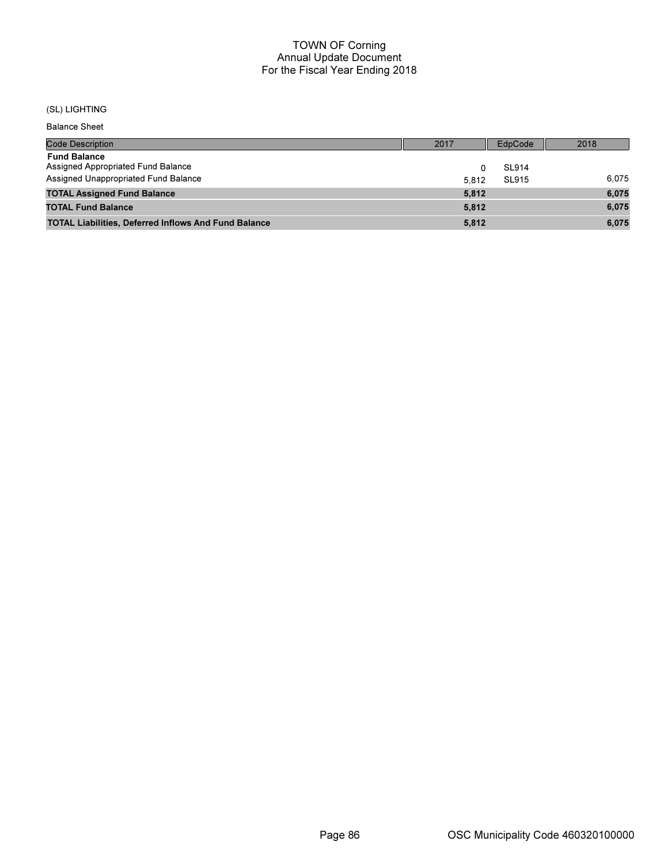# (SL) LIGHTING

Balance Sheet

| <b>Code Description</b>                                     | 2017  | EdpCode      | 2018  |
|-------------------------------------------------------------|-------|--------------|-------|
| <b>Fund Balance</b>                                         |       |              |       |
| Assigned Appropriated Fund Balance                          |       | <b>SL914</b> |       |
| Assigned Unappropriated Fund Balance                        | 5.812 | SL915        | 6.075 |
| <b>TOTAL Assigned Fund Balance</b>                          | 5,812 |              | 6,075 |
| <b>TOTAL Fund Balance</b>                                   | 5.812 |              | 6.075 |
| <b>TOTAL Liabilities, Deferred Inflows And Fund Balance</b> | 5.812 |              | 6.075 |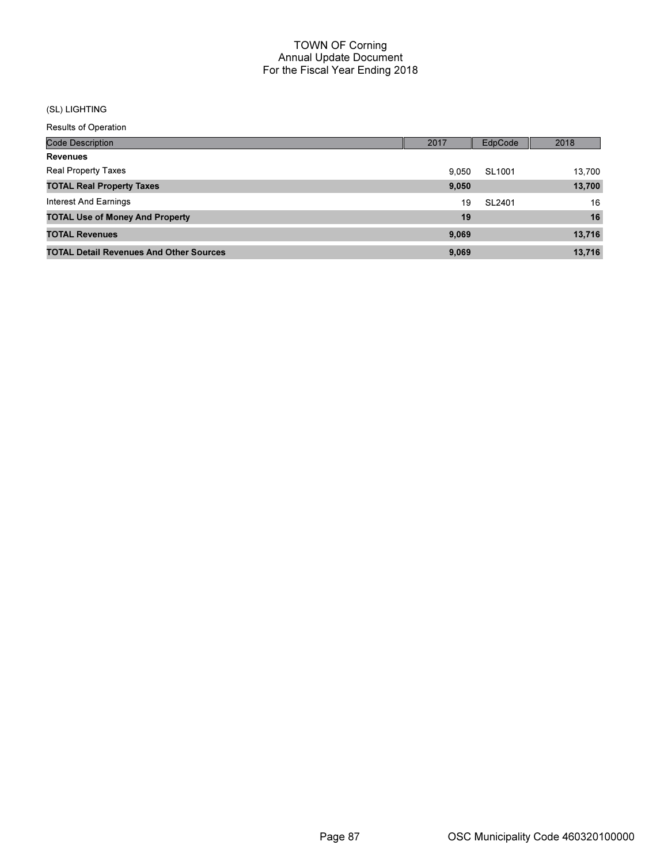# (SL) LIGHTING

Results of Operation

| <b>Code Description</b>                        | 2017  | EdpCode | 2018   |
|------------------------------------------------|-------|---------|--------|
| <b>Revenues</b>                                |       |         |        |
| <b>Real Property Taxes</b>                     | 9.050 | SL1001  | 13.700 |
| <b>TOTAL Real Property Taxes</b>               | 9,050 |         | 13,700 |
| Interest And Earnings                          | 19    | SL2401  | 16     |
| <b>TOTAL Use of Money And Property</b>         | 19    |         | 16     |
| <b>TOTAL Revenues</b>                          | 9,069 |         | 13,716 |
| <b>TOTAL Detail Revenues And Other Sources</b> | 9.069 |         | 13.716 |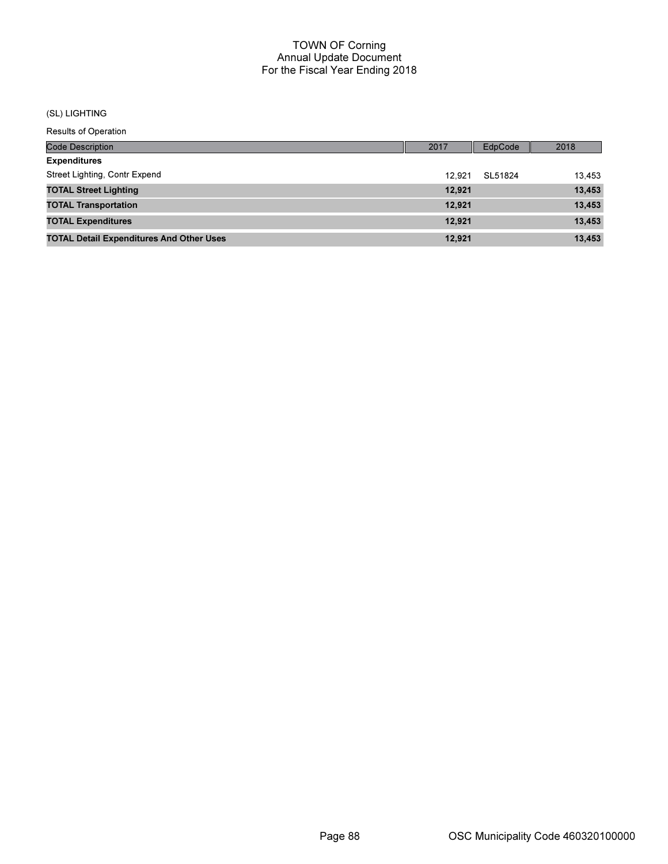# (SL) LIGHTING

Results of Operation

| <b>Code Description</b>                         | 2017   | EdpCode | 2018   |
|-------------------------------------------------|--------|---------|--------|
| <b>Expenditures</b>                             |        |         |        |
| Street Lighting, Contr Expend                   | 12.921 | SL51824 | 13.453 |
| <b>TOTAL Street Lighting</b>                    | 12,921 |         | 13,453 |
| <b>TOTAL Transportation</b>                     | 12.921 |         | 13,453 |
| <b>TOTAL Expenditures</b>                       | 12.921 |         | 13,453 |
| <b>TOTAL Detail Expenditures And Other Uses</b> | 12.921 |         | 13,453 |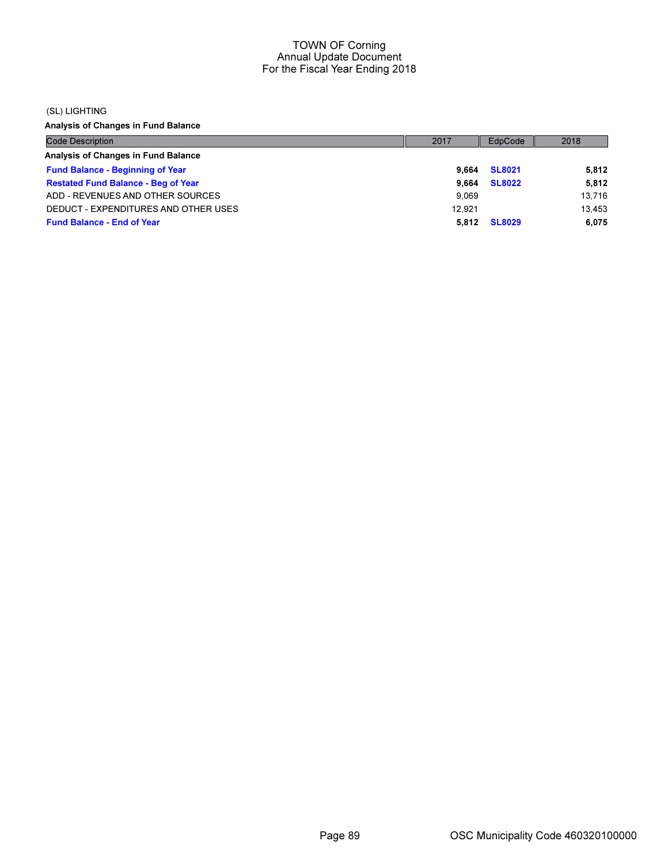#### (SL) LIGHTING

Analysis of Changes in Fund Balance

| <b>Code Description</b>                    | 2017   | EdpCode       | 2018   |
|--------------------------------------------|--------|---------------|--------|
| Analysis of Changes in Fund Balance        |        |               |        |
| <b>Fund Balance - Beginning of Year</b>    | 9.664  | <b>SL8021</b> | 5,812  |
| <b>Restated Fund Balance - Beg of Year</b> | 9.664  | <b>SL8022</b> | 5,812  |
| ADD - REVENUES AND OTHER SOURCES           | 9.069  |               | 13,716 |
| DEDUCT - EXPENDITURES AND OTHER USES       | 12.921 |               | 13.453 |
| <b>Fund Balance - End of Year</b>          | 5.812  | <b>SL8029</b> | 6,075  |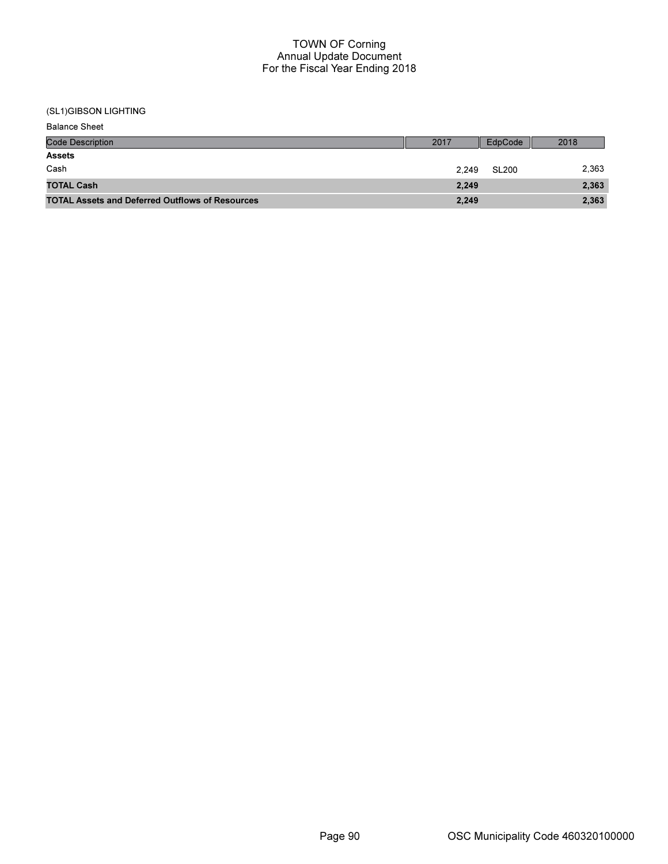(SL1)GIBSON LIGHTING

| <b>Balance Sheet</b>                                   |       |         |       |
|--------------------------------------------------------|-------|---------|-------|
| <b>Code Description</b>                                | 2017  | EdpCode | 2018  |
| <b>Assets</b>                                          |       |         |       |
| Cash                                                   | 2.249 | SL200   | 2,363 |
| <b>TOTAL Cash</b>                                      | 2,249 |         | 2,363 |
| <b>TOTAL Assets and Deferred Outflows of Resources</b> | 2,249 |         | 2,363 |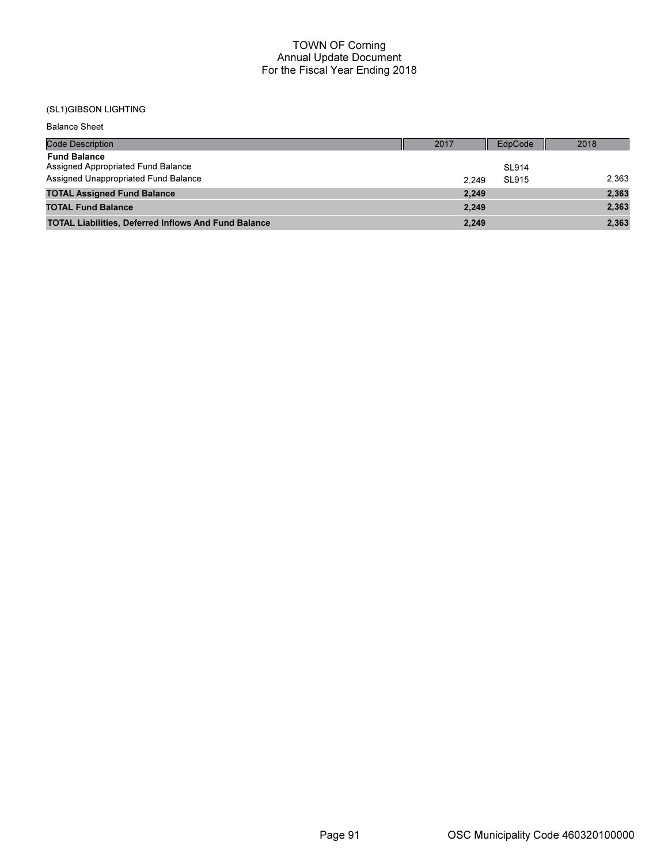# (SL1)GIBSON LIGHTING

Balance Sheet

| <b>Code Description</b>                                     | 2017  | EdpCode      | 2018  |
|-------------------------------------------------------------|-------|--------------|-------|
| <b>Fund Balance</b><br>Assigned Appropriated Fund Balance   |       | <b>SL914</b> |       |
| Assigned Unappropriated Fund Balance                        | 2.249 | <b>SL915</b> | 2,363 |
| <b>TOTAL Assigned Fund Balance</b>                          | 2,249 |              | 2,363 |
| <b>TOTAL Fund Balance</b>                                   | 2.249 |              | 2,363 |
| <b>TOTAL Liabilities, Deferred Inflows And Fund Balance</b> | 2,249 |              | 2,363 |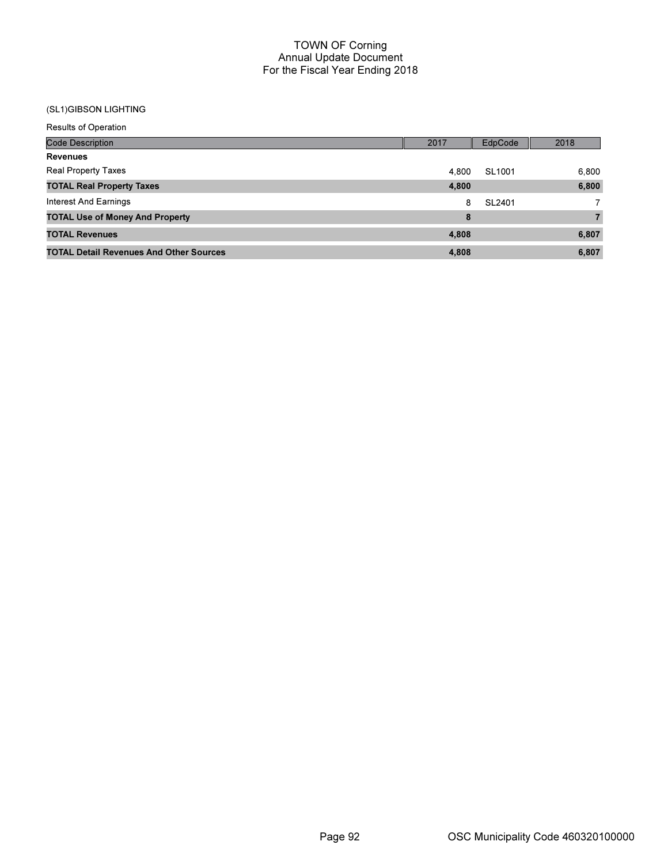# (SL1)GIBSON LIGHTING

| <b>Results of Operation</b>                    |       |         |                |
|------------------------------------------------|-------|---------|----------------|
| <b>Code Description</b>                        | 2017  | EdpCode | 2018           |
| <b>Revenues</b>                                |       |         |                |
| <b>Real Property Taxes</b>                     | 4.800 | SL1001  | 6,800          |
| <b>TOTAL Real Property Taxes</b>               | 4,800 |         | 6,800          |
| Interest And Earnings                          | 8     | SL2401  | $\overline{7}$ |
| <b>TOTAL Use of Money And Property</b>         | 8     |         | $\overline{7}$ |
| <b>TOTAL Revenues</b>                          | 4,808 |         | 6,807          |
| <b>TOTAL Detail Revenues And Other Sources</b> | 4,808 |         | 6,807          |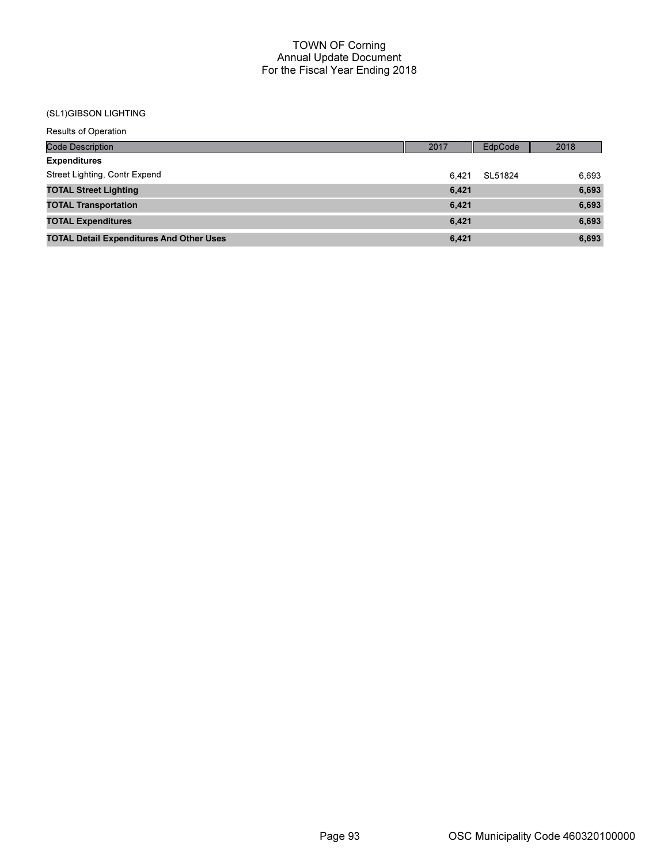#### (SL1)GIBSON LIGHTING

| <b>Results of Operation</b>                     |       |         |       |
|-------------------------------------------------|-------|---------|-------|
| <b>Code Description</b>                         | 2017  | EdpCode | 2018  |
| <b>Expenditures</b>                             |       |         |       |
| Street Lighting, Contr Expend                   | 6.421 | SL51824 | 6,693 |
| <b>TOTAL Street Lighting</b>                    | 6,421 |         | 6,693 |
| <b>TOTAL Transportation</b>                     | 6,421 |         | 6,693 |
| <b>TOTAL Expenditures</b>                       | 6,421 |         | 6,693 |
| <b>TOTAL Detail Expenditures And Other Uses</b> | 6,421 |         | 6,693 |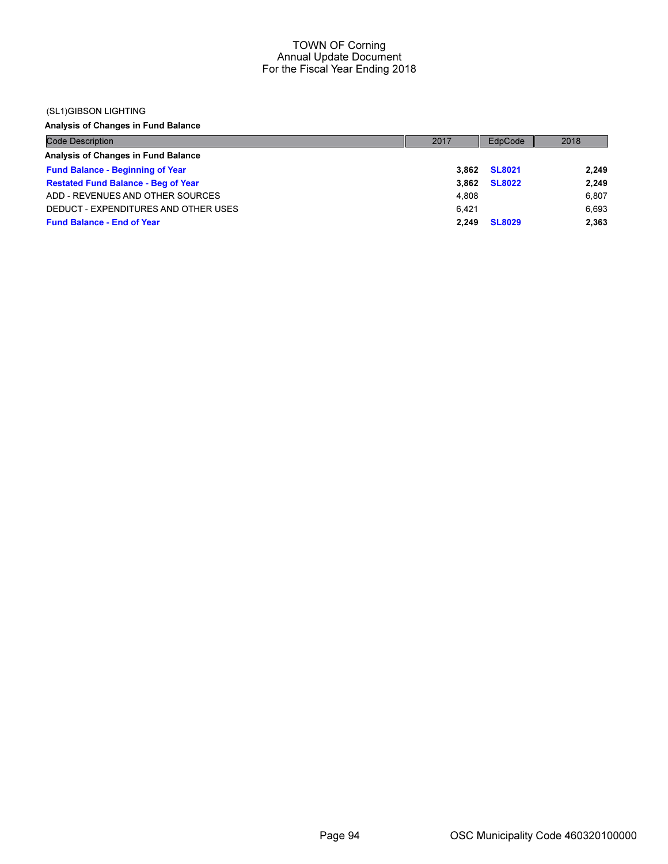### (SL1)GIBSON LIGHTING

Analysis of Changes in Fund Balance

| <b>Code Description</b>                    | 2017  | EdpCode       | 2018  |
|--------------------------------------------|-------|---------------|-------|
| Analysis of Changes in Fund Balance        |       |               |       |
| <b>Fund Balance - Beginning of Year</b>    | 3.862 | <b>SL8021</b> | 2,249 |
| <b>Restated Fund Balance - Beg of Year</b> | 3.862 | <b>SL8022</b> | 2,249 |
| ADD - REVENUES AND OTHER SOURCES           | 4.808 |               | 6,807 |
| DEDUCT - EXPENDITURES AND OTHER USES       | 6.421 |               | 6.693 |
| <b>Fund Balance - End of Year</b>          | 2.249 | <b>SL8029</b> | 2,363 |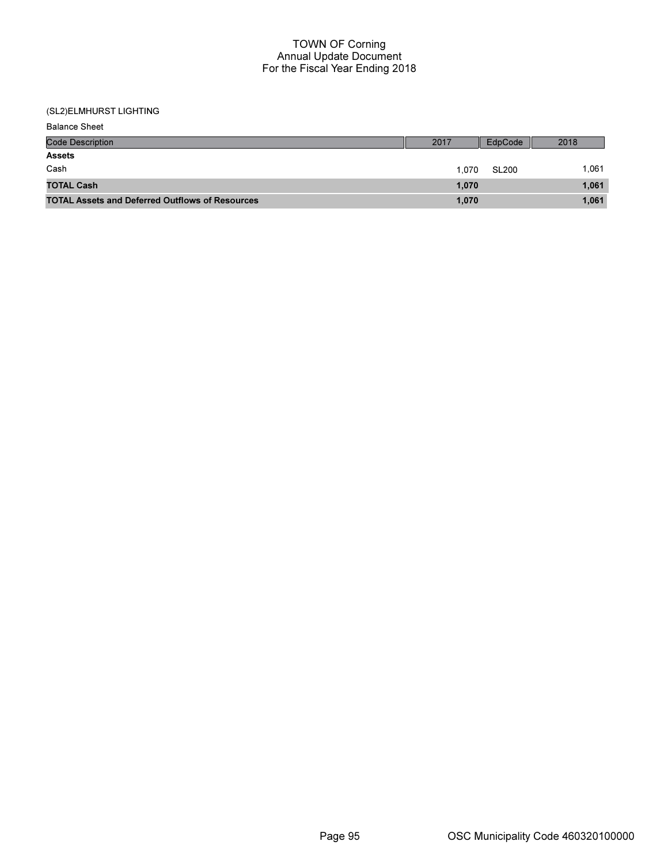| <b>Balance Sheet</b>                                   |       |              |       |
|--------------------------------------------------------|-------|--------------|-------|
| <b>Code Description</b>                                | 2017  | EdpCode      | 2018  |
| <b>Assets</b>                                          |       |              |       |
| Cash                                                   | 1.070 | <b>SL200</b> | 1.061 |
| <b>TOTAL Cash</b>                                      | 1,070 |              | 1,061 |
| <b>TOTAL Assets and Deferred Outflows of Resources</b> | 1,070 |              | 1,061 |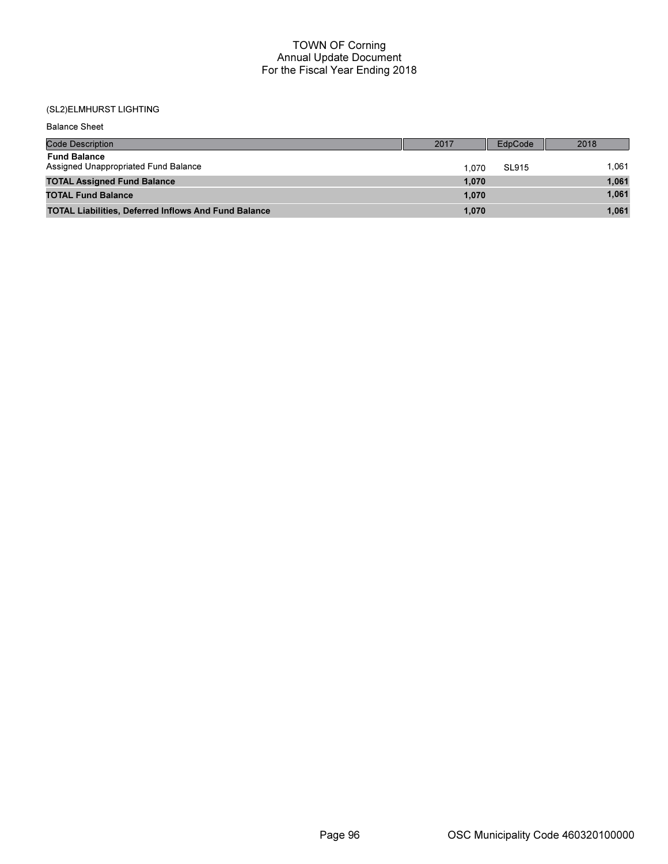| <b>Balance Sheet</b>                                        |       |              |       |
|-------------------------------------------------------------|-------|--------------|-------|
| <b>Code Description</b>                                     | 2017  | EdpCode      | 2018  |
| <b>Fund Balance</b><br>Assigned Unappropriated Fund Balance | 1.070 | <b>SL915</b> | 1.061 |
| <b>TOTAL Assigned Fund Balance</b>                          | 1,070 |              | 1,061 |
| <b>TOTAL Fund Balance</b>                                   | 1,070 |              | 1,061 |
| <b>TOTAL Liabilities, Deferred Inflows And Fund Balance</b> | 1,070 |              | 1,061 |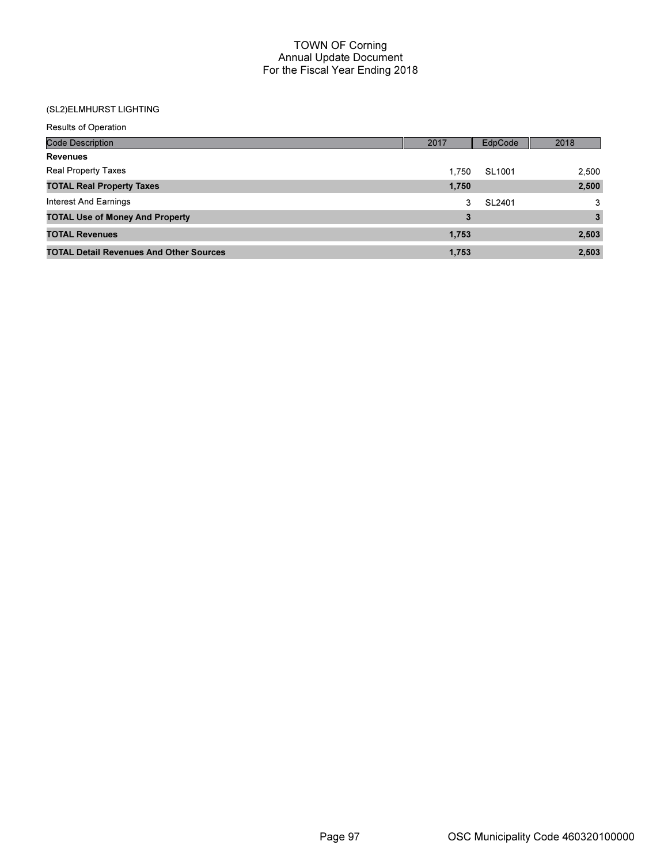| <b>Results of Operation</b>                    |       |         |       |
|------------------------------------------------|-------|---------|-------|
| <b>Code Description</b>                        | 2017  | EdpCode | 2018  |
| <b>Revenues</b>                                |       |         |       |
| <b>Real Property Taxes</b>                     | 1.750 | SL1001  | 2,500 |
| <b>TOTAL Real Property Taxes</b>               | 1,750 |         | 2,500 |
| Interest And Earnings                          | 3     | SL2401  | 3     |
| <b>TOTAL Use of Money And Property</b>         | 3     |         | 3     |
| <b>TOTAL Revenues</b>                          | 1,753 |         | 2,503 |
| <b>TOTAL Detail Revenues And Other Sources</b> | 1,753 |         | 2,503 |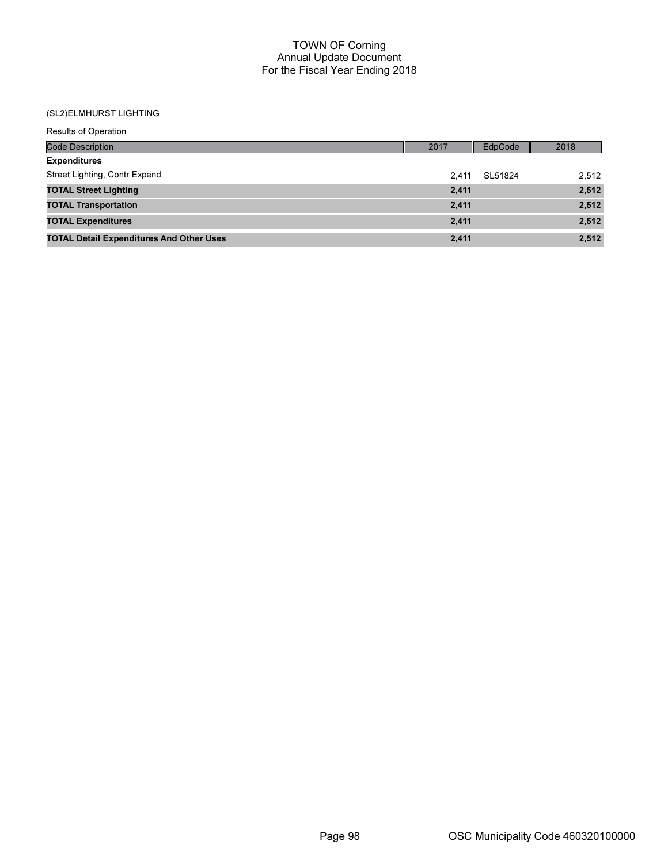| <b>Results of Operation</b>                     |       |         |       |
|-------------------------------------------------|-------|---------|-------|
| <b>Code Description</b>                         | 2017  | EdpCode | 2018  |
| <b>Expenditures</b>                             |       |         |       |
| Street Lighting, Contr Expend                   | 2.411 | SL51824 | 2,512 |
| <b>TOTAL Street Lighting</b>                    | 2,411 |         | 2,512 |
| <b>TOTAL Transportation</b>                     | 2,411 |         | 2,512 |
| <b>TOTAL Expenditures</b>                       | 2,411 |         | 2,512 |
| <b>TOTAL Detail Expenditures And Other Uses</b> | 2.411 |         | 2,512 |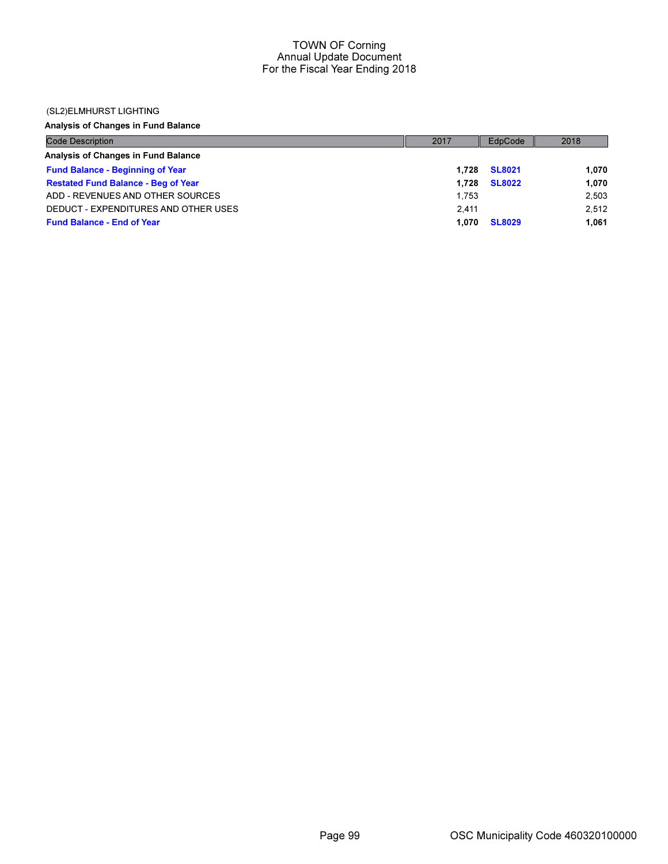### (SL2)ELMHURST LIGHTING

Analysis of Changes in Fund Balance

| <b>Code Description</b>                    | 2017  | EdpCode       | 2018  |
|--------------------------------------------|-------|---------------|-------|
| Analysis of Changes in Fund Balance        |       |               |       |
| <b>Fund Balance - Beginning of Year</b>    | 1.728 | <b>SL8021</b> | 1.070 |
| <b>Restated Fund Balance - Beg of Year</b> | 1.728 | <b>SL8022</b> | 1.070 |
| ADD - REVENUES AND OTHER SOURCES           | 1.753 |               | 2,503 |
| DEDUCT - EXPENDITURES AND OTHER USES       | 2.411 |               | 2.512 |
| <b>Fund Balance - End of Year</b>          | 1.070 | <b>SL8029</b> | 1.061 |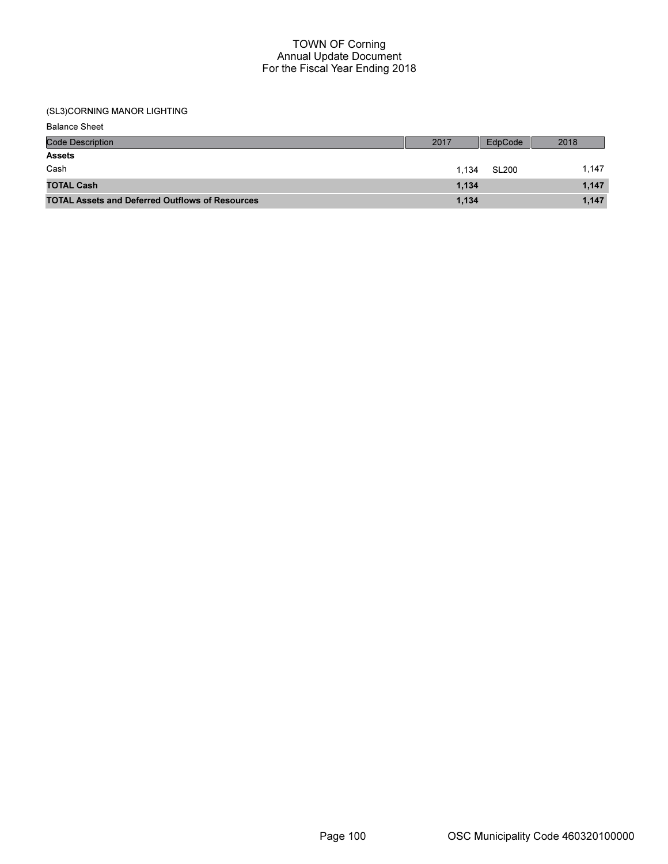# (SL3)CORNING MANOR LIGHTING

| <b>Balance Sheet</b>                                   |       |              |       |
|--------------------------------------------------------|-------|--------------|-------|
| <b>Code Description</b>                                | 2017  | EdpCode      | 2018  |
| <b>Assets</b>                                          |       |              |       |
| Cash                                                   | 1.134 | <b>SL200</b> | 1.147 |
| <b>TOTAL Cash</b>                                      | 1,134 |              | 1,147 |
| <b>TOTAL Assets and Deferred Outflows of Resources</b> | 1,134 |              | 1,147 |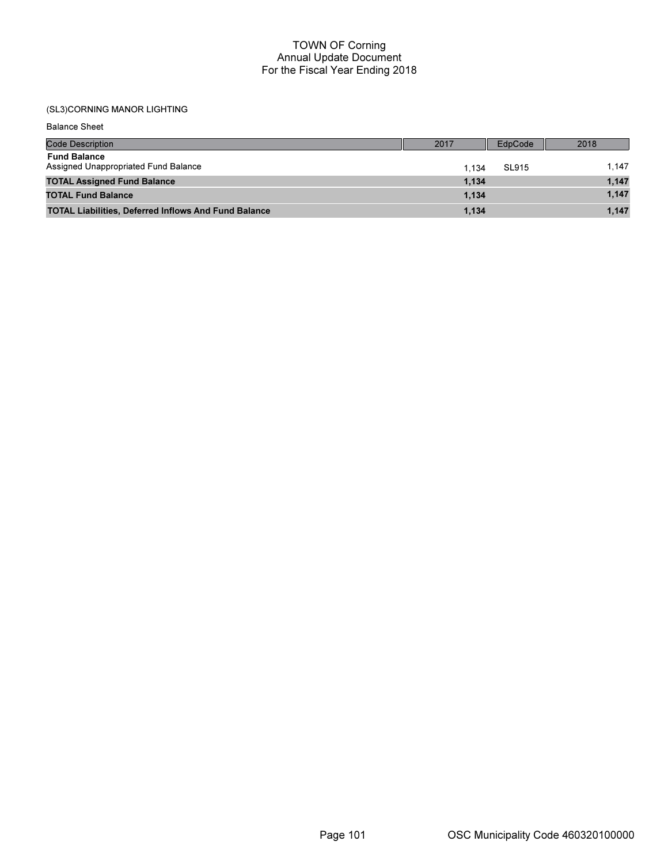### (SL3)CORNING MANOR LIGHTING

Code Description 2018 Balance Sheet Fund Balance Assigned Unappropriated Fund Balance 1,134 SL915 1,147 TOTAL Assigned Fund Balance 1,147 1,134 1,134 1,134 1,134 1,134 1,147 1,147 1,147 1,147 1,147 1,147 1,147 1,147 TOTAL Fund Balance **1,147** 1,134 1,147 1,134 1,134 1,135 1,147 1,158 1,147 1,158 1,147 1,147 1,147 1,147 1,147 1,147 TOTAL Liabilities, Deferred Inflows And Fund Balance 1,147 1,134 1,134 1,134 1,147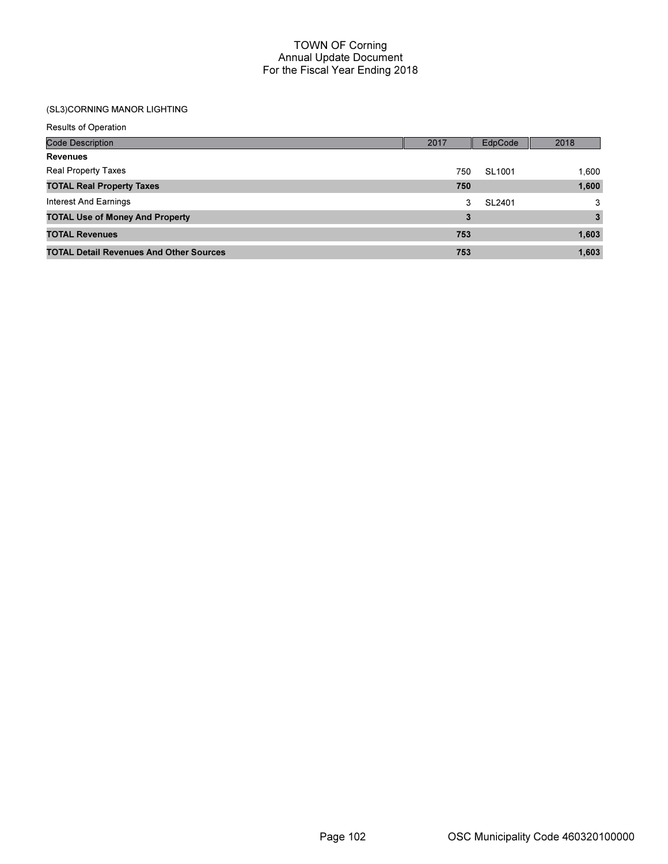# (SL3)CORNING MANOR LIGHTING

| <b>Results of Operation</b>                    |      |         |       |
|------------------------------------------------|------|---------|-------|
| <b>Code Description</b>                        | 2017 | EdpCode | 2018  |
| <b>Revenues</b>                                |      |         |       |
| Real Property Taxes                            | 750  | SL1001  | 1,600 |
| <b>TOTAL Real Property Taxes</b>               | 750  |         | 1,600 |
| Interest And Earnings                          | 3    | SL2401  | 3     |
| <b>TOTAL Use of Money And Property</b>         | 3    |         | 3     |
| <b>TOTAL Revenues</b>                          | 753  |         | 1,603 |
| <b>TOTAL Detail Revenues And Other Sources</b> | 753  |         | 1,603 |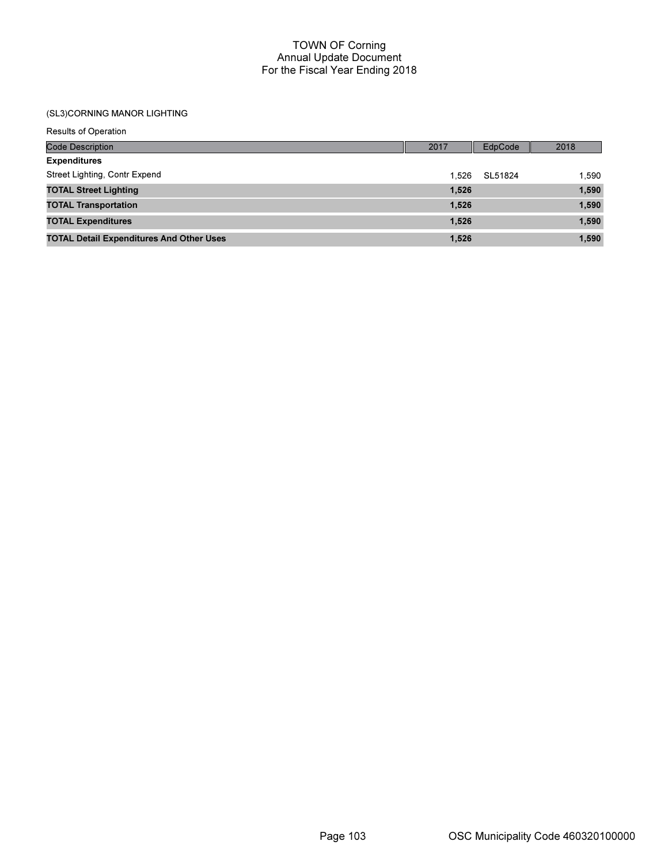### (SL3)CORNING MANOR LIGHTING

| <b>Results of Operation</b>                     |       |         |       |
|-------------------------------------------------|-------|---------|-------|
| <b>Code Description</b>                         | 2017  | EdpCode | 2018  |
| <b>Expenditures</b>                             |       |         |       |
| Street Lighting, Contr Expend                   | 1.526 | SL51824 | 1,590 |
| <b>TOTAL Street Lighting</b>                    | 1,526 |         | 1,590 |
| <b>TOTAL Transportation</b>                     | 1,526 |         | 1,590 |
| <b>TOTAL Expenditures</b>                       | 1,526 |         | 1,590 |
| <b>TOTAL Detail Expenditures And Other Uses</b> | 1.526 |         | 1.590 |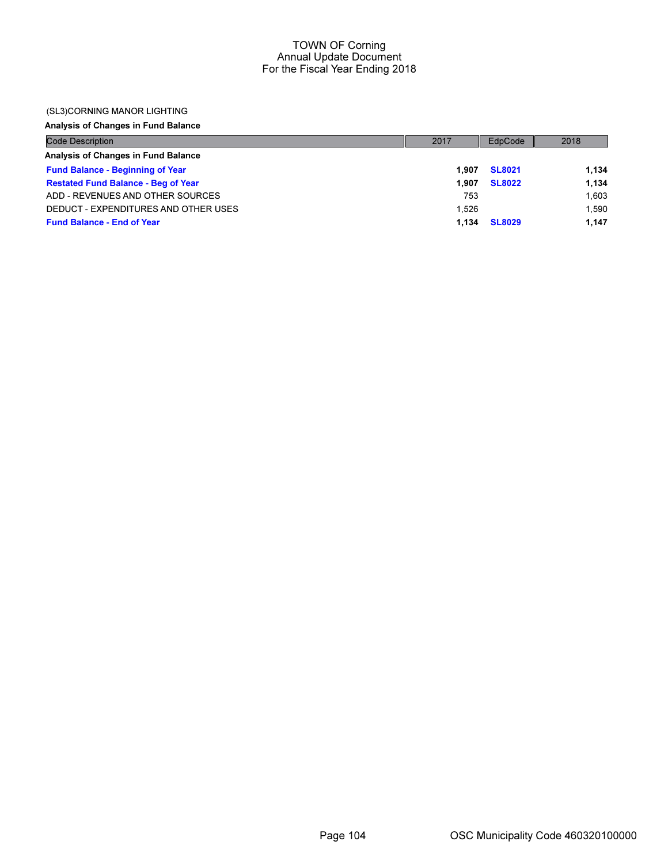### (SL3)CORNING MANOR LIGHTING

### Analysis of Changes in Fund Balance

| <b>Code Description</b>                    | 2017  | EdpCode       | 2018  |
|--------------------------------------------|-------|---------------|-------|
| Analysis of Changes in Fund Balance        |       |               |       |
| <b>Fund Balance - Beginning of Year</b>    | 1.907 | <b>SL8021</b> | 1.134 |
| <b>Restated Fund Balance - Beg of Year</b> | 1.907 | <b>SL8022</b> | 1.134 |
| ADD - REVENUES AND OTHER SOURCES           | 753   |               | 1.603 |
| DEDUCT - EXPENDITURES AND OTHER USES       | 1.526 |               | 1.590 |
| <b>Fund Balance - End of Year</b>          | 1.134 | <b>SL8029</b> | 1.147 |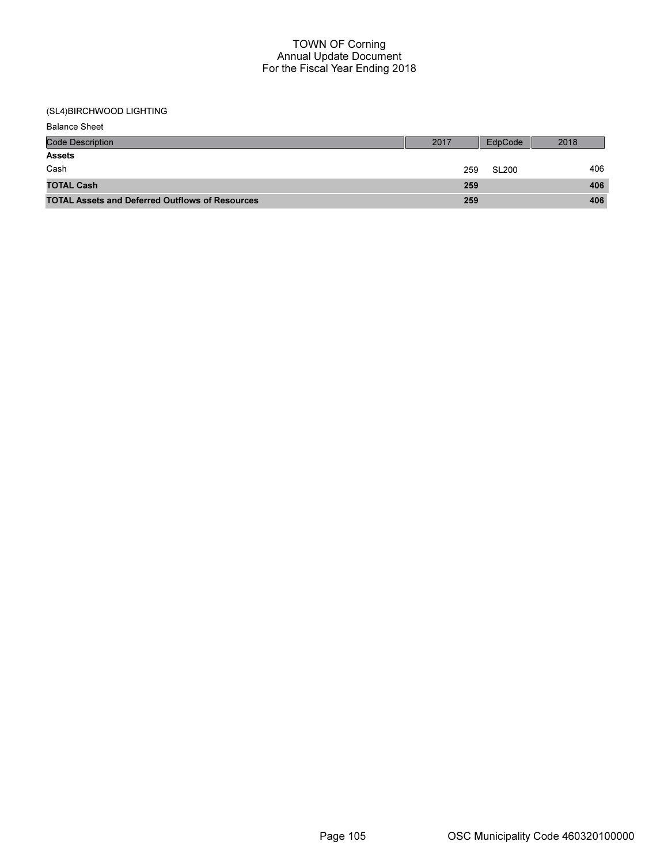| <b>Balance Sheet</b>                                   |      |         |      |
|--------------------------------------------------------|------|---------|------|
| <b>Code Description</b>                                | 2017 | EdpCode | 2018 |
| <b>Assets</b>                                          |      |         |      |
| Cash                                                   | 259  | SL200   | 406  |
| <b>TOTAL Cash</b>                                      | 259  |         | 406  |
| <b>TOTAL Assets and Deferred Outflows of Resources</b> | 259  |         | 406  |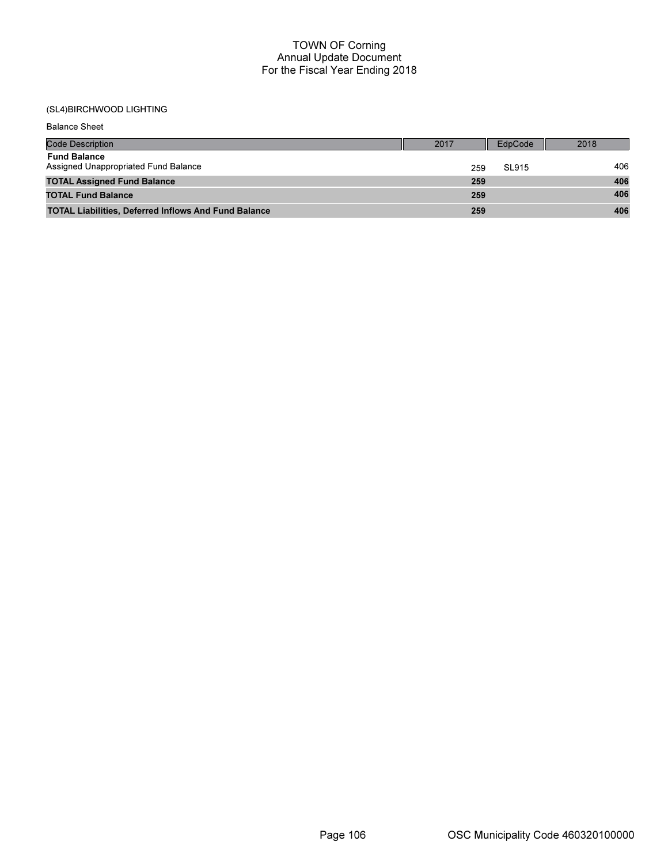| <b>Balance Sheet</b>                                        |      |         |      |
|-------------------------------------------------------------|------|---------|------|
| <b>Code Description</b>                                     | 2017 | EdpCode | 2018 |
| <b>Fund Balance</b><br>Assigned Unappropriated Fund Balance | 259  | SL915   | 406  |
| <b>TOTAL Assigned Fund Balance</b>                          | 259  |         | 406  |
| <b>TOTAL Fund Balance</b>                                   | 259  |         | 406  |
| <b>TOTAL Liabilities, Deferred Inflows And Fund Balance</b> | 259  |         | 406  |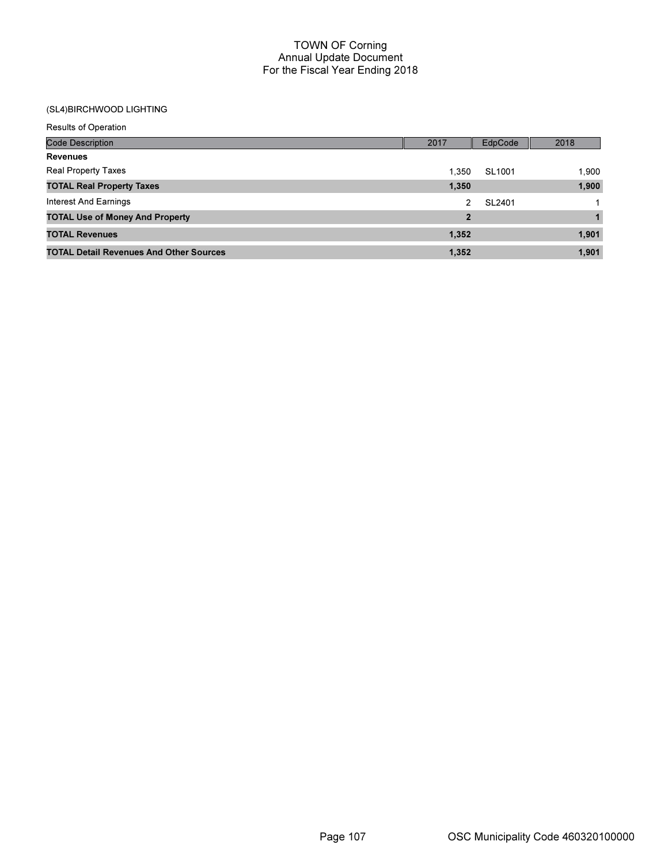| <b>Results of Operation</b>                    |                |         |       |
|------------------------------------------------|----------------|---------|-------|
| <b>Code Description</b>                        | 2017           | EdpCode | 2018  |
| <b>Revenues</b>                                |                |         |       |
| <b>Real Property Taxes</b>                     | 1.350          | SL1001  | 1,900 |
| <b>TOTAL Real Property Taxes</b>               | 1,350          |         | 1,900 |
| Interest And Earnings                          | 2              | SL2401  |       |
| <b>TOTAL Use of Money And Property</b>         | $\overline{2}$ |         |       |
| <b>TOTAL Revenues</b>                          | 1,352          |         | 1,901 |
| <b>TOTAL Detail Revenues And Other Sources</b> | 1,352          |         | 1,901 |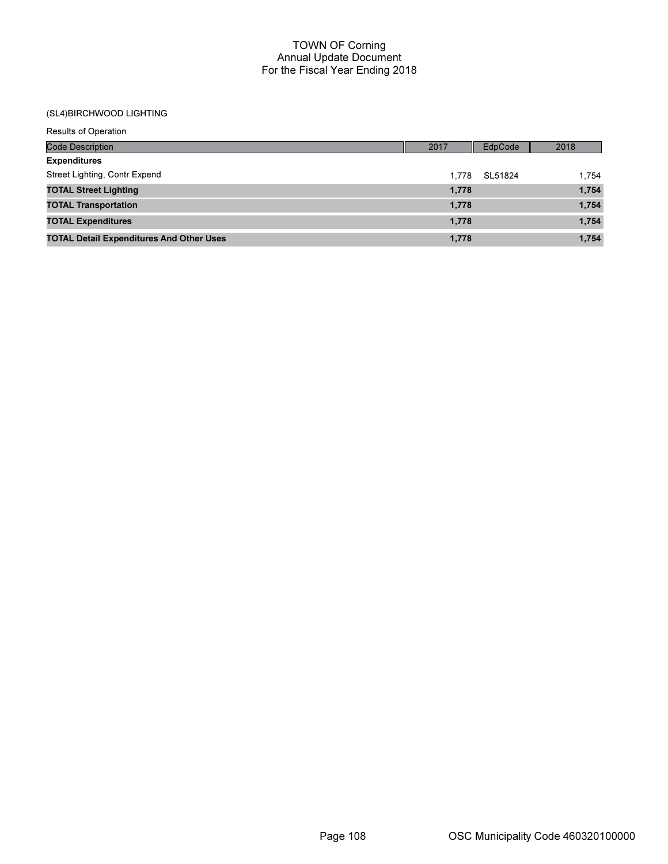| <b>Results of Operation</b>                     |       |         |       |
|-------------------------------------------------|-------|---------|-------|
| <b>Code Description</b>                         | 2017  | EdpCode | 2018  |
| <b>Expenditures</b>                             |       |         |       |
| Street Lighting, Contr Expend                   | 1.778 | SL51824 | 1,754 |
| <b>TOTAL Street Lighting</b>                    | 1,778 |         | 1,754 |
| <b>TOTAL Transportation</b>                     | 1,778 |         | 1,754 |
| <b>TOTAL Expenditures</b>                       | 1,778 |         | 1,754 |
| <b>TOTAL Detail Expenditures And Other Uses</b> | 1.778 |         | 1,754 |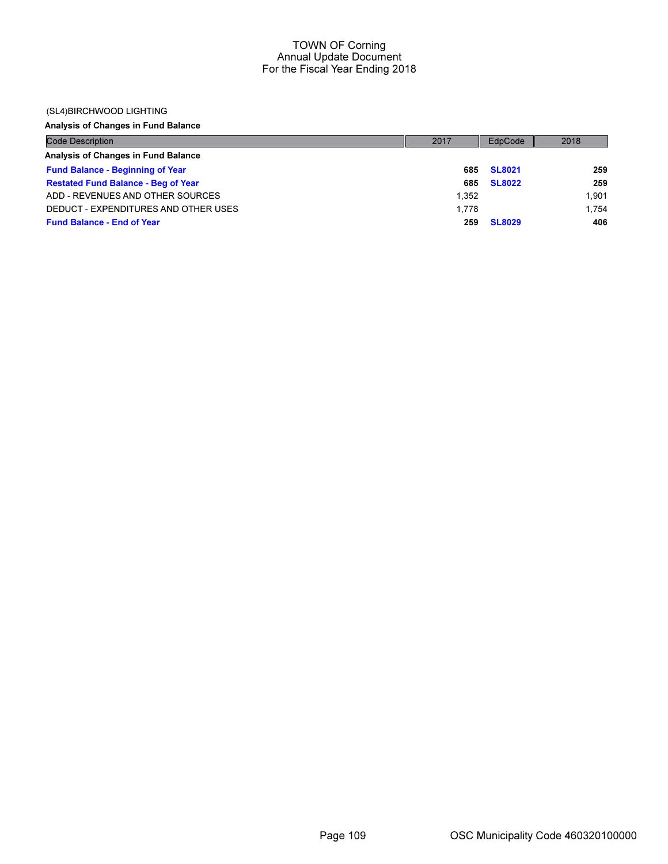### (SL4)BIRCHWOOD LIGHTING

# Analysis of Changes in Fund Balance

| <b>Code Description</b>                    | 2017  | EdpCode       | 2018  |
|--------------------------------------------|-------|---------------|-------|
| Analysis of Changes in Fund Balance        |       |               |       |
| <b>Fund Balance - Beginning of Year</b>    | 685   | <b>SL8021</b> | 259   |
| <b>Restated Fund Balance - Beg of Year</b> | 685   | <b>SL8022</b> | 259   |
| ADD - REVENUES AND OTHER SOURCES           | 1.352 |               | 1.901 |
| DEDUCT - EXPENDITURES AND OTHER USES       | 1.778 |               | 1.754 |
| <b>Fund Balance - End of Year</b>          | 259   | <b>SL8029</b> | 406   |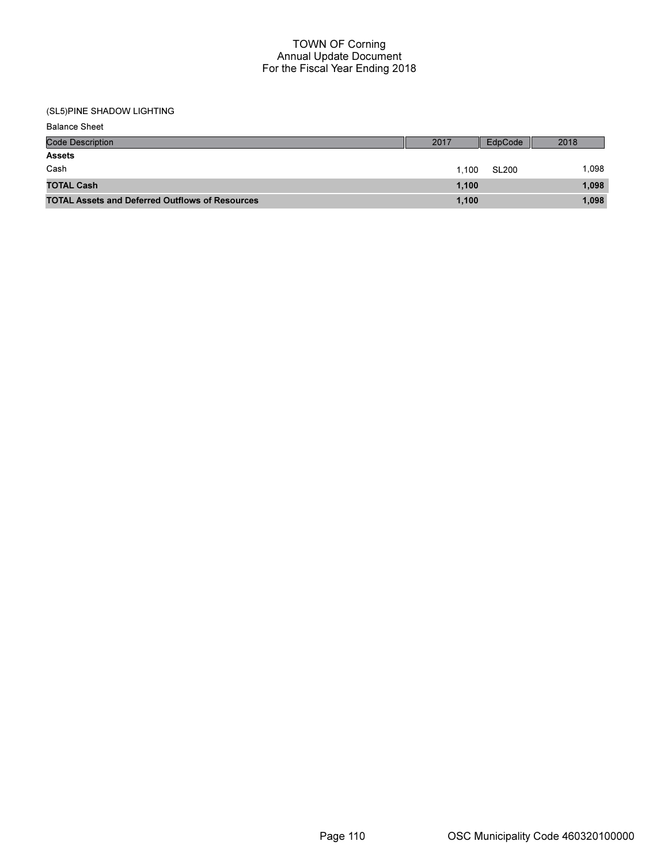| <b>Balance Sheet</b>                                   |       |              |       |
|--------------------------------------------------------|-------|--------------|-------|
| <b>Code Description</b>                                | 2017  | EdpCode      | 2018  |
| <b>Assets</b>                                          |       |              |       |
| Cash                                                   | 1.100 | <b>SL200</b> | 1,098 |
| <b>TOTAL Cash</b>                                      | 1,100 |              | 1,098 |
| <b>TOTAL Assets and Deferred Outflows of Resources</b> | 1,100 |              | 1,098 |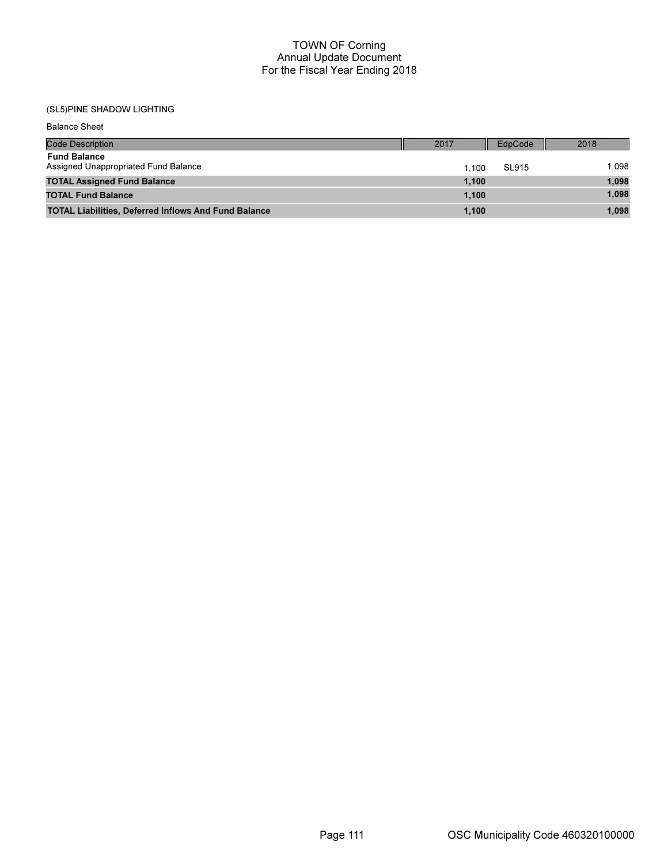| <b>Balance Sheet</b>                                        |       |         |       |
|-------------------------------------------------------------|-------|---------|-------|
| Code Description                                            | 2017  | EdpCode | 2018  |
| <b>Fund Balance</b><br>Assigned Unappropriated Fund Balance | 1.100 | SL915   | 1.098 |
| <b>TOTAL Assigned Fund Balance</b>                          | 1.100 |         | 1,098 |
| <b>TOTAL Fund Balance</b>                                   | 1.100 |         | 1,098 |
| <b>TOTAL Liabilities, Deferred Inflows And Fund Balance</b> | 1,100 |         | 1,098 |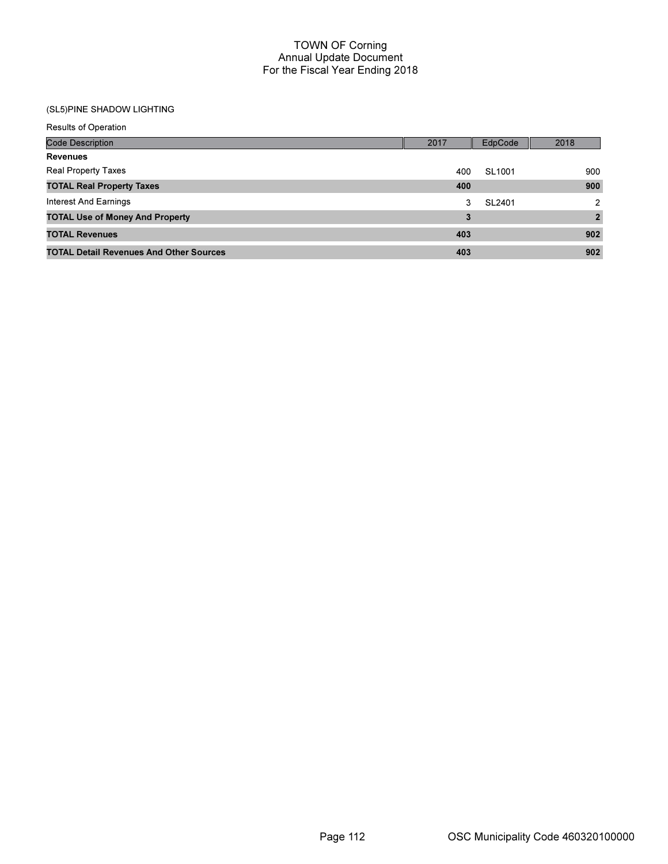| <b>Results of Operation</b>                    |      |                    |                |
|------------------------------------------------|------|--------------------|----------------|
| <b>Code Description</b>                        | 2017 | EdpCode            | 2018           |
| <b>Revenues</b>                                |      |                    |                |
| <b>Real Property Taxes</b>                     | 400  | SL <sub>1001</sub> | 900            |
| <b>TOTAL Real Property Taxes</b>               | 400  |                    | 900            |
| Interest And Earnings                          | 3    | SL2401             | $\mathcal{P}$  |
| <b>TOTAL Use of Money And Property</b>         | 3    |                    | $\overline{2}$ |
| <b>TOTAL Revenues</b>                          | 403  |                    | 902            |
| <b>TOTAL Detail Revenues And Other Sources</b> | 403  |                    | 902            |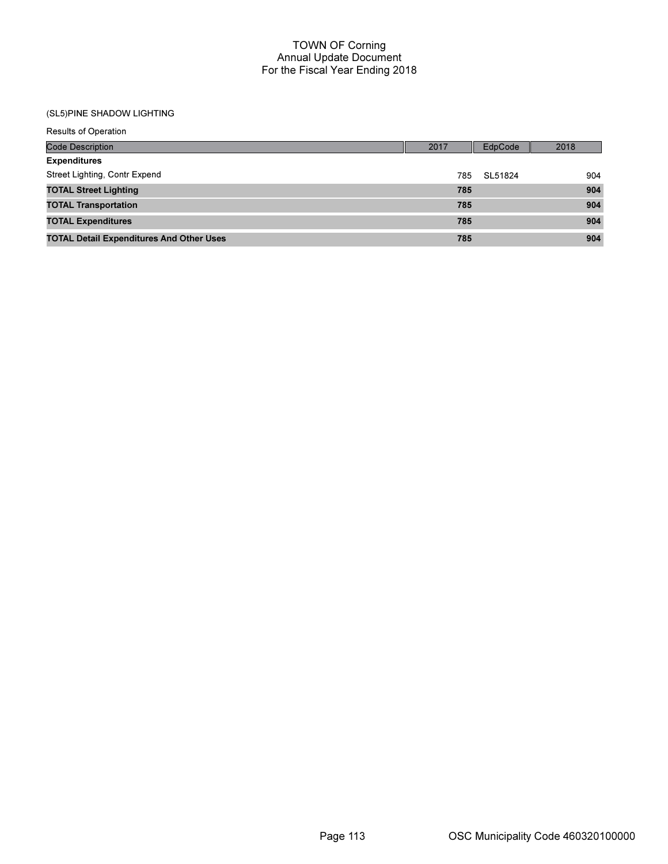| <b>Results of Operation</b>                     |      |         |      |
|-------------------------------------------------|------|---------|------|
| <b>Code Description</b>                         | 2017 | EdpCode | 2018 |
| <b>Expenditures</b>                             |      |         |      |
| Street Lighting, Contr Expend                   | 785  | SL51824 | 904  |
| <b>TOTAL Street Lighting</b>                    | 785  |         | 904  |
| <b>TOTAL Transportation</b>                     | 785  |         | 904  |
| <b>TOTAL Expenditures</b>                       | 785  |         | 904  |
| <b>TOTAL Detail Expenditures And Other Uses</b> | 785  |         | 904  |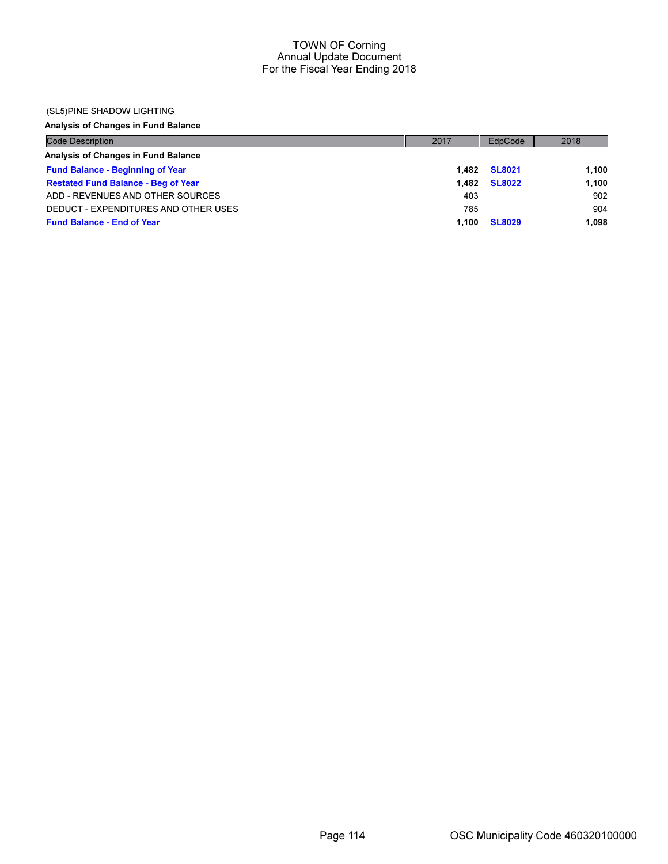### (SL5)PINE SHADOW LIGHTING

## Analysis of Changes in Fund Balance

| <b>Code Description</b>                    | 2017  | EdpCode       | 2018  |
|--------------------------------------------|-------|---------------|-------|
| Analysis of Changes in Fund Balance        |       |               |       |
| <b>Fund Balance - Beginning of Year</b>    | 1.482 | <b>SL8021</b> | 1.100 |
| <b>Restated Fund Balance - Beg of Year</b> | 1.482 | <b>SL8022</b> | 1.100 |
| ADD - REVENUES AND OTHER SOURCES           | 403   |               | 902   |
| DEDUCT - EXPENDITURES AND OTHER USES       | 785   |               | 904   |
| <b>Fund Balance - End of Year</b>          | 1.100 | <b>SL8029</b> | 1.098 |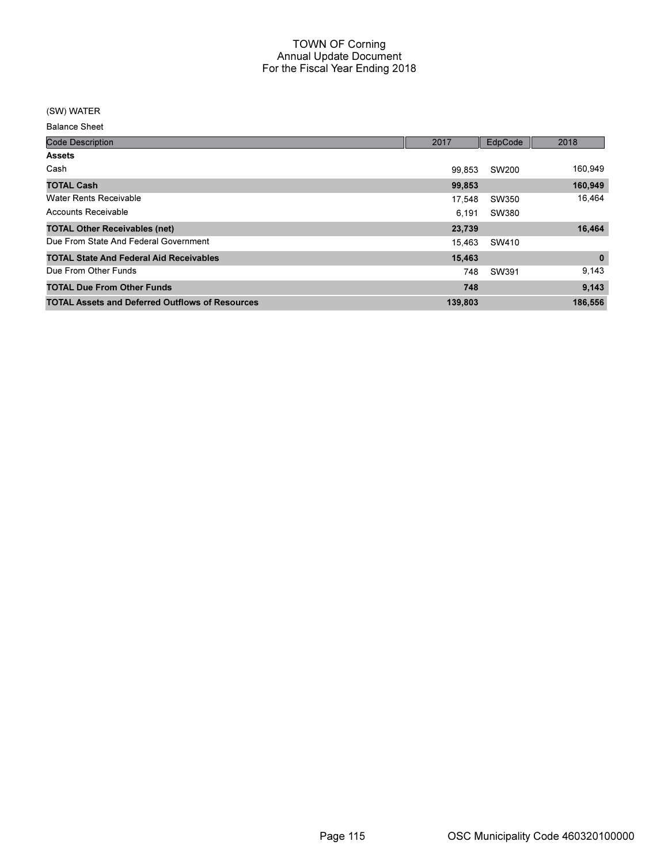### (SW) WATER

Balance Sheet

| <b>Code Description</b>                                | 2017    | EdpCode | 2018         |
|--------------------------------------------------------|---------|---------|--------------|
| <b>Assets</b>                                          |         |         |              |
| Cash                                                   | 99,853  | SW200   | 160,949      |
| <b>TOTAL Cash</b>                                      | 99,853  |         | 160,949      |
| <b>Water Rents Receivable</b>                          | 17,548  | SW350   | 16,464       |
| Accounts Receivable                                    | 6.191   | SW380   |              |
| <b>TOTAL Other Receivables (net)</b>                   | 23,739  |         | 16,464       |
| Due From State And Federal Government                  | 15.463  | SW410   |              |
| <b>TOTAL State And Federal Aid Receivables</b>         | 15,463  |         | $\mathbf{0}$ |
| Due From Other Funds                                   | 748     | SW391   | 9,143        |
| <b>TOTAL Due From Other Funds</b>                      | 748     |         | 9,143        |
| <b>TOTAL Assets and Deferred Outflows of Resources</b> | 139,803 |         | 186,556      |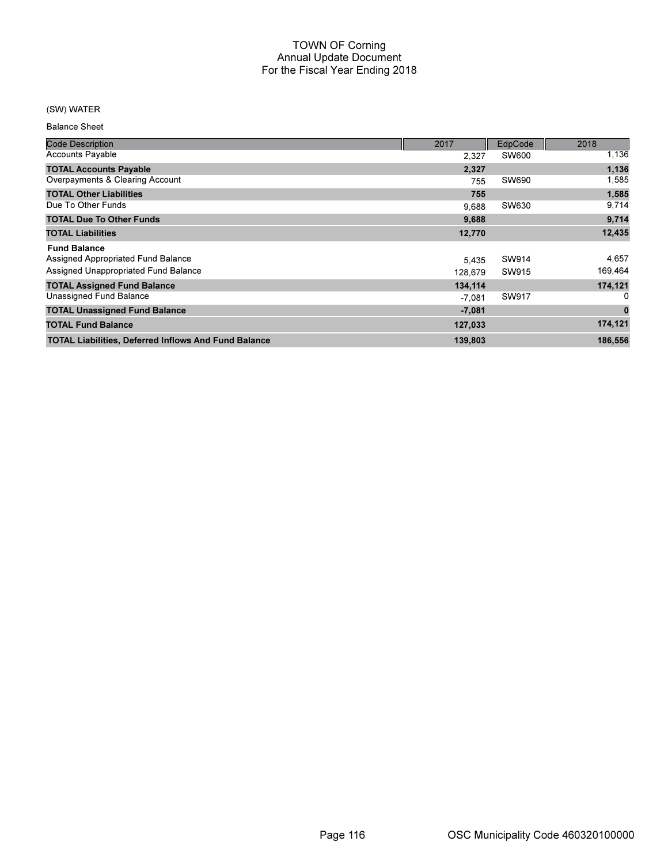## (SW) WATER

Balance Sheet

| <b>Code Description</b>                                     | 2017     | EdpCode      | 2018        |
|-------------------------------------------------------------|----------|--------------|-------------|
| <b>Accounts Payable</b>                                     | 2.327    | <b>SW600</b> | 1,136       |
| <b>TOTAL Accounts Payable</b>                               | 2,327    |              | 1,136       |
| Overpayments & Clearing Account                             | 755      | SW690        | 1,585       |
| <b>TOTAL Other Liabilities</b>                              | 755      |              | 1,585       |
| Due To Other Funds                                          | 9,688    | SW630        | 9,714       |
| <b>TOTAL Due To Other Funds</b>                             | 9,688    |              | 9,714       |
| <b>TOTAL Liabilities</b>                                    | 12,770   |              | 12,435      |
| <b>Fund Balance</b>                                         |          |              |             |
| Assigned Appropriated Fund Balance                          | 5.435    | SW914        | 4,657       |
| Assigned Unappropriated Fund Balance                        | 128.679  | SW915        | 169,464     |
| <b>TOTAL Assigned Fund Balance</b>                          | 134,114  |              | 174,121     |
| Unassigned Fund Balance                                     | -7,081   | SW917        | 0           |
| <b>TOTAL Unassigned Fund Balance</b>                        | $-7,081$ |              | $\mathbf 0$ |
| <b>TOTAL Fund Balance</b>                                   | 127,033  |              | 174,121     |
| <b>TOTAL Liabilities, Deferred Inflows And Fund Balance</b> | 139,803  |              | 186,556     |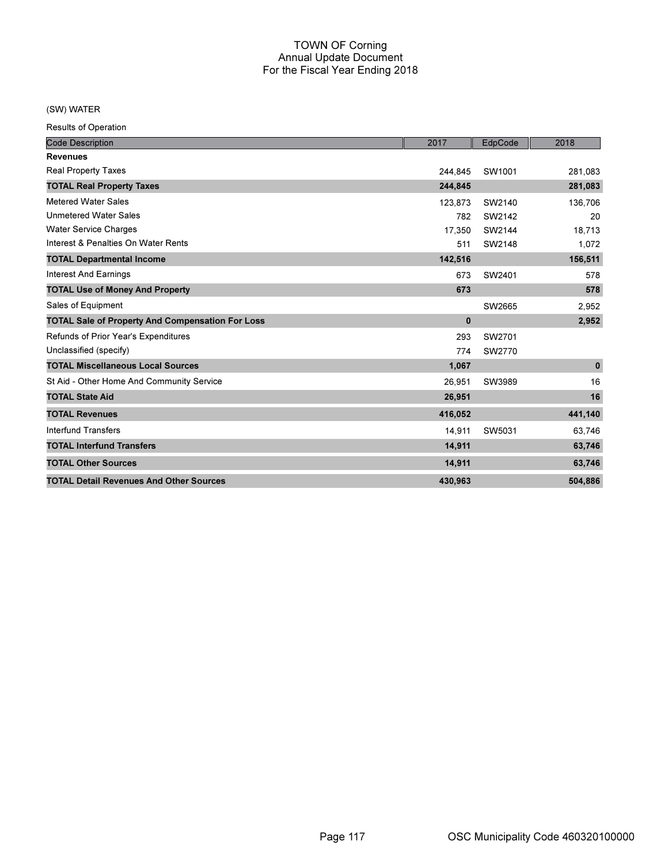## (SW) WATER

Results of Operation

| <b>Code Description</b>                                 | 2017     | EdpCode | 2018         |
|---------------------------------------------------------|----------|---------|--------------|
| <b>Revenues</b>                                         |          |         |              |
| <b>Real Property Taxes</b>                              | 244,845  | SW1001  | 281,083      |
| <b>TOTAL Real Property Taxes</b>                        | 244,845  |         | 281,083      |
| <b>Metered Water Sales</b>                              | 123,873  | SW2140  | 136,706      |
| <b>Unmetered Water Sales</b>                            | 782      | SW2142  | 20           |
| <b>Water Service Charges</b>                            | 17,350   | SW2144  | 18,713       |
| Interest & Penalties On Water Rents                     | 511      | SW2148  | 1,072        |
| <b>TOTAL Departmental Income</b>                        | 142,516  |         | 156,511      |
| <b>Interest And Earnings</b>                            | 673      | SW2401  | 578          |
| <b>TOTAL Use of Money And Property</b>                  | 673      |         | 578          |
| Sales of Equipment                                      |          | SW2665  | 2,952        |
| <b>TOTAL Sale of Property And Compensation For Loss</b> | $\bf{0}$ |         | 2,952        |
| Refunds of Prior Year's Expenditures                    | 293      | SW2701  |              |
| Unclassified (specify)                                  | 774      | SW2770  |              |
| <b>TOTAL Miscellaneous Local Sources</b>                | 1,067    |         | $\mathbf{0}$ |
| St Aid - Other Home And Community Service               | 26,951   | SW3989  | 16           |
| <b>TOTAL State Aid</b>                                  | 26,951   |         | 16           |
| <b>TOTAL Revenues</b>                                   | 416,052  |         | 441,140      |
| <b>Interfund Transfers</b>                              | 14,911   | SW5031  | 63,746       |
| <b>TOTAL Interfund Transfers</b>                        | 14,911   |         | 63,746       |
| <b>TOTAL Other Sources</b>                              | 14,911   |         | 63,746       |
| <b>TOTAL Detail Revenues And Other Sources</b>          | 430,963  |         | 504,886      |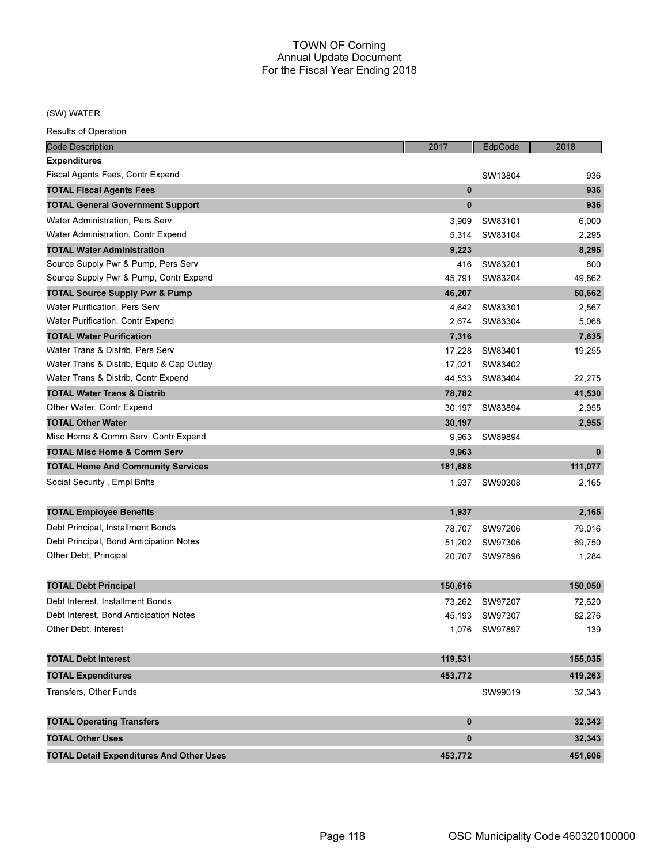### (SW) WATER

Results of Operation

| <b>Code Description</b>                         | 2017         | EdpCode        | 2018         |
|-------------------------------------------------|--------------|----------------|--------------|
| <b>Expenditures</b>                             |              |                |              |
| Fiscal Agents Fees, Contr Expend                |              | SW13804        | 936          |
| <b>TOTAL Fiscal Agents Fees</b>                 | $\bf{0}$     |                | 936          |
| <b>TOTAL General Government Support</b>         | $\bf{0}$     |                | 936          |
| Water Administration, Pers Serv                 | 3,909        | SW83101        | 6,000        |
| Water Administration, Contr Expend              | 5,314        | SW83104        | 2,295        |
| <b>TOTAL Water Administration</b>               | 9,223        |                | 8,295        |
| Source Supply Pwr & Pump, Pers Serv             | 416          | SW83201        | 800          |
| Source Supply Pwr & Pump, Contr Expend          | 45,791       | SW83204        | 49,862       |
| <b>TOTAL Source Supply Pwr &amp; Pump</b>       | 46,207       |                | 50,662       |
| Water Purification, Pers Serv                   | 4,642        | SW83301        | 2,567        |
| Water Purification, Contr Expend                | 2,674        | SW83304        | 5,068        |
| <b>TOTAL Water Purification</b>                 | 7,316        |                | 7,635        |
| Water Trans & Distrib, Pers Serv                | 17,228       | SW83401        | 19,255       |
| Water Trans & Distrib, Equip & Cap Outlay       | 17,021       | SW83402        |              |
| Water Trans & Distrib, Contr Expend             | 44,533       | SW83404        | 22,275       |
| <b>TOTAL Water Trans &amp; Distrib</b>          | 78,782       |                | 41,530       |
| Other Water, Contr Expend                       | 30,197       | SW83894        | 2,955        |
| <b>TOTAL Other Water</b>                        | 30,197       |                | 2,955        |
| Misc Home & Comm Serv, Contr Expend             | 9,963        | SW89894        |              |
| <b>TOTAL Misc Home &amp; Comm Serv</b>          | 9,963        |                | $\mathbf{0}$ |
| <b>TOTAL Home And Community Services</b>        | 181,688      |                | 111,077      |
| Social Security, Empl Bnfts                     | 1,937        | SW90308        | 2,165        |
|                                                 |              |                |              |
| <b>TOTAL Employee Benefits</b>                  | 1,937        |                | 2,165        |
| Debt Principal, Installment Bonds               | 78,707       | SW97206        | 79,016       |
| Debt Principal, Bond Anticipation Notes         | 51,202       | SW97306        | 69,750       |
| Other Debt, Principal                           | 20,707       | SW97896        | 1,284        |
| <b>TOTAL Debt Principal</b>                     | 150,616      |                | 150,050      |
| Debt Interest, Installment Bonds                | 73,262       | SW97207        | 72,620       |
| Debt Interest, Bond Anticipation Notes          |              | 45,193 SW97307 | 82,276       |
| Other Debt, Interest                            |              | 1,076 SW97897  | 139          |
|                                                 |              |                |              |
| <b>TOTAL Debt Interest</b>                      | 119,531      |                | 155,035      |
| <b>TOTAL Expenditures</b>                       | 453,772      |                | 419,263      |
| Transfers, Other Funds                          |              | SW99019        | 32,343       |
| <b>TOTAL Operating Transfers</b>                | $\mathbf{0}$ |                | 32,343       |
| <b>TOTAL Other Uses</b>                         | $\bf{0}$     |                | 32,343       |
| <b>TOTAL Detail Expenditures And Other Uses</b> | 453,772      |                | 451,606      |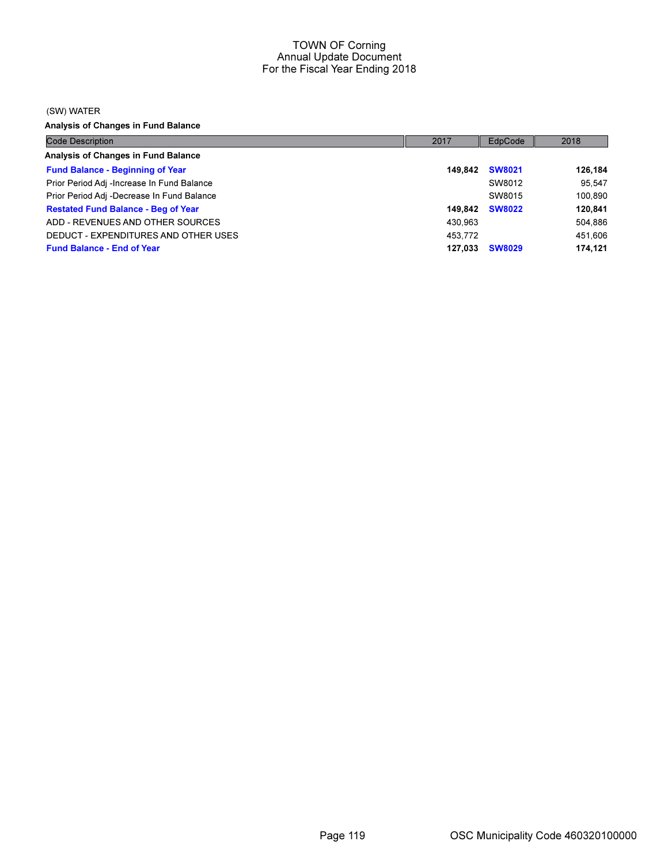(SW) WATER

Analysis of Changes in Fund Balance

| <b>Code Description</b>                    | 2017    | EdpCode       | 2018    |
|--------------------------------------------|---------|---------------|---------|
| Analysis of Changes in Fund Balance        |         |               |         |
| <b>Fund Balance - Beginning of Year</b>    | 149.842 | <b>SW8021</b> | 126,184 |
| Prior Period Adj -Increase In Fund Balance |         | SW8012        | 95.547  |
| Prior Period Adj -Decrease In Fund Balance |         | SW8015        | 100.890 |
| <b>Restated Fund Balance - Beg of Year</b> | 149.842 | <b>SW8022</b> | 120.841 |
| ADD - REVENUES AND OTHER SOURCES           | 430.963 |               | 504.886 |
| DEDUCT - EXPENDITURES AND OTHER USES       | 453.772 |               | 451.606 |
| <b>Fund Balance - End of Year</b>          | 127.033 | <b>SW8029</b> | 174.121 |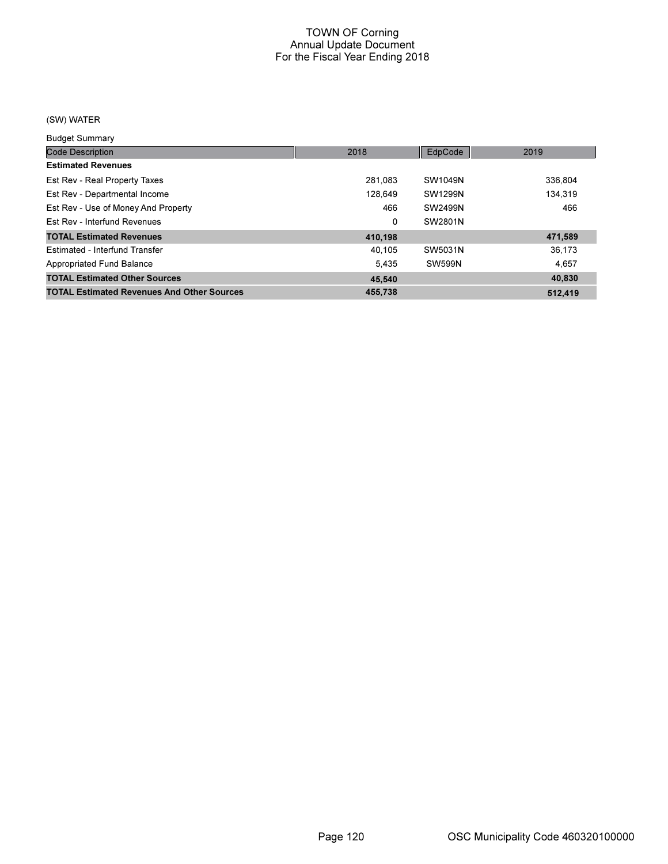## (SW) WATER

Budget Summary

| <b>Code Description</b>                           | 2018    | EdpCode       | 2019    |
|---------------------------------------------------|---------|---------------|---------|
| <b>Estimated Revenues</b>                         |         |               |         |
| Est Rev - Real Property Taxes                     | 281.083 | SW1049N       | 336.804 |
| Est Rev - Departmental Income                     | 128.649 | SW1299N       | 134.319 |
| Est Rev - Use of Money And Property               | 466     | SW2499N       | 466     |
| Est Rey - Interfund Revenues                      | 0       | SW2801N       |         |
| <b>TOTAL Estimated Revenues</b>                   | 410,198 |               | 471,589 |
| Estimated - Interfund Transfer                    | 40.105  | SW5031N       | 36,173  |
| Appropriated Fund Balance                         | 5.435   | <b>SW599N</b> | 4.657   |
| <b>TOTAL Estimated Other Sources</b>              | 45.540  |               | 40.830  |
| <b>TOTAL Estimated Revenues And Other Sources</b> | 455.738 |               | 512.419 |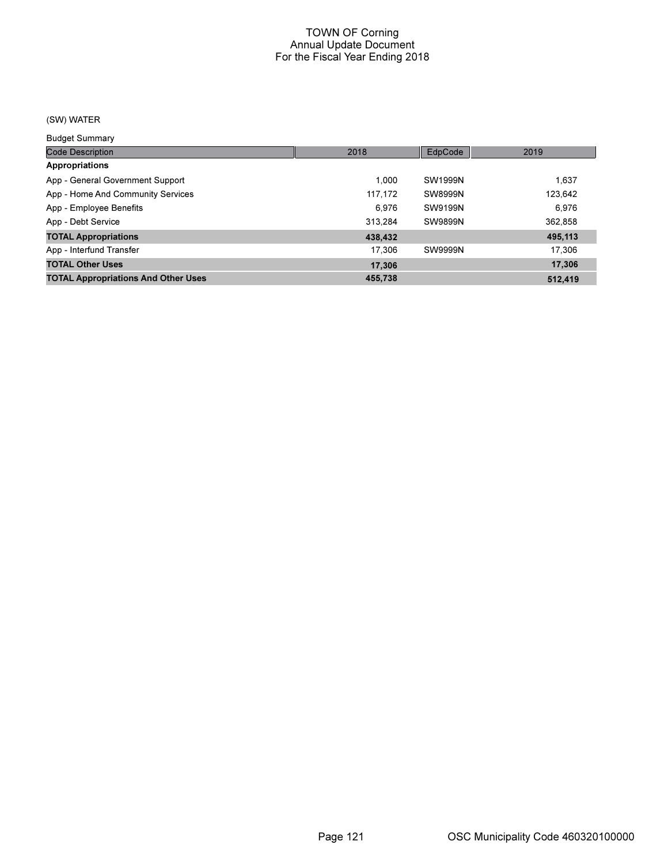## (SW) WATER

Budget Summary

| <b>Code Description</b>                    | 2018    | EdpCode | 2019    |
|--------------------------------------------|---------|---------|---------|
| <b>Appropriations</b>                      |         |         |         |
| App - General Government Support           | 1.000   | SW1999N | 1.637   |
| App - Home And Community Services          | 117,172 | SW8999N | 123,642 |
| App - Employee Benefits                    | 6.976   | SW9199N | 6.976   |
| App - Debt Service                         | 313.284 | SW9899N | 362,858 |
| <b>TOTAL Appropriations</b>                | 438,432 |         | 495,113 |
| App - Interfund Transfer                   | 17.306  | SW9999N | 17.306  |
| <b>TOTAL Other Uses</b>                    | 17,306  |         | 17.306  |
| <b>TOTAL Appropriations And Other Uses</b> | 455.738 |         | 512.419 |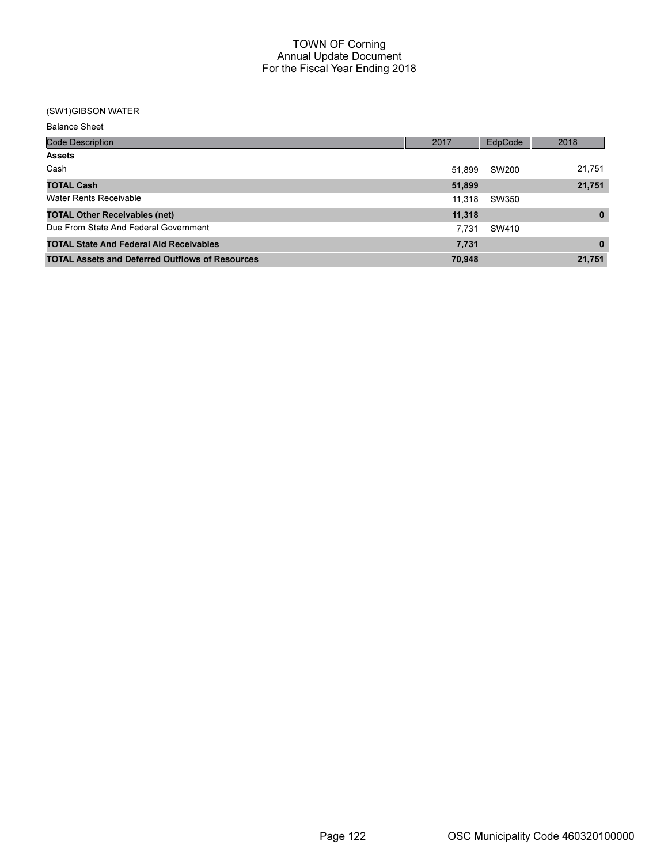### (SW1)GIBSON WATER

| <b>Balance Sheet</b>                                   |        |         |              |
|--------------------------------------------------------|--------|---------|--------------|
| <b>Code Description</b>                                | 2017   | EdpCode | 2018         |
| <b>Assets</b>                                          |        |         |              |
| Cash                                                   | 51.899 | SW200   | 21,751       |
| <b>TOTAL Cash</b>                                      | 51,899 |         | 21,751       |
| <b>Water Rents Receivable</b>                          | 11.318 | SW350   |              |
| <b>TOTAL Other Receivables (net)</b>                   | 11,318 |         | $\mathbf{0}$ |
| Due From State And Federal Government                  | 7.731  | SW410   |              |
| <b>TOTAL State And Federal Aid Receivables</b>         | 7,731  |         | $\bf{0}$     |
| <b>TOTAL Assets and Deferred Outflows of Resources</b> | 70,948 |         | 21,751       |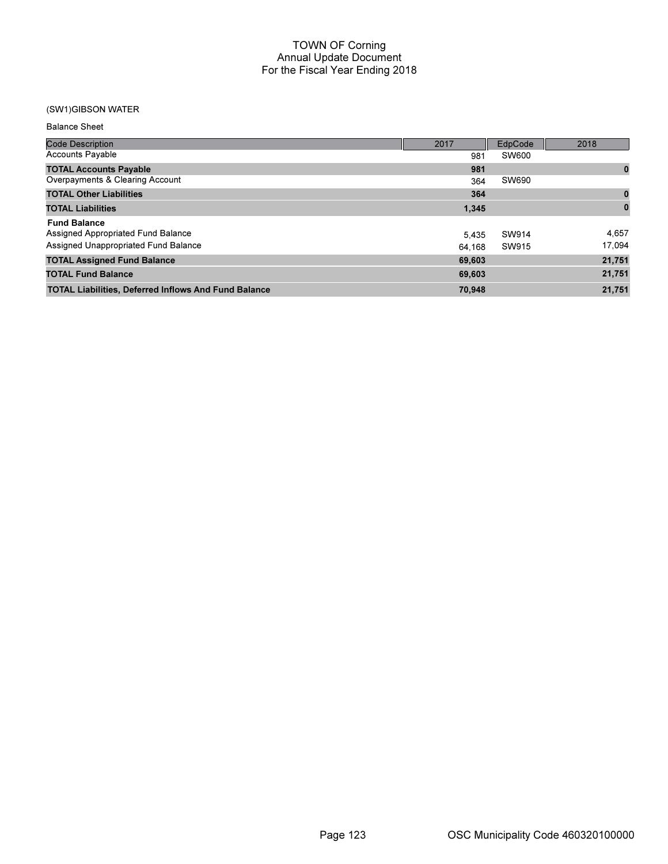### (SW1)GIBSON WATER

| <b>Balance Sheet</b>                                        |        |              |          |
|-------------------------------------------------------------|--------|--------------|----------|
| <b>Code Description</b>                                     | 2017   | EdpCode      | 2018     |
| <b>Accounts Payable</b>                                     | 981    | <b>SW600</b> |          |
| <b>TOTAL Accounts Payable</b>                               | 981    |              | $\bf{0}$ |
| Overpayments & Clearing Account                             | 364    | SW690        |          |
| <b>TOTAL Other Liabilities</b>                              | 364    |              | $\bf{0}$ |
| <b>TOTAL Liabilities</b>                                    | 1,345  |              |          |
| <b>Fund Balance</b>                                         |        |              |          |
| Assigned Appropriated Fund Balance                          | 5,435  | SW914        | 4,657    |
| Assigned Unappropriated Fund Balance                        | 64.168 | SW915        | 17,094   |
| <b>TOTAL Assigned Fund Balance</b>                          | 69,603 |              | 21,751   |
| <b>TOTAL Fund Balance</b>                                   | 69,603 |              | 21,751   |
| <b>TOTAL Liabilities, Deferred Inflows And Fund Balance</b> | 70,948 |              | 21,751   |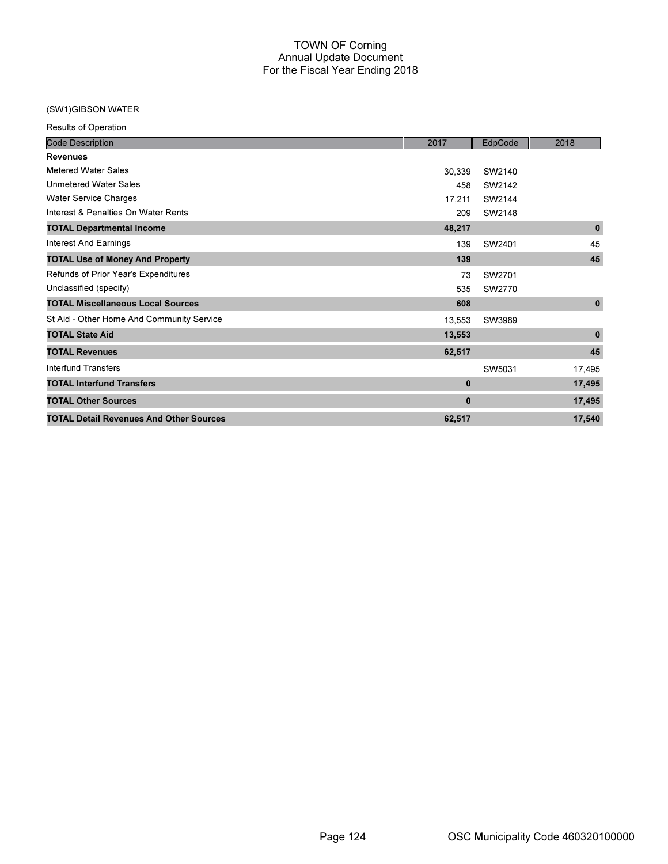### (SW1)GIBSON WATER

Results of Operation

| <b>Code Description</b>                        | 2017        | EdpCode | 2018         |
|------------------------------------------------|-------------|---------|--------------|
| <b>Revenues</b>                                |             |         |              |
| <b>Metered Water Sales</b>                     | 30,339      | SW2140  |              |
| <b>Unmetered Water Sales</b>                   | 458         | SW2142  |              |
| <b>Water Service Charges</b>                   | 17,211      | SW2144  |              |
| Interest & Penalties On Water Rents            | 209         | SW2148  |              |
| <b>TOTAL Departmental Income</b>               | 48,217      |         | $\bf{0}$     |
| Interest And Earnings                          | 139         | SW2401  | 45           |
| <b>TOTAL Use of Money And Property</b>         | 139         |         | 45           |
| Refunds of Prior Year's Expenditures           | 73          | SW2701  |              |
| Unclassified (specify)                         | 535         | SW2770  |              |
| <b>TOTAL Miscellaneous Local Sources</b>       | 608         |         | $\pmb{0}$    |
| St Aid - Other Home And Community Service      | 13,553      | SW3989  |              |
| <b>TOTAL State Aid</b>                         | 13,553      |         | $\mathbf{0}$ |
| <b>TOTAL Revenues</b>                          | 62,517      |         | 45           |
| <b>Interfund Transfers</b>                     |             | SW5031  | 17,495       |
| <b>TOTAL Interfund Transfers</b>               | $\mathbf 0$ |         | 17,495       |
| <b>TOTAL Other Sources</b>                     | $\mathbf 0$ |         | 17,495       |
| <b>TOTAL Detail Revenues And Other Sources</b> | 62,517      |         | 17,540       |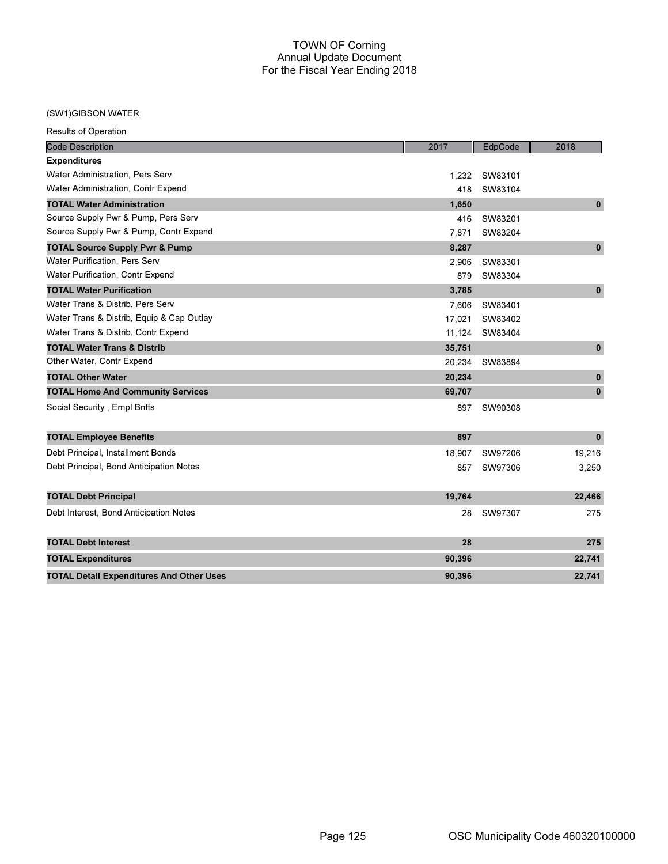## (SW1)GIBSON WATER

Results of Operation

| <b>Code Description</b>                         | 2017   | EdpCode | 2018         |
|-------------------------------------------------|--------|---------|--------------|
| <b>Expenditures</b>                             |        |         |              |
| Water Administration, Pers Serv                 | 1.232  | SW83101 |              |
| Water Administration, Contr Expend              | 418    | SW83104 |              |
| <b>TOTAL Water Administration</b>               | 1,650  |         | $\mathbf{0}$ |
| Source Supply Pwr & Pump, Pers Serv             | 416    | SW83201 |              |
| Source Supply Pwr & Pump, Contr Expend          | 7,871  | SW83204 |              |
| <b>TOTAL Source Supply Pwr &amp; Pump</b>       | 8,287  |         | $\mathbf{0}$ |
| <b>Water Purification, Pers Serv</b>            | 2,906  | SW83301 |              |
| Water Purification, Contr Expend                | 879    | SW83304 |              |
| <b>TOTAL Water Purification</b>                 | 3,785  |         | $\bf{0}$     |
| Water Trans & Distrib, Pers Serv                | 7,606  | SW83401 |              |
| Water Trans & Distrib, Equip & Cap Outlay       | 17,021 | SW83402 |              |
| Water Trans & Distrib, Contr Expend             | 11,124 | SW83404 |              |
| <b>TOTAL Water Trans &amp; Distrib</b>          | 35,751 |         | $\mathbf 0$  |
| Other Water, Contr Expend                       | 20,234 | SW83894 |              |
| <b>TOTAL Other Water</b>                        | 20,234 |         | $\pmb{0}$    |
| <b>TOTAL Home And Community Services</b>        | 69,707 |         | $\mathbf{0}$ |
| Social Security, Empl Bnfts                     | 897    | SW90308 |              |
| <b>TOTAL Employee Benefits</b>                  | 897    |         | $\pmb{0}$    |
| Debt Principal, Installment Bonds               | 18,907 | SW97206 | 19,216       |
| Debt Principal, Bond Anticipation Notes         | 857    | SW97306 | 3,250        |
| <b>TOTAL Debt Principal</b>                     | 19,764 |         | 22,466       |
| Debt Interest, Bond Anticipation Notes          | 28     | SW97307 | 275          |
| <b>TOTAL Debt Interest</b>                      | 28     |         | 275          |
| <b>TOTAL Expenditures</b>                       | 90,396 |         | 22,741       |
| <b>TOTAL Detail Expenditures And Other Uses</b> | 90,396 |         | 22,741       |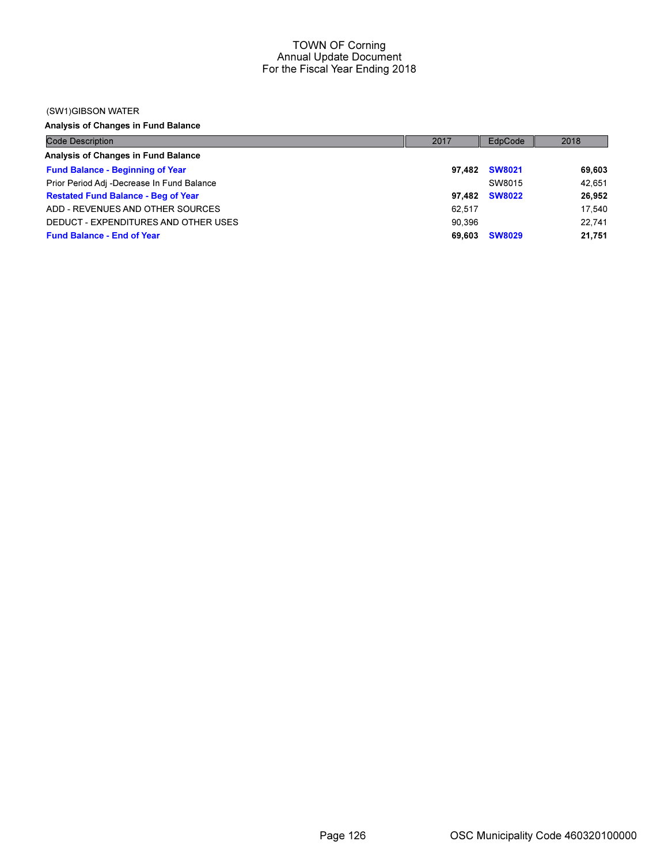#### (SW1)GIBSON WATER

Analysis of Changes in Fund Balance

| <b>Code Description</b>                    | 2017   | EdpCode       | 2018   |
|--------------------------------------------|--------|---------------|--------|
| Analysis of Changes in Fund Balance        |        |               |        |
| <b>Fund Balance - Beginning of Year</b>    | 97.482 | <b>SW8021</b> | 69,603 |
| Prior Period Adj -Decrease In Fund Balance |        | SW8015        | 42.651 |
| <b>Restated Fund Balance - Beg of Year</b> | 97.482 | <b>SW8022</b> | 26,952 |
| ADD - REVENUES AND OTHER SOURCES           | 62.517 |               | 17.540 |
| DEDUCT - EXPENDITURES AND OTHER USES       | 90.396 |               | 22.741 |
| <b>Fund Balance - End of Year</b>          | 69.603 | <b>SW8029</b> | 21,751 |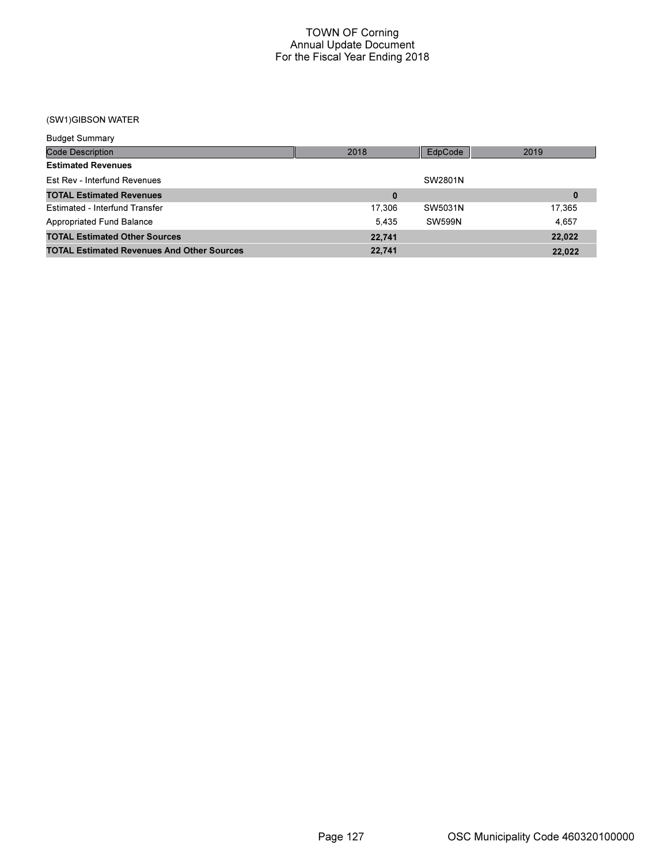# (SW1)GIBSON WATER

| <b>Budget Summary</b>                             |        |               |          |
|---------------------------------------------------|--------|---------------|----------|
| <b>Code Description</b>                           | 2018   | EdpCode       | 2019     |
| <b>Estimated Revenues</b>                         |        |               |          |
| Est Rev - Interfund Revenues                      |        | SW2801N       |          |
| <b>TOTAL Estimated Revenues</b>                   |        |               | $\bf{0}$ |
| Estimated - Interfund Transfer                    | 17.306 | SW5031N       | 17.365   |
| Appropriated Fund Balance                         | 5.435  | <b>SW599N</b> | 4.657    |
| <b>TOTAL Estimated Other Sources</b>              | 22,741 |               | 22.022   |
| <b>TOTAL Estimated Revenues And Other Sources</b> | 22,741 |               | 22,022   |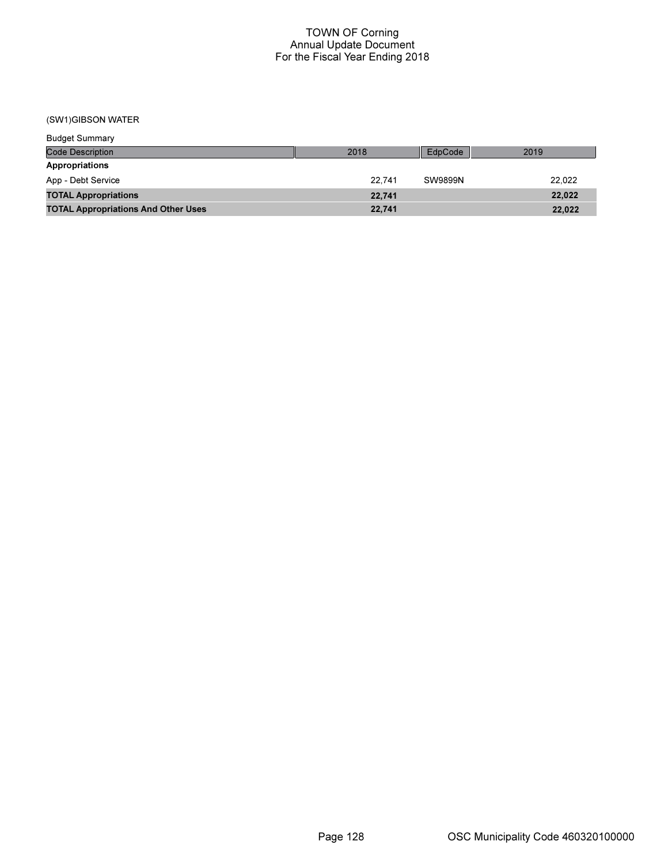# (SW1)GIBSON WATER

| <b>Budget Summary</b>                      |        |                |        |
|--------------------------------------------|--------|----------------|--------|
| <b>Code Description</b>                    | 2018   | EdpCode        | 2019   |
| Appropriations                             |        |                |        |
| App - Debt Service                         | 22.741 | <b>SW9899N</b> | 22.022 |
| <b>TOTAL Appropriations</b>                | 22.741 |                | 22,022 |
| <b>TOTAL Appropriations And Other Uses</b> | 22,741 |                | 22,022 |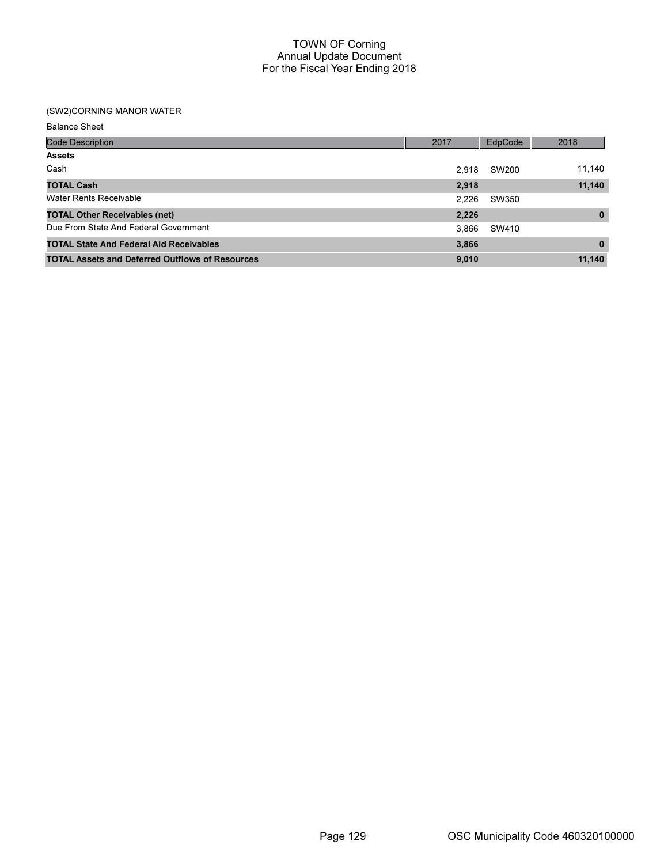## (SW2)CORNING MANOR WATER

Balance Sheet

| <b>Code Description</b>                                | 2017  | EdpCode | 2018         |
|--------------------------------------------------------|-------|---------|--------------|
| <b>Assets</b>                                          |       |         |              |
| Cash                                                   | 2.918 | SW200   | 11,140       |
| <b>TOTAL Cash</b>                                      | 2,918 |         | 11,140       |
| <b>Water Rents Receivable</b>                          | 2.226 | SW350   |              |
| <b>TOTAL Other Receivables (net)</b>                   | 2,226 |         | $\mathbf{0}$ |
| Due From State And Federal Government                  | 3.866 | SW410   |              |
| <b>TOTAL State And Federal Aid Receivables</b>         | 3,866 |         | $\bf{0}$     |
| <b>TOTAL Assets and Deferred Outflows of Resources</b> | 9,010 |         | 11,140       |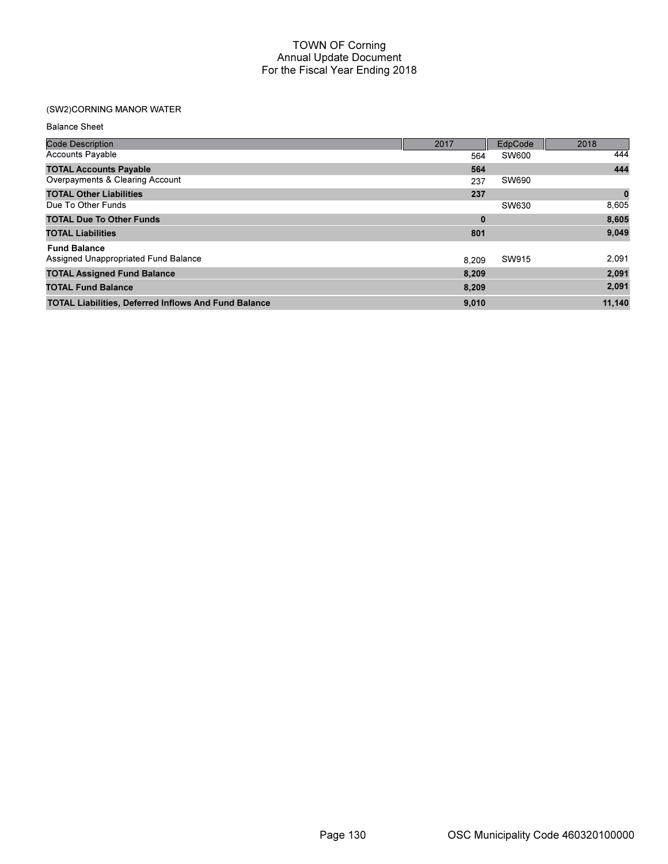# (SW2)CORNING MANOR WATER

Balance Sheet

| <b>Code Description</b>                                     | 2017     | EdpCode      | 2018      |
|-------------------------------------------------------------|----------|--------------|-----------|
| <b>Accounts Payable</b>                                     | 564      | <b>SW600</b> | 444       |
| <b>TOTAL Accounts Payable</b>                               | 564      |              | 444       |
| Overpayments & Clearing Account                             | 237      | SW690        |           |
| <b>TOTAL Other Liabilities</b>                              | 237      |              | $\pmb{0}$ |
| Due To Other Funds                                          |          | SW630        | 8,605     |
| <b>TOTAL Due To Other Funds</b>                             | $\bf{0}$ |              | 8,605     |
| <b>TOTAL Liabilities</b>                                    | 801      |              | 9,049     |
| <b>Fund Balance</b>                                         |          |              |           |
| Assigned Unappropriated Fund Balance                        | 8.209    | SW915        | 2,091     |
| <b>TOTAL Assigned Fund Balance</b>                          | 8,209    |              | 2,091     |
| <b>TOTAL Fund Balance</b>                                   | 8,209    |              | 2,091     |
| <b>TOTAL Liabilities, Deferred Inflows And Fund Balance</b> | 9,010    |              | 11,140    |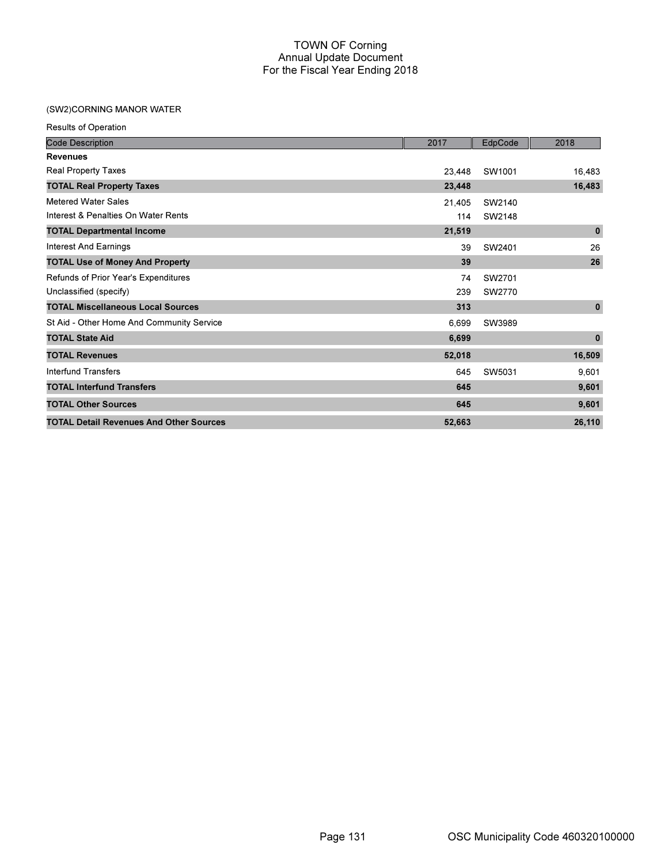# (SW2)CORNING MANOR WATER

| Results of Operation                           |        |         |              |
|------------------------------------------------|--------|---------|--------------|
| <b>Code Description</b>                        | 2017   | EdpCode | 2018         |
| <b>Revenues</b>                                |        |         |              |
| Real Property Taxes                            | 23,448 | SW1001  | 16,483       |
| <b>TOTAL Real Property Taxes</b>               | 23,448 |         | 16,483       |
| <b>Metered Water Sales</b>                     | 21,405 | SW2140  |              |
| Interest & Penalties On Water Rents            | 114    | SW2148  |              |
| <b>TOTAL Departmental Income</b>               | 21,519 |         | $\mathbf{0}$ |
| <b>Interest And Earnings</b>                   | 39     | SW2401  | 26           |
| <b>TOTAL Use of Money And Property</b>         | 39     |         | 26           |
| Refunds of Prior Year's Expenditures           | 74     | SW2701  |              |
| Unclassified (specify)                         | 239    | SW2770  |              |
| <b>TOTAL Miscellaneous Local Sources</b>       | 313    |         | $\bf{0}$     |
| St Aid - Other Home And Community Service      | 6,699  | SW3989  |              |
| <b>TOTAL State Aid</b>                         | 6,699  |         | $\bf{0}$     |
| <b>TOTAL Revenues</b>                          | 52,018 |         | 16,509       |
| <b>Interfund Transfers</b>                     | 645    | SW5031  | 9,601        |
| <b>TOTAL Interfund Transfers</b>               | 645    |         | 9,601        |
| <b>TOTAL Other Sources</b>                     | 645    |         | 9,601        |
| <b>TOTAL Detail Revenues And Other Sources</b> | 52,663 |         | 26,110       |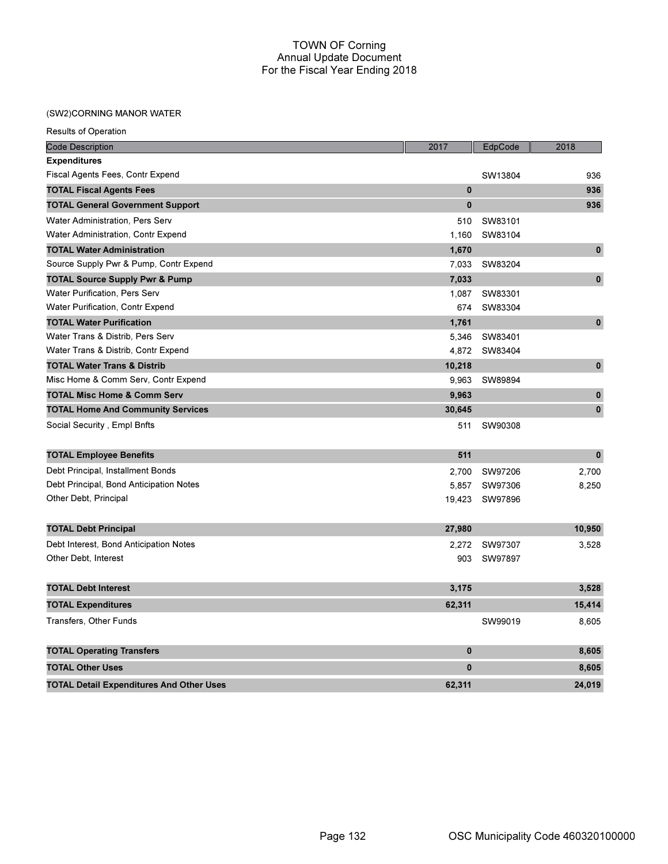### (SW2)CORNING MANOR WATER

| <b>Results of Operation</b>                     |              |         |           |
|-------------------------------------------------|--------------|---------|-----------|
| <b>Code Description</b>                         | 2017         | EdpCode | 2018      |
| <b>Expenditures</b>                             |              |         |           |
| Fiscal Agents Fees, Contr Expend                |              | SW13804 | 936       |
| <b>TOTAL Fiscal Agents Fees</b>                 | $\mathbf{0}$ |         | 936       |
| <b>TOTAL General Government Support</b>         | 0            |         | 936       |
| Water Administration, Pers Serv                 | 510          | SW83101 |           |
| Water Administration, Contr Expend              | 1,160        | SW83104 |           |
| <b>TOTAL Water Administration</b>               | 1,670        |         | $\pmb{0}$ |
| Source Supply Pwr & Pump, Contr Expend          | 7,033        | SW83204 |           |
| <b>TOTAL Source Supply Pwr &amp; Pump</b>       | 7,033        |         | $\pmb{0}$ |
| <b>Water Purification, Pers Serv</b>            | 1,087        | SW83301 |           |
| Water Purification, Contr Expend                | 674          | SW83304 |           |
| <b>TOTAL Water Purification</b>                 | 1,761        |         | $\pmb{0}$ |
| Water Trans & Distrib, Pers Serv                | 5,346        | SW83401 |           |
| Water Trans & Distrib, Contr Expend             | 4,872        | SW83404 |           |
| <b>TOTAL Water Trans &amp; Distrib</b>          | 10,218       |         | $\pmb{0}$ |
| Misc Home & Comm Serv, Contr Expend             | 9,963        | SW89894 |           |
| <b>TOTAL Misc Home &amp; Comm Serv</b>          | 9,963        |         | $\pmb{0}$ |
| <b>TOTAL Home And Community Services</b>        | 30,645       |         | $\pmb{0}$ |
| Social Security, Empl Bnfts                     | 511          | SW90308 |           |
| <b>TOTAL Employee Benefits</b>                  | 511          |         | $\bf{0}$  |
| Debt Principal, Installment Bonds               | 2.700        | SW97206 | 2,700     |
| Debt Principal, Bond Anticipation Notes         | 5,857        | SW97306 | 8,250     |
| Other Debt, Principal                           | 19,423       | SW97896 |           |
| <b>TOTAL Debt Principal</b>                     | 27,980       |         | 10,950    |
| Debt Interest, Bond Anticipation Notes          | 2,272        | SW97307 | 3,528     |
| Other Debt, Interest                            | 903          | SW97897 |           |
| <b>TOTAL Debt Interest</b>                      | 3,175        |         | 3,528     |
| <b>TOTAL Expenditures</b>                       | 62,311       |         | 15,414    |
| Transfers, Other Funds                          |              | SW99019 | 8,605     |
| <b>TOTAL Operating Transfers</b>                | 0            |         | 8,605     |
| <b>TOTAL Other Uses</b>                         | $\bf{0}$     |         | 8,605     |
| <b>TOTAL Detail Expenditures And Other Uses</b> | 62,311       |         | 24,019    |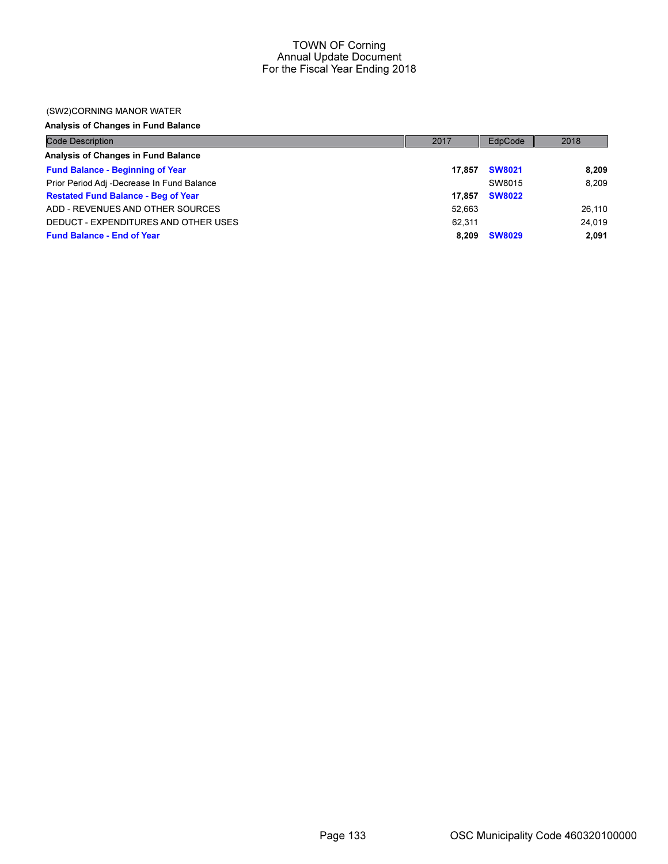### (SW2)CORNING MANOR WATER

Analysis of Changes in Fund Balance

| <b>Code Description</b>                    | 2017   | EdpCode       | 2018   |
|--------------------------------------------|--------|---------------|--------|
| Analysis of Changes in Fund Balance        |        |               |        |
| <b>Fund Balance - Beginning of Year</b>    | 17.857 | <b>SW8021</b> | 8,209  |
| Prior Period Adj -Decrease In Fund Balance |        | SW8015        | 8.209  |
| <b>Restated Fund Balance - Beg of Year</b> | 17.857 | <b>SW8022</b> |        |
| ADD - REVENUES AND OTHER SOURCES           | 52.663 |               | 26,110 |
| DEDUCT - EXPENDITURES AND OTHER USES       | 62.311 |               | 24.019 |
| <b>Fund Balance - End of Year</b>          | 8.209  | <b>SW8029</b> | 2.091  |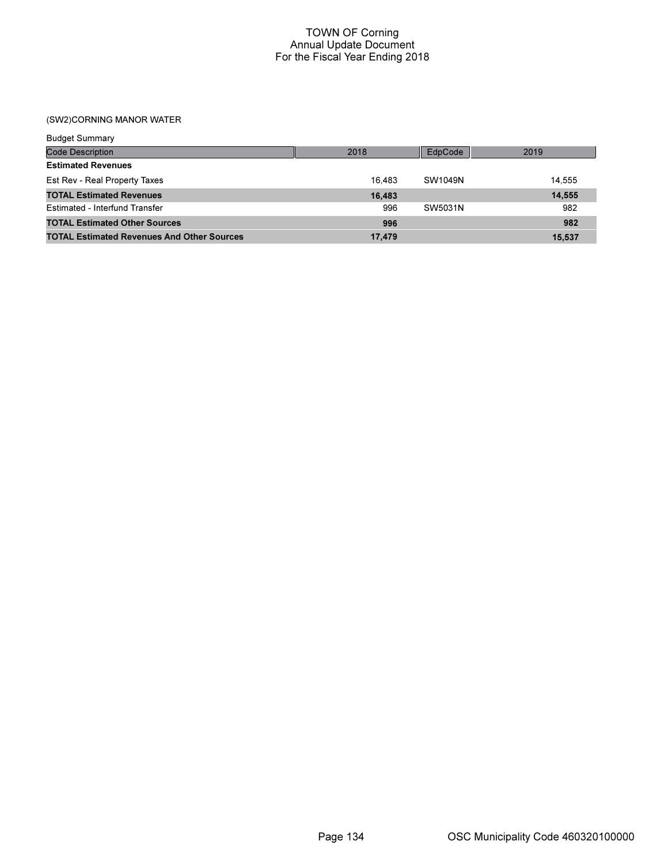# (SW2)CORNING MANOR WATER

| <b>Budget Summary</b>                             |        |         |        |
|---------------------------------------------------|--------|---------|--------|
| <b>Code Description</b>                           | 2018   | EdpCode | 2019   |
| <b>Estimated Revenues</b>                         |        |         |        |
| Est Rev - Real Property Taxes                     | 16.483 | SW1049N | 14.555 |
| <b>TOTAL Estimated Revenues</b>                   | 16,483 |         | 14,555 |
| Estimated - Interfund Transfer                    | 996    | SW5031N | 982    |
| <b>TOTAL Estimated Other Sources</b>              | 996    |         | 982    |
| <b>TOTAL Estimated Revenues And Other Sources</b> | 17,479 |         | 15,537 |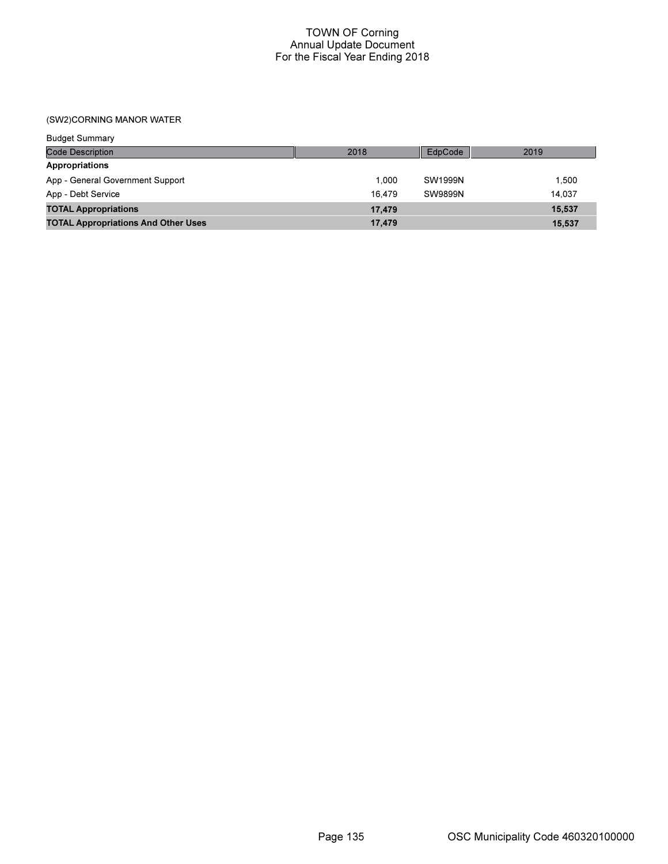(SW2)CORNING MANOR WATER

| <b>Budget Summary</b>                      |        |                |        |
|--------------------------------------------|--------|----------------|--------|
| Code Description                           | 2018   | EdpCode        | 2019   |
| Appropriations                             |        |                |        |
| App - General Government Support           | 1.000  | SW1999N        | 1.500  |
| App - Debt Service                         | 16.479 | <b>SW9899N</b> | 14.037 |
| <b>TOTAL Appropriations</b>                | 17,479 |                | 15,537 |
| <b>TOTAL Appropriations And Other Uses</b> | 17,479 |                | 15.537 |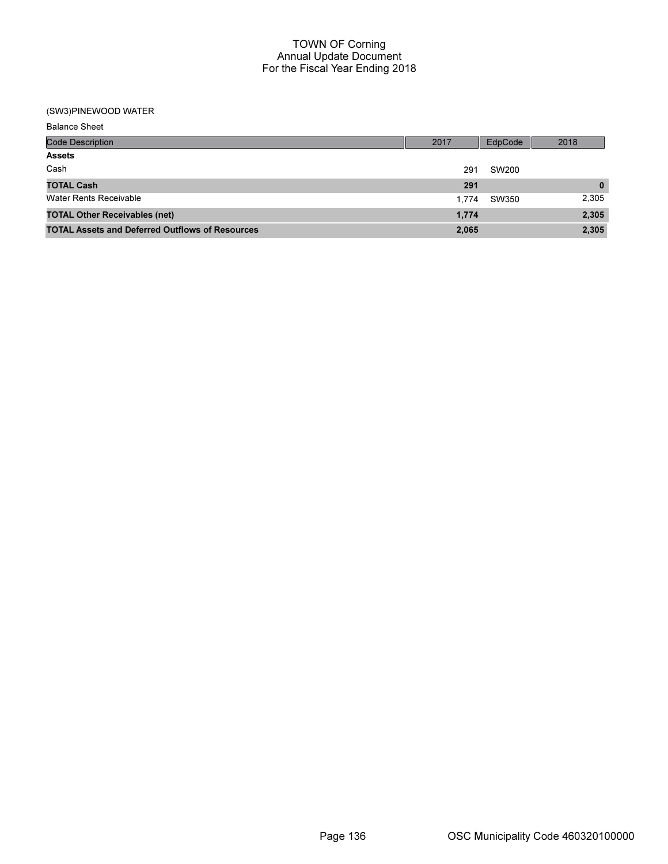### (SW3)PINEWOOD WATER

| <b>Balance Sheet</b>                                   |       |         |          |
|--------------------------------------------------------|-------|---------|----------|
| <b>Code Description</b>                                | 2017  | EdpCode | 2018     |
| <b>Assets</b>                                          |       |         |          |
| Cash                                                   | 291   | SW200   |          |
| <b>TOTAL Cash</b>                                      | 291   |         | $\bf{0}$ |
| Water Rents Receivable                                 | 1.774 | SW350   | 2,305    |
| <b>TOTAL Other Receivables (net)</b>                   | 1,774 |         | 2,305    |
| <b>TOTAL Assets and Deferred Outflows of Resources</b> | 2,065 |         | 2,305    |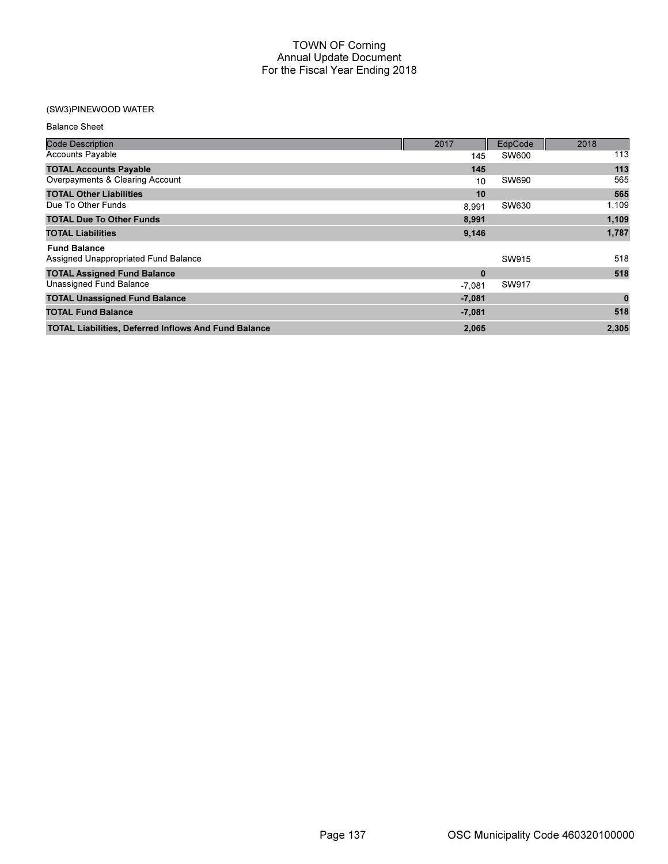## (SW3)PINEWOOD WATER

| <b>Balance Sheet</b>                                        |             |              |          |
|-------------------------------------------------------------|-------------|--------------|----------|
| <b>Code Description</b>                                     | 2017        | EdpCode      | 2018     |
| <b>Accounts Payable</b>                                     | 145         | <b>SW600</b> | 113      |
| <b>TOTAL Accounts Payable</b>                               | 145         |              | 113      |
| Overpayments & Clearing Account                             | 10          | SW690        | 565      |
| <b>TOTAL Other Liabilities</b>                              | 10          |              | 565      |
| Due To Other Funds                                          | 8,991       | SW630        | 1,109    |
| <b>TOTAL Due To Other Funds</b>                             | 8,991       |              | 1,109    |
| <b>TOTAL Liabilities</b>                                    | 9,146       |              | 1,787    |
| <b>Fund Balance</b>                                         |             |              |          |
| Assigned Unappropriated Fund Balance                        |             | SW915        | 518      |
| <b>TOTAL Assigned Fund Balance</b>                          | $\mathbf 0$ |              | 518      |
| Unassigned Fund Balance                                     | $-7,081$    | SW917        |          |
| <b>TOTAL Unassigned Fund Balance</b>                        | $-7,081$    |              | $\bf{0}$ |
| <b>TOTAL Fund Balance</b>                                   | $-7,081$    |              | 518      |
| <b>TOTAL Liabilities, Deferred Inflows And Fund Balance</b> | 2,065       |              | 2,305    |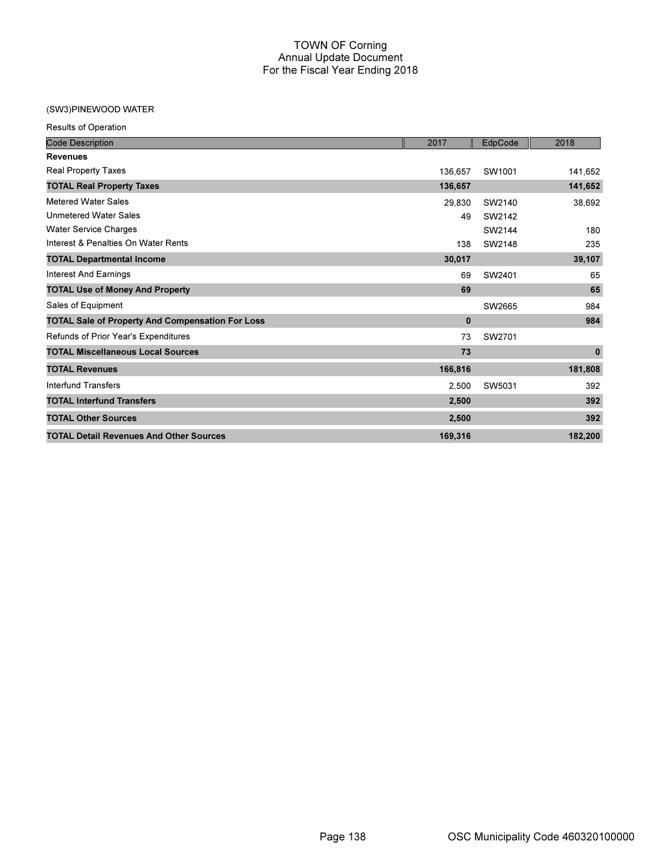## (SW3)PINEWOOD WATER

Results of Operation

| <b>Code Description</b>                                 | 2017         | EdpCode | 2018        |
|---------------------------------------------------------|--------------|---------|-------------|
| <b>Revenues</b>                                         |              |         |             |
| Real Property Taxes                                     | 136,657      | SW1001  | 141,652     |
| <b>TOTAL Real Property Taxes</b>                        | 136,657      |         | 141,652     |
| <b>Metered Water Sales</b>                              | 29,830       | SW2140  | 38,692      |
| <b>Unmetered Water Sales</b>                            | 49           | SW2142  |             |
| <b>Water Service Charges</b>                            |              | SW2144  | 180         |
| Interest & Penalties On Water Rents                     | 138          | SW2148  | 235         |
| <b>TOTAL Departmental Income</b>                        | 30,017       |         | 39,107      |
| <b>Interest And Earnings</b>                            | 69           | SW2401  | 65          |
| <b>TOTAL Use of Money And Property</b>                  | 69           |         | 65          |
| Sales of Equipment                                      |              | SW2665  | 984         |
| <b>TOTAL Sale of Property And Compensation For Loss</b> | $\mathbf{0}$ |         | 984         |
| Refunds of Prior Year's Expenditures                    | 73           | SW2701  |             |
| <b>TOTAL Miscellaneous Local Sources</b>                | 73           |         | $\mathbf 0$ |
| <b>TOTAL Revenues</b>                                   | 166,816      |         | 181,808     |
| <b>Interfund Transfers</b>                              | 2,500        | SW5031  | 392         |
| <b>TOTAL Interfund Transfers</b>                        | 2,500        |         | 392         |
| <b>TOTAL Other Sources</b>                              | 2,500        |         | 392         |
| <b>TOTAL Detail Revenues And Other Sources</b>          | 169,316      |         | 182,200     |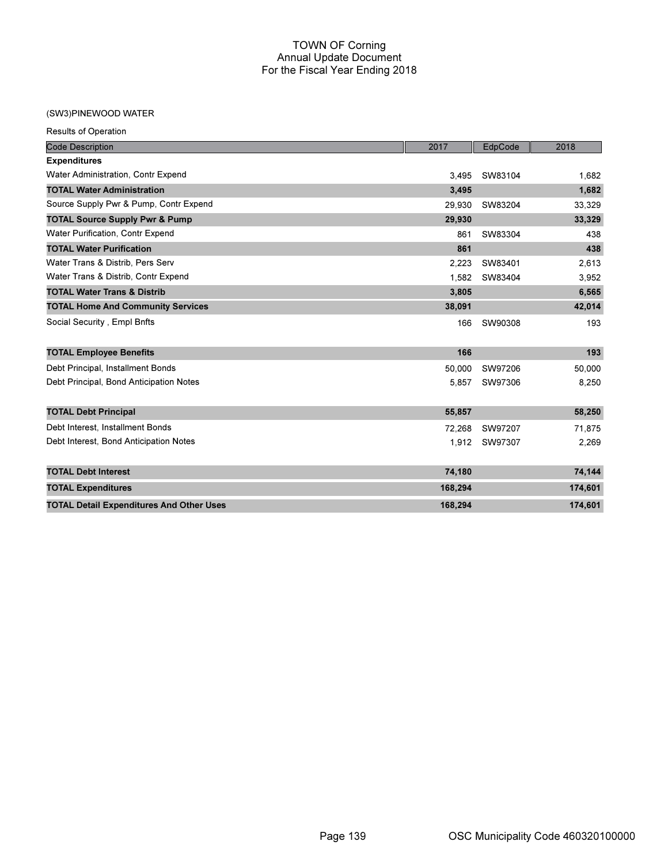## (SW3)PINEWOOD WATER

| <b>Results of Operation</b>                     |         |         |         |
|-------------------------------------------------|---------|---------|---------|
| <b>Code Description</b>                         | 2017    | EdpCode | 2018    |
| <b>Expenditures</b>                             |         |         |         |
| Water Administration, Contr Expend              | 3,495   | SW83104 | 1,682   |
| <b>TOTAL Water Administration</b>               | 3,495   |         | 1,682   |
| Source Supply Pwr & Pump, Contr Expend          | 29.930  | SW83204 | 33,329  |
| <b>TOTAL Source Supply Pwr &amp; Pump</b>       | 29,930  |         | 33,329  |
| <b>Water Purification, Contr Expend</b>         | 861     | SW83304 | 438     |
| <b>TOTAL Water Purification</b>                 | 861     |         | 438     |
| Water Trans & Distrib, Pers Serv                | 2,223   | SW83401 | 2,613   |
| Water Trans & Distrib, Contr Expend             | 1,582   | SW83404 | 3,952   |
| <b>TOTAL Water Trans &amp; Distrib</b>          | 3,805   |         | 6,565   |
| <b>TOTAL Home And Community Services</b>        | 38,091  |         | 42,014  |
| Social Security, Empl Bnfts                     | 166     | SW90308 | 193     |
| <b>TOTAL Employee Benefits</b>                  | 166     |         | 193     |
| Debt Principal, Installment Bonds               | 50,000  | SW97206 | 50,000  |
| Debt Principal, Bond Anticipation Notes         | 5,857   | SW97306 | 8,250   |
| <b>TOTAL Debt Principal</b>                     | 55,857  |         | 58,250  |
| Debt Interest. Installment Bonds                | 72,268  | SW97207 | 71,875  |
| Debt Interest, Bond Anticipation Notes          | 1,912   | SW97307 | 2,269   |
| <b>TOTAL Debt Interest</b>                      | 74,180  |         | 74,144  |
| <b>TOTAL Expenditures</b>                       | 168,294 |         | 174,601 |
| <b>TOTAL Detail Expenditures And Other Uses</b> | 168,294 |         | 174,601 |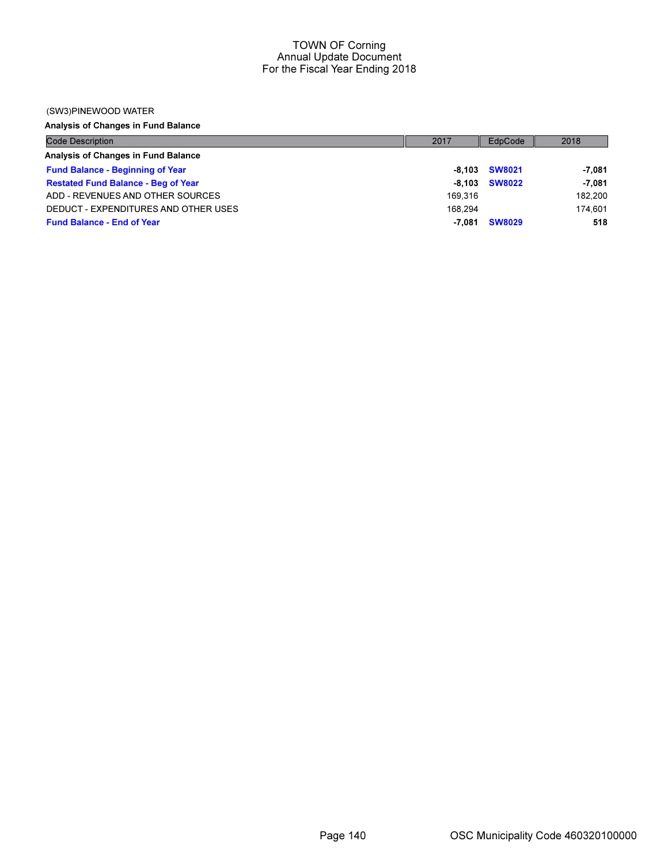#### (SW3)PINEWOOD WATER

Analysis of Changes in Fund Balance

| <b>Code Description</b>                    | 2017    | EdpCode       | 2018     |
|--------------------------------------------|---------|---------------|----------|
| Analysis of Changes in Fund Balance        |         |               |          |
| <b>Fund Balance - Beginning of Year</b>    |         | -8,103 SW8021 | $-7,081$ |
| <b>Restated Fund Balance - Beg of Year</b> | -8.103  | <b>SW8022</b> | $-7,081$ |
| ADD - REVENUES AND OTHER SOURCES           | 169.316 |               | 182,200  |
| DEDUCT - EXPENDITURES AND OTHER USES       | 168.294 |               | 174.601  |
| <b>Fund Balance - End of Year</b>          | -7.081  | <b>SW8029</b> | 518      |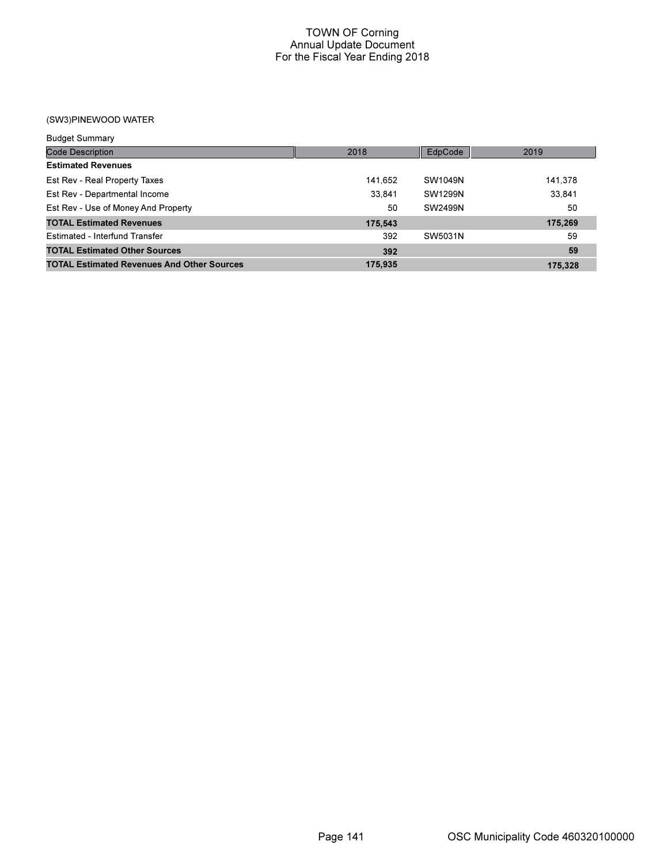(SW3)PINEWOOD WATER

| <b>Budget Summary</b>                             |         |         |         |
|---------------------------------------------------|---------|---------|---------|
| <b>Code Description</b>                           | 2018    | EdpCode | 2019    |
| <b>Estimated Revenues</b>                         |         |         |         |
| Est Rev - Real Property Taxes                     | 141,652 | SW1049N | 141,378 |
| Est Rev - Departmental Income                     | 33.841  | SW1299N | 33,841  |
| Est Rev - Use of Money And Property               | 50      | SW2499N | 50      |
| <b>TOTAL Estimated Revenues</b>                   | 175,543 |         | 175,269 |
| Estimated - Interfund Transfer                    | 392     | SW5031N | 59      |
| <b>TOTAL Estimated Other Sources</b>              | 392     |         | 59      |
| <b>TOTAL Estimated Revenues And Other Sources</b> | 175.935 |         | 175.328 |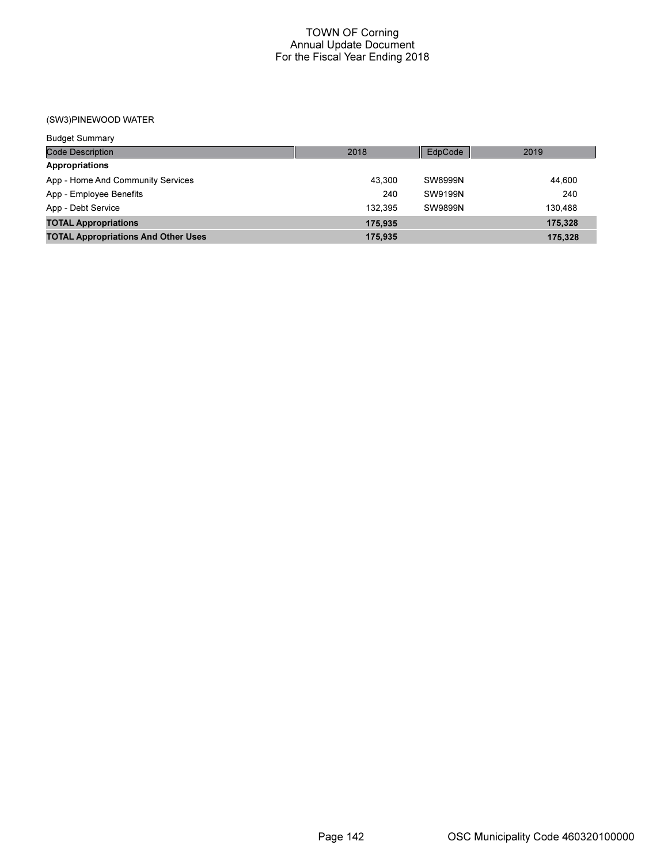(SW3)PINEWOOD WATER

| <b>Budget Summary</b>                      |         |         |         |
|--------------------------------------------|---------|---------|---------|
| <b>Code Description</b>                    | 2018    | EdpCode | 2019    |
| <b>Appropriations</b>                      |         |         |         |
| App - Home And Community Services          | 43.300  | SW8999N | 44.600  |
| App - Employee Benefits                    | 240     | SW9199N | 240     |
| App - Debt Service                         | 132.395 | SW9899N | 130.488 |
| <b>TOTAL Appropriations</b>                | 175.935 |         | 175,328 |
| <b>TOTAL Appropriations And Other Uses</b> | 175,935 |         | 175,328 |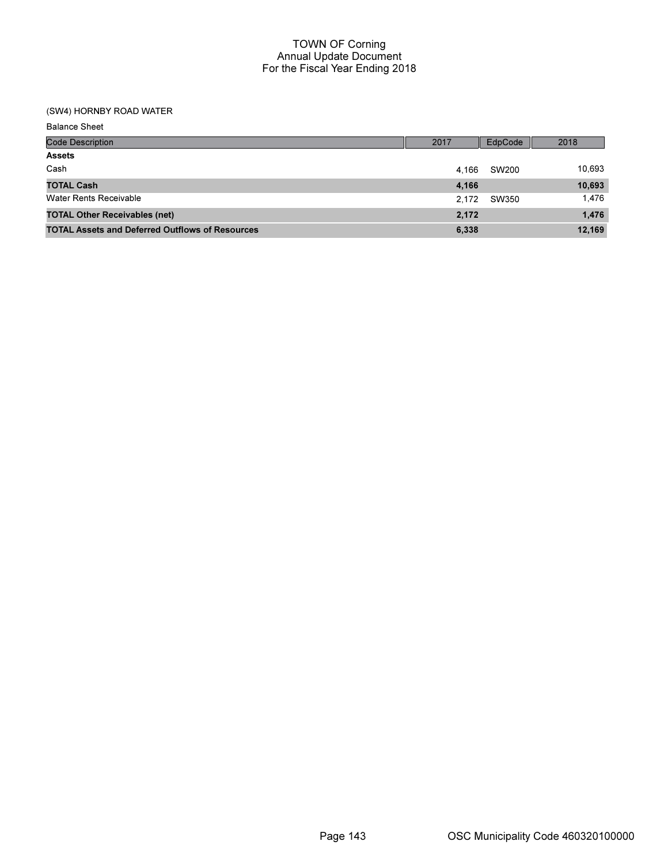## (SW4) HORNBY ROAD WATER

| <b>Balance Sheet</b>                                   |       |         |        |
|--------------------------------------------------------|-------|---------|--------|
| <b>Code Description</b>                                | 2017  | EdpCode | 2018   |
| <b>Assets</b>                                          |       |         |        |
| Cash                                                   | 4.166 | SW200   | 10,693 |
| <b>TOTAL Cash</b>                                      | 4,166 |         | 10,693 |
| <b>Water Rents Receivable</b>                          | 2.172 | SW350   | 1,476  |
| <b>TOTAL Other Receivables (net)</b>                   | 2,172 |         | 1,476  |
| <b>TOTAL Assets and Deferred Outflows of Resources</b> | 6,338 |         | 12,169 |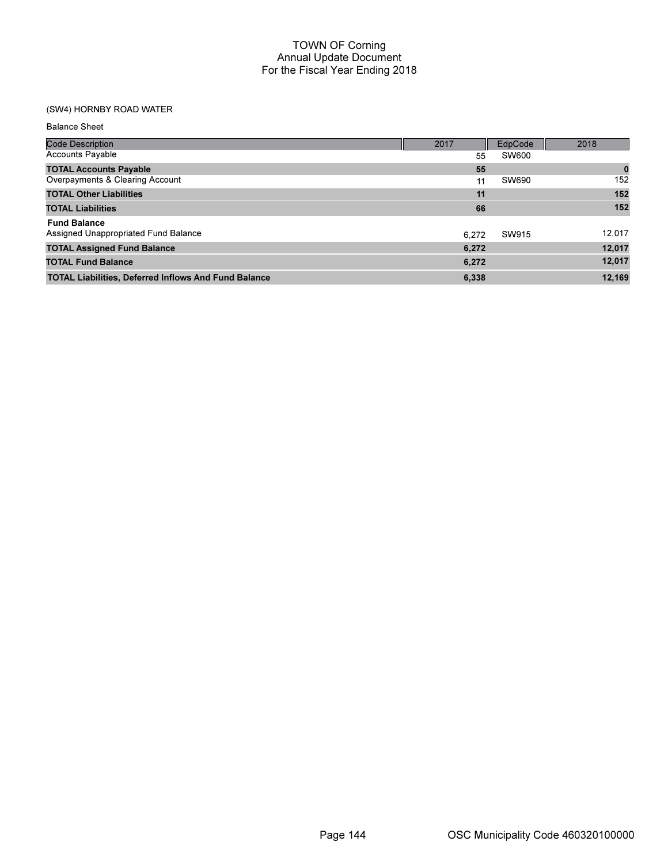# (SW4) HORNBY ROAD WATER

Balance Sheet

| <b>Code Description</b>                                     | 2017  | EdpCode | 2018     |
|-------------------------------------------------------------|-------|---------|----------|
| <b>Accounts Payable</b>                                     | 55    | SW600   |          |
| <b>TOTAL Accounts Payable</b>                               | 55    |         | $\bf{0}$ |
| Overpayments & Clearing Account                             | 11    | SW690   | 152      |
| <b>TOTAL Other Liabilities</b>                              | 11    |         | 152      |
| <b>TOTAL Liabilities</b>                                    | 66    |         | 152      |
| <b>Fund Balance</b>                                         |       |         |          |
| Assigned Unappropriated Fund Balance                        | 6.272 | SW915   | 12,017   |
| <b>TOTAL Assigned Fund Balance</b>                          | 6,272 |         | 12,017   |
| <b>TOTAL Fund Balance</b>                                   | 6,272 |         | 12,017   |
| <b>TOTAL Liabilities, Deferred Inflows And Fund Balance</b> | 6.338 |         | 12.169   |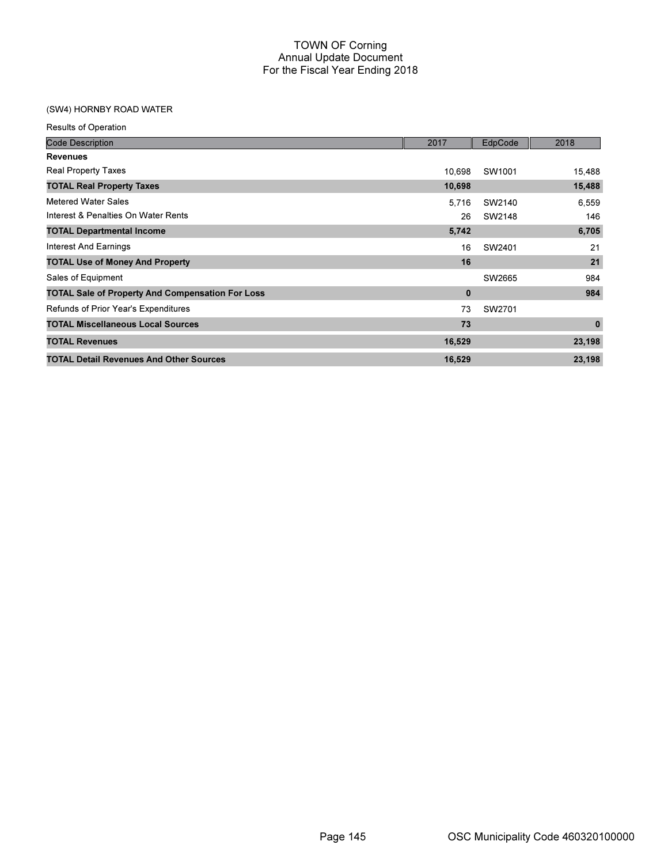## (SW4) HORNBY ROAD WATER

| <b>Results of Operation</b>                             |        |         |             |
|---------------------------------------------------------|--------|---------|-------------|
| <b>Code Description</b>                                 | 2017   | EdpCode | 2018        |
| <b>Revenues</b>                                         |        |         |             |
| <b>Real Property Taxes</b>                              | 10.698 | SW1001  | 15,488      |
| <b>TOTAL Real Property Taxes</b>                        | 10,698 |         | 15,488      |
| Metered Water Sales                                     | 5,716  | SW2140  | 6,559       |
| Interest & Penalties On Water Rents                     | 26     | SW2148  | 146         |
| <b>TOTAL Departmental Income</b>                        | 5,742  |         | 6,705       |
| <b>Interest And Earnings</b>                            | 16     | SW2401  | 21          |
| <b>TOTAL Use of Money And Property</b>                  | 16     |         | 21          |
| Sales of Equipment                                      |        | SW2665  | 984         |
| <b>TOTAL Sale of Property And Compensation For Loss</b> | 0      |         | 984         |
| Refunds of Prior Year's Expenditures                    | 73     | SW2701  |             |
| <b>TOTAL Miscellaneous Local Sources</b>                | 73     |         | $\mathbf 0$ |
| <b>TOTAL Revenues</b>                                   | 16,529 |         | 23,198      |
| <b>TOTAL Detail Revenues And Other Sources</b>          | 16,529 |         | 23,198      |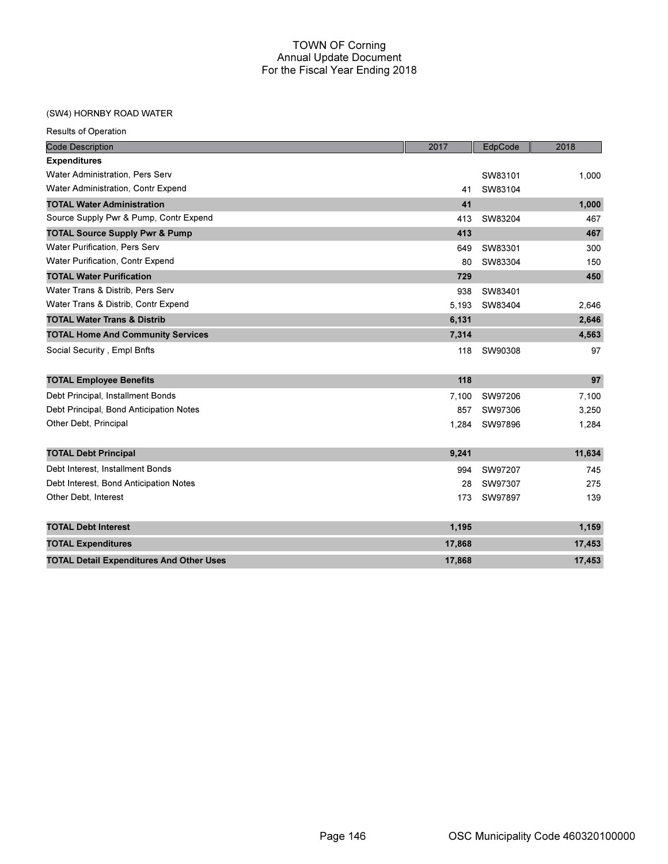#### (SW4) HORNBY ROAD WATER

| <b>Code Description</b>                         | 2017   | EdpCode | 2018   |
|-------------------------------------------------|--------|---------|--------|
| <b>Expenditures</b>                             |        |         |        |
| Water Administration, Pers Serv                 |        | SW83101 | 1,000  |
| Water Administration, Contr Expend              | 41     | SW83104 |        |
| <b>TOTAL Water Administration</b>               | 41     |         | 1,000  |
| Source Supply Pwr & Pump, Contr Expend          | 413    | SW83204 | 467    |
| <b>TOTAL Source Supply Pwr &amp; Pump</b>       | 413    |         | 467    |
| <b>Water Purification, Pers Serv</b>            | 649    | SW83301 | 300    |
| Water Purification, Contr Expend                | 80     | SW83304 | 150    |
| <b>TOTAL Water Purification</b>                 | 729    |         | 450    |
| Water Trans & Distrib, Pers Serv                | 938    | SW83401 |        |
| Water Trans & Distrib, Contr Expend             | 5.193  | SW83404 | 2,646  |
| <b>TOTAL Water Trans &amp; Distrib</b>          | 6,131  |         | 2,646  |
| <b>TOTAL Home And Community Services</b>        | 7,314  |         | 4,563  |
| Social Security, Empl Bnfts                     | 118    | SW90308 | 97     |
|                                                 |        |         |        |
| <b>TOTAL Employee Benefits</b>                  | 118    |         | 97     |
| Debt Principal, Installment Bonds               | 7.100  | SW97206 | 7,100  |
| Debt Principal, Bond Anticipation Notes         | 857    | SW97306 | 3,250  |
| Other Debt, Principal                           | 1,284  | SW97896 | 1,284  |
|                                                 |        |         |        |
| <b>TOTAL Debt Principal</b>                     | 9,241  |         | 11,634 |
| Debt Interest, Installment Bonds                | 994    | SW97207 | 745    |
| Debt Interest, Bond Anticipation Notes          | 28     | SW97307 | 275    |
| Other Debt, Interest                            | 173    | SW97897 | 139    |
| <b>TOTAL Debt Interest</b>                      | 1,195  |         | 1,159  |
| <b>TOTAL Expenditures</b>                       | 17,868 |         | 17,453 |
| <b>TOTAL Detail Expenditures And Other Uses</b> | 17,868 |         | 17,453 |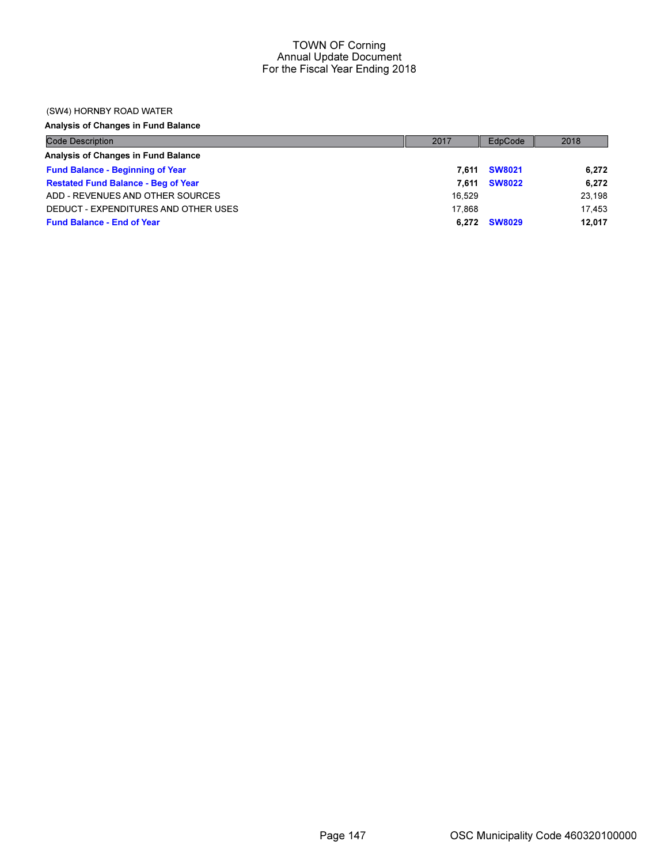#### (SW4) HORNBY ROAD WATER

# Analysis of Changes in Fund Balance

| <b>Code Description</b>                    | 2017   | EdpCode       | 2018   |
|--------------------------------------------|--------|---------------|--------|
| Analysis of Changes in Fund Balance        |        |               |        |
| <b>Fund Balance - Beginning of Year</b>    | 7.611  | <b>SW8021</b> | 6,272  |
| <b>Restated Fund Balance - Beg of Year</b> | 7.611  | <b>SW8022</b> | 6,272  |
| ADD - REVENUES AND OTHER SOURCES           | 16.529 |               | 23.198 |
| DEDUCT - EXPENDITURES AND OTHER USES       | 17.868 |               | 17.453 |
| <b>Fund Balance - End of Year</b>          | 6.272  | <b>SW8029</b> | 12,017 |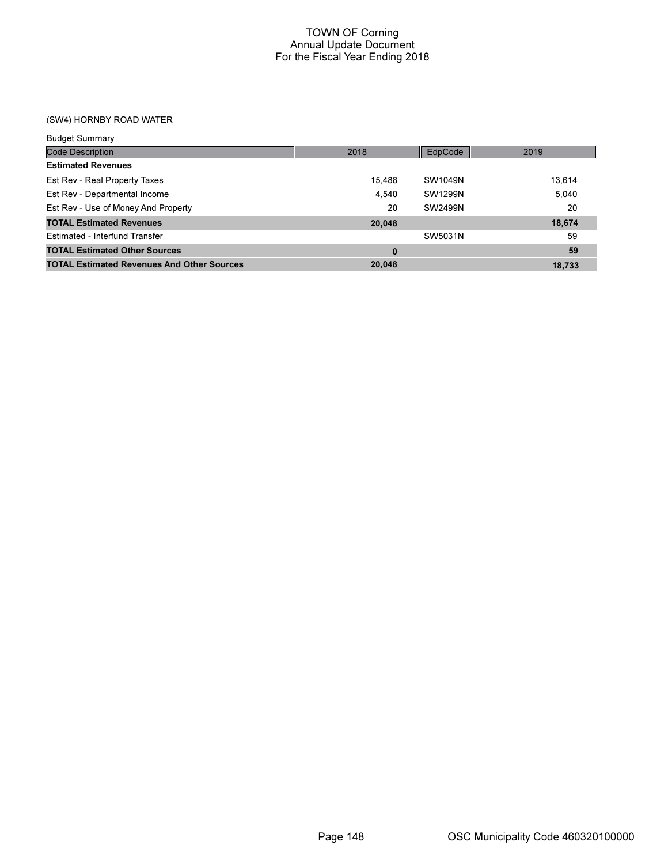(SW4) HORNBY ROAD WATER

| <b>Budget Summary</b>                             |        |         |        |
|---------------------------------------------------|--------|---------|--------|
| <b>Code Description</b>                           | 2018   | EdpCode | 2019   |
| <b>Estimated Revenues</b>                         |        |         |        |
| Est Rev - Real Property Taxes                     | 15,488 | SW1049N | 13,614 |
| Est Rev - Departmental Income                     | 4.540  | SW1299N | 5.040  |
| Est Rev - Use of Money And Property               | 20     | SW2499N | 20     |
| <b>TOTAL Estimated Revenues</b>                   | 20,048 |         | 18,674 |
| Estimated - Interfund Transfer                    |        | SW5031N | 59     |
| <b>TOTAL Estimated Other Sources</b>              | 0      |         | 59     |
| <b>TOTAL Estimated Revenues And Other Sources</b> | 20,048 |         | 18.733 |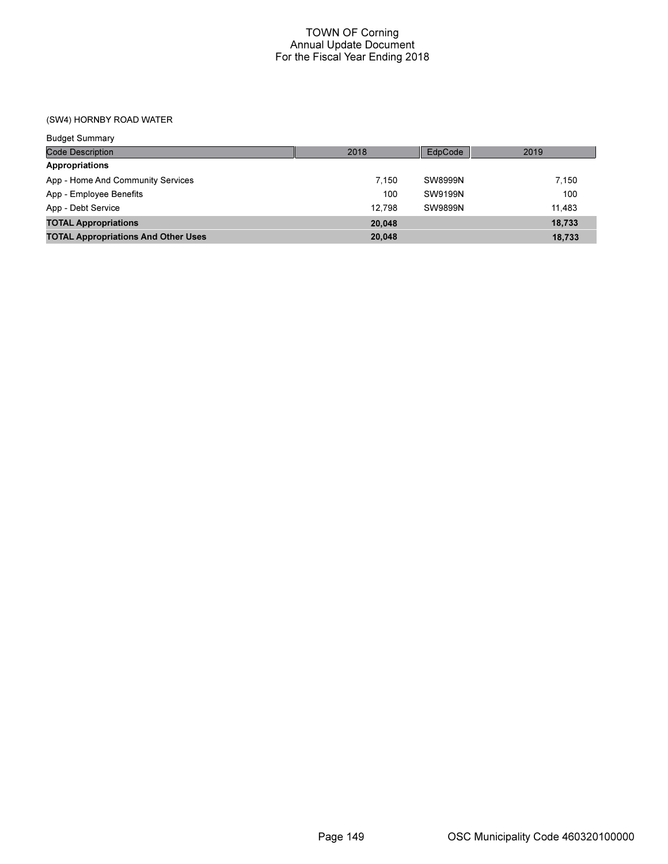(SW4) HORNBY ROAD WATER

| <b>Budget Summary</b>                      |        |         |        |
|--------------------------------------------|--------|---------|--------|
| <b>Code Description</b>                    | 2018   | EdpCode | 2019   |
| Appropriations                             |        |         |        |
| App - Home And Community Services          | 7.150  | SW8999N | 7.150  |
| App - Employee Benefits                    | 100    | SW9199N | 100    |
| App - Debt Service                         | 12.798 | SW9899N | 11.483 |
| <b>TOTAL Appropriations</b>                | 20,048 |         | 18,733 |
| <b>TOTAL Appropriations And Other Uses</b> | 20,048 |         | 18,733 |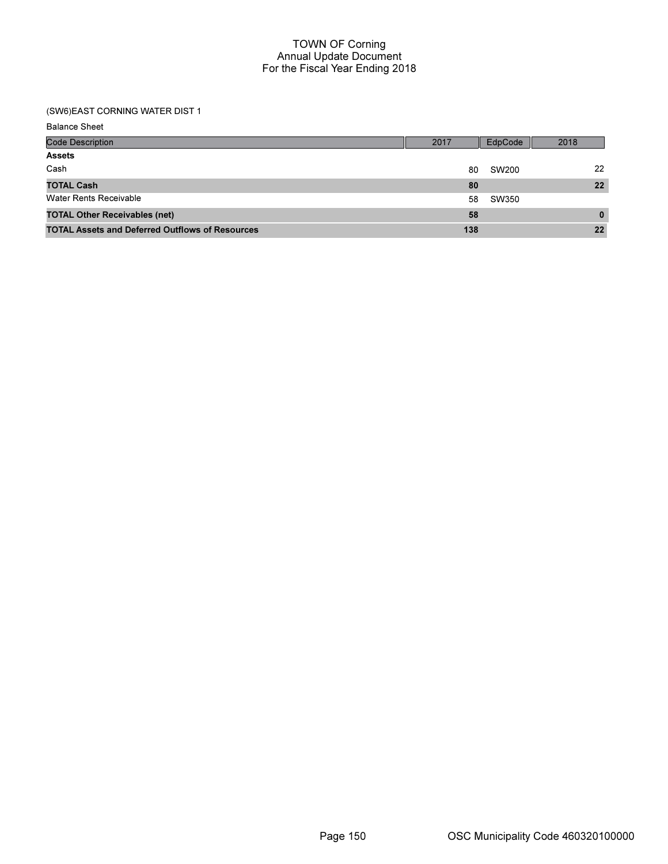#### (SW6)EAST CORNING WATER DIST 1

Balance Sheet

| <b>Code Description</b>                                | 2017 | EdpCode | 2018     |
|--------------------------------------------------------|------|---------|----------|
| <b>Assets</b>                                          |      |         |          |
| Cash                                                   | 80   | SW200   | 22       |
| <b>TOTAL Cash</b>                                      | 80   |         | 22       |
| <b>Water Rents Receivable</b>                          | 58   | SW350   |          |
| <b>TOTAL Other Receivables (net)</b>                   | 58   |         | $\bf{0}$ |
| <b>TOTAL Assets and Deferred Outflows of Resources</b> | 138  |         | 22       |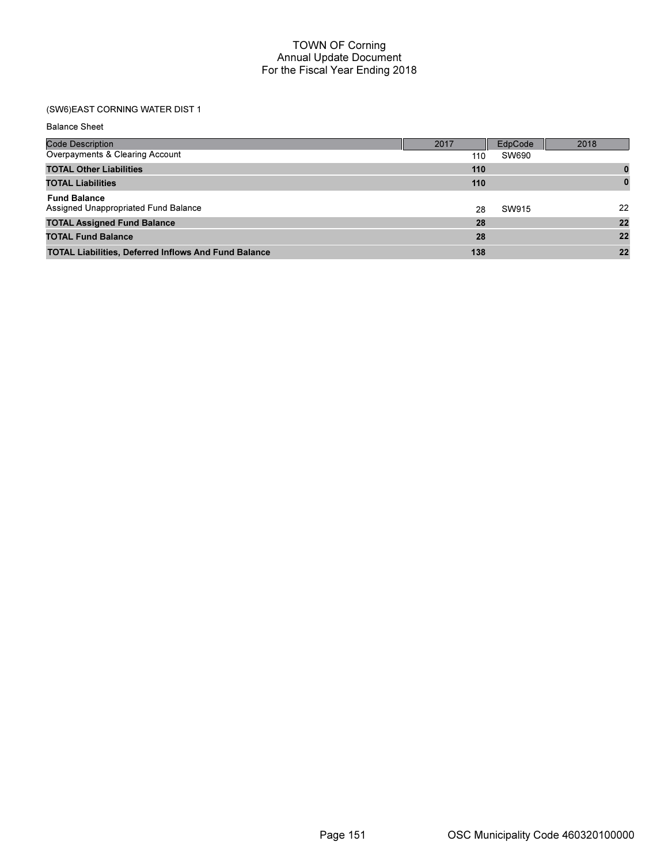| <b>Balance Sheet</b>                                        |      |         |              |
|-------------------------------------------------------------|------|---------|--------------|
| <b>Code Description</b>                                     | 2017 | EdpCode | 2018         |
| Overpayments & Clearing Account                             | 110  | SW690   |              |
| <b>TOTAL Other Liabilities</b>                              | 110  |         | 0            |
| <b>TOTAL Liabilities</b>                                    | 110  |         | $\mathbf{0}$ |
| <b>Fund Balance</b><br>Assigned Unappropriated Fund Balance | 28   | SW915   | 22           |
| <b>TOTAL Assigned Fund Balance</b>                          | 28   |         | 22           |
| <b>TOTAL Fund Balance</b>                                   | 28   |         | 22           |
| <b>TOTAL Liabilities, Deferred Inflows And Fund Balance</b> | 138  |         | 22           |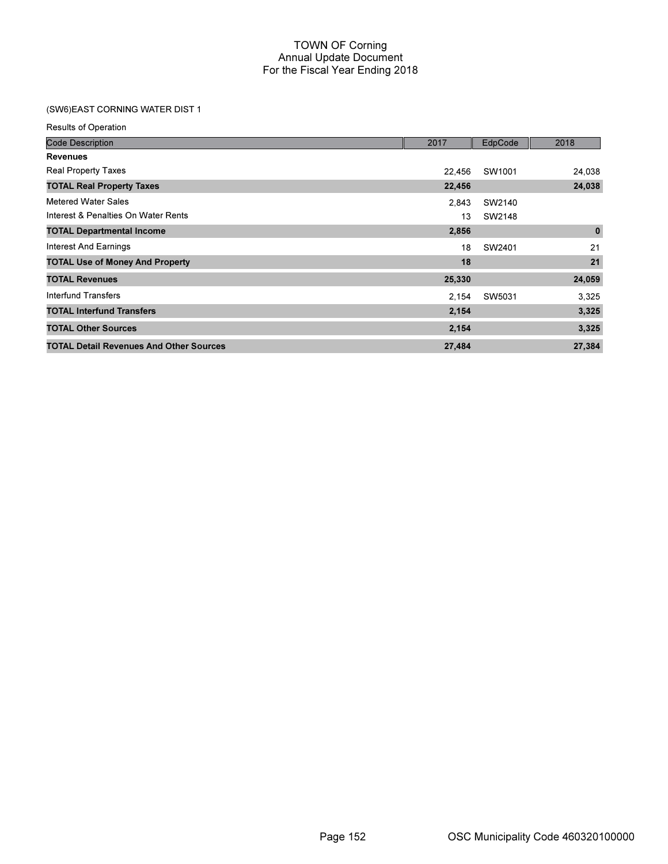| <b>Results of Operation</b>                    |        |         |          |
|------------------------------------------------|--------|---------|----------|
| <b>Code Description</b>                        | 2017   | EdpCode | 2018     |
| <b>Revenues</b>                                |        |         |          |
| <b>Real Property Taxes</b>                     | 22,456 | SW1001  | 24,038   |
| <b>TOTAL Real Property Taxes</b>               | 22,456 |         | 24,038   |
| <b>Metered Water Sales</b>                     | 2,843  | SW2140  |          |
| Interest & Penalties On Water Rents            | 13     | SW2148  |          |
| <b>TOTAL Departmental Income</b>               | 2,856  |         | $\bf{0}$ |
| <b>Interest And Earnings</b>                   | 18     | SW2401  | 21       |
| <b>TOTAL Use of Money And Property</b>         | 18     |         | 21       |
| <b>TOTAL Revenues</b>                          | 25,330 |         | 24,059   |
| Interfund Transfers                            | 2,154  | SW5031  | 3,325    |
| <b>TOTAL Interfund Transfers</b>               | 2,154  |         | 3,325    |
| <b>TOTAL Other Sources</b>                     | 2,154  |         | 3,325    |
| <b>TOTAL Detail Revenues And Other Sources</b> | 27,484 |         | 27,384   |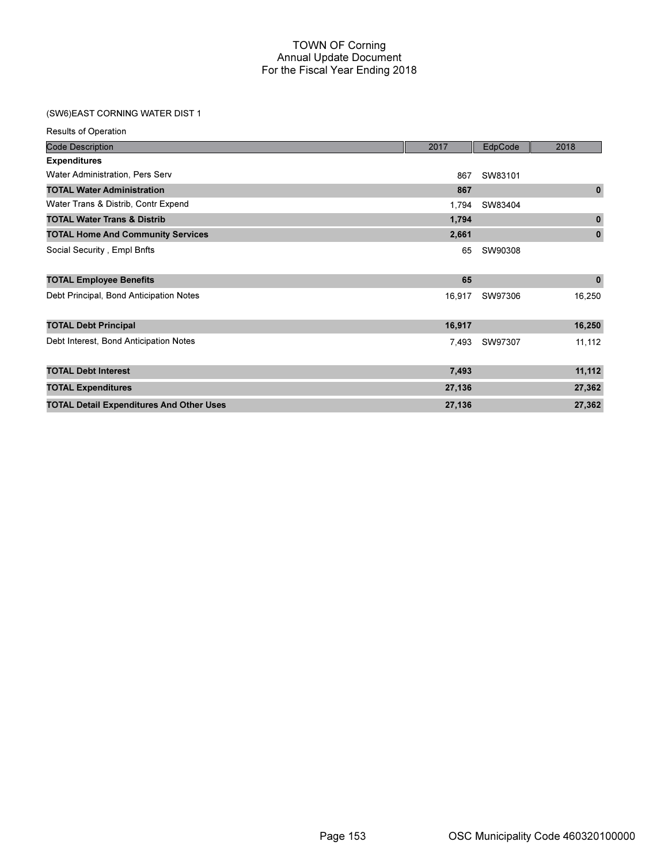| <b>Results of Operation</b>                     |        |         |              |
|-------------------------------------------------|--------|---------|--------------|
| <b>Code Description</b>                         | 2017   | EdpCode | 2018         |
| <b>Expenditures</b>                             |        |         |              |
| Water Administration, Pers Serv                 | 867    | SW83101 |              |
| <b>TOTAL Water Administration</b>               | 867    |         | $\mathbf{0}$ |
| Water Trans & Distrib, Contr Expend             | 1,794  | SW83404 |              |
| <b>TOTAL Water Trans &amp; Distrib</b>          | 1,794  |         | $\mathbf 0$  |
| <b>TOTAL Home And Community Services</b>        | 2,661  |         | $\mathbf 0$  |
| Social Security, Empl Bnfts                     | 65     | SW90308 |              |
| <b>TOTAL Employee Benefits</b>                  | 65     |         | $\mathbf 0$  |
| Debt Principal, Bond Anticipation Notes         | 16,917 | SW97306 | 16,250       |
| <b>TOTAL Debt Principal</b>                     | 16,917 |         | 16,250       |
| Debt Interest, Bond Anticipation Notes          | 7,493  | SW97307 | 11,112       |
| <b>TOTAL Debt Interest</b>                      | 7,493  |         | 11,112       |
| <b>TOTAL Expenditures</b>                       | 27,136 |         | 27,362       |
| <b>TOTAL Detail Expenditures And Other Uses</b> | 27,136 |         | 27,362       |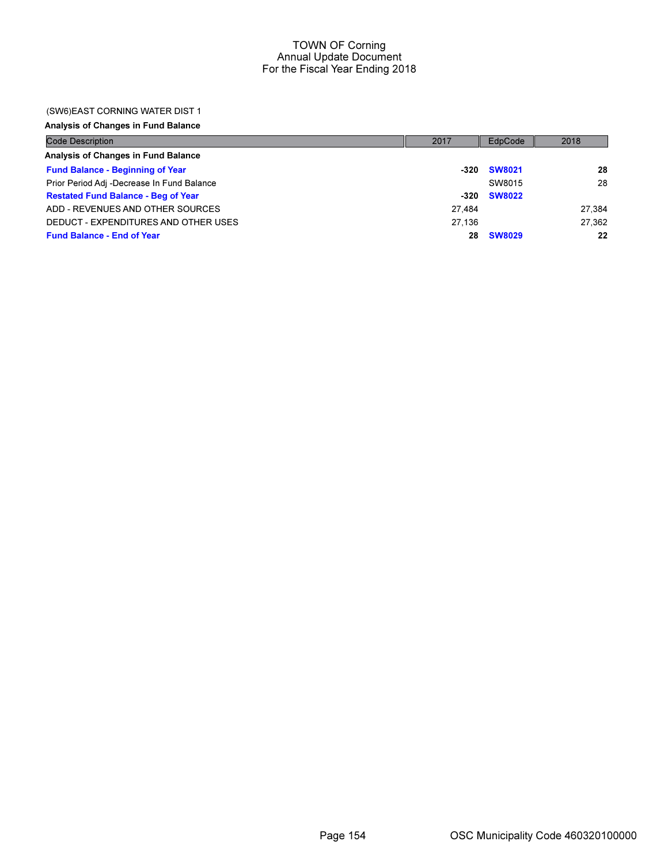#### (SW6)EAST CORNING WATER DIST 1

Analysis of Changes in Fund Balance

| <b>Code Description</b>                    | 2017   | EdpCode       | 2018   |
|--------------------------------------------|--------|---------------|--------|
| Analysis of Changes in Fund Balance        |        |               |        |
| <b>Fund Balance - Beginning of Year</b>    | -320   | <b>SW8021</b> | 28     |
| Prior Period Adj -Decrease In Fund Balance |        | SW8015        | 28     |
| <b>Restated Fund Balance - Beg of Year</b> | $-320$ | <b>SW8022</b> |        |
| ADD - REVENUES AND OTHER SOURCES           | 27.484 |               | 27.384 |
| DEDUCT - EXPENDITURES AND OTHER USES       | 27.136 |               | 27.362 |
| <b>Fund Balance - End of Year</b>          | 28     | <b>SW8029</b> | 22     |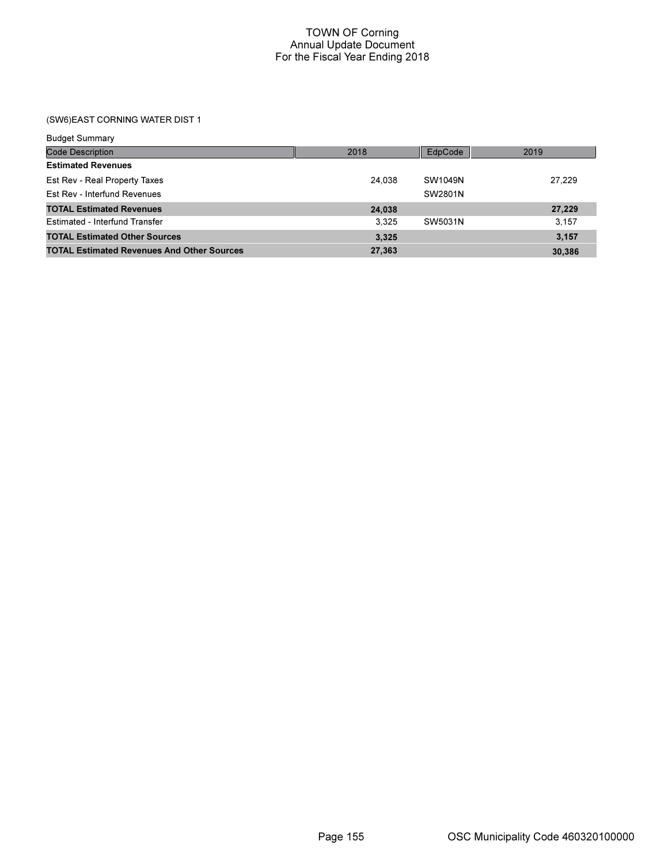| <b>Budget Summary</b>                             |        |         |        |
|---------------------------------------------------|--------|---------|--------|
| Code Description                                  | 2018   | EdpCode | 2019   |
| <b>Estimated Revenues</b>                         |        |         |        |
| Est Rev - Real Property Taxes                     | 24.038 | SW1049N | 27.229 |
| Est Rev - Interfund Revenues                      |        | SW2801N |        |
| <b>TOTAL Estimated Revenues</b>                   | 24,038 |         | 27,229 |
| Estimated - Interfund Transfer                    | 3.325  | SW5031N | 3.157  |
| <b>TOTAL Estimated Other Sources</b>              | 3,325  |         | 3.157  |
| <b>TOTAL Estimated Revenues And Other Sources</b> | 27,363 |         | 30,386 |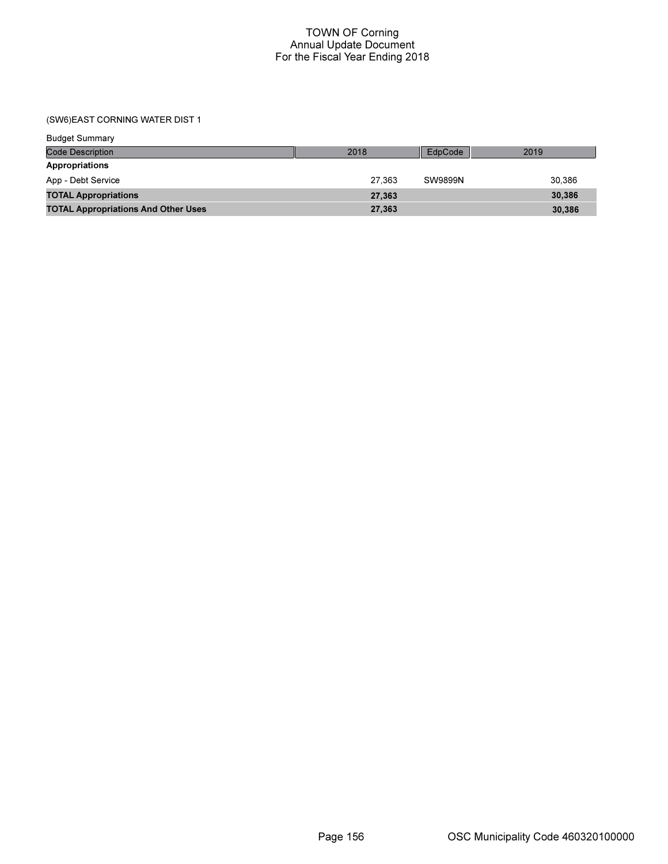| <b>Budget Summary</b>                      |        |                |        |
|--------------------------------------------|--------|----------------|--------|
| Code Description                           | 2018   | EdpCode        | 2019   |
| Appropriations                             |        |                |        |
| App - Debt Service                         | 27.363 | <b>SW9899N</b> | 30.386 |
| <b>TOTAL Appropriations</b>                | 27,363 |                | 30,386 |
| <b>TOTAL Appropriations And Other Uses</b> | 27,363 |                | 30,386 |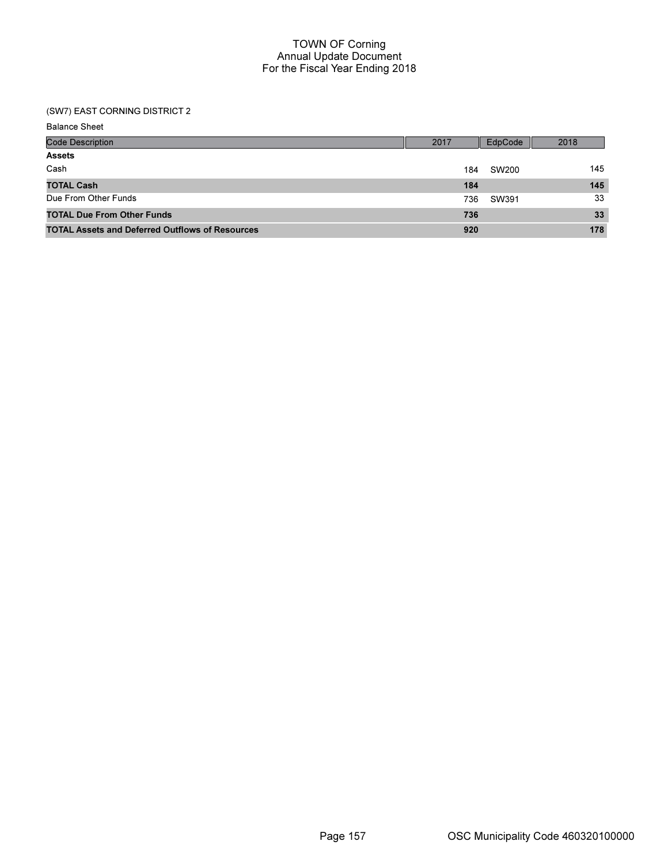## (SW7) EAST CORNING DISTRICT 2

| <b>Code Description</b>                                | 2017 | EdpCode | 2018 |
|--------------------------------------------------------|------|---------|------|
| <b>Assets</b>                                          |      |         |      |
| Cash                                                   | 184  | SW200   | 145  |
| <b>TOTAL Cash</b>                                      | 184  |         | 145  |
| Due From Other Funds                                   | 736  | SW391   | 33   |
| <b>TOTAL Due From Other Funds</b>                      | 736  |         | 33   |
| <b>TOTAL Assets and Deferred Outflows of Resources</b> | 920  |         | 178  |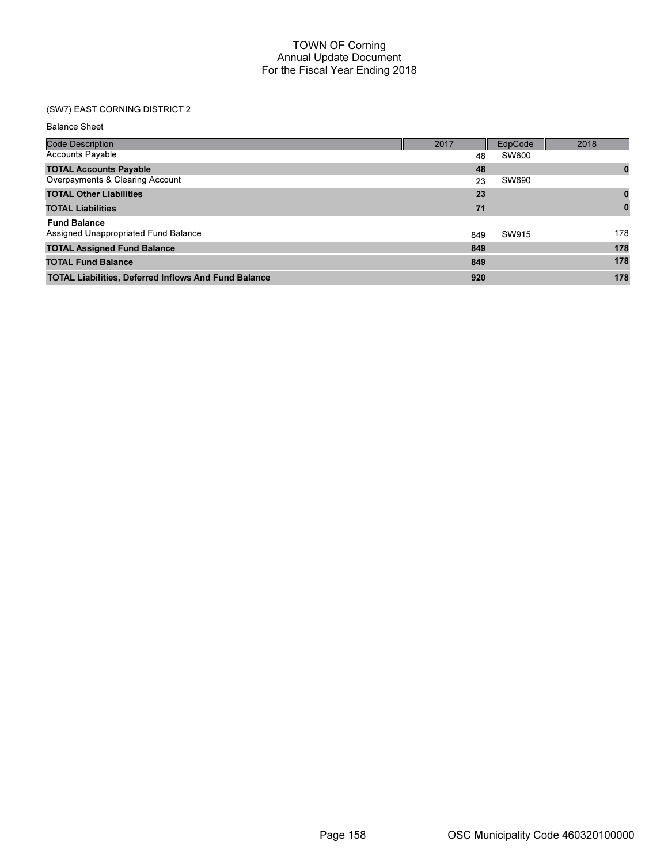# (SW7) EAST CORNING DISTRICT 2

Balance Sheet

| <b>Code Description</b>                                     | 2017 | EdpCode | 2018     |
|-------------------------------------------------------------|------|---------|----------|
| <b>Accounts Payable</b>                                     | 48   | SW600   |          |
| <b>TOTAL Accounts Payable</b>                               | 48   |         | 0        |
| Overpayments & Clearing Account                             | 23   | SW690   |          |
| <b>TOTAL Other Liabilities</b>                              | 23   |         | $\bf{0}$ |
| <b>TOTAL Liabilities</b>                                    | 71   |         | $\bf{0}$ |
| <b>Fund Balance</b>                                         |      |         |          |
| Assigned Unappropriated Fund Balance                        | 849  | SW915   | 178      |
| <b>TOTAL Assigned Fund Balance</b>                          | 849  |         | 178      |
| <b>TOTAL Fund Balance</b>                                   | 849  |         | 178      |
| <b>TOTAL Liabilities, Deferred Inflows And Fund Balance</b> | 920  |         | 178      |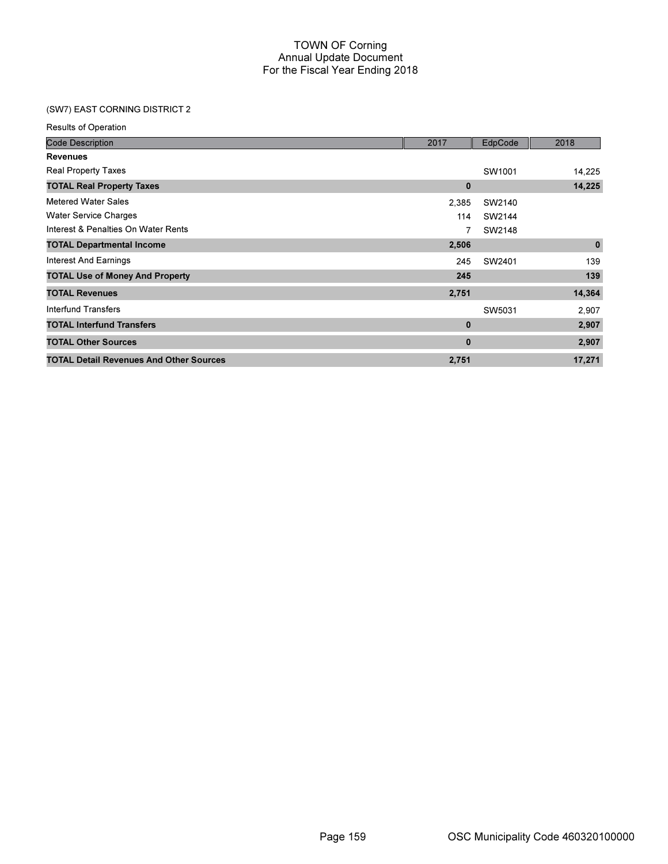# (SW7) EAST CORNING DISTRICT 2

| <b>Results of Operation</b>                    |          |                    |             |
|------------------------------------------------|----------|--------------------|-------------|
| <b>Code Description</b>                        | 2017     | EdpCode            | 2018        |
| <b>Revenues</b>                                |          |                    |             |
| Real Property Taxes                            |          | SW <sub>1001</sub> | 14,225      |
| <b>TOTAL Real Property Taxes</b>               | $\bf{0}$ |                    | 14,225      |
| <b>Metered Water Sales</b>                     | 2,385    | SW2140             |             |
| <b>Water Service Charges</b>                   | 114      | SW2144             |             |
| Interest & Penalties On Water Rents            | 7        | SW2148             |             |
| <b>TOTAL Departmental Income</b>               | 2,506    |                    | $\mathbf 0$ |
| <b>Interest And Earnings</b>                   | 245      | SW2401             | 139         |
| <b>TOTAL Use of Money And Property</b>         | 245      |                    | 139         |
| <b>TOTAL Revenues</b>                          | 2,751    |                    | 14,364      |
| Interfund Transfers                            |          | SW5031             | 2,907       |
| <b>TOTAL Interfund Transfers</b>               | $\bf{0}$ |                    | 2,907       |
| <b>TOTAL Other Sources</b>                     | $\bf{0}$ |                    | 2,907       |
| <b>TOTAL Detail Revenues And Other Sources</b> | 2,751    |                    | 17,271      |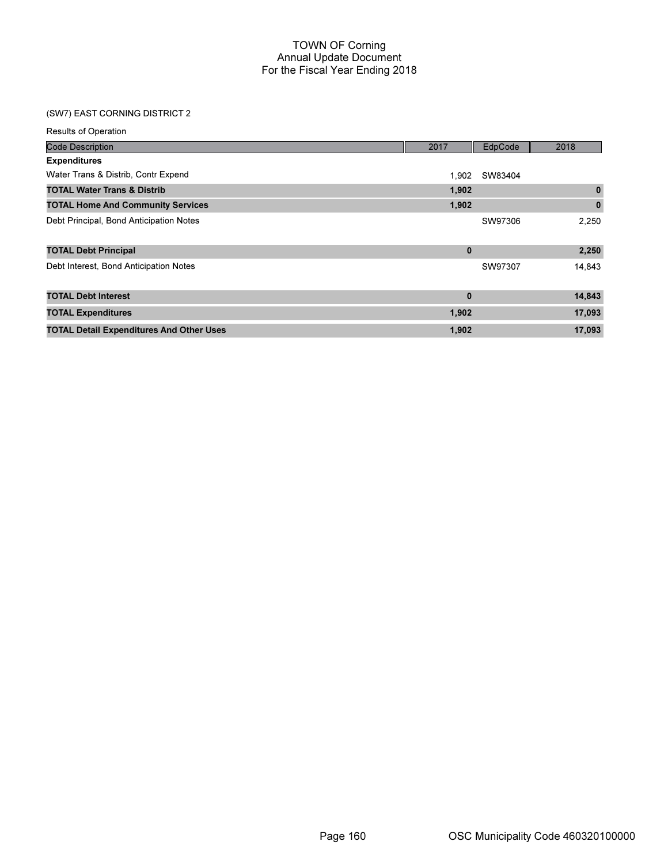# (SW7) EAST CORNING DISTRICT 2

| <b>Results of Operation</b>                     |             |         |          |
|-------------------------------------------------|-------------|---------|----------|
| <b>Code Description</b>                         | 2017        | EdpCode | 2018     |
| <b>Expenditures</b>                             |             |         |          |
| Water Trans & Distrib, Contr Expend             | 1.902       | SW83404 |          |
| <b>TOTAL Water Trans &amp; Distrib</b>          | 1,902       |         | $\bf{0}$ |
| <b>TOTAL Home And Community Services</b>        | 1,902       |         | $\bf{0}$ |
| Debt Principal, Bond Anticipation Notes         |             | SW97306 | 2,250    |
| <b>TOTAL Debt Principal</b>                     | $\mathbf 0$ |         | 2,250    |
| Debt Interest, Bond Anticipation Notes          |             | SW97307 | 14,843   |
| <b>TOTAL Debt Interest</b>                      | $\mathbf 0$ |         | 14,843   |
| <b>TOTAL Expenditures</b>                       | 1,902       |         | 17,093   |
| <b>TOTAL Detail Expenditures And Other Uses</b> | 1,902       |         | 17,093   |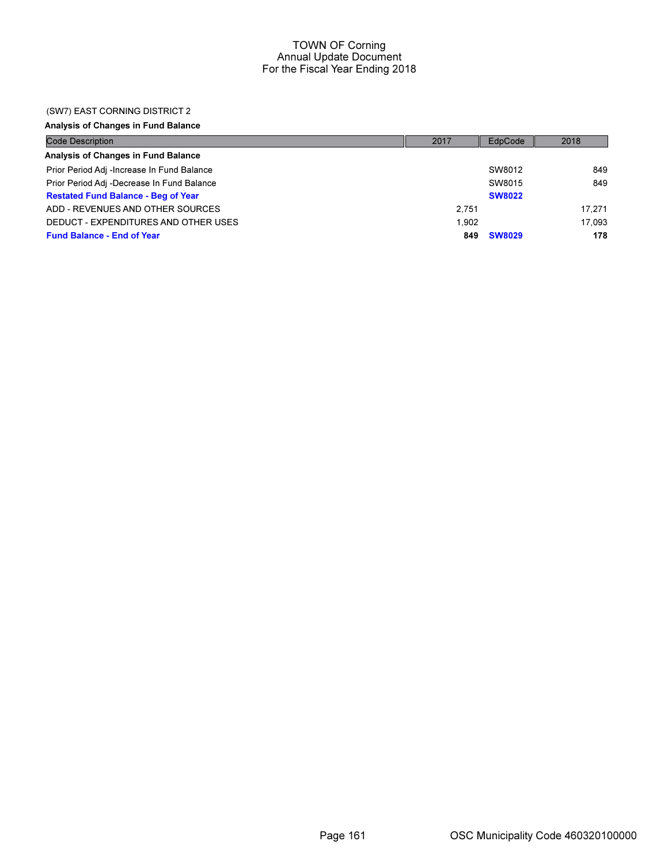#### (SW7) EAST CORNING DISTRICT 2

Analysis of Changes in Fund Balance

| <b>Code Description</b>                    | 2017  | EdpCode       | 2018   |
|--------------------------------------------|-------|---------------|--------|
| Analysis of Changes in Fund Balance        |       |               |        |
| Prior Period Adj -Increase In Fund Balance |       | SW8012        | 849    |
| Prior Period Adj -Decrease In Fund Balance |       | SW8015        | 849    |
| <b>Restated Fund Balance - Beg of Year</b> |       | <b>SW8022</b> |        |
| ADD - REVENUES AND OTHER SOURCES           | 2.751 |               | 17.271 |
| DEDUCT - EXPENDITURES AND OTHER USES       | 1.902 |               | 17.093 |
| <b>Fund Balance - End of Year</b>          | 849   | <b>SW8029</b> | 178    |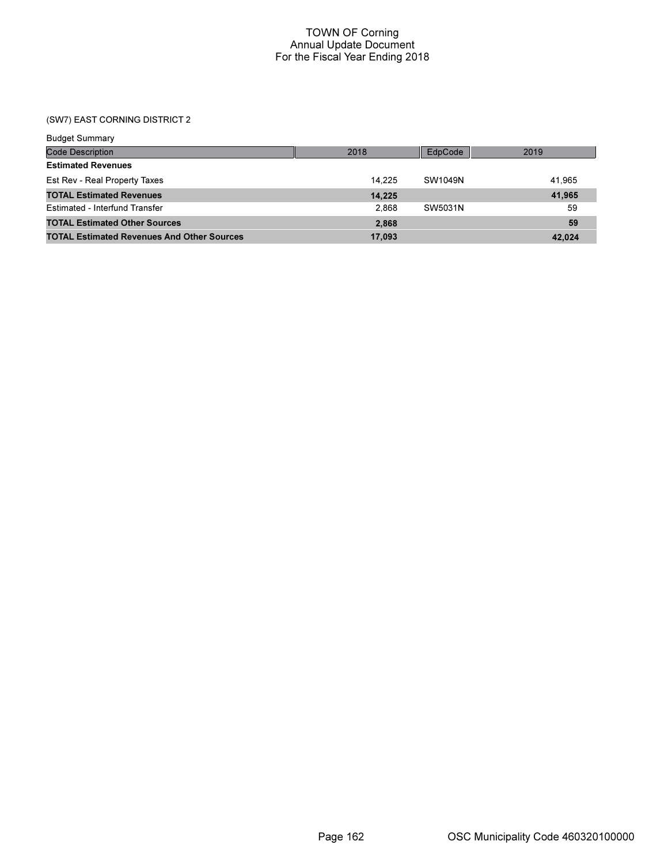## (SW7) EAST CORNING DISTRICT 2

| <b>Budget Summary</b>                             |        |         |        |
|---------------------------------------------------|--------|---------|--------|
| Code Description                                  | 2018   | EdpCode | 2019   |
| <b>Estimated Revenues</b>                         |        |         |        |
| Est Rev - Real Property Taxes                     | 14.225 | SW1049N | 41.965 |
| <b>TOTAL Estimated Revenues</b>                   | 14,225 |         | 41,965 |
| Estimated - Interfund Transfer                    | 2.868  | SW5031N | 59     |
| <b>TOTAL Estimated Other Sources</b>              | 2.868  |         | 59     |
| <b>TOTAL Estimated Revenues And Other Sources</b> | 17,093 |         | 42,024 |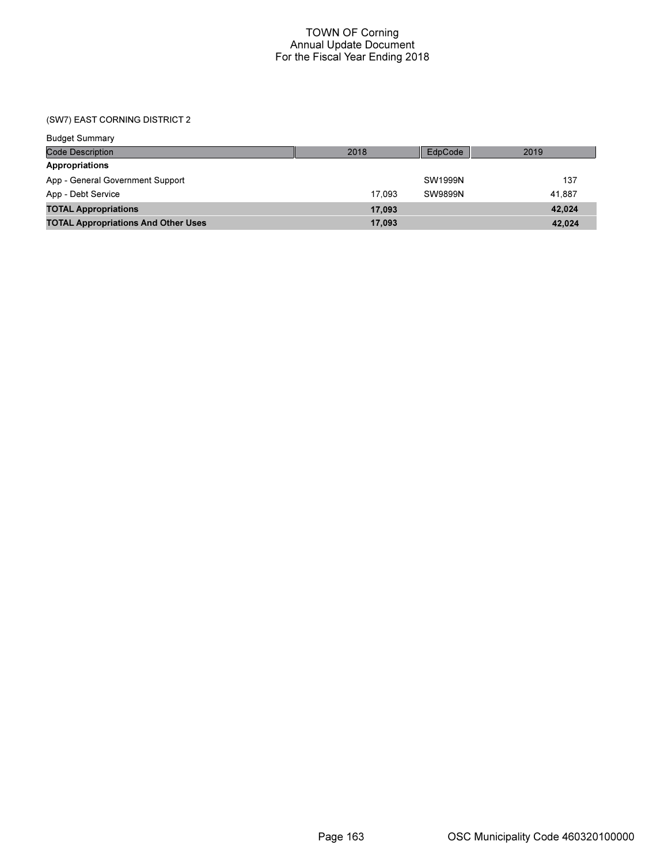(SW7) EAST CORNING DISTRICT 2

| <b>Budget Summary</b>                      |        |                |        |
|--------------------------------------------|--------|----------------|--------|
| <b>Code Description</b>                    | 2018   | EdpCode        | 2019   |
| <b>Appropriations</b>                      |        |                |        |
| App - General Government Support           |        | SW1999N        | 137    |
| App - Debt Service                         | 17.093 | <b>SW9899N</b> | 41.887 |
| <b>TOTAL Appropriations</b>                | 17,093 |                | 42,024 |
| <b>TOTAL Appropriations And Other Uses</b> | 17,093 |                | 42.024 |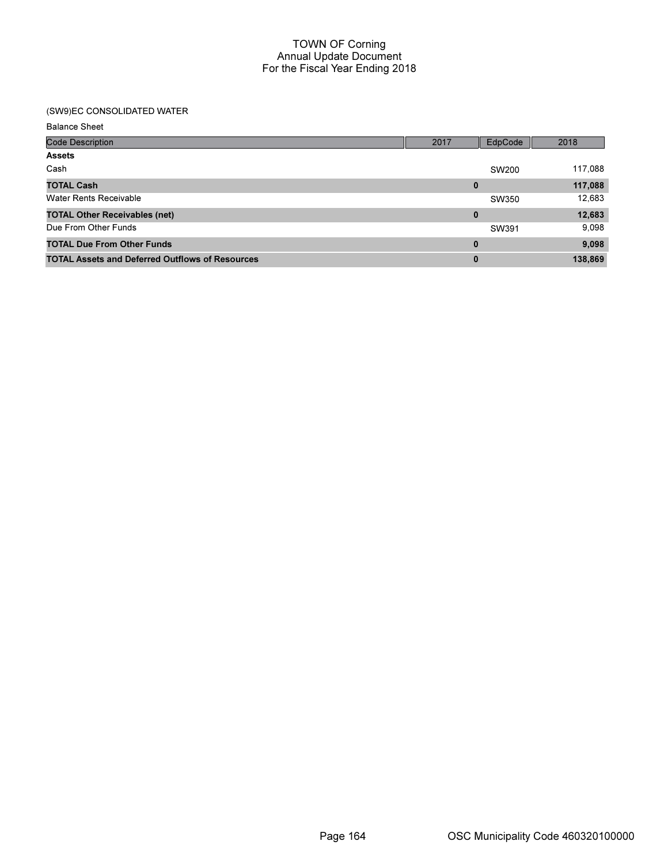## (SW9)EC CONSOLIDATED WATER

Balance Sheet

| <b>Code Description</b>                                | 2017     | EdpCode | 2018    |
|--------------------------------------------------------|----------|---------|---------|
| <b>Assets</b>                                          |          |         |         |
| Cash                                                   |          | SW200   | 117,088 |
| <b>TOTAL Cash</b>                                      | $\bf{0}$ |         | 117,088 |
| <b>Water Rents Receivable</b>                          |          | SW350   | 12,683  |
| <b>TOTAL Other Receivables (net)</b>                   | 0        |         | 12,683  |
| Due From Other Funds                                   |          | SW391   | 9,098   |
| <b>TOTAL Due From Other Funds</b>                      | $\bf{0}$ |         | 9,098   |
| <b>TOTAL Assets and Deferred Outflows of Resources</b> | $\bf{0}$ |         | 138,869 |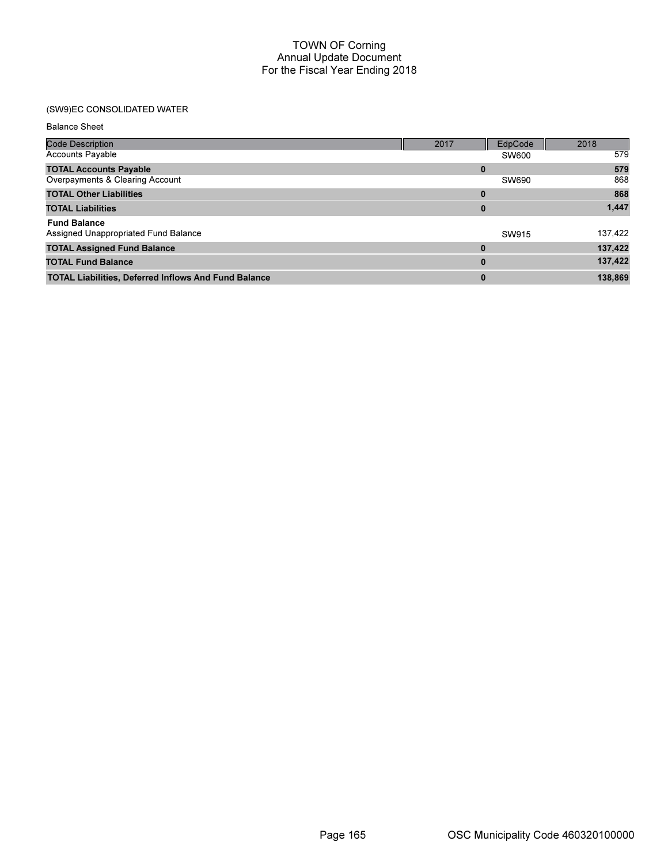# (SW9)EC CONSOLIDATED WATER

#### Balance Sheet

| <b>Code Description</b>                                     | 2017     | EdpCode      | 2018    |
|-------------------------------------------------------------|----------|--------------|---------|
| <b>Accounts Payable</b>                                     |          | <b>SW600</b> | 579     |
| <b>TOTAL Accounts Payable</b>                               | 0        |              | 579     |
| Overpayments & Clearing Account                             |          | SW690        | 868     |
| <b>TOTAL Other Liabilities</b>                              | $\bf{0}$ |              | 868     |
| <b>TOTAL Liabilities</b>                                    | 0        |              | 1,447   |
| <b>Fund Balance</b>                                         |          |              |         |
| Assigned Unappropriated Fund Balance                        |          | SW915        | 137,422 |
| <b>TOTAL Assigned Fund Balance</b>                          | $\bf{0}$ |              | 137,422 |
| <b>TOTAL Fund Balance</b>                                   | $\bf{0}$ |              | 137,422 |
| <b>TOTAL Liabilities, Deferred Inflows And Fund Balance</b> | $\bf{0}$ |              | 138,869 |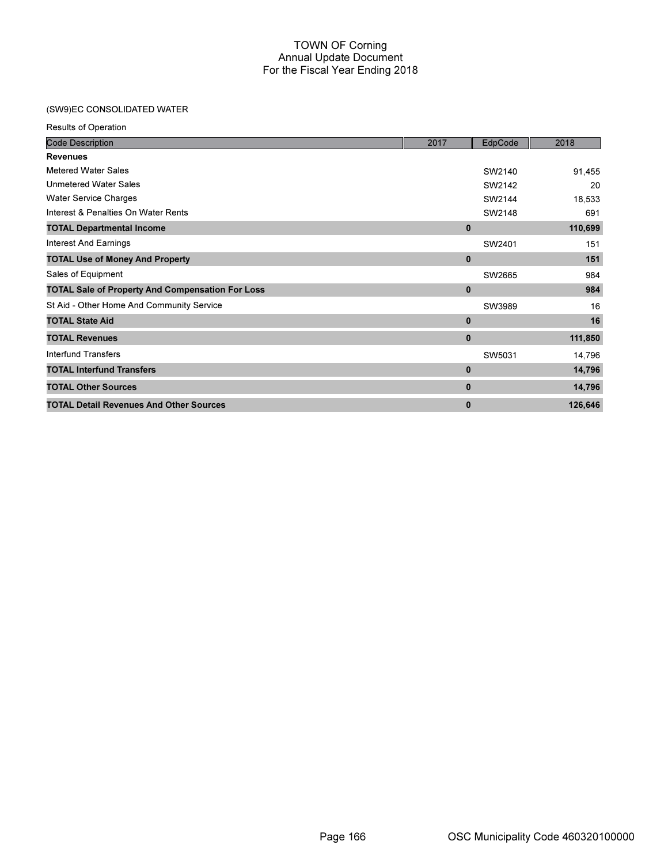## (SW9)EC CONSOLIDATED WATER

| <b>Results of Operation</b> |  |
|-----------------------------|--|
|-----------------------------|--|

| <b>Code Description</b>                                 | 2017         | EdpCode | 2018    |
|---------------------------------------------------------|--------------|---------|---------|
| <b>Revenues</b>                                         |              |         |         |
| Metered Water Sales                                     |              | SW2140  | 91,455  |
| <b>Unmetered Water Sales</b>                            |              | SW2142  | 20      |
| <b>Water Service Charges</b>                            |              | SW2144  | 18,533  |
| Interest & Penalties On Water Rents                     |              | SW2148  | 691     |
| <b>TOTAL Departmental Income</b>                        | $\mathbf{0}$ |         | 110,699 |
| Interest And Earnings                                   |              | SW2401  | 151     |
| <b>TOTAL Use of Money And Property</b>                  | $\mathbf 0$  |         | 151     |
| Sales of Equipment                                      |              | SW2665  | 984     |
| <b>TOTAL Sale of Property And Compensation For Loss</b> | $\bf{0}$     |         | 984     |
| St Aid - Other Home And Community Service               |              | SW3989  | 16      |
| <b>TOTAL State Aid</b>                                  | $\mathbf 0$  |         | 16      |
| <b>TOTAL Revenues</b>                                   | $\bf{0}$     |         | 111,850 |
| Interfund Transfers                                     |              | SW5031  | 14,796  |
| <b>TOTAL Interfund Transfers</b>                        | $\bf{0}$     |         | 14,796  |
| <b>TOTAL Other Sources</b>                              | $\mathbf 0$  |         | 14,796  |
| <b>TOTAL Detail Revenues And Other Sources</b>          | $\bf{0}$     |         | 126,646 |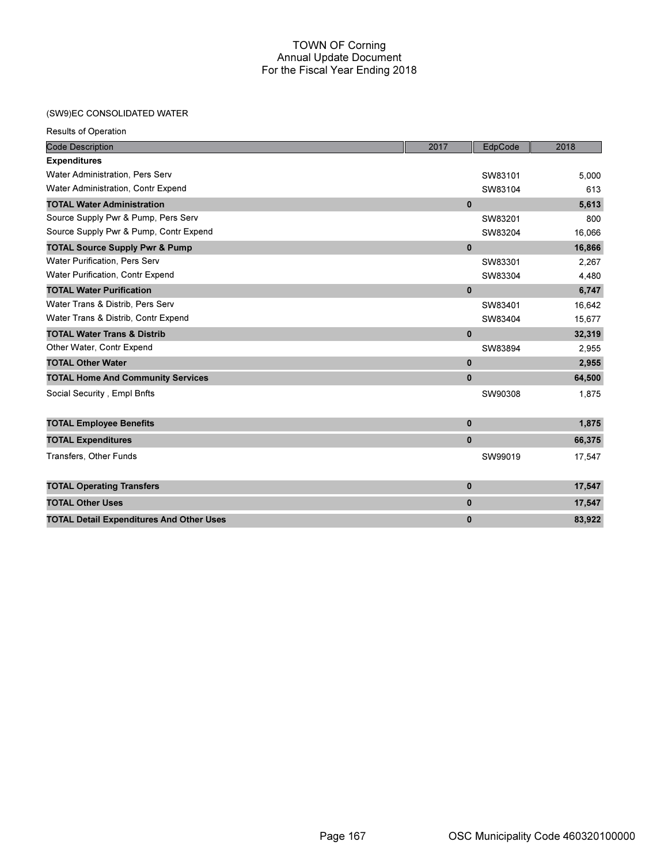## (SW9)EC CONSOLIDATED WATER

Results of Operation

| <b>Code Description</b>                         | 2017     | EdpCode | 2018   |
|-------------------------------------------------|----------|---------|--------|
| <b>Expenditures</b>                             |          |         |        |
| <b>Water Administration, Pers Serv</b>          |          | SW83101 | 5,000  |
| Water Administration, Contr Expend              |          | SW83104 | 613    |
| <b>TOTAL Water Administration</b>               | $\bf{0}$ |         | 5,613  |
| Source Supply Pwr & Pump, Pers Serv             |          | SW83201 | 800    |
| Source Supply Pwr & Pump, Contr Expend          |          | SW83204 | 16,066 |
| <b>TOTAL Source Supply Pwr &amp; Pump</b>       | $\bf{0}$ |         | 16,866 |
| <b>Water Purification, Pers Serv</b>            |          | SW83301 | 2,267  |
| <b>Water Purification, Contr Expend</b>         |          | SW83304 | 4,480  |
| <b>TOTAL Water Purification</b>                 | $\bf{0}$ |         | 6,747  |
| Water Trans & Distrib, Pers Serv                |          | SW83401 | 16.642 |
| Water Trans & Distrib, Contr Expend             |          | SW83404 | 15,677 |
| <b>TOTAL Water Trans &amp; Distrib</b>          | $\bf{0}$ |         | 32,319 |
| Other Water, Contr Expend                       |          | SW83894 | 2,955  |
| <b>TOTAL Other Water</b>                        | $\bf{0}$ |         | 2,955  |
| <b>TOTAL Home And Community Services</b>        | $\bf{0}$ |         | 64,500 |
| Social Security, Empl Bnfts                     |          | SW90308 | 1,875  |
| <b>TOTAL Employee Benefits</b>                  | $\bf{0}$ |         | 1,875  |
| <b>TOTAL Expenditures</b>                       | $\bf{0}$ |         | 66,375 |
| Transfers, Other Funds                          |          | SW99019 | 17,547 |
| <b>TOTAL Operating Transfers</b>                | $\bf{0}$ |         | 17,547 |
| <b>TOTAL Other Uses</b>                         | $\bf{0}$ |         | 17,547 |
| <b>TOTAL Detail Expenditures And Other Uses</b> | $\bf{0}$ |         | 83,922 |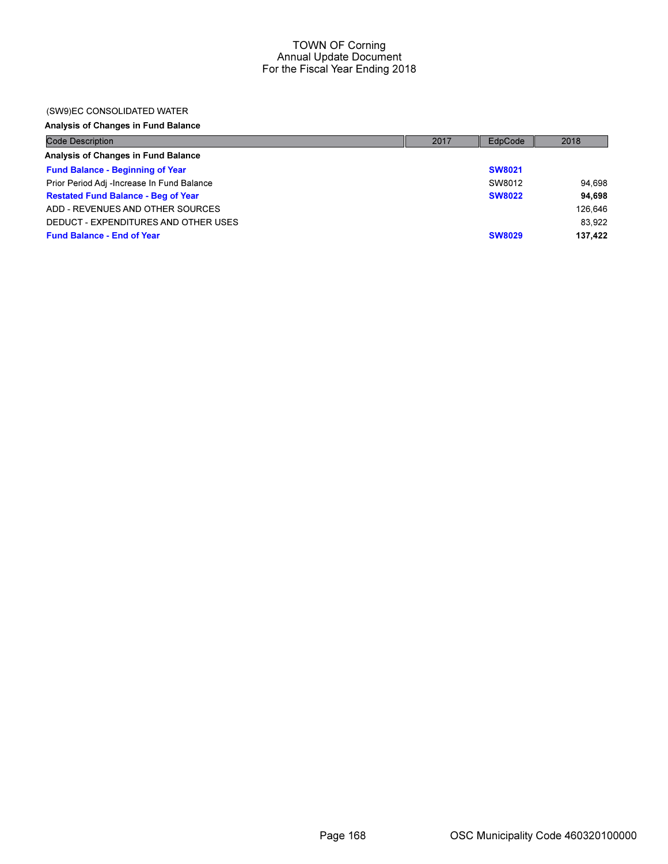#### (SW9)EC CONSOLIDATED WATER

# Analysis of Changes in Fund Balance

| <b>Code Description</b>                    | 2017 | EdpCode       | 2018    |
|--------------------------------------------|------|---------------|---------|
| Analysis of Changes in Fund Balance        |      |               |         |
| <b>Fund Balance - Beginning of Year</b>    |      | <b>SW8021</b> |         |
| Prior Period Adj -Increase In Fund Balance |      | SW8012        | 94.698  |
| <b>Restated Fund Balance - Beg of Year</b> |      | <b>SW8022</b> | 94.698  |
| ADD - REVENUES AND OTHER SOURCES           |      |               | 126.646 |
| DEDUCT - EXPENDITURES AND OTHER USES       |      |               | 83.922  |
| <b>Fund Balance - End of Year</b>          |      | <b>SW8029</b> | 137.422 |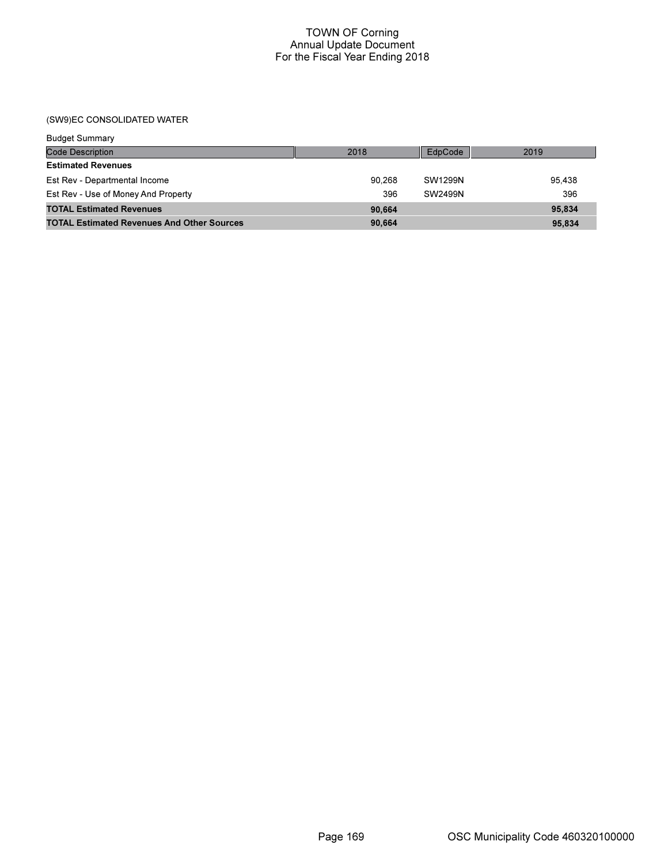## (SW9)EC CONSOLIDATED WATER

| <b>Budget Summary</b>                             |        |         |        |
|---------------------------------------------------|--------|---------|--------|
| Code Description                                  | 2018   | EdpCode | 2019   |
| <b>Estimated Revenues</b>                         |        |         |        |
| Est Rev - Departmental Income                     | 90.268 | SW1299N | 95.438 |
| Est Rev - Use of Money And Property               | 396    | SW2499N | 396    |
| <b>TOTAL Estimated Revenues</b>                   | 90,664 |         | 95.834 |
| <b>TOTAL Estimated Revenues And Other Sources</b> | 90.664 |         | 95.834 |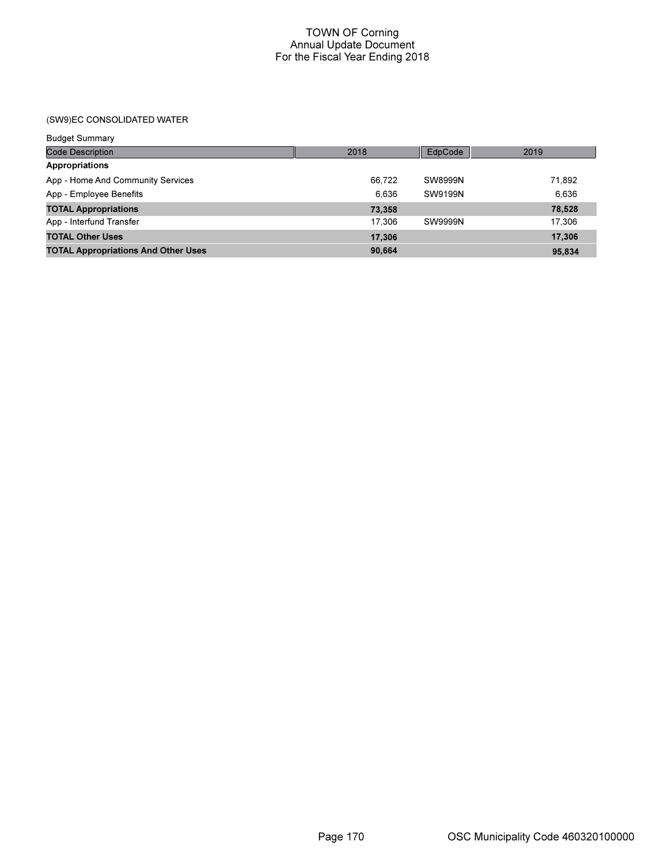## (SW9)EC CONSOLIDATED WATER

| <b>Budget Summary</b>                      |        |                |        |
|--------------------------------------------|--------|----------------|--------|
| <b>Code Description</b>                    | 2018   | EdpCode        | 2019   |
| Appropriations                             |        |                |        |
| App - Home And Community Services          | 66.722 | <b>SW8999N</b> | 71,892 |
| App - Employee Benefits                    | 6.636  | SW9199N        | 6,636  |
| <b>TOTAL Appropriations</b>                | 73,358 |                | 78,528 |
| App - Interfund Transfer                   | 17.306 | <b>SW9999N</b> | 17.306 |
| <b>TOTAL Other Uses</b>                    | 17,306 |                | 17.306 |
| <b>TOTAL Appropriations And Other Uses</b> | 90,664 |                | 95,834 |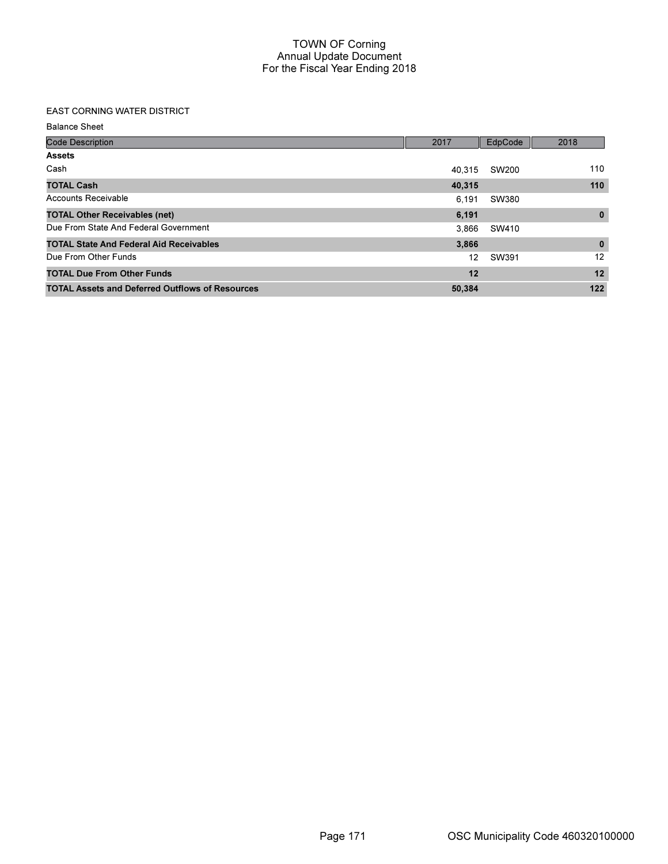# EAST CORNING WATER DISTRICT

Balance Sheet

| <b>Code Description</b>                                | 2017   | EdpCode | 2018         |
|--------------------------------------------------------|--------|---------|--------------|
| <b>Assets</b>                                          |        |         |              |
| Cash                                                   | 40.315 | SW200   | 110          |
| <b>TOTAL Cash</b>                                      | 40,315 |         | 110          |
| Accounts Receivable                                    | 6.191  | SW380   |              |
| <b>TOTAL Other Receivables (net)</b>                   | 6,191  |         | $\bf{0}$     |
| Due From State And Federal Government                  | 3.866  | SW410   |              |
| <b>TOTAL State And Federal Aid Receivables</b>         | 3,866  |         | $\mathbf{0}$ |
| Due From Other Funds                                   | 12     | SW391   | 12           |
| <b>TOTAL Due From Other Funds</b>                      | 12     |         | 12           |
| <b>TOTAL Assets and Deferred Outflows of Resources</b> | 50,384 |         | 122          |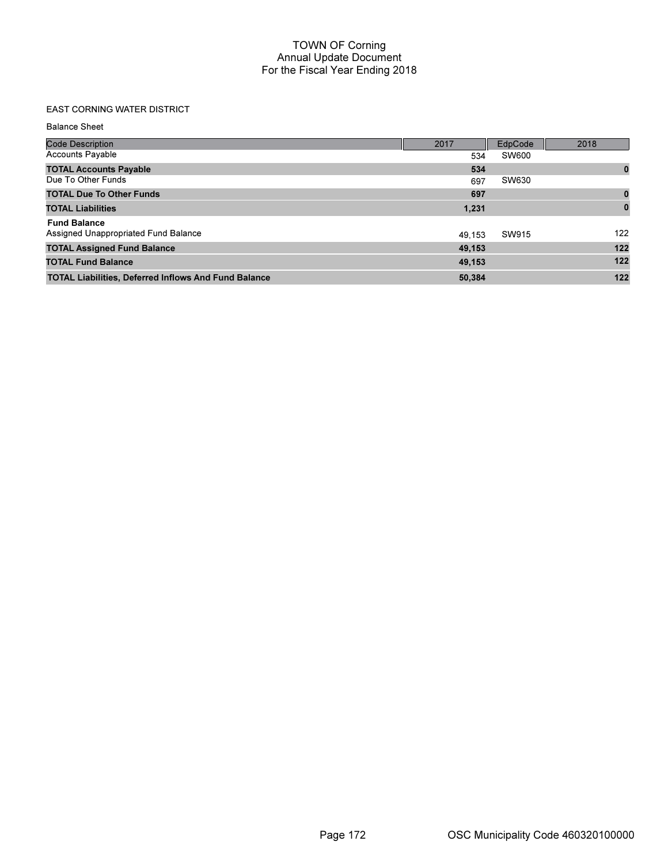## EAST CORNING WATER DISTRICT

Balance Sheet

| <b>Code Description</b>                                     | 2017   | EdpCode | 2018     |
|-------------------------------------------------------------|--------|---------|----------|
| <b>Accounts Payable</b>                                     | 534    | SW600   |          |
| <b>TOTAL Accounts Payable</b>                               | 534    |         | $\bf{0}$ |
| Due To Other Funds                                          | 697    | SW630   |          |
| <b>TOTAL Due To Other Funds</b>                             | 697    |         | $\bf{0}$ |
| <b>TOTAL Liabilities</b>                                    | 1,231  |         | $\bf{0}$ |
| <b>Fund Balance</b>                                         |        |         |          |
| Assigned Unappropriated Fund Balance                        | 49.153 | SW915   | 122      |
| <b>TOTAL Assigned Fund Balance</b>                          | 49,153 |         | 122      |
| <b>TOTAL Fund Balance</b>                                   | 49,153 |         | 122      |
| <b>TOTAL Liabilities, Deferred Inflows And Fund Balance</b> | 50,384 |         | 122      |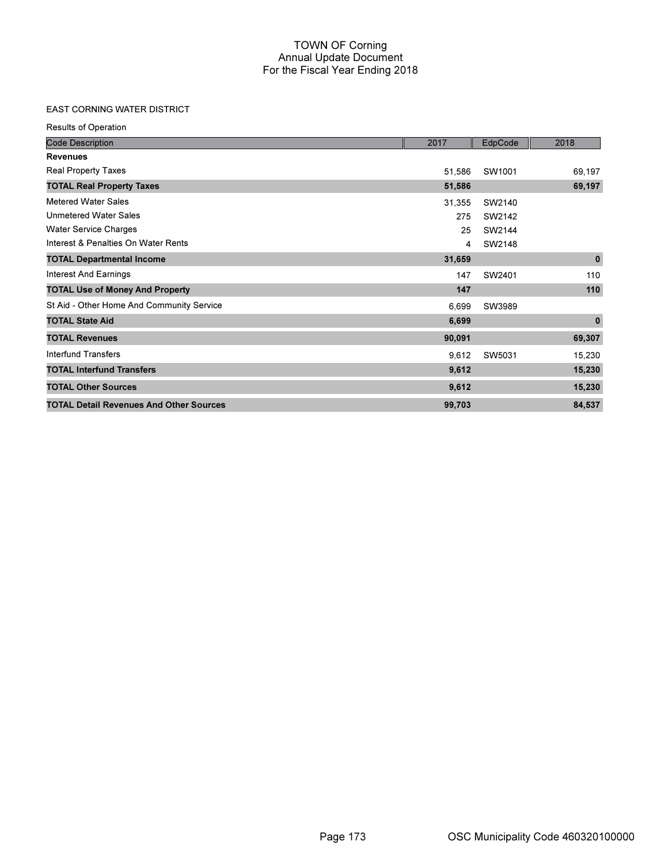# EAST CORNING WATER DISTRICT

Results of Operation

| <b>Code Description</b>                        | 2017   | EdpCode | 2018        |
|------------------------------------------------|--------|---------|-------------|
| <b>Revenues</b>                                |        |         |             |
| <b>Real Property Taxes</b>                     | 51,586 | SW1001  | 69,197      |
| <b>TOTAL Real Property Taxes</b>               | 51,586 |         | 69,197      |
| <b>Metered Water Sales</b>                     | 31,355 | SW2140  |             |
| <b>Unmetered Water Sales</b>                   | 275    | SW2142  |             |
| <b>Water Service Charges</b>                   | 25     | SW2144  |             |
| Interest & Penalties On Water Rents            | 4      | SW2148  |             |
| <b>TOTAL Departmental Income</b>               | 31,659 |         | $\pmb{0}$   |
| <b>Interest And Earnings</b>                   | 147    | SW2401  | 110         |
| <b>TOTAL Use of Money And Property</b>         | 147    |         | 110         |
| St Aid - Other Home And Community Service      | 6,699  | SW3989  |             |
| <b>TOTAL State Aid</b>                         | 6,699  |         | $\mathbf 0$ |
| <b>TOTAL Revenues</b>                          | 90,091 |         | 69,307      |
| Interfund Transfers                            | 9,612  | SW5031  | 15,230      |
| <b>TOTAL Interfund Transfers</b>               | 9,612  |         | 15,230      |
| <b>TOTAL Other Sources</b>                     | 9,612  |         | 15,230      |
| <b>TOTAL Detail Revenues And Other Sources</b> | 99,703 |         | 84,537      |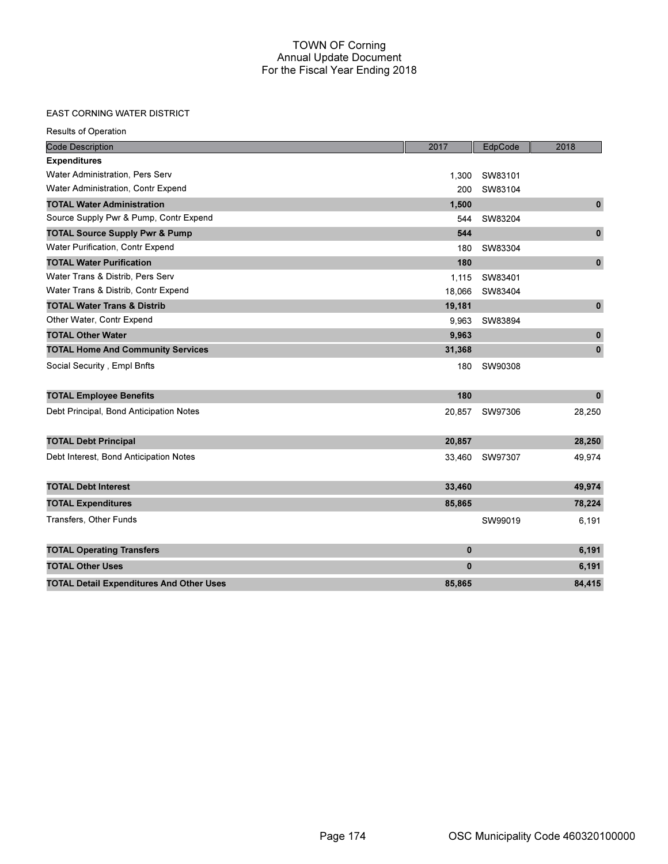#### EAST CORNING WATER DISTRICT

Results of Operation

| <b>Code Description</b>                         | 2017         | EdpCode | 2018         |
|-------------------------------------------------|--------------|---------|--------------|
| <b>Expenditures</b>                             |              |         |              |
| Water Administration, Pers Serv                 | 1,300        | SW83101 |              |
| Water Administration, Contr Expend              | 200          | SW83104 |              |
| <b>TOTAL Water Administration</b>               | 1,500        |         | $\pmb{0}$    |
| Source Supply Pwr & Pump, Contr Expend          | 544          | SW83204 |              |
| <b>TOTAL Source Supply Pwr &amp; Pump</b>       | 544          |         | $\mathbf{0}$ |
| Water Purification, Contr Expend                | 180          | SW83304 |              |
| <b>TOTAL Water Purification</b>                 | 180          |         | $\mathbf{0}$ |
| Water Trans & Distrib, Pers Serv                | 1,115        | SW83401 |              |
| Water Trans & Distrib, Contr Expend             | 18,066       | SW83404 |              |
| <b>TOTAL Water Trans &amp; Distrib</b>          | 19,181       |         | $\pmb{0}$    |
| Other Water, Contr Expend                       | 9,963        | SW83894 |              |
| <b>TOTAL Other Water</b>                        | 9,963        |         | $\mathbf{0}$ |
| <b>TOTAL Home And Community Services</b>        | 31,368       |         | $\mathbf{0}$ |
| Social Security, Empl Bnfts                     | 180          | SW90308 |              |
| <b>TOTAL Employee Benefits</b>                  | 180          |         | $\mathbf{0}$ |
| Debt Principal, Bond Anticipation Notes         | 20,857       | SW97306 | 28,250       |
| <b>TOTAL Debt Principal</b>                     | 20,857       |         | 28,250       |
| Debt Interest, Bond Anticipation Notes          | 33,460       | SW97307 | 49,974       |
| <b>TOTAL Debt Interest</b>                      | 33,460       |         | 49,974       |
| <b>TOTAL Expenditures</b>                       | 85,865       |         | 78,224       |
| Transfers, Other Funds                          |              | SW99019 | 6,191        |
| <b>TOTAL Operating Transfers</b>                | $\mathbf{0}$ |         | 6,191        |
| <b>TOTAL Other Uses</b>                         | $\mathbf 0$  |         | 6,191        |
| <b>TOTAL Detail Expenditures And Other Uses</b> | 85,865       |         | 84,415       |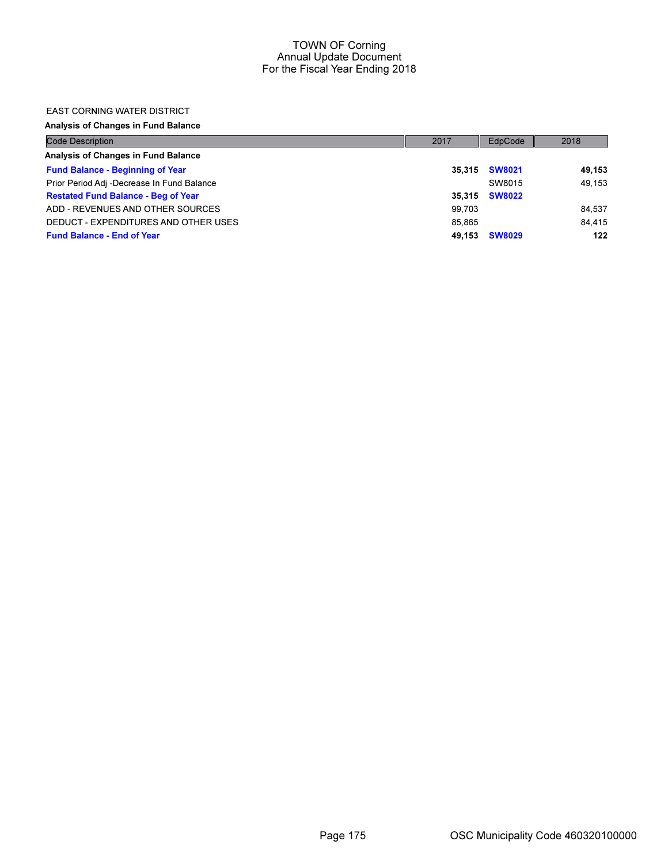#### EAST CORNING WATER DISTRICT

Analysis of Changes in Fund Balance

| <b>Code Description</b>                    | 2017   | EdpCode       | 2018   |
|--------------------------------------------|--------|---------------|--------|
| Analysis of Changes in Fund Balance        |        |               |        |
| <b>Fund Balance - Beginning of Year</b>    | 35.315 | <b>SW8021</b> | 49.153 |
| Prior Period Adj -Decrease In Fund Balance |        | SW8015        | 49.153 |
| <b>Restated Fund Balance - Beg of Year</b> | 35.315 | <b>SW8022</b> |        |
| ADD - REVENUES AND OTHER SOURCES           | 99.703 |               | 84.537 |
| DEDUCT - EXPENDITURES AND OTHER USES       | 85.865 |               | 84.415 |
| <b>Fund Balance - End of Year</b>          | 49.153 | <b>SW8029</b> | 122    |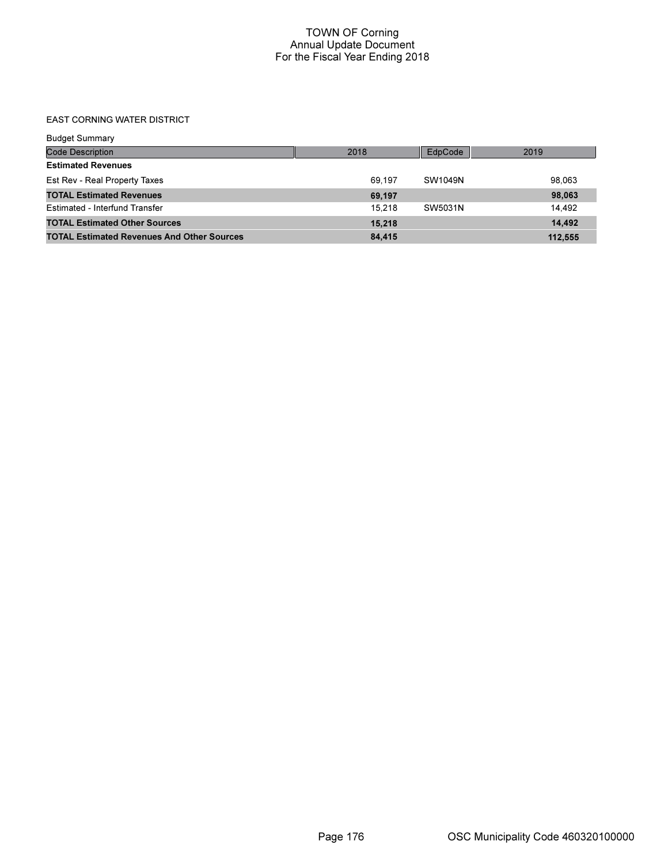## EAST CORNING WATER DISTRICT

| <b>Budget Summary</b>                             |        |         |         |
|---------------------------------------------------|--------|---------|---------|
| <b>Code Description</b>                           | 2018   | EdpCode | 2019    |
| <b>Estimated Revenues</b>                         |        |         |         |
| Est Rev - Real Property Taxes                     | 69.197 | SW1049N | 98.063  |
| <b>TOTAL Estimated Revenues</b>                   | 69,197 |         | 98,063  |
| Estimated - Interfund Transfer                    | 15.218 | SW5031N | 14.492  |
| <b>TOTAL Estimated Other Sources</b>              | 15,218 |         | 14.492  |
| <b>TOTAL Estimated Revenues And Other Sources</b> | 84,415 |         | 112,555 |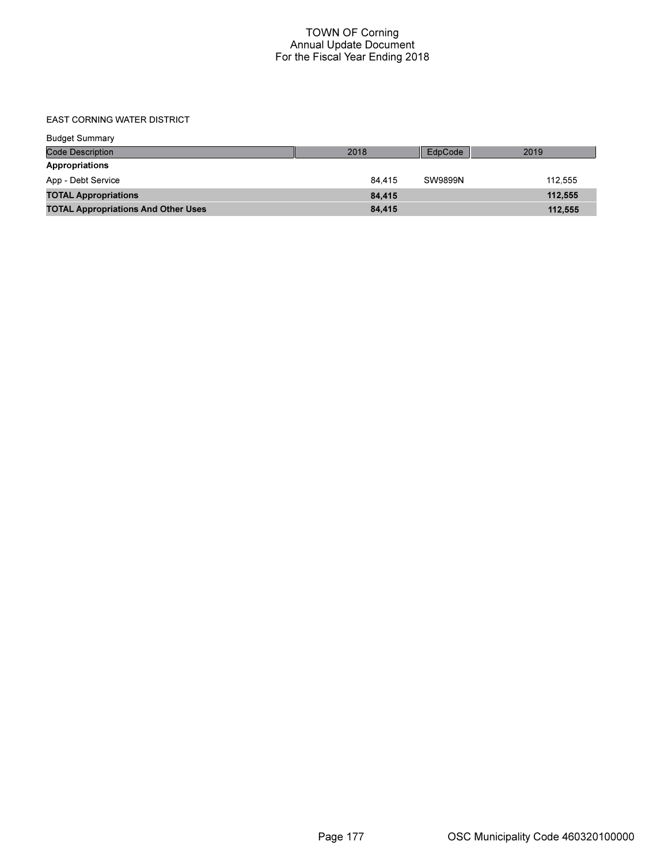## EAST CORNING WATER DISTRICT

| <b>Budget Summary</b>                      |        |                |         |
|--------------------------------------------|--------|----------------|---------|
| <b>Code Description</b>                    | 2018   | EdpCode        | 2019    |
| Appropriations                             |        |                |         |
| App - Debt Service                         | 84.415 | <b>SW9899N</b> | 112.555 |
| <b>TOTAL Appropriations</b>                | 84,415 |                | 112,555 |
| <b>TOTAL Appropriations And Other Uses</b> | 84,415 |                | 112,555 |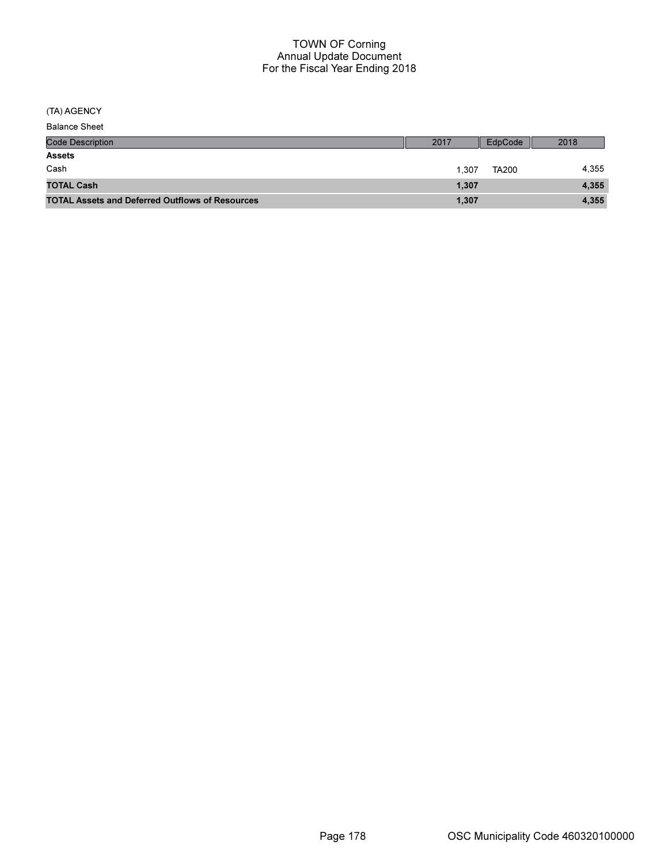(TA) AGENCY

| <b>Code Description</b>                                | 2017  | EdpCode      | 2018  |
|--------------------------------------------------------|-------|--------------|-------|
| <b>Assets</b>                                          |       |              |       |
| Cash                                                   | 1.307 | <b>TA200</b> | 4.355 |
| <b>TOTAL Cash</b>                                      | 1,307 |              | 4,355 |
| <b>TOTAL Assets and Deferred Outflows of Resources</b> | 1,307 |              | 4,355 |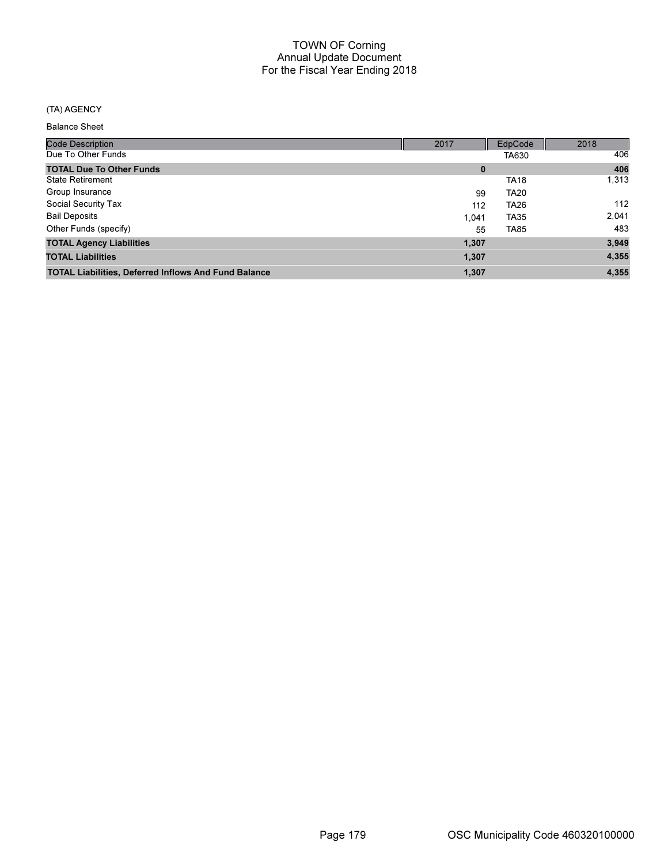## (TA) AGENCY

Balance Sheet

| <b>Code Description</b>                                     | 2017     | EdpCode     | 2018  |
|-------------------------------------------------------------|----------|-------------|-------|
| Due To Other Funds                                          |          | TA630       | 406   |
| <b>TOTAL Due To Other Funds</b>                             | $\bf{0}$ |             | 406   |
| <b>State Retirement</b>                                     |          | <b>TA18</b> | 1,313 |
| Group Insurance                                             | 99       | <b>TA20</b> |       |
| Social Security Tax                                         | 112      | <b>TA26</b> | 112   |
| <b>Bail Deposits</b>                                        | 1.041    | <b>TA35</b> | 2,041 |
| Other Funds (specify)                                       | 55       | <b>TA85</b> | 483   |
| <b>TOTAL Agency Liabilities</b>                             | 1,307    |             | 3,949 |
| <b>TOTAL Liabilities</b>                                    | 1,307    |             | 4,355 |
| <b>TOTAL Liabilities, Deferred Inflows And Fund Balance</b> | 1,307    |             | 4,355 |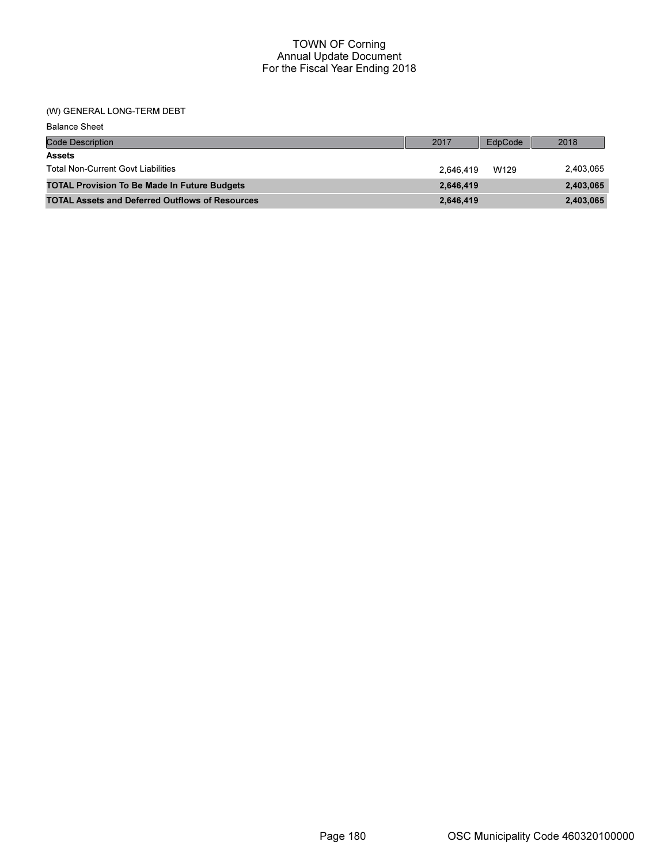## (W) GENERAL LONG-TERM DEBT

| <b>Balance Sheet</b>                                   |           |         |           |
|--------------------------------------------------------|-----------|---------|-----------|
| <b>Code Description</b>                                | 2017      | EdpCode | 2018      |
| <b>Assets</b>                                          |           |         |           |
| <b>Total Non-Current Govt Liabilities</b>              | 2.646.419 | W129    | 2,403,065 |
| <b>TOTAL Provision To Be Made In Future Budgets</b>    | 2,646,419 |         | 2,403,065 |
| <b>TOTAL Assets and Deferred Outflows of Resources</b> | 2,646,419 |         | 2,403,065 |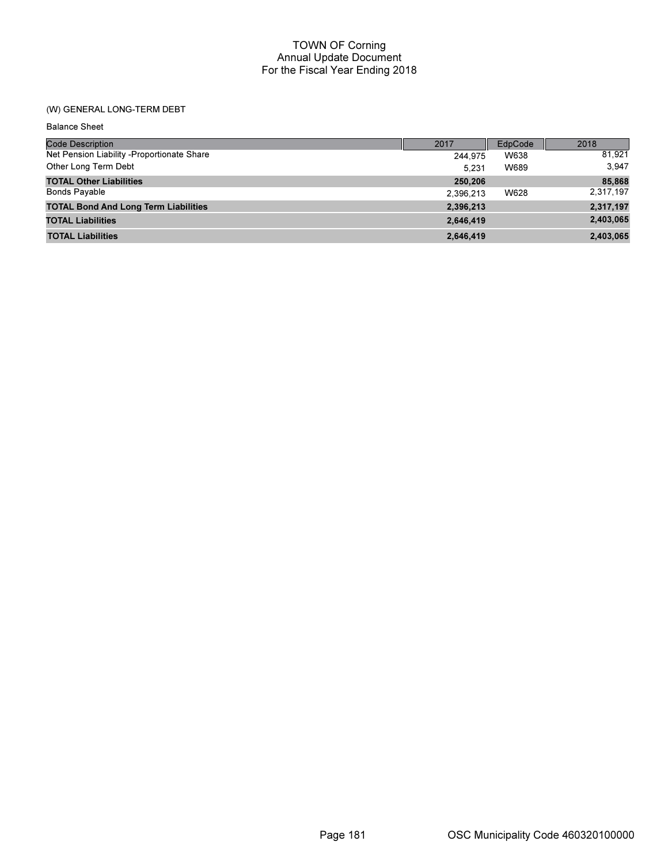## TOWN OF Corning Annual Update Document For the Fiscal Year Ending 2018

# (W) GENERAL LONG-TERM DEBT

| <b>Balance Sheet</b>                        |           |         |           |
|---------------------------------------------|-----------|---------|-----------|
| <b>Code Description</b>                     | 2017      | EdpCode | 2018      |
| Net Pension Liability -Proportionate Share  | 244.975   | W638    | 81,921    |
| Other Long Term Debt                        | 5.231     | W689    | 3.947     |
| <b>TOTAL Other Liabilities</b>              | 250,206   |         | 85,868    |
| <b>Bonds Payable</b>                        | 2,396,213 | W628    | 2,317,197 |
| <b>TOTAL Bond And Long Term Liabilities</b> | 2,396,213 |         | 2,317,197 |
| <b>TOTAL Liabilities</b>                    | 2,646,419 |         | 2,403,065 |
| <b>TOTAL Liabilities</b>                    | 2,646,419 |         | 2,403,065 |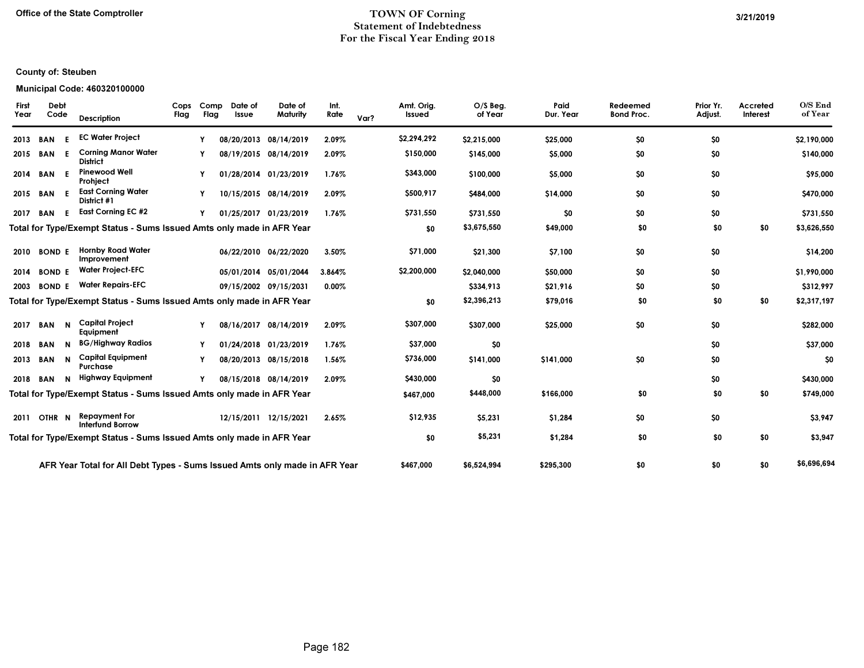### Office of the State Comptroller TOWN OF Corning 3/21/2019 Statement of Indebtedness For the Fiscal Year Ending 2018

#### Municipal Code: 460320100000

| $O/S$ End<br>of Year | Accreted<br>Interest | Prior Yr.<br>Adjust. | Redeemed<br><b>Bond Proc.</b> | Paid<br>Dur. Year | $O/S$ Beg.<br>of Year | Amt. Orig.<br>Issued | Var? | Int.<br>Rate | Date of<br>Maturity   | Date of<br>Issue | Comp<br>Flag | Cops<br>Flag | <b>Description</b>                                                         |     | Debt<br>Code      | <b>First</b><br>Year |
|----------------------|----------------------|----------------------|-------------------------------|-------------------|-----------------------|----------------------|------|--------------|-----------------------|------------------|--------------|--------------|----------------------------------------------------------------------------|-----|-------------------|----------------------|
| \$2,190,000          |                      | \$0                  | \$0                           | \$25,000          | \$2,215,000           | \$2,294,292          |      | 2.09%        | 08/20/2013 08/14/2019 |                  |              |              | <b>EC Water Project</b>                                                    | E.  | <b>BAN</b>        | 2013                 |
| \$140,000            |                      | \$0                  | \$0                           | \$5,000           | \$145,000             | \$150,000            |      | 2.09%        | 08/19/2015 08/14/2019 |                  |              |              | <b>Corning Manor Water</b><br><b>District</b>                              | -E  | BAN               | 2015                 |
| \$95,000             |                      | \$0                  | \$0                           | \$5,000           | \$100,000             | \$343,000            |      | 1.76%        | 01/28/2014 01/23/2019 |                  |              |              | <b>Pinewood Well</b><br>Prohject                                           |     | BAN               | 2014                 |
| \$470,000            |                      | \$0                  | \$0                           | \$14,000          | \$484,000             | \$500,917            |      | 2.09%        | 10/15/2015 08/14/2019 |                  |              |              | <b>East Corning Water</b><br>District #1                                   | -E. | BAN               | 2015                 |
| \$731,550            |                      | \$0                  | \$0                           | \$0               | \$731,550             | \$731,550            |      | 1.76%        | 01/25/2017 01/23/2019 |                  |              |              | <b>East Corning EC #2</b>                                                  | E.  | <b>BAN</b>        | 2017                 |
| \$3,626,550          | \$0                  | \$0                  | \$0                           | \$49,000          | \$3,675,550           | \$0                  |      |              |                       |                  |              |              | Total for Type/Exempt Status - Sums Issued Amts only made in AFR Year      |     |                   |                      |
| \$14,200             |                      | \$0                  | \$0                           | \$7,100           | \$21,300              | \$71,000             |      | 3.50%        | 06/22/2010 06/22/2020 |                  |              |              | <b>Hornby Road Water</b><br>Improvement                                    |     | <b>BOND E</b>     | 2010                 |
| \$1,990,000          |                      | \$0                  | \$0                           | \$50,000          | \$2,040,000           | \$2,200,000          |      | 3.864%       | 05/01/2014 05/01/2044 |                  |              |              | <b>Water Project-EFC</b>                                                   |     | <b>BOND E</b>     | 2014                 |
| \$312,997            |                      | \$0                  | \$0                           | \$21,916          | \$334,913             |                      |      | $0.00\%$     | 09/15/2002 09/15/2031 |                  |              |              | <b>Water Repairs-EFC</b>                                                   |     | <b>BOND E</b>     | 2003                 |
| \$2,317,197          | \$0                  | \$0                  | \$0                           | \$79,016          | \$2,396,213           | \$0                  |      |              |                       |                  |              |              | Total for Type/Exempt Status - Sums Issued Amts only made in AFR Year      |     |                   |                      |
| \$282,000            |                      | \$0                  | \$0                           | \$25,000          | \$307,000             | \$307,000            |      | 2.09%        | 08/16/2017 08/14/2019 |                  |              |              | <b>Capital Project</b><br>Eauipment                                        | N   | BAN               | 2017                 |
| \$37,000             |                      | \$0                  |                               |                   | \$0                   | \$37,000             |      | 1.76%        | 01/24/2018 01/23/2019 |                  |              |              | <b>BG/Highway Radios</b>                                                   | N   | <b>BAN</b>        | 2018                 |
| \$0                  |                      | \$0                  | \$0                           | \$141,000         | \$141,000             | \$736,000            |      | 1.56%        | 08/20/2013 08/15/2018 |                  |              |              | <b>Capital Equipment</b><br>Purchase                                       | N   | <b>BAN</b>        | 2013                 |
| \$430,000            |                      | \$0                  |                               |                   | \$0                   | \$430,000            |      | 2.09%        | 08/15/2018 08/14/2019 |                  |              |              | <b>Highway Equipment</b>                                                   | N   | 2018 BAN          |                      |
| \$749,000            | \$0                  | \$0                  | \$0                           | \$166,000         | \$448,000             | \$467,000            |      |              |                       |                  |              |              | Total for Type/Exempt Status - Sums Issued Amts only made in AFR Year      |     |                   |                      |
| \$3,947              |                      | \$0                  | \$0                           | \$1,284           | \$5,231               | \$12,935             |      | 2.65%        | 12/15/2011 12/15/2021 |                  |              |              | <b>Repayment For</b><br><b>Interfund Borrow</b>                            |     | OTHR <sub>N</sub> | 2011                 |
| \$3,947              | \$0                  | \$0                  | \$0                           | \$1,284           | \$5,231               | \$0                  |      |              |                       |                  |              |              | Total for Type/Exempt Status - Sums Issued Amts only made in AFR Year      |     |                   |                      |
| \$6,696,694          | \$0                  | \$0                  | \$0                           | \$295.300         | \$6.524.994           | \$467.000            |      |              |                       |                  |              |              | AFR Year Total for All Debt Types - Sums Issued Amts only made in AFR Year |     |                   |                      |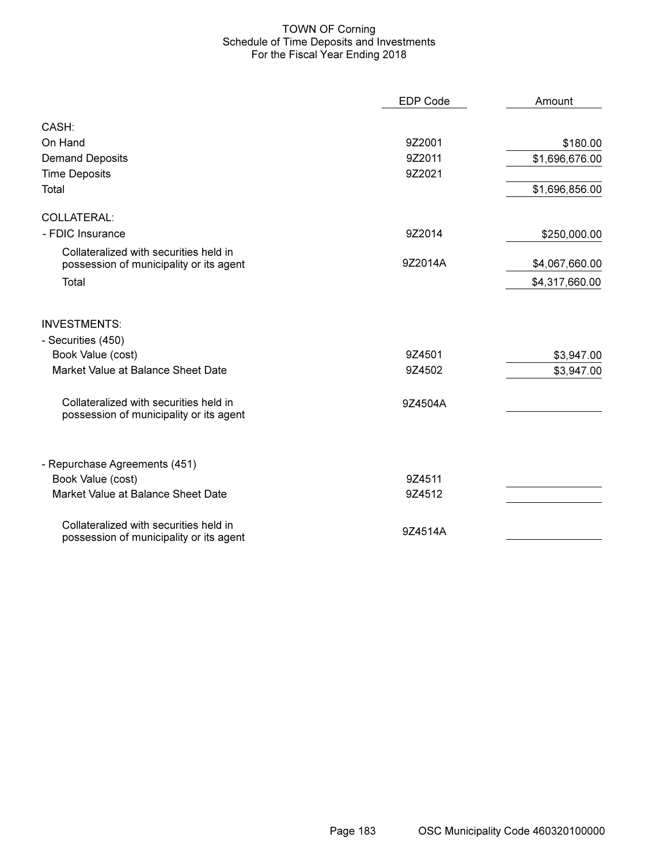## TOWN OF Corning Schedule of Time Deposits and Investments For the Fiscal Year Ending 2018

|                                                                                   | <b>EDP Code</b> | Amount         |
|-----------------------------------------------------------------------------------|-----------------|----------------|
| CASH:                                                                             |                 |                |
| On Hand                                                                           | 9Z2001          | \$180.00       |
| <b>Demand Deposits</b>                                                            | 9Z2011          | \$1,696,676.00 |
| <b>Time Deposits</b>                                                              | 9Z2021          |                |
| Total                                                                             |                 | \$1,696,856.00 |
| <b>COLLATERAL:</b>                                                                |                 |                |
| - FDIC Insurance                                                                  | 9Z2014          | \$250,000.00   |
| Collateralized with securities held in<br>possession of municipality or its agent | 9Z2014A         | \$4,067,660.00 |
| Total                                                                             |                 | \$4,317,660.00 |
| <b>INVESTMENTS:</b><br>- Securities (450)                                         |                 |                |
| Book Value (cost)                                                                 | 9Z4501          | \$3,947.00     |
| Market Value at Balance Sheet Date                                                | 9Z4502          | \$3,947.00     |
| Collateralized with securities held in<br>possession of municipality or its agent | 9Z4504A         |                |
| - Repurchase Agreements (451)                                                     |                 |                |
| Book Value (cost)                                                                 | 9Z4511          |                |
| Market Value at Balance Sheet Date                                                | 9Z4512          |                |
| Collateralized with securities held in<br>possession of municipality or its agent | 9Z4514A         |                |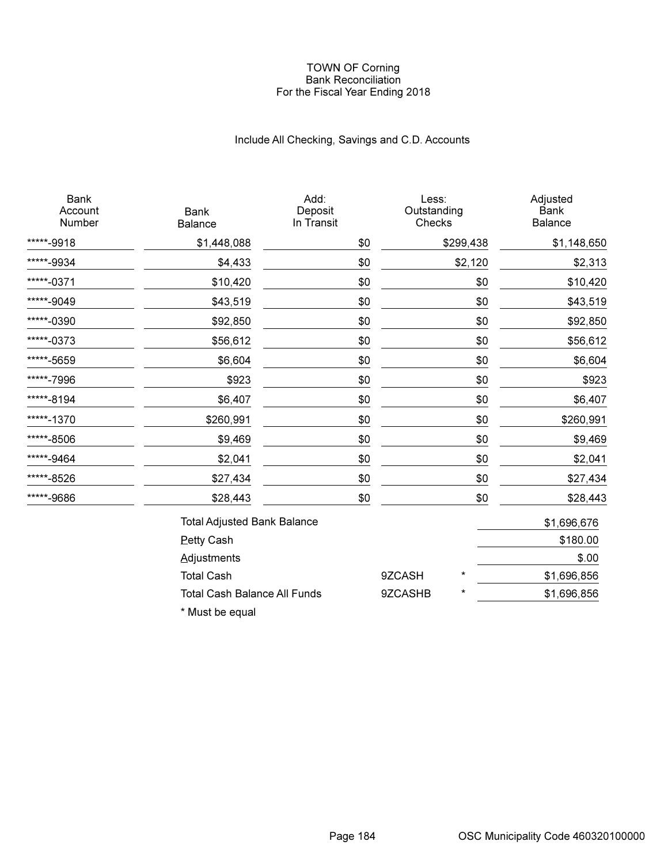### TOWN OF Corning Bank Reconciliation For the Fiscal Year Ending 2018

# Include All Checking, Savings and C.D. Accounts

| <b>Bank</b><br>Account<br>Number | <b>Bank</b><br><b>Balance</b>       | Add:<br>Deposit<br>In Transit | Less:<br>Outstanding<br>Checks |           | Adjusted<br><b>Bank</b><br><b>Balance</b> |
|----------------------------------|-------------------------------------|-------------------------------|--------------------------------|-----------|-------------------------------------------|
| *****-9918                       | \$1,448,088                         | \$0                           |                                | \$299,438 | \$1,148,650                               |
| *****-9934                       | \$4,433                             | \$0                           |                                | \$2,120   | \$2,313                                   |
| *****-0371                       | \$10,420                            | \$0                           |                                | \$0       | \$10,420                                  |
| *****-9049                       | \$43,519                            | \$0                           |                                | \$0       | \$43,519                                  |
| *****-0390                       | \$92,850                            | \$0                           |                                | \$0       | \$92,850                                  |
| *****-0373                       | \$56,612                            | \$0                           |                                | \$0       | \$56,612                                  |
| *****-5659                       | \$6,604                             | \$0                           |                                | \$0       | \$6,604                                   |
| *****-7996                       | \$923                               | \$0                           |                                | \$0       | \$923                                     |
| *****-8194                       | \$6,407                             | \$0                           |                                | \$0       | \$6,407                                   |
| *****-1370                       | \$260,991                           | \$0                           |                                | \$0       | \$260,991                                 |
| *****-8506                       | \$9,469                             | \$0                           |                                | \$0       | \$9,469                                   |
| *****-9464                       | \$2,041                             | \$0                           |                                | \$0       | \$2,041                                   |
| *****-8526                       | \$27,434                            | \$0                           |                                | \$0       | \$27,434                                  |
| *****-9686                       | \$28,443                            | \$0                           |                                | \$0       | \$28,443                                  |
|                                  | <b>Total Adjusted Bank Balance</b>  |                               |                                |           | \$1,696,676                               |
|                                  | <b>Petty Cash</b>                   |                               |                                |           | \$180.00                                  |
|                                  | Adjustments                         |                               |                                |           | \$.00                                     |
|                                  | <b>Total Cash</b>                   |                               | 9ZCASH                         | $^\star$  | \$1,696,856                               |
|                                  | <b>Total Cash Balance All Funds</b> |                               | 9ZCASHB                        | $^\star$  | \$1,696,856                               |

\* Must be equal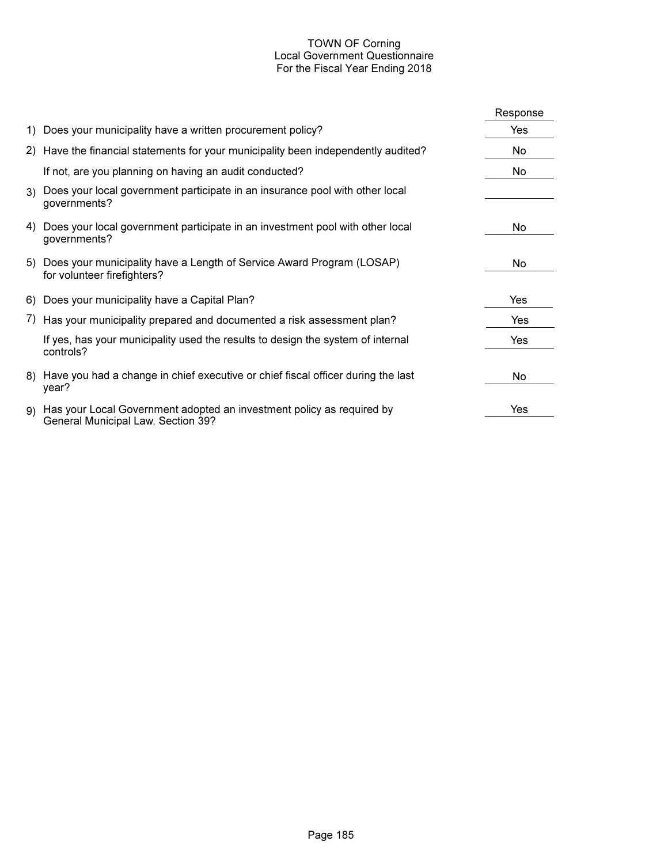## TOWN OF Corning Local Government Questionnaire For the Fiscal Year Ending 2018

|    |                                                                                                             | Response   |
|----|-------------------------------------------------------------------------------------------------------------|------------|
|    | 1) Does your municipality have a written procurement policy?                                                | Yes        |
|    | 2) Have the financial statements for your municipality been independently audited?                          | No.        |
|    | If not, are you planning on having an audit conducted?                                                      | No.        |
|    | 3) Does your local government participate in an insurance pool with other local<br>governments?             |            |
|    | 4) Does your local government participate in an investment pool with other local<br>governments?            | No.        |
|    | 5) Does your municipality have a Length of Service Award Program (LOSAP)<br>for volunteer firefighters?     | No.        |
|    | 6) Does your municipality have a Capital Plan?                                                              | Yes        |
|    | 7) Has your municipality prepared and documented a risk assessment plan?                                    | Yes        |
|    | If yes, has your municipality used the results to design the system of internal<br>controls?                | <b>Yes</b> |
|    | 8) Have you had a change in chief executive or chief fiscal officer during the last<br>year?                | No.        |
| 9) | Has your Local Government adopted an investment policy as required by<br>General Municipal Law, Section 39? | Yes        |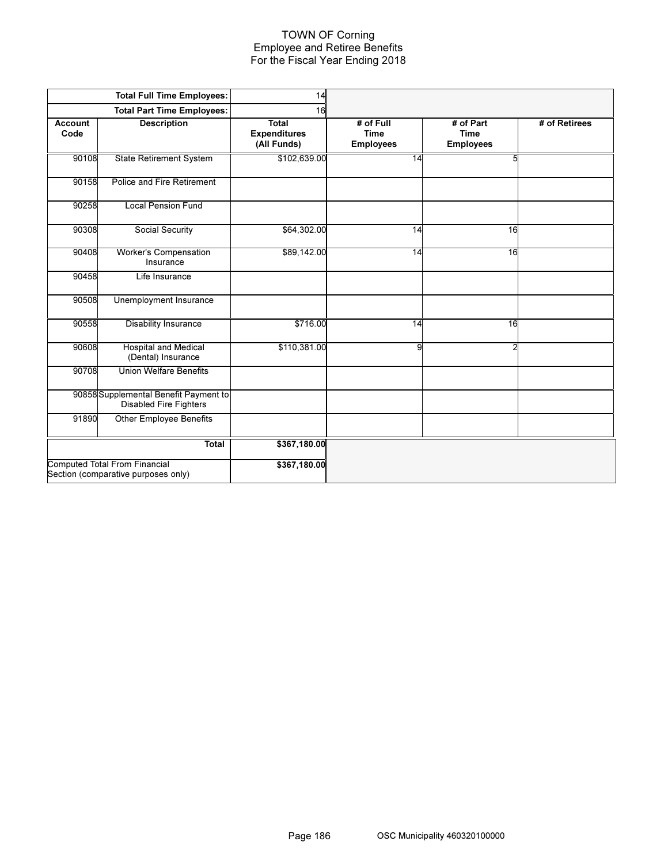## TOWN OF Corning Employee and Retiree Benefits For the Fiscal Year Ending 2018

|                        | <b>Total Full Time Employees:</b>                                           | 14                                                 |                                              |                                              |               |
|------------------------|-----------------------------------------------------------------------------|----------------------------------------------------|----------------------------------------------|----------------------------------------------|---------------|
|                        | <b>Total Part Time Employees:</b>                                           | 16                                                 |                                              |                                              |               |
| <b>Account</b><br>Code | <b>Description</b>                                                          | <b>Total</b><br><b>Expenditures</b><br>(All Funds) | # of Full<br><b>Time</b><br><b>Employees</b> | # of Part<br><b>Time</b><br><b>Employees</b> | # of Retirees |
| 90108                  | State Retirement System                                                     | \$102,639.00                                       | 14                                           | 5                                            |               |
| 90158                  | Police and Fire Retirement                                                  |                                                    |                                              |                                              |               |
| 90258                  | <b>Local Pension Fund</b>                                                   |                                                    |                                              |                                              |               |
| 90308                  | Social Security                                                             | \$64,302.00                                        | 14                                           | 16                                           |               |
| 90408                  | <b>Worker's Compensation</b><br>Insurance                                   | \$89,142.00                                        | 14                                           | 16                                           |               |
| 90458                  | Life Insurance                                                              |                                                    |                                              |                                              |               |
| 90508                  | Unemployment Insurance                                                      |                                                    |                                              |                                              |               |
| 90558                  | <b>Disability Insurance</b>                                                 | \$716.00                                           | 14                                           | 16                                           |               |
| 90608                  | <b>Hospital and Medical</b><br>(Dental) Insurance                           | \$110,381.00                                       | 9                                            | 2                                            |               |
| 90708                  | <b>Union Welfare Benefits</b>                                               |                                                    |                                              |                                              |               |
|                        | 90858 Supplemental Benefit Payment to<br><b>Disabled Fire Fighters</b>      |                                                    |                                              |                                              |               |
| 91890                  | Other Employee Benefits                                                     |                                                    |                                              |                                              |               |
|                        | Total                                                                       | \$367,180.00                                       |                                              |                                              |               |
|                        | <b>Computed Total From Financial</b><br>Section (comparative purposes only) | \$367,180.00                                       |                                              |                                              |               |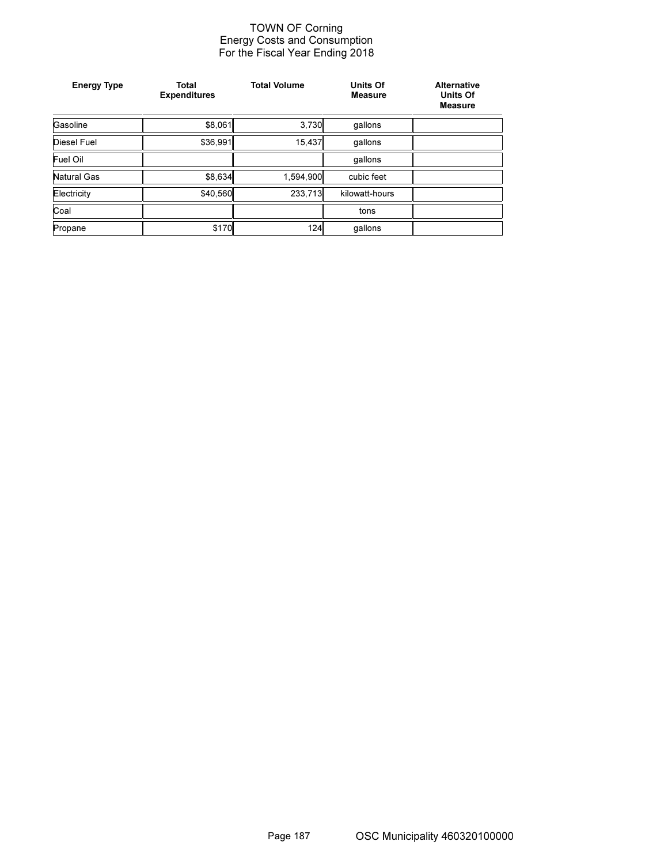### TOWN OF Corning Energy Costs and Consumption For the Fiscal Year Ending 2018

| <b>Energy Type</b> | Total<br><b>Expenditures</b> | <b>Total Volume</b> | Units Of<br><b>Measure</b> | <b>Alternative</b><br><b>Units Of</b><br><b>Measure</b> |
|--------------------|------------------------------|---------------------|----------------------------|---------------------------------------------------------|
| Gasoline           | \$8,061                      | 3,730               | qallons                    |                                                         |
| <b>Diesel Fuel</b> | \$36,991                     | 15,437              | gallons                    |                                                         |
| Fuel Oil           |                              |                     | qallons                    |                                                         |
| Natural Gas        | \$8,634                      | 1,594,900           | cubic feet                 |                                                         |
| Electricity        | \$40,560                     | 233,713             | kilowatt-hours             |                                                         |
| Coal               |                              |                     | tons                       |                                                         |
| Propane            | \$170                        | 124                 | qallons                    |                                                         |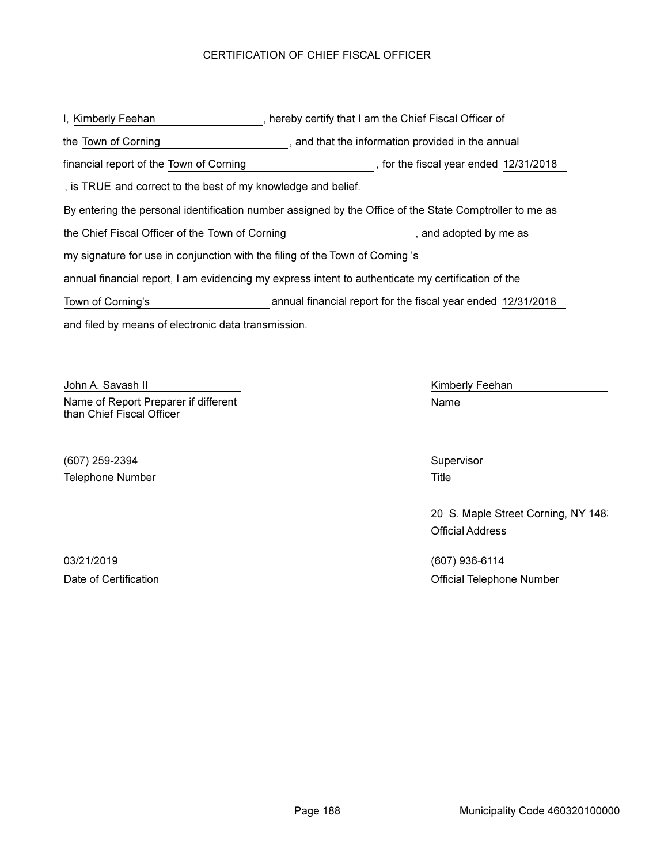# CERTIFICATION OF CHIEF FISCAL OFFICER

and filed by means of electronic data transmission. I, Kimberly Feehan , hereby certify that I am the Chief Fiscal Officer of By entering the personal identification number assigned by the Office of the State Comptroller to me as the Town of Corning **that in the information provided in the annual** that the information provided in the annual the Chief Fiscal Officer of the Town of Corning \_\_\_\_\_\_\_\_\_\_\_\_\_\_\_\_\_\_\_\_\_\_\_\_, and adopted by me as annual financial report, I am evidencing my express intent to authenticate my certification of the my signature for use in conjunction with the filing of the Town of Corning 's , is TRUE and correct to the best of my knowledge and belief. financial report of the Town of Corning **Commence 12/31/2018**, for the fiscal year ended 12/31/2018 Town of Corning's annual financial report for the fiscal year ended 12/31/2018

John A. Savash II New York Contract a Library Contract Art Kimberly Feehan Name of Report Preparer if different than Chief Fiscal Officer

(607) 259-2394 Supervisor Telephone Number **Title** 

Name

20 S. Maple Street Corning, NY 1483 Official Address

03/21/2019 (607) 936-6114 Date of Certification **Date of Certification** Official Telephone Number